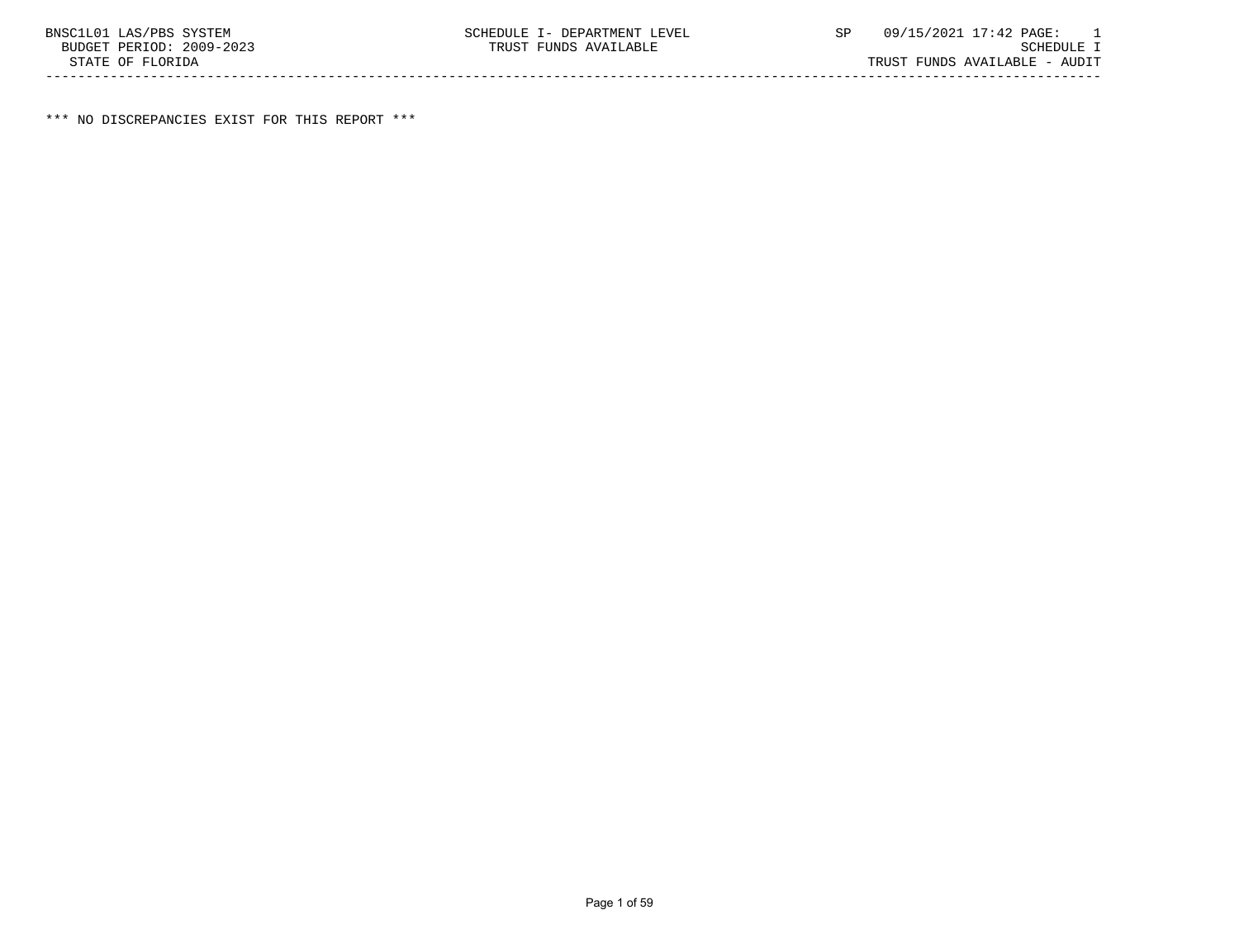\*\*\* NO DISCREPANCIES EXIST FOR THIS REPORT \*\*\*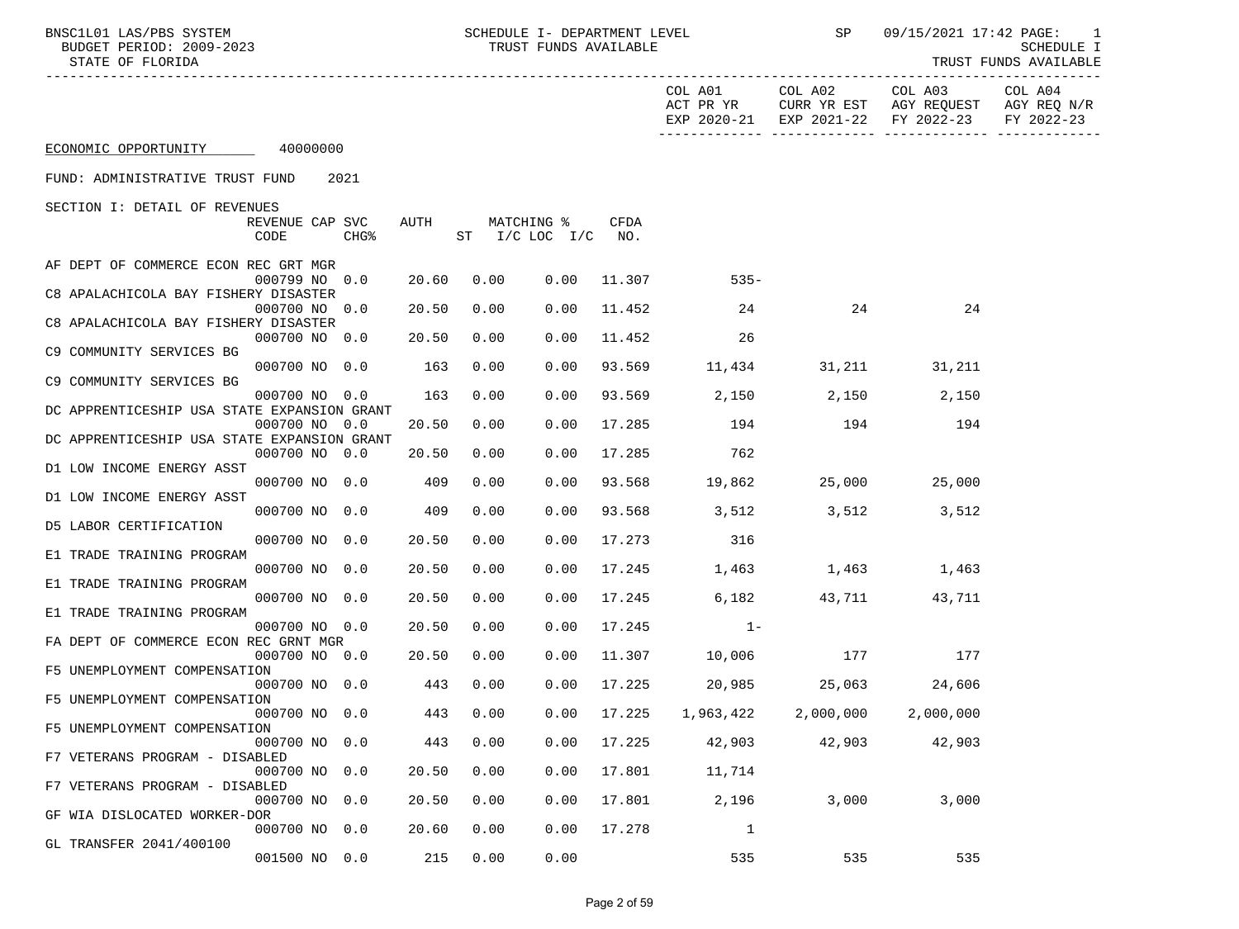BNSC1L01 LAS/PBS SYSTEM SCHEDULE I- DEPARTMENT LEVEL SP 09/15/2021 17:42 PAGE: 1<br>BUDGET PERIOD: 2009-2023 TRUST FUNDS AVAILABLE

STATE OF FLORIDA AND INTERNATIONAL STATE OF FUNDS AVAILABLE

|                                             |                         |                  |       |      |                                      |               |                                                           |             | EXP 2020-21 EXP 2021-22 FY 2022-23 | FY 2022-23 |
|---------------------------------------------|-------------------------|------------------|-------|------|--------------------------------------|---------------|-----------------------------------------------------------|-------------|------------------------------------|------------|
| ECONOMIC OPPORTUNITY 40000000               |                         |                  |       |      |                                      |               |                                                           |             |                                    |            |
| FUND: ADMINISTRATIVE TRUST FUND             |                         | 2021             |       |      |                                      |               |                                                           |             |                                    |            |
| SECTION I: DETAIL OF REVENUES               |                         |                  |       |      |                                      |               |                                                           |             |                                    |            |
|                                             | REVENUE CAP SVC<br>CODE | CHG <sub>8</sub> | AUTH  |      | MATCHING %<br>$ST$ $I/C$ $LOC$ $I/C$ | CFDA<br>NO.   |                                                           |             |                                    |            |
| AF DEPT OF COMMERCE ECON REC GRT MGR        | 000799 NO 0.0           |                  | 20.60 | 0.00 |                                      | $0.00$ 11.307 | $535-$                                                    |             |                                    |            |
| C8 APALACHICOLA BAY FISHERY DISASTER        |                         |                  |       |      |                                      |               |                                                           |             |                                    |            |
|                                             | 000700 NO 0.0           |                  | 20.50 | 0.00 | 0.00                                 | 11.452        | 24                                                        | 24          | 24                                 |            |
| C8 APALACHICOLA BAY FISHERY DISASTER        | 000700 NO 0.0           |                  | 20.50 | 0.00 | 0.00                                 |               | 11.452<br>26                                              |             |                                    |            |
| C9 COMMUNITY SERVICES BG                    |                         |                  |       |      |                                      |               |                                                           |             |                                    |            |
|                                             | 000700 NO 0.0           |                  | 163   | 0.00 | 0.00                                 |               | 93.569 11,434 31,211 31,211                               |             |                                    |            |
| C9 COMMUNITY SERVICES BG                    |                         |                  |       |      |                                      |               |                                                           |             |                                    |            |
| DC APPRENTICESHIP USA STATE EXPANSION GRANT | 000700 NO 0.0           |                  | 163   | 0.00 | 0.00                                 |               | 93.569 2,150                                              | 2,150       | 2,150                              |            |
|                                             | 000700 NO 0.0           |                  | 20.50 | 0.00 | 0.00                                 | 17.285        | 194                                                       | 194         | 194                                |            |
| DC APPRENTICESHIP USA STATE EXPANSION GRANT |                         |                  |       |      |                                      |               |                                                           |             |                                    |            |
|                                             | 000700 NO 0.0           |                  | 20.50 | 0.00 | 0.00                                 | 17.285        | 762                                                       |             |                                    |            |
| D1 LOW INCOME ENERGY ASST                   | 000700 NO 0.0           |                  | 409   |      |                                      |               |                                                           |             |                                    |            |
| D1 LOW INCOME ENERGY ASST                   |                         |                  |       | 0.00 | 0.00                                 |               | 93.568 19,862 25,000 25,000                               |             |                                    |            |
|                                             | 000700 NO 0.0           |                  | 409   | 0.00 | 0.00                                 |               | 93.568 3,512 3,512                                        |             | 3,512                              |            |
| D5 LABOR CERTIFICATION                      |                         |                  |       |      |                                      |               |                                                           |             |                                    |            |
|                                             | 000700 NO 0.0           |                  | 20.50 | 0.00 | 0.00                                 | 17.273        | 316                                                       |             |                                    |            |
| E1 TRADE TRAINING PROGRAM                   | 000700 NO 0.0           |                  | 20.50 | 0.00 | 0.00                                 |               | 17.245 1,463                                              | 1,463 1,463 |                                    |            |
| E1 TRADE TRAINING PROGRAM                   |                         |                  |       |      |                                      |               |                                                           |             |                                    |            |
|                                             | 000700 NO 0.0           |                  | 20.50 | 0.00 | 0.00                                 |               | 17.245 6,182                                              | 43,711      | 43,711                             |            |
| E1 TRADE TRAINING PROGRAM                   |                         |                  |       |      |                                      |               |                                                           |             |                                    |            |
|                                             | 000700 NO 0.0           |                  | 20.50 | 0.00 | 0.00                                 | 17.245        | $1-$                                                      |             |                                    |            |
| FA DEPT OF COMMERCE ECON REC GRNT MGR       | 000700 NO 0.0           |                  | 20.50 | 0.00 | 0.00                                 |               | 11.307 10,006 177 177                                     |             |                                    |            |
| F5 UNEMPLOYMENT COMPENSATION                |                         |                  |       |      |                                      |               |                                                           |             |                                    |            |
|                                             | 000700 NO 0.0           |                  | 443   | 0.00 | 0.00                                 |               | 17.225 20,985 25,063 24,606                               |             |                                    |            |
| F5 UNEMPLOYMENT COMPENSATION                |                         |                  |       |      |                                      |               |                                                           |             |                                    |            |
| F5 UNEMPLOYMENT COMPENSATION                | 000700 NO 0.0           |                  | 443   | 0.00 | 0.00                                 |               | 17.225  1,963,422  2,000,000                              |             | 2,000,000                          |            |
|                                             |                         |                  |       |      |                                      |               | 000700 NO 0.0 $443$ 0.00 0.00 17.225 42,903 42,903 42,903 |             |                                    |            |
| F7 VETERANS PROGRAM - DISABLED              |                         |                  |       |      |                                      |               |                                                           |             |                                    |            |
|                                             | 000700 NO 0.0           |                  | 20.50 | 0.00 | 0.00                                 | 17.801        | 11,714                                                    |             |                                    |            |
| F7 VETERANS PROGRAM - DISABLED              | 000700 NO 0.0           |                  | 20.50 | 0.00 | 0.00                                 | 17.801        | 2,196                                                     | 3,000       | 3,000                              |            |
| GF WIA DISLOCATED WORKER-DOR                |                         |                  |       |      |                                      |               |                                                           |             |                                    |            |
|                                             | 000700 NO 0.0           |                  | 20.60 | 0.00 | 0.00                                 | 17.278        | $\mathbf{1}$                                              |             |                                    |            |
| GL TRANSFER 2041/400100                     |                         |                  |       |      |                                      |               |                                                           |             |                                    |            |
|                                             | 001500 NO 0.0           |                  | 215   | 0.00 | 0.00                                 |               | 535                                                       | 535         | 535                                |            |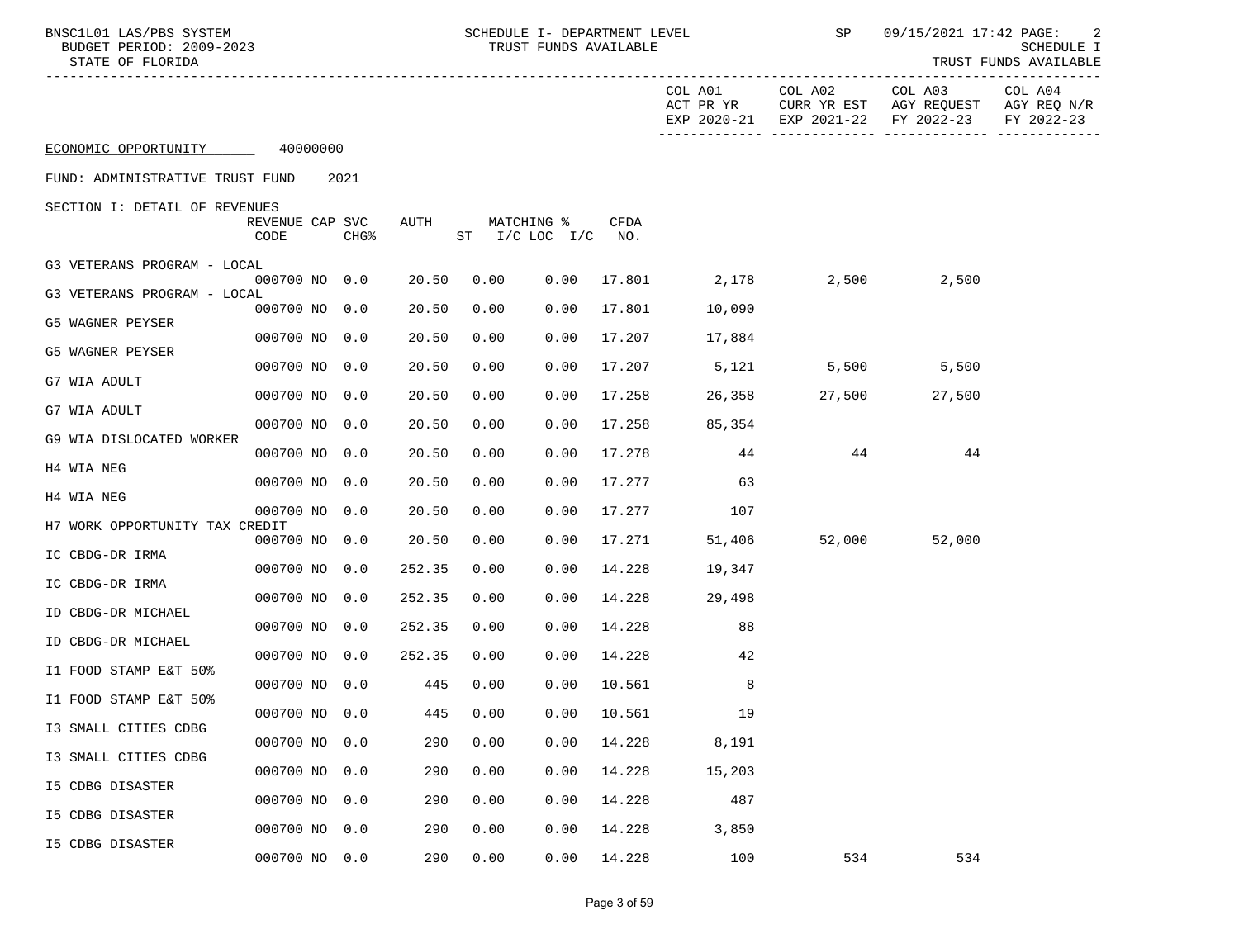| BNSC1L01 LAS/PBS SYSTEM<br>BUDGET PERIOD: 2009-2023<br>STATE OF FLORIDA |                         |                 |        | SCHEDULE I- DEPARTMENT LEVEL | TRUST FUNDS AVAILABLE |             |                      | <b>SP</b>     | 09/15/2021 17:42 PAGE:                                                               | -2<br>SCHEDULE I<br>TRUST FUNDS AVAILABLE |
|-------------------------------------------------------------------------|-------------------------|-----------------|--------|------------------------------|-----------------------|-------------|----------------------|---------------|--------------------------------------------------------------------------------------|-------------------------------------------|
|                                                                         |                         |                 |        |                              |                       |             | COL A01<br>ACT PR YR | COL A02       | COL A03<br>CURR YR EST AGY REQUEST AGY REQ N/R<br>EXP 2020-21 EXP 2021-22 FY 2022-23 | COL A04<br>FY 2022-23                     |
| ECONOMIC OPPORTUNITY 40000000                                           |                         |                 |        |                              |                       |             |                      |               |                                                                                      |                                           |
| FUND: ADMINISTRATIVE TRUST FUND                                         |                         | 2021            |        |                              |                       |             |                      |               |                                                                                      |                                           |
| SECTION I: DETAIL OF REVENUES                                           | REVENUE CAP SVC<br>CODE | <b>CHG&amp;</b> | AUTH   | MATCHING %<br>ST I/C LOC I/C |                       | CFDA<br>NO. |                      |               |                                                                                      |                                           |
| G3 VETERANS PROGRAM - LOCAL                                             |                         |                 |        |                              |                       |             |                      |               |                                                                                      |                                           |
| G3 VETERANS PROGRAM - LOCAL                                             | 000700 NO 0.0           |                 | 20.50  | 0.00                         | 0.00                  | 17.801      | 2,178                |               | 2,500<br>2,500                                                                       |                                           |
| G5 WAGNER PEYSER                                                        | 000700 NO 0.0           |                 | 20.50  | 0.00                         | 0.00                  | 17.801      | 10,090               |               |                                                                                      |                                           |
| G5 WAGNER PEYSER                                                        | 000700 NO 0.0           |                 | 20.50  | 0.00                         | 0.00                  | 17.207      | 17,884               |               |                                                                                      |                                           |
| G7 WIA ADULT                                                            | 000700 NO 0.0           |                 | 20.50  | 0.00                         | 0.00                  |             | 17.207 5,121 5,500   |               | 5,500                                                                                |                                           |
| G7 WIA ADULT                                                            | 000700 NO 0.0           |                 | 20.50  | 0.00                         | 0.00                  | 17.258      |                      | 26,358 27,500 | 27,500                                                                               |                                           |
| G9 WIA DISLOCATED WORKER                                                | 000700 NO 0.0           |                 | 20.50  | 0.00                         | 0.00                  | 17.258      | 85,354               |               |                                                                                      |                                           |
| H4 WIA NEG                                                              | 000700 NO 0.0           |                 | 20.50  | 0.00                         | 0.00                  | 17.278      | 44                   | 44            | 44                                                                                   |                                           |
|                                                                         | 000700 NO 0.0           |                 | 20.50  | 0.00                         | 0.00                  | 17.277      | 63                   |               |                                                                                      |                                           |
| H4 WIA NEG                                                              | 000700 NO 0.0           |                 | 20.50  | 0.00                         | 0.00                  | 17.277      | 107                  |               |                                                                                      |                                           |
| H7 WORK OPPORTUNITY TAX CREDIT                                          | 000700 NO 0.0           |                 | 20.50  | 0.00                         | 0.00                  | 17.271      | 51,406               | 52,000        | 52,000                                                                               |                                           |
| IC CBDG-DR IRMA                                                         | 000700 NO 0.0           |                 | 252.35 | 0.00                         | 0.00                  | 14.228      | 19,347               |               |                                                                                      |                                           |
| IC CBDG-DR IRMA                                                         | 000700 NO 0.0           |                 | 252.35 | 0.00                         | 0.00                  | 14.228      | 29,498               |               |                                                                                      |                                           |
| ID CBDG-DR MICHAEL                                                      | 000700 NO 0.0           |                 | 252.35 | 0.00                         | 0.00                  | 14.228      | 88                   |               |                                                                                      |                                           |
| ID CBDG-DR MICHAEL                                                      | 000700 NO 0.0           |                 | 252.35 | 0.00                         | 0.00                  | 14.228      | 42                   |               |                                                                                      |                                           |
| I1 FOOD STAMP E&T 50%                                                   | 000700 NO 0.0           |                 | 445    | 0.00                         | 0.00                  | 10.561      | 8                    |               |                                                                                      |                                           |
| I1 FOOD STAMP E&T 50%                                                   |                         |                 |        |                              |                       |             | 19                   |               |                                                                                      |                                           |
| I3 SMALL CITIES CDBG                                                    | 000700 NO 0.0           |                 | 445    | 0.00                         | 0.00                  | 10.561      |                      |               |                                                                                      |                                           |
| I3 SMALL CITIES CDBG                                                    | 000700 NO 0.0           |                 | 290    | 0.00                         | 0.00                  | 14.228      | 8,191                |               |                                                                                      |                                           |
| I5 CDBG DISASTER                                                        | 000700 NO 0.0           |                 | 290    | 0.00                         | 0.00                  | 14.228      | 15,203               |               |                                                                                      |                                           |
| I5 CDBG DISASTER                                                        | 000700 NO 0.0           |                 | 290    | 0.00                         | 0.00                  | 14.228      | 487                  |               |                                                                                      |                                           |
| <b>I5 CDBG DISASTER</b>                                                 | 000700 NO 0.0           |                 | 290    | 0.00                         | 0.00                  | 14.228      | 3,850                |               |                                                                                      |                                           |
|                                                                         | 000700 NO 0.0           |                 | 290    | 0.00                         | 0.00                  | 14.228      | 100                  | 534           | 534                                                                                  |                                           |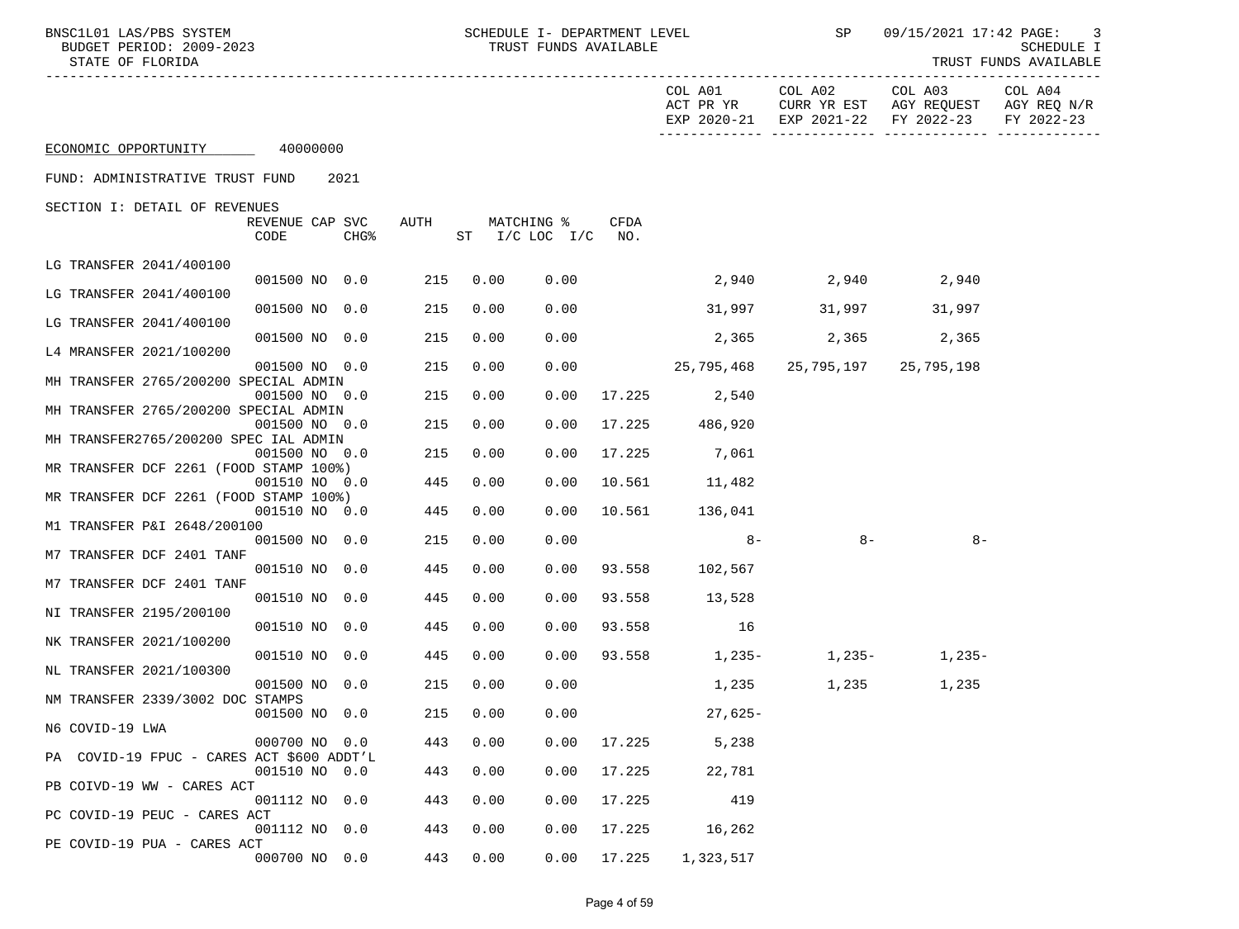| BNSC1L01 LAS/PBS SYSTEM<br>BUDGET PERIOD: 2009-2023<br>STATE OF FLORIDA     |      | SCHEDULE I- DEPARTMENT LEVEL | TRUST FUNDS AVAILABLE |             |                            | <b>SP</b> SP          |                                                                                              | 09/15/2021 17:42 PAGE: 3<br>SCHEDULE I<br>TRUST FUNDS AVAILABLE |  |  |
|-----------------------------------------------------------------------------|------|------------------------------|-----------------------|-------------|----------------------------|-----------------------|----------------------------------------------------------------------------------------------|-----------------------------------------------------------------|--|--|
|                                                                             |      |                              |                       |             | COL A01<br>ACT PR YR       | COL A02               | COL A03 COL A04<br>CURR YR EST AGY REQUEST AGY REQ N/R<br>EXP 2020-21 EXP 2021-22 FY 2022-23 | FY 2022-23                                                      |  |  |
| ECONOMIC OPPORTUNITY 40000000                                               |      |                              |                       |             |                            |                       |                                                                                              |                                                                 |  |  |
| FUND: ADMINISTRATIVE TRUST FUND<br>2021                                     |      |                              |                       |             |                            |                       |                                                                                              |                                                                 |  |  |
| SECTION I: DETAIL OF REVENUES<br>REVENUE CAP SVC<br>CODE<br><b>CHG&amp;</b> | AUTH | ST I/C LOC I/C               | MATCHING %            | CFDA<br>NO. |                            |                       |                                                                                              |                                                                 |  |  |
| LG TRANSFER 2041/400100<br>001500 NO 0.0                                    | 215  | 0.00                         | 0.00                  |             | 2,940 2,940 2,940          |                       |                                                                                              |                                                                 |  |  |
| LG TRANSFER 2041/400100                                                     |      |                              |                       |             |                            |                       |                                                                                              |                                                                 |  |  |
| 001500 NO 0.0<br>LG TRANSFER 2041/400100                                    | 215  | 0.00                         | 0.00                  |             | $31,997$ $31,997$ $31,997$ |                       |                                                                                              |                                                                 |  |  |
| 001500 NO 0.0<br>L4 MRANSFER 2021/100200                                    | 215  | 0.00                         | 0.00                  |             |                            | 2,365 2,365 2,365     |                                                                                              |                                                                 |  |  |
| 001500 NO 0.0<br>MH TRANSFER 2765/200200 SPECIAL ADMIN                      | 215  | 0.00                         | 0.00                  |             | 25,795,468                 | 25,795,197 25,795,198 |                                                                                              |                                                                 |  |  |
| 001500 NO 0.0                                                               | 215  | 0.00                         | 0.00                  |             | 17.225 2,540               |                       |                                                                                              |                                                                 |  |  |
| MH TRANSFER 2765/200200 SPECIAL ADMIN<br>001500 NO 0.0                      | 215  | 0.00                         | 0.00                  |             | 17.225 486,920             |                       |                                                                                              |                                                                 |  |  |
| MH TRANSFER2765/200200 SPEC IAL ADMIN<br>001500 NO 0.0                      | 215  | 0.00                         | 0.00                  |             | 17.225 7,061               |                       |                                                                                              |                                                                 |  |  |
| MR TRANSFER DCF 2261 (FOOD STAMP 100%)                                      |      |                              |                       |             |                            |                       |                                                                                              |                                                                 |  |  |
| 001510 NO 0.0<br>MR TRANSFER DCF 2261 (FOOD STAMP 100%)                     | 445  | 0.00                         | 0.00                  |             | 10.561 11,482              |                       |                                                                                              |                                                                 |  |  |
| 001510 NO 0.0                                                               | 445  | 0.00                         | 0.00                  |             | 10.561 136,041             |                       |                                                                                              |                                                                 |  |  |
| M1 TRANSFER P&I 2648/200100<br>001500 NO 0.0                                | 215  | 0.00                         | 0.00                  |             | $8-$                       | $8 -$                 | $8-$                                                                                         |                                                                 |  |  |
| M7 TRANSFER DCF 2401 TANF                                                   |      |                              |                       |             |                            |                       |                                                                                              |                                                                 |  |  |
| 001510 NO 0.0<br>M7 TRANSFER DCF 2401 TANF                                  | 445  | 0.00                         | 0.00                  | 93.558      | 102,567                    |                       |                                                                                              |                                                                 |  |  |
| 001510 NO 0.0                                                               | 445  | 0.00                         | 0.00                  |             | 93.558 13,528              |                       |                                                                                              |                                                                 |  |  |
| NI TRANSFER 2195/200100<br>001510 NO 0.0                                    | 445  | 0.00                         | 0.00                  | 93.558      | 16                         |                       |                                                                                              |                                                                 |  |  |
| NK TRANSFER 2021/100200                                                     |      |                              |                       |             |                            |                       |                                                                                              |                                                                 |  |  |
| 001510 NO 0.0<br>NL TRANSFER 2021/100300                                    | 445  | 0.00                         | 0.00                  |             | 93.558 1,235-              |                       | 1,235-<br>1,235-                                                                             |                                                                 |  |  |
| 001500 NO 0.0<br>NM TRANSFER 2339/3002 DOC STAMPS                           | 215  | 0.00                         | 0.00                  |             | 1,235                      |                       | 1,235<br>1,235                                                                               |                                                                 |  |  |
| 001500 NO 0.0                                                               | 215  | 0.00                         | 0.00                  |             | $27,625-$                  |                       |                                                                                              |                                                                 |  |  |
| N6 COVID-19 LWA<br>000700 NO 0.0                                            | 443  | 0.00                         | 0.00                  | 17.225      | 5,238                      |                       |                                                                                              |                                                                 |  |  |
| PA COVID-19 FPUC - CARES ACT \$600 ADDT'L                                   |      |                              |                       |             |                            |                       |                                                                                              |                                                                 |  |  |
| 001510 NO 0.0<br>PB COIVD-19 WW - CARES ACT                                 | 443  | 0.00                         | 0.00                  | 17.225      | 22,781                     |                       |                                                                                              |                                                                 |  |  |
| 001112 NO 0.0                                                               | 443  | 0.00                         | 0.00                  | 17.225      | 419                        |                       |                                                                                              |                                                                 |  |  |
| PC COVID-19 PEUC - CARES ACT<br>001112 NO 0.0                               | 443  | 0.00                         | 0.00                  | 17.225      | 16,262                     |                       |                                                                                              |                                                                 |  |  |
| PE COVID-19 PUA - CARES ACT                                                 |      |                              |                       |             |                            |                       |                                                                                              |                                                                 |  |  |
| 000700 NO 0.0                                                               | 443  | 0.00                         | 0.00                  | 17.225      | 1,323,517                  |                       |                                                                                              |                                                                 |  |  |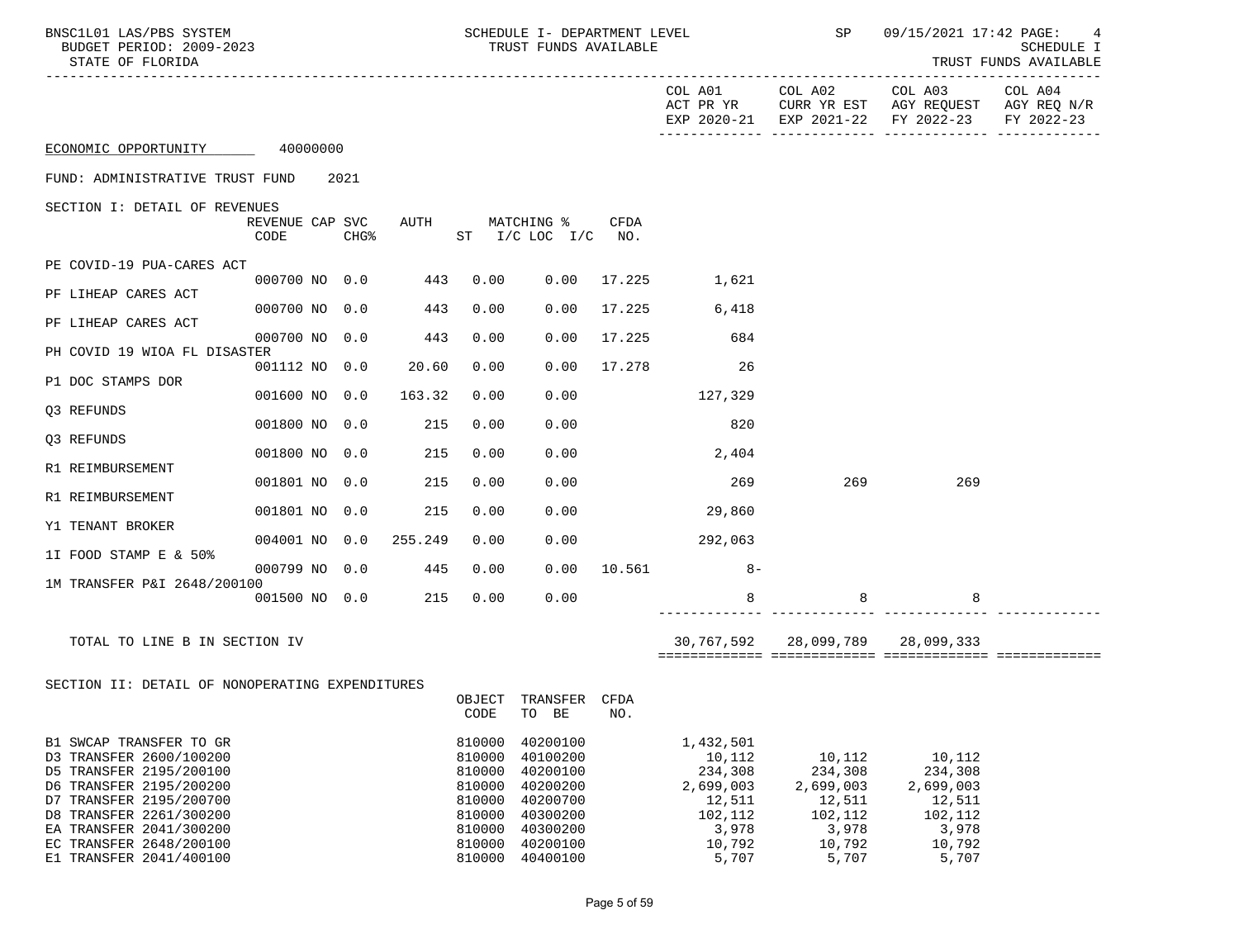| BNSC1L01 LAS/PBS SYSTEM<br>BUDGET PERIOD: 2009-2023<br>STATE OF FLORIDA                                                                                                                                                                         |                         |             |         |                                                                                        | SCHEDULE I- DEPARTMENT LEVEL<br>TRUST FUNDS AVAILABLE                                                    |             |                                                                                              | <b>SP</b> SP                                                                    | 09/15/2021 17:42 PAGE:<br>4<br>SCHEDULE I<br>TRUST FUNDS AVAILABLE                                     |            |  |
|-------------------------------------------------------------------------------------------------------------------------------------------------------------------------------------------------------------------------------------------------|-------------------------|-------------|---------|----------------------------------------------------------------------------------------|----------------------------------------------------------------------------------------------------------|-------------|----------------------------------------------------------------------------------------------|---------------------------------------------------------------------------------|--------------------------------------------------------------------------------------------------------|------------|--|
|                                                                                                                                                                                                                                                 |                         |             |         |                                                                                        |                                                                                                          |             | COL A01 COL A02                                                                              |                                                                                 | COL A03 COL A04<br>ACT PR YR CURR YR EST AGY REQUEST AGY REQ N/R<br>EXP 2020-21 EXP 2021-22 FY 2022-23 | FY 2022-23 |  |
| ECONOMIC OPPORTUNITY 40000000                                                                                                                                                                                                                   |                         |             |         |                                                                                        |                                                                                                          |             |                                                                                              |                                                                                 |                                                                                                        |            |  |
| FUND: ADMINISTRATIVE TRUST FUND                                                                                                                                                                                                                 |                         | 2021        |         |                                                                                        |                                                                                                          |             |                                                                                              |                                                                                 |                                                                                                        |            |  |
| SECTION I: DETAIL OF REVENUES                                                                                                                                                                                                                   | REVENUE CAP SVC<br>CODE | <b>CHG%</b> | AUTH    |                                                                                        | MATCHING %<br>$ST$ $I/C$ $LOC$ $I/C$                                                                     | CFDA<br>NO. |                                                                                              |                                                                                 |                                                                                                        |            |  |
| PE COVID-19 PUA-CARES ACT                                                                                                                                                                                                                       |                         |             |         |                                                                                        |                                                                                                          |             |                                                                                              |                                                                                 |                                                                                                        |            |  |
| PF LIHEAP CARES ACT                                                                                                                                                                                                                             | 000700 NO 0.0           |             | 443     | 0.00                                                                                   | 0.00                                                                                                     | 17.225      | 1,621                                                                                        |                                                                                 |                                                                                                        |            |  |
| PF LIHEAP CARES ACT                                                                                                                                                                                                                             | 000700 NO 0.0           |             | 443     | 0.00                                                                                   | 0.00                                                                                                     | 17.225      | 6,418                                                                                        |                                                                                 |                                                                                                        |            |  |
| PH COVID 19 WIOA FL DISASTER                                                                                                                                                                                                                    | 000700 NO 0.0           |             | 443     | 0.00                                                                                   | 0.00                                                                                                     | 17.225      | 684                                                                                          |                                                                                 |                                                                                                        |            |  |
| P1 DOC STAMPS DOR                                                                                                                                                                                                                               | 001112 NO 0.0           |             | 20.60   | 0.00                                                                                   | 0.00                                                                                                     | 17.278      | 26                                                                                           |                                                                                 |                                                                                                        |            |  |
| Q3 REFUNDS                                                                                                                                                                                                                                      | 001600 NO 0.0           |             | 163.32  | 0.00                                                                                   | 0.00                                                                                                     |             | 127,329                                                                                      |                                                                                 |                                                                                                        |            |  |
| Q3 REFUNDS                                                                                                                                                                                                                                      | 001800 NO 0.0           |             | 215     | 0.00                                                                                   | 0.00                                                                                                     |             | 820                                                                                          |                                                                                 |                                                                                                        |            |  |
| R1 REIMBURSEMENT                                                                                                                                                                                                                                | 001800 NO 0.0           |             | 215     | 0.00                                                                                   | 0.00                                                                                                     |             | 2,404                                                                                        |                                                                                 |                                                                                                        |            |  |
| R1 REIMBURSEMENT                                                                                                                                                                                                                                | 001801 NO 0.0           |             | 215     | 0.00                                                                                   | 0.00                                                                                                     |             | 269                                                                                          | 269                                                                             | 269                                                                                                    |            |  |
| Y1 TENANT BROKER                                                                                                                                                                                                                                | 001801 NO 0.0           |             | 215     | 0.00                                                                                   | 0.00                                                                                                     |             | 29,860                                                                                       |                                                                                 |                                                                                                        |            |  |
| 1I FOOD STAMP E & 50%                                                                                                                                                                                                                           | 004001 NO 0.0           |             | 255.249 | 0.00                                                                                   | 0.00                                                                                                     |             | 292,063                                                                                      |                                                                                 |                                                                                                        |            |  |
|                                                                                                                                                                                                                                                 | 000799 NO 0.0           |             | 445     | 0.00                                                                                   | 0.00                                                                                                     |             | 10.561<br>$8 -$                                                                              |                                                                                 |                                                                                                        |            |  |
| 1M TRANSFER P&I 2648/200100                                                                                                                                                                                                                     | 001500 NO 0.0           |             | 215     | 0.00                                                                                   | 0.00                                                                                                     |             | 8                                                                                            | 8                                                                               | 8                                                                                                      |            |  |
| TOTAL TO LINE B IN SECTION IV                                                                                                                                                                                                                   |                         |             |         |                                                                                        |                                                                                                          |             | 30,767,592                                                                                   | 28,099,789                                                                      | 28,099,333                                                                                             |            |  |
| SECTION II: DETAIL OF NONOPERATING EXPENDITURES                                                                                                                                                                                                 |                         |             |         |                                                                                        |                                                                                                          |             |                                                                                              |                                                                                 |                                                                                                        |            |  |
|                                                                                                                                                                                                                                                 |                         |             |         | CODE                                                                                   | OBJECT TRANSFER CFDA<br>TO BE                                                                            | NO.         |                                                                                              |                                                                                 |                                                                                                        |            |  |
| B1 SWCAP TRANSFER TO GR<br>D3 TRANSFER 2600/100200<br>D5 TRANSFER 2195/200100<br>D6 TRANSFER 2195/200200<br>D7 TRANSFER 2195/200700<br>D8 TRANSFER 2261/300200<br>EA TRANSFER 2041/300200<br>EC TRANSFER 2648/200100<br>E1 TRANSFER 2041/400100 |                         |             |         | 810000<br>810000<br>810000<br>810000<br>810000<br>810000<br>810000<br>810000<br>810000 | 40200100<br>40100200<br>40200100<br>40200200<br>40200700<br>40300200<br>40300200<br>40200100<br>40400100 |             | 1,432,501<br>10,112<br>234,308<br>2,699,003<br>12,511<br>102,112<br>3,978<br>10,792<br>5,707 | 10,112<br>234,308<br>2,699,003<br>12,511<br>102,112<br>3,978<br>10,792<br>5,707 | 10,112<br>234,308<br>2,699,003<br>12,511<br>102,112<br>3,978<br>10,792<br>5,707                        |            |  |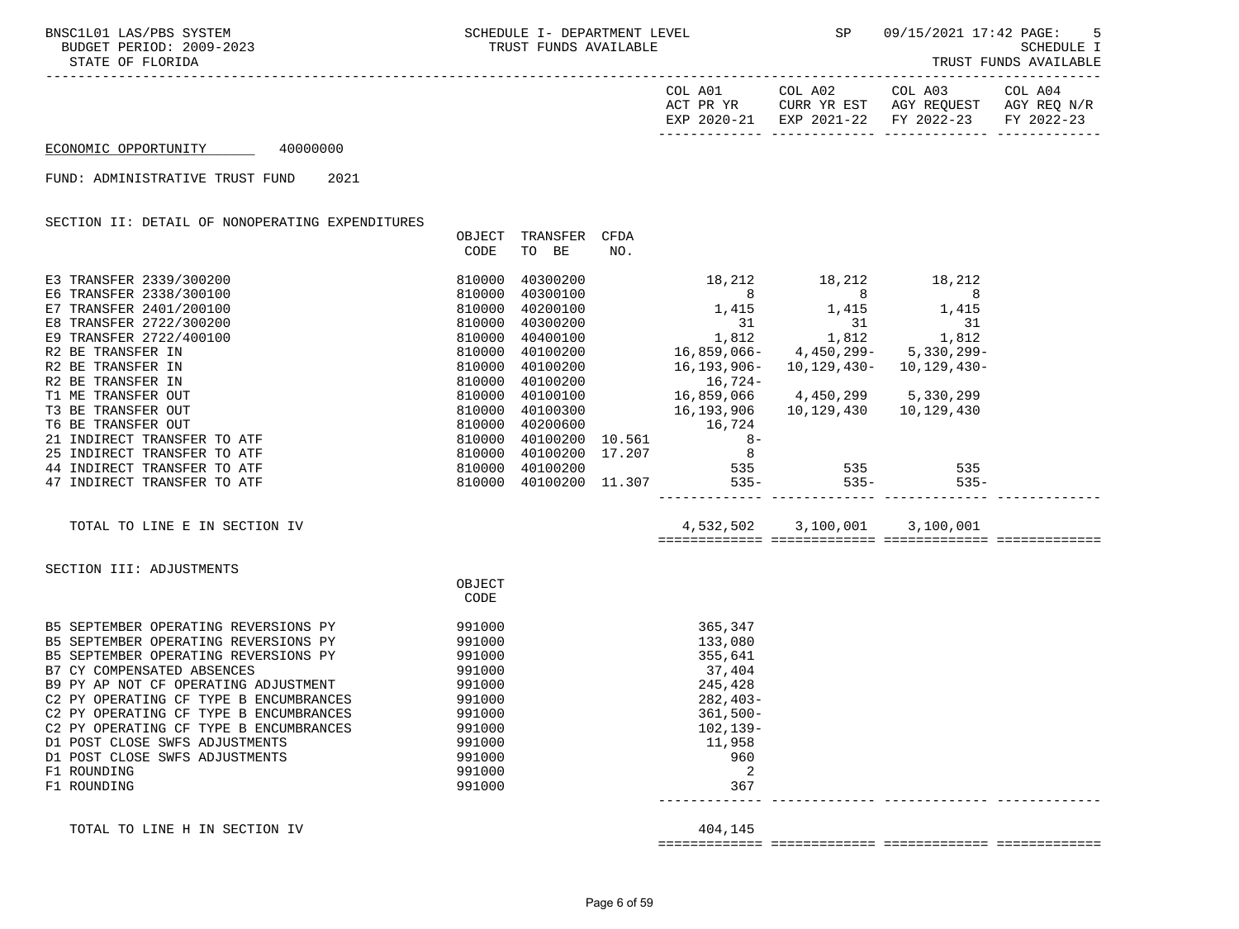| COL A01   | COL A02                            | COL A03                 | COL A04     |
|-----------|------------------------------------|-------------------------|-------------|
| ACT PR YR |                                    | CURR YR EST AGY REQUEST | AGY REO N/R |
|           | EXP 2020-21 EXP 2021-22 FY 2022-23 |                         | FY 2022-23  |
|           |                                    |                         |             |

## ECONOMIC OPPORTUNITY 40000000

## FUND: ADMINISTRATIVE TRUST FUND 2021

## SECTION II: DETAIL OF NONOPERATING EXPENDITURES

|                                        | OBJECT | TRANSFER        | CFDA   |                                        |                               |         |  |
|----------------------------------------|--------|-----------------|--------|----------------------------------------|-------------------------------|---------|--|
|                                        | CODE   | TO BE           | NO.    |                                        |                               |         |  |
| E3 TRANSFER 2339/300200                | 810000 | 40300200        |        | 18,212                                 | 18,212                        | 18,212  |  |
| E6 TRANSFER 2338/300100                | 810000 | 40300100        |        |                                        |                               | 8       |  |
| E7 TRANSFER 2401/200100                | 810000 | 40200100        |        | $8$ 8<br>1,415<br>1,415                |                               | 1,415   |  |
| E8 TRANSFER 2722/300200                | 810000 | 40300200        |        | $\sim$ 31                              | <u>31</u>                     | 31      |  |
| E9 TRANSFER 2722/400100                | 810000 | 40400100        |        | 1,812                                  | 1,812                         | 1,812   |  |
| R2 BE TRANSFER IN                      | 810000 | 40100200        |        | 16,859,066-4,450,299-5,330,299-        |                               |         |  |
| R2 BE TRANSFER IN                      | 810000 | 40100200        |        | 16,193,906- 10,129,430- 10,129,430-    |                               |         |  |
| R2 BE TRANSFER IN                      | 810000 | 40100200        |        | $16,724-$                              |                               |         |  |
| T1 ME TRANSFER OUT                     | 810000 | 40100100        |        | 16,859,066 4,450,299 5,330,299         |                               |         |  |
| T3 BE TRANSFER OUT                     | 810000 | 40100300        |        |                                        |                               |         |  |
| T6 BE TRANSFER OUT                     | 810000 | 40200600        |        | 16,724                                 |                               |         |  |
| 21 INDIRECT TRANSFER TO ATF            | 810000 | 40100200        | 10.561 | $8 -$                                  |                               |         |  |
| 25 INDIRECT TRANSFER TO ATF            | 810000 | 40100200 17.207 |        | $\overline{\phantom{a}}$ 8             |                               |         |  |
| 44 INDIRECT TRANSFER TO ATF            | 810000 | 40100200        |        | 535                                    | 535                           | 535     |  |
| 47 INDIRECT TRANSFER TO ATF            | 810000 | 40100200 11.307 |        | $535-$                                 | $535 -$                       | $535 -$ |  |
|                                        |        |                 |        |                                        |                               |         |  |
| TOTAL TO LINE E IN SECTION IV          |        |                 |        |                                        | 4,532,502 3,100,001 3,100,001 |         |  |
|                                        |        |                 |        | ====================================== |                               |         |  |
| SECTION III: ADJUSTMENTS               |        |                 |        |                                        |                               |         |  |
|                                        | OBJECT |                 |        |                                        |                               |         |  |
|                                        | CODE   |                 |        |                                        |                               |         |  |
| B5 SEPTEMBER OPERATING REVERSIONS PY   | 991000 |                 |        | 365,347                                |                               |         |  |
| B5 SEPTEMBER OPERATING REVERSIONS PY   | 991000 |                 |        | 133,080                                |                               |         |  |
| B5 SEPTEMBER OPERATING REVERSIONS PY   | 991000 |                 |        | 355,641                                |                               |         |  |
| B7 CY COMPENSATED ABSENCES             | 991000 |                 |        | 37,404                                 |                               |         |  |
| B9 PY AP NOT CF OPERATING ADJUSTMENT   | 991000 |                 |        | 245,428                                |                               |         |  |
| C2 PY OPERATING CF TYPE B ENCUMBRANCES | 991000 |                 |        | $282.403-$                             |                               |         |  |

C2 PY OPERATING CF TYPE B ENCUMBRANCES 991000 991000 361,500-C2 PY OPERATING CF TYPE B ENCUMBRANCES 991000 991000 102,139- D1 POST CLOSE SWFS ADJUSTMENTS 991000 11,958 D1 POST CLOSE SWFS ADJUSTMENTS 991000<br>F1 ROUNDING 2 F1 ROUNDING 2 F1 ROUNDING 367

TOTAL TO LINE H IN SECTION IV 404, 145

============= ============= ============= =============

------------- ------------- ------------- -------------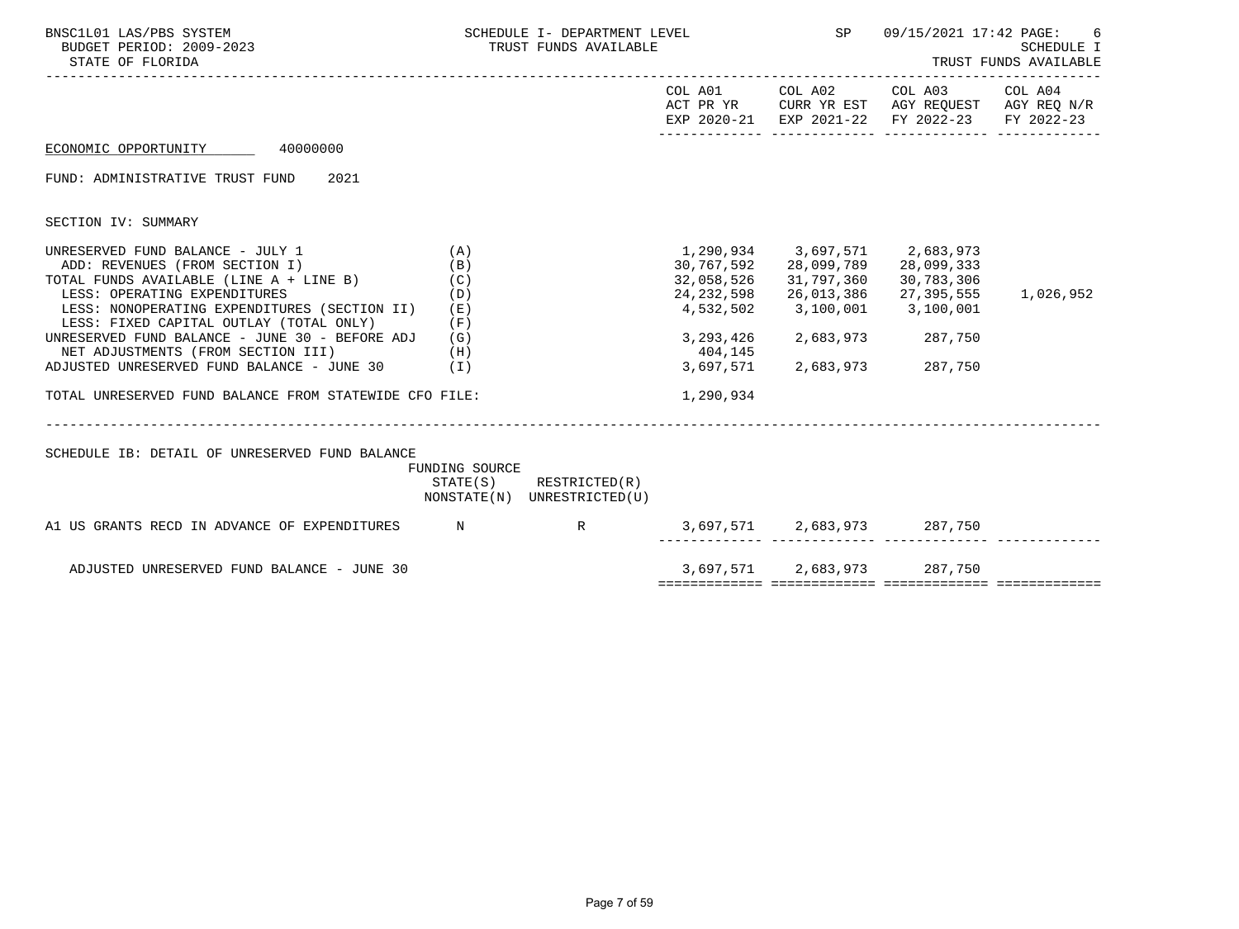| BNSC1L01 LAS/PBS SYSTEM<br>BUDGET PERIOD: 2009-2023<br>STATE OF FLORIDA                                                                                                                                                                      | SCHEDULE I- DEPARTMENT LEVEL<br>TRUST FUNDS AVAILABLE |                                                            |                                                     | SP                                                                                                        | 09/15/2021 17:42 PAGE:<br>6<br><b>SCHEDULE I</b><br>TRUST FUNDS AVAILABLE                      |           |  |
|----------------------------------------------------------------------------------------------------------------------------------------------------------------------------------------------------------------------------------------------|-------------------------------------------------------|------------------------------------------------------------|-----------------------------------------------------|-----------------------------------------------------------------------------------------------------------|------------------------------------------------------------------------------------------------|-----------|--|
|                                                                                                                                                                                                                                              |                                                       |                                                            |                                                     |                                                                                                           | ACT PR YR CURR YR EST AGY REQUEST AGY REQ N/R<br>EXP 2020-21 EXP 2021-22 FY 2022-23 FY 2022-23 |           |  |
| ECONOMIC OPPORTUNITY 40000000                                                                                                                                                                                                                |                                                       |                                                            |                                                     |                                                                                                           |                                                                                                |           |  |
| FUND: ADMINISTRATIVE TRUST FUND<br>2021                                                                                                                                                                                                      |                                                       |                                                            |                                                     |                                                                                                           |                                                                                                |           |  |
| SECTION IV: SUMMARY                                                                                                                                                                                                                          |                                                       |                                                            |                                                     |                                                                                                           |                                                                                                |           |  |
| UNRESERVED FUND BALANCE - JULY 1<br>ADD: REVENUES (FROM SECTION I)<br>TOTAL FUNDS AVAILABLE (LINE A + LINE B)<br>LESS: OPERATING EXPENDITURES<br>LESS: NONOPERATING EXPENDITURES (SECTION II) (E)<br>LESS: FIXED CAPITAL OUTLAY (TOTAL ONLY) | (A)<br>(B)<br>(C)<br>(D)<br>(F)                       |                                                            | 30,767,592<br>32,058,526<br>24,232,598<br>4,532,502 | 1,290,934 3,697,571 2,683,973<br>28,099,789 28,099,333<br>31,797,360<br>26,013,386<br>3,100,001 3,100,001 | 30,783,306<br>27,395,555                                                                       | 1,026,952 |  |
| UNRESERVED FUND BALANCE - JUNE 30 - BEFORE ADJ (G)<br>NET ADJUSTMENTS (FROM SECTION III)<br>(H)<br>ADJUSTED UNRESERVED FUND BALANCE - JUNE 30 (I)                                                                                            |                                                       |                                                            | 3, 293, 426 2, 683, 973 287, 750<br>404,145         | 3,697,571 2,683,973                                                                                       | 287,750                                                                                        |           |  |
| TOTAL UNRESERVED FUND BALANCE FROM STATEWIDE CFO FILE:                                                                                                                                                                                       |                                                       |                                                            | 1,290,934                                           |                                                                                                           |                                                                                                |           |  |
| SCHEDULE IB: DETAIL OF UNRESERVED FUND BALANCE                                                                                                                                                                                               | FUNDING SOURCE                                        | $STATE(S)$ RESTRICTED $(R)$<br>NONSTATE(N) UNRESTRICTED(U) |                                                     |                                                                                                           |                                                                                                |           |  |
| A1 US GRANTS RECD IN ADVANCE OF EXPENDITURES N R                                                                                                                                                                                             |                                                       |                                                            |                                                     | 3,697,571 2,683,973 287,750                                                                               |                                                                                                |           |  |
| ADJUSTED UNRESERVED FUND BALANCE - JUNE 30                                                                                                                                                                                                   |                                                       |                                                            |                                                     | 3,697,571 2,683,973 287,750                                                                               |                                                                                                |           |  |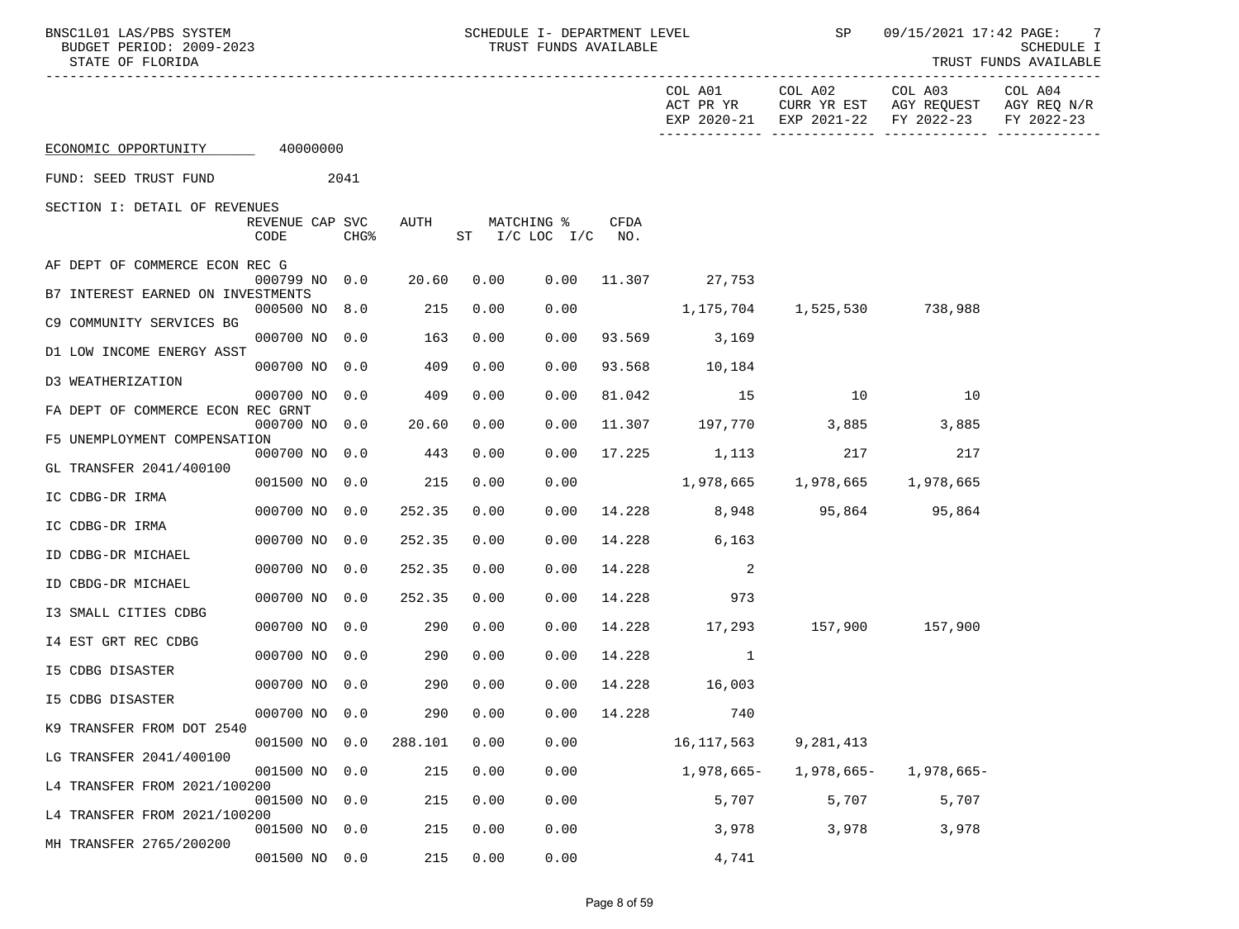| BNSC1L01 LAS/PBS SYSTEM<br>BUDGET PERIOD: 2009-2023<br>STATE OF FLORIDA |                         |      |         |      |                                  | SCHEDULE I- DEPARTMENT LEVEL<br>TRUST FUNDS AVAILABLE |                               | SP and the set of the set of the set of the set of the set of the set of the set of the set of the set of the s | 09/15/2021 17:42 PAGE: 7<br>SCHEDULE I<br>TRUST FUNDS AVAILABLE          |                                      |  |
|-------------------------------------------------------------------------|-------------------------|------|---------|------|----------------------------------|-------------------------------------------------------|-------------------------------|-----------------------------------------------------------------------------------------------------------------|--------------------------------------------------------------------------|--------------------------------------|--|
|                                                                         |                         |      |         |      |                                  |                                                       | COL A01<br>ACT PR YR          | COL A02                                                                                                         | COL A03<br>CURR YR EST AGY REQUEST<br>EXP 2020-21 EXP 2021-22 FY 2022-23 | COL A04<br>AGY REQ N/R<br>FY 2022-23 |  |
| ECONOMIC OPPORTUNITY 40000000                                           |                         |      |         |      |                                  |                                                       |                               |                                                                                                                 |                                                                          |                                      |  |
| FUND: SEED TRUST FUND                                                   |                         | 2041 |         |      |                                  |                                                       |                               |                                                                                                                 |                                                                          |                                      |  |
| SECTION I: DETAIL OF REVENUES                                           | REVENUE CAP SVC<br>CODE | CHG% | AUTH    |      | MATCHING %<br>ST I/C LOC I/C NO. | CFDA                                                  |                               |                                                                                                                 |                                                                          |                                      |  |
| AF DEPT OF COMMERCE ECON REC G                                          |                         |      |         |      |                                  |                                                       |                               |                                                                                                                 |                                                                          |                                      |  |
| B7 INTEREST EARNED ON INVESTMENTS                                       | 000799 NO 0.0           |      | 20.60   | 0.00 |                                  |                                                       | $0.00$ $11.307$ 27,753        |                                                                                                                 |                                                                          |                                      |  |
| C9 COMMUNITY SERVICES BG                                                | 000500 NO 8.0           |      | 215     | 0.00 | 0.00                             |                                                       | 1,175,704                     | 1,525,530 738,988                                                                                               |                                                                          |                                      |  |
| D1 LOW INCOME ENERGY ASST                                               | 000700 NO 0.0           |      | 163     | 0.00 | 0.00                             |                                                       | 93.569 3,169                  |                                                                                                                 |                                                                          |                                      |  |
| D3 WEATHERIZATION                                                       | 000700 NO 0.0           |      | 409     | 0.00 | 0.00                             |                                                       | 93.568 10,184                 |                                                                                                                 |                                                                          |                                      |  |
| FA DEPT OF COMMERCE ECON REC GRNT                                       | 000700 NO 0.0           |      | 409     | 0.00 | 0.00                             | 81.042                                                | $\sim$ 15                     | 10                                                                                                              | $\sim$ 10                                                                |                                      |  |
| F5 UNEMPLOYMENT COMPENSATION                                            | 000700 NO 0.0           |      | 20.60   | 0.00 | 0.00                             |                                                       | 11.307 197,770 3,885 3,885    |                                                                                                                 |                                                                          |                                      |  |
| GL TRANSFER 2041/400100                                                 | 000700 NO 0.0           |      | 443     | 0.00 | 0.00                             | 17.225                                                | 1,113                         | 217                                                                                                             | 217                                                                      |                                      |  |
| IC CDBG-DR IRMA                                                         | 001500 NO 0.0           |      | 215     | 0.00 | 0.00                             |                                                       |                               |                                                                                                                 |                                                                          |                                      |  |
| IC CDBG-DR IRMA                                                         | 000700 NO 0.0           |      | 252.35  | 0.00 | 0.00                             |                                                       | 14.228 8,948 95,864 95,864    |                                                                                                                 |                                                                          |                                      |  |
| ID CDBG-DR MICHAEL                                                      | 000700 NO 0.0           |      | 252.35  | 0.00 | 0.00                             | 14.228                                                | 6,163                         |                                                                                                                 |                                                                          |                                      |  |
| ID CBDG-DR MICHAEL                                                      | 000700 NO 0.0           |      | 252.35  | 0.00 | 0.00                             | 14.228                                                | 2                             |                                                                                                                 |                                                                          |                                      |  |
|                                                                         | 000700 NO 0.0           |      | 252.35  | 0.00 | 0.00                             | 14.228                                                | 973                           |                                                                                                                 |                                                                          |                                      |  |
| I3 SMALL CITIES CDBG                                                    | 000700 NO 0.0           |      | 290     | 0.00 | 0.00                             |                                                       | 14.228 17,293 157,900 157,900 |                                                                                                                 |                                                                          |                                      |  |
| 14 EST GRT REC CDBG                                                     | 000700 NO 0.0           |      | 290     | 0.00 | 0.00                             | 14.228                                                | 1                             |                                                                                                                 |                                                                          |                                      |  |
| I5 CDBG DISASTER                                                        | 000700 NO 0.0           |      | 290     | 0.00 | 0.00                             | 14.228                                                | 16,003                        |                                                                                                                 |                                                                          |                                      |  |
| <b>I5 CDBG DISASTER</b>                                                 | 000700 NO 0.0           |      | 290     | 0.00 | 0.00                             | 14.228                                                | 740                           |                                                                                                                 |                                                                          |                                      |  |
| K9 TRANSFER FROM DOT 2540                                               | 001500 NO 0.0           |      | 288.101 | 0.00 | 0.00                             |                                                       | 16,117,563                    | 9,281,413                                                                                                       |                                                                          |                                      |  |
| LG TRANSFER 2041/400100                                                 | 001500 NO               | 0.0  | 215     | 0.00 | 0.00                             |                                                       | $1,978,665-$                  | 1,978,665-                                                                                                      | 1,978,665-                                                               |                                      |  |
| L4 TRANSFER FROM 2021/100200                                            | 001500 NO               | 0.0  | 215     | 0.00 | 0.00                             |                                                       | 5,707                         | 5,707                                                                                                           | 5,707                                                                    |                                      |  |
| L4 TRANSFER FROM 2021/100200                                            | 001500 NO 0.0           |      | 215     | 0.00 | 0.00                             |                                                       | 3,978                         | 3,978                                                                                                           | 3,978                                                                    |                                      |  |
| MH TRANSFER 2765/200200                                                 | 001500 NO 0.0           |      | 215     | 0.00 | 0.00                             |                                                       | 4,741                         |                                                                                                                 |                                                                          |                                      |  |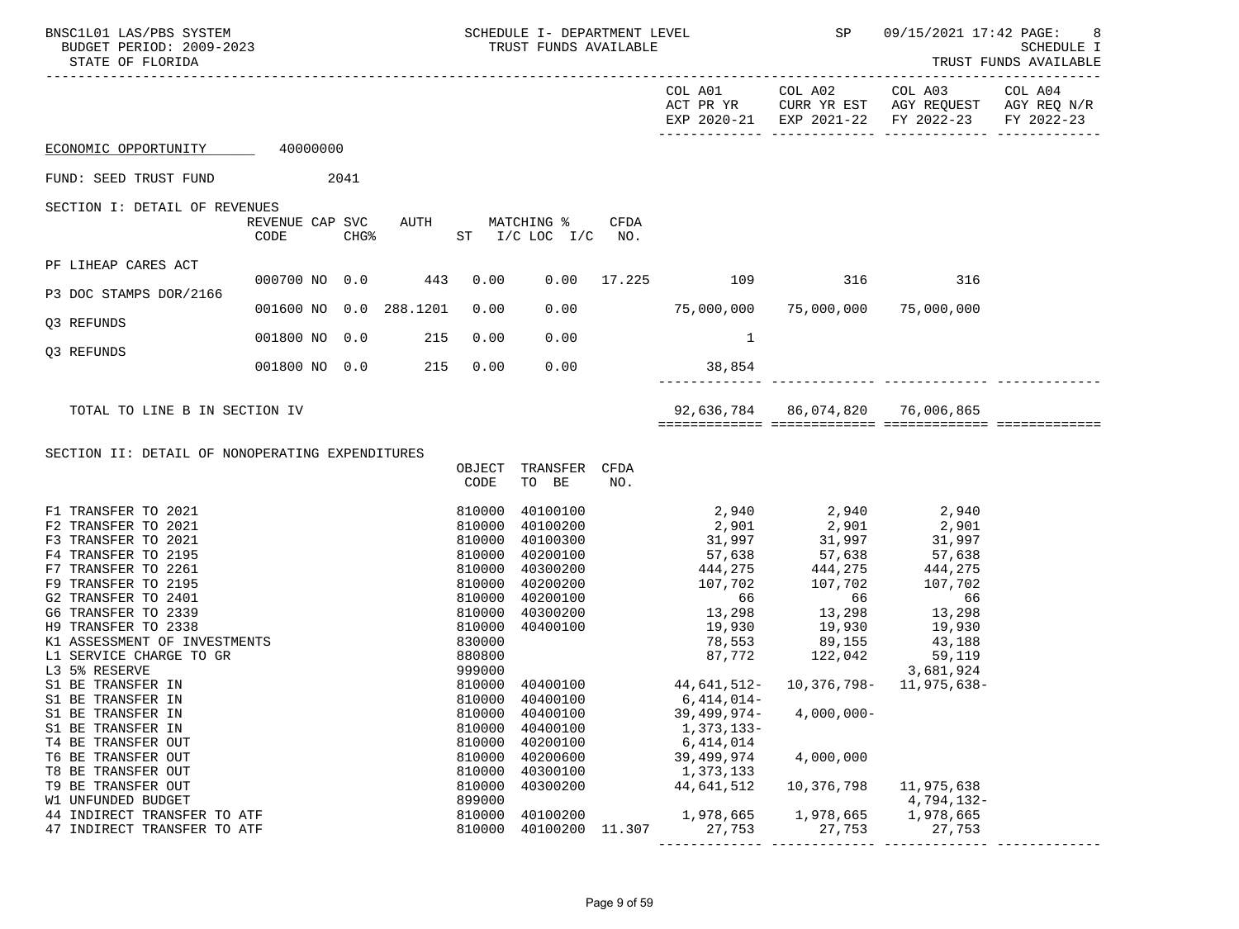| BNSC1L01 LAS/PBS SYSTEM<br>BUDGET PERIOD: 2009-2023<br>STATE OF FLORIDA                                                                                                                                                                                                                                                                                                                                                                                             |                         |  |     | SCHEDULE I- DEPARTMENT LEVEL<br>TRUST FUNDS AVAILABLE                                                                                                                                      |                                                                                                                                                                                                                 |      | <b>SP</b>                                                                                                                                                                                                                                                                                                                                                                                      | 09/15/2021 17:42 PAGE:                  | 8<br>SCHEDULE I<br>TRUST FUNDS AVAILABLE                                                                                                                                                                              |         |
|---------------------------------------------------------------------------------------------------------------------------------------------------------------------------------------------------------------------------------------------------------------------------------------------------------------------------------------------------------------------------------------------------------------------------------------------------------------------|-------------------------|--|-----|--------------------------------------------------------------------------------------------------------------------------------------------------------------------------------------------|-----------------------------------------------------------------------------------------------------------------------------------------------------------------------------------------------------------------|------|------------------------------------------------------------------------------------------------------------------------------------------------------------------------------------------------------------------------------------------------------------------------------------------------------------------------------------------------------------------------------------------------|-----------------------------------------|-----------------------------------------------------------------------------------------------------------------------------------------------------------------------------------------------------------------------|---------|
|                                                                                                                                                                                                                                                                                                                                                                                                                                                                     |                         |  |     |                                                                                                                                                                                            |                                                                                                                                                                                                                 |      |                                                                                                                                                                                                                                                                                                                                                                                                |                                         | COL A01 COL A02 COL A03<br>ACT PR YR CURR YR EST AGY REQUEST AGY REQ N/R<br>EXP 2020-21 EXP 2021-22 FY 2022-23 FY 2022-23                                                                                             | COL A04 |
| ECONOMIC OPPORTUNITY 40000000                                                                                                                                                                                                                                                                                                                                                                                                                                       |                         |  |     |                                                                                                                                                                                            |                                                                                                                                                                                                                 |      |                                                                                                                                                                                                                                                                                                                                                                                                |                                         |                                                                                                                                                                                                                       |         |
| FUND: SEED TRUST FUND                                                                                                                                                                                                                                                                                                                                                                                                                                               | 2041                    |  |     |                                                                                                                                                                                            |                                                                                                                                                                                                                 |      |                                                                                                                                                                                                                                                                                                                                                                                                |                                         |                                                                                                                                                                                                                       |         |
| SECTION I: DETAIL OF REVENUES                                                                                                                                                                                                                                                                                                                                                                                                                                       | REVENUE CAP SVC<br>CODE |  |     |                                                                                                                                                                                            | AUTH MATCHING %<br>CHG% ST I/C LOC I/C NO.                                                                                                                                                                      | CFDA |                                                                                                                                                                                                                                                                                                                                                                                                |                                         |                                                                                                                                                                                                                       |         |
| PF LIHEAP CARES ACT                                                                                                                                                                                                                                                                                                                                                                                                                                                 | 000700 NO 0.0 443       |  |     | 0.00                                                                                                                                                                                       |                                                                                                                                                                                                                 |      | 0.00 17.225 109 316                                                                                                                                                                                                                                                                                                                                                                            |                                         | 316                                                                                                                                                                                                                   |         |
| P3 DOC STAMPS DOR/2166                                                                                                                                                                                                                                                                                                                                                                                                                                              |                         |  |     |                                                                                                                                                                                            |                                                                                                                                                                                                                 |      |                                                                                                                                                                                                                                                                                                                                                                                                |                                         |                                                                                                                                                                                                                       |         |
| 03 REFUNDS                                                                                                                                                                                                                                                                                                                                                                                                                                                          | 001600 NO 0.0 288.1201  |  |     | 0.00                                                                                                                                                                                       | 0.00                                                                                                                                                                                                            |      | 75,000,000                                                                                                                                                                                                                                                                                                                                                                                     |                                         | 75,000,000  75,000,000                                                                                                                                                                                                |         |
| Q3 REFUNDS                                                                                                                                                                                                                                                                                                                                                                                                                                                          | 001800 NO 0.0           |  | 215 | 0.00                                                                                                                                                                                       | 0.00                                                                                                                                                                                                            |      | $\sim$ 1                                                                                                                                                                                                                                                                                                                                                                                       |                                         |                                                                                                                                                                                                                       |         |
|                                                                                                                                                                                                                                                                                                                                                                                                                                                                     | 001800 NO 0.0 215       |  |     | 0.00                                                                                                                                                                                       | 0.00                                                                                                                                                                                                            |      | 38,854                                                                                                                                                                                                                                                                                                                                                                                         |                                         |                                                                                                                                                                                                                       |         |
| TOTAL TO LINE B IN SECTION IV                                                                                                                                                                                                                                                                                                                                                                                                                                       |                         |  |     |                                                                                                                                                                                            |                                                                                                                                                                                                                 |      |                                                                                                                                                                                                                                                                                                                                                                                                |                                         | accordinates controlations consecutives controlations                                                                                                                                                                 |         |
| SECTION II: DETAIL OF NONOPERATING EXPENDITURES                                                                                                                                                                                                                                                                                                                                                                                                                     |                         |  |     |                                                                                                                                                                                            | OBJECT TRANSFER CFDA                                                                                                                                                                                            |      |                                                                                                                                                                                                                                                                                                                                                                                                |                                         |                                                                                                                                                                                                                       |         |
|                                                                                                                                                                                                                                                                                                                                                                                                                                                                     |                         |  |     | CODE                                                                                                                                                                                       | TO BE                                                                                                                                                                                                           | NO.  |                                                                                                                                                                                                                                                                                                                                                                                                |                                         |                                                                                                                                                                                                                       |         |
| F1 TRANSFER TO 2021<br>F2 TRANSFER TO 2021<br>F3 TRANSFER TO 2021<br>F4 TRANSFER TO 2195<br>F7 TRANSFER TO 2261<br>F9 TRANSFER TO 2195<br>G2 TRANSFER TO 2401<br>G6 TRANSFER TO 2339<br>H9 TRANSFER TO 2338<br>K1 ASSESSMENT OF INVESTMENTS<br>L1 SERVICE CHARGE TO GR<br>L3 5% RESERVE<br>S1 BE TRANSFER IN<br>S1 BE TRANSFER IN<br>S1 BE TRANSFER IN<br>S1 BE TRANSFER IN<br>T4 BE TRANSFER OUT<br>T6 BE TRANSFER OUT<br>T8 BE TRANSFER OUT<br>T9 BE TRANSFER OUT |                         |  |     | 810000<br>810000<br>810000<br>810000<br>810000<br>810000<br>810000<br>810000<br>810000<br>830000<br>880800<br>999000<br>810000<br>810000<br>810000<br>810000<br>810000<br>810000<br>810000 | 40100100<br>40100200<br>40100300<br>40200100<br>40300200<br>40200200<br>40200100<br>40300200<br>40400100<br>810000 40400100<br>40400100<br>40400100<br>40400100<br>40200100<br>40200600<br>40300100<br>40300200 |      | 2,940 2,940 2,940<br>$2,901$ $2,901$ $2,901$<br>$31,997$ $31,997$<br>57,638 57,638 57,638<br>444, 275<br>$107, 702$<br>$107, 702$<br>$107, 702$<br>$107, 702$<br>$107, 702$<br>$107, 702$<br>$107, 702$<br>$107, 702$<br>$107, 702$<br>$107, 702$<br>$107, 702$<br>$107, 702$<br>$107, 702$<br>$6,414,014-$<br>39,499,974-<br>1,373,133-<br>6,414,014<br>39,499,974<br>1,373,133<br>44,641,512 | $4,000,000-$<br>4,000,000<br>10,376,798 | 2,901<br>31,997<br>13,298<br>$\begin{array}{cccc} 78,553 & & 89,155 & & 43,188 \\ 87,772 & & 122,042 & & 59,119 \\ 2 & 2 & 681,924 & & 2 \end{array}$<br>3,681,924<br>44,641,512-10,376,798-11,975,638-<br>11,975,638 |         |
| W1 UNFUNDED BUDGET<br>44 INDIRECT TRANSFER TO ATF                                                                                                                                                                                                                                                                                                                                                                                                                   |                         |  |     | 899000<br>810000                                                                                                                                                                           | 40100200                                                                                                                                                                                                        |      | 1,978,665                                                                                                                                                                                                                                                                                                                                                                                      | 1,978,665                               | 4,794,132-<br>1,978,665                                                                                                                                                                                               |         |
| 47 INDIRECT TRANSFER TO ATF                                                                                                                                                                                                                                                                                                                                                                                                                                         |                         |  |     | 810000                                                                                                                                                                                     | 40100200 11.307                                                                                                                                                                                                 |      | 27,753                                                                                                                                                                                                                                                                                                                                                                                         | 27,753                                  | 27,753<br>---- --------                                                                                                                                                                                               |         |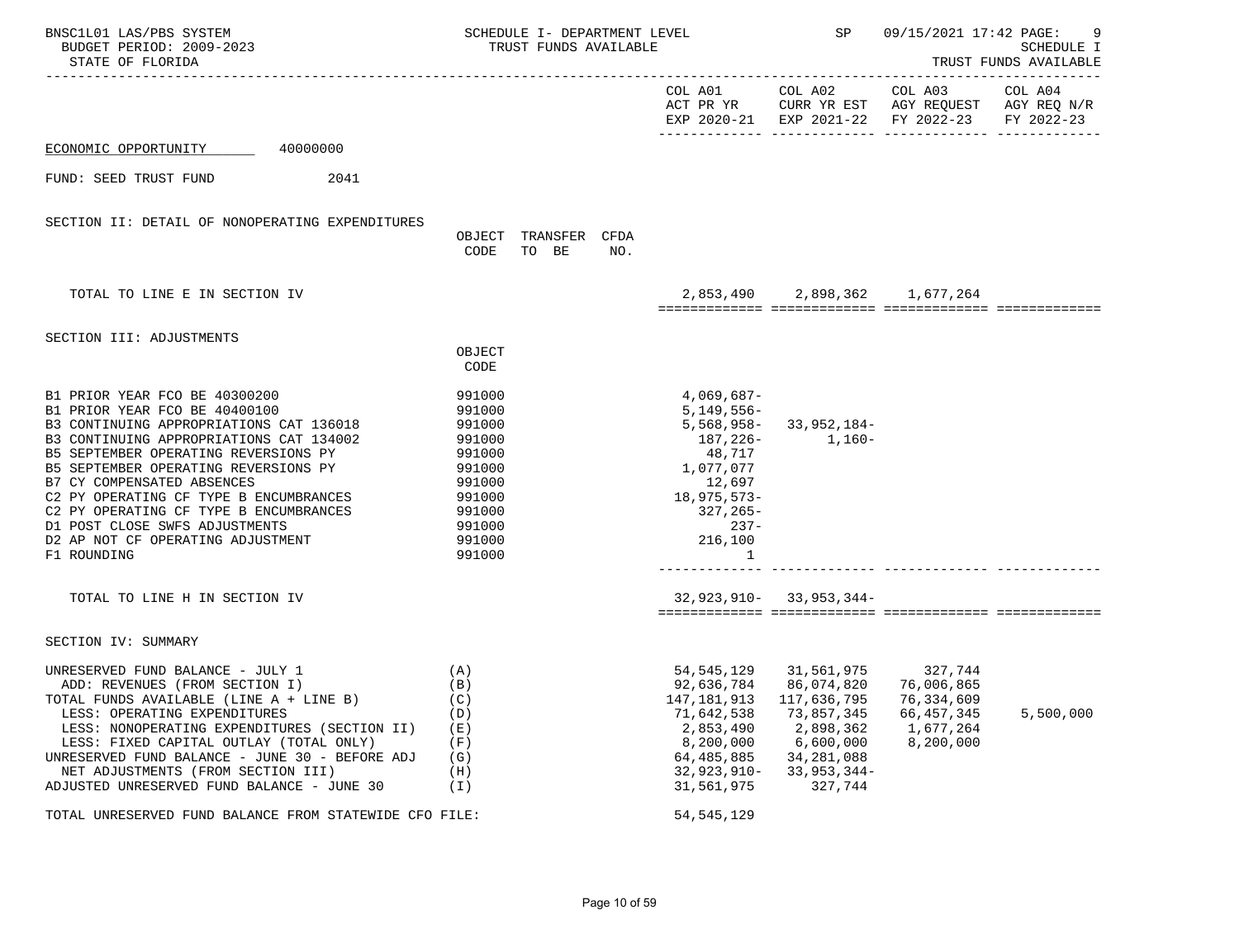| BNSC1L01 LAS/PBS SYSTEM<br>BUDGET PERIOD: 2009-2023<br>STATE OF FLORIDA                                                                                                                                                                                                                                                                                                                                                                      | SCHEDULE I- DEPARTMENT LEVEL<br>TRUST FUNDS AVAILABLE                                                                |                                                                                                                                            |                                                                                                                                                                | SP 09/15/2021 17:42 PAGE:                                                                                                                              | SCHEDULE I<br>TRUST FUNDS AVAILABLE |
|----------------------------------------------------------------------------------------------------------------------------------------------------------------------------------------------------------------------------------------------------------------------------------------------------------------------------------------------------------------------------------------------------------------------------------------------|----------------------------------------------------------------------------------------------------------------------|--------------------------------------------------------------------------------------------------------------------------------------------|----------------------------------------------------------------------------------------------------------------------------------------------------------------|--------------------------------------------------------------------------------------------------------------------------------------------------------|-------------------------------------|
|                                                                                                                                                                                                                                                                                                                                                                                                                                              |                                                                                                                      |                                                                                                                                            |                                                                                                                                                                | COL A01 COL A02 COL A03 COL A04<br>ACT PR YR $\,$ CURR YR EST $\,$ AGY REQUEST $\,$ AGY REQ $\rm N/R$<br>EXP 2020-21 EXP 2021-22 FY 2022-23 FY 2022-23 |                                     |
| 40000000<br>ECONOMIC OPPORTUNITY                                                                                                                                                                                                                                                                                                                                                                                                             |                                                                                                                      |                                                                                                                                            |                                                                                                                                                                |                                                                                                                                                        |                                     |
| FUND: SEED TRUST FUND<br>2041                                                                                                                                                                                                                                                                                                                                                                                                                |                                                                                                                      |                                                                                                                                            |                                                                                                                                                                |                                                                                                                                                        |                                     |
| SECTION II: DETAIL OF NONOPERATING EXPENDITURES                                                                                                                                                                                                                                                                                                                                                                                              | OBJECT TRANSFER CFDA<br>CODE<br>TO BE<br>NO.                                                                         |                                                                                                                                            |                                                                                                                                                                |                                                                                                                                                        |                                     |
| TOTAL TO LINE E IN SECTION IV                                                                                                                                                                                                                                                                                                                                                                                                                |                                                                                                                      |                                                                                                                                            | 2,853,490 2,898,362 1,677,264                                                                                                                                  |                                                                                                                                                        |                                     |
| SECTION III: ADJUSTMENTS                                                                                                                                                                                                                                                                                                                                                                                                                     | OBJECT<br>CODE                                                                                                       |                                                                                                                                            |                                                                                                                                                                |                                                                                                                                                        |                                     |
| B1 PRIOR YEAR FCO BE 40300200<br>B1 PRIOR YEAR FCO BE 40400100<br>B3 CONTINUING APPROPRIATIONS CAT 136018<br>B3 CONTINUING APPROPRIATIONS CAT 134002<br>B5 SEPTEMBER OPERATING REVERSIONS PY<br>B5 SEPTEMBER OPERATING REVERSIONS PY<br>B7 CY COMPENSATED ABSENCES<br>C2 PY OPERATING CF TYPE B ENCUMBRANCES<br>C2 PY OPERATING CF TYPE B ENCUMBRANCES<br>D1 POST CLOSE SWFS ADJUSTMENTS<br>D2 AP NOT CF OPERATING ADJUSTMENT<br>F1 ROUNDING | 991000<br>991000<br>991000<br>991000<br>991000<br>991000<br>991000<br>991000<br>991000<br>991000<br>991000<br>991000 | $4,069,687-$<br>5,149,556–<br>5,568,958-<br>187,226-<br>48,717<br>1,077,077<br>12,697<br>18,975,573-<br>327,265-<br>$237-$<br>216,100<br>1 | 33,952,184-<br>$1,160-$                                                                                                                                        |                                                                                                                                                        |                                     |
| TOTAL TO LINE H IN SECTION IV                                                                                                                                                                                                                                                                                                                                                                                                                |                                                                                                                      |                                                                                                                                            | $32,923,910 - 33,953,344 -$                                                                                                                                    |                                                                                                                                                        |                                     |
| SECTION IV: SUMMARY                                                                                                                                                                                                                                                                                                                                                                                                                          |                                                                                                                      |                                                                                                                                            |                                                                                                                                                                |                                                                                                                                                        |                                     |
| UNRESERVED FUND BALANCE - JULY 1<br>ADD: REVENUES (FROM SECTION I)<br>TOTAL FUNDS AVAILABLE (LINE A + LINE B)<br>LESS: OPERATING EXPENDITURES<br>LESS: NONOPERATING EXPENDITURES (SECTION II)<br>LESS: FIXED CAPITAL OUTLAY (TOTAL ONLY)<br>UNRESERVED FUND BALANCE - JUNE 30 - BEFORE ADJ<br>NET ADJUSTMENTS (FROM SECTION III)<br>ADJUSTED UNRESERVED FUND BALANCE - JUNE 30<br>TOTAL UNRESERVED FUND BALANCE FROM STATEWIDE CFO FILE:     | (A)<br>(B)<br>(C)<br>(D)<br>(E)<br>(F)<br>(G)<br>(H)<br>(I)                                                          | 92,636,784<br>147, 181, 913<br>71,642,538<br>2,853,490<br>8,200,000<br>64,485,885<br>$32,923,910 -$<br>31,561,975<br>54, 545, 129          | 54, 545, 129 31, 561, 975 327, 744<br>86,074,820 76,006,865<br>117,636,795<br>73,857,345<br>2,898,362<br>6,600,000<br>34, 281, 088<br>$33,953,344-$<br>327,744 | 76,334,609<br>66, 457, 345<br>1,677,264<br>8,200,000                                                                                                   | 5,500,000                           |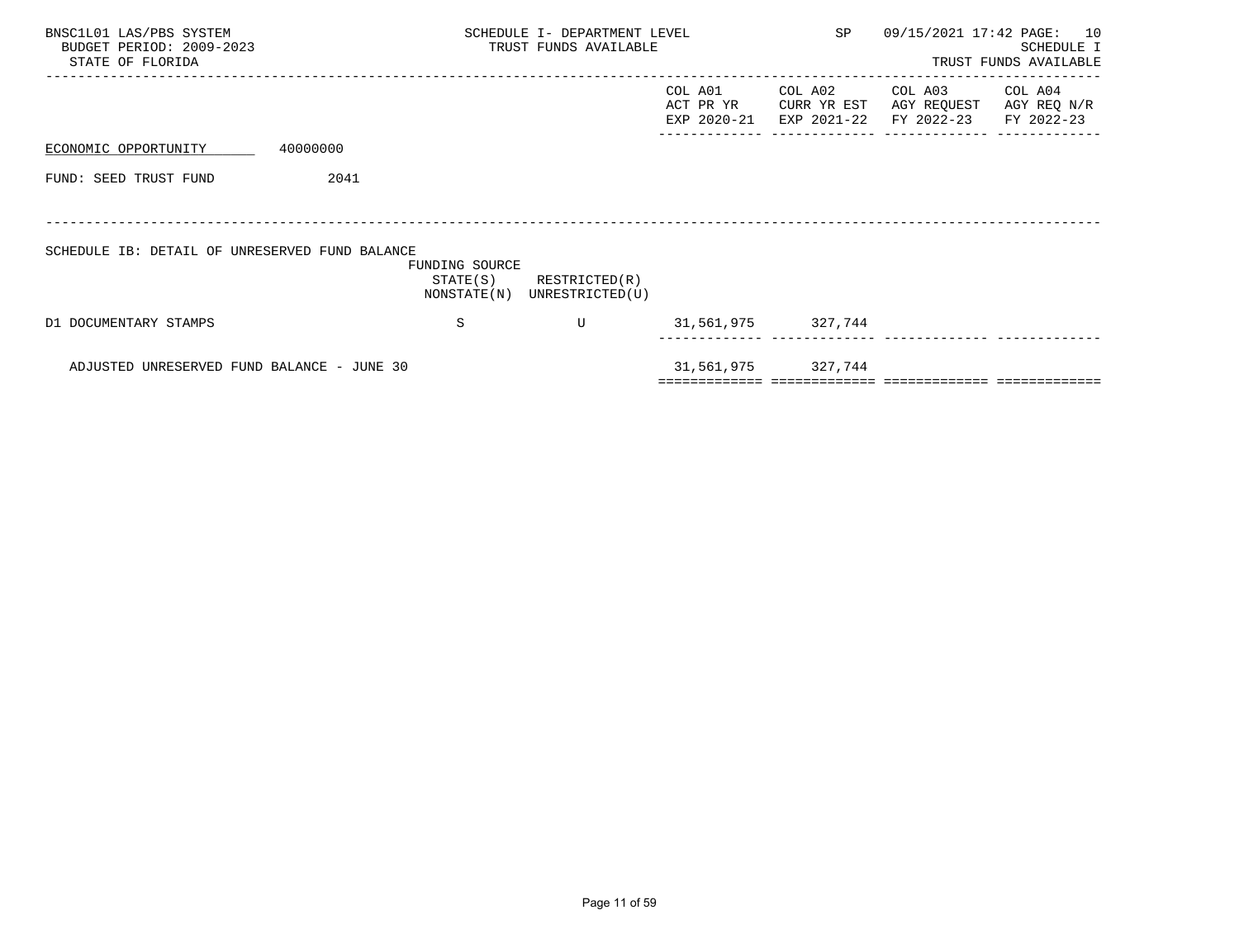| BNSC1L01 LAS/PBS SYSTEM<br>BUDGET PERIOD: 2009-2023<br>STATE OF FLORIDA |          |                                           | SCHEDULE I- DEPARTMENT LEVEL<br>TRUST FUNDS AVAILABLE | SP                                  | 09/15/2021 17:42 PAGE: 10             | SCHEDULE I<br>TRUST FUNDS AVAILABLE  |                                      |
|-------------------------------------------------------------------------|----------|-------------------------------------------|-------------------------------------------------------|-------------------------------------|---------------------------------------|--------------------------------------|--------------------------------------|
|                                                                         |          |                                           |                                                       | COL A01<br>ACT PR YR<br>EXP 2020-21 | COL A02<br>CURR YR EST<br>EXP 2021-22 | COL A03<br>AGY REQUEST<br>FY 2022-23 | COL A04<br>AGY REQ N/R<br>FY 2022-23 |
| ECONOMIC OPPORTUNITY                                                    | 40000000 |                                           |                                                       |                                     |                                       |                                      |                                      |
| FUND: SEED TRUST FUND                                                   | 2041     |                                           |                                                       |                                     |                                       |                                      |                                      |
|                                                                         |          |                                           |                                                       |                                     |                                       |                                      |                                      |
| SCHEDULE IB: DETAIL OF UNRESERVED FUND BALANCE                          |          | FUNDING SOURCE<br>STATE(S)<br>NONSTATE(N) | RESTRICTED(R)<br>UNRESTRICTED(U)                      |                                     |                                       |                                      |                                      |
| D1 DOCUMENTARY STAMPS                                                   |          | S                                         | U                                                     |                                     | 31,561,975 327,744                    |                                      |                                      |
| ADJUSTED UNRESERVED FUND BALANCE - JUNE 30                              |          |                                           |                                                       | 31,561,975                          | 327,744                               |                                      |                                      |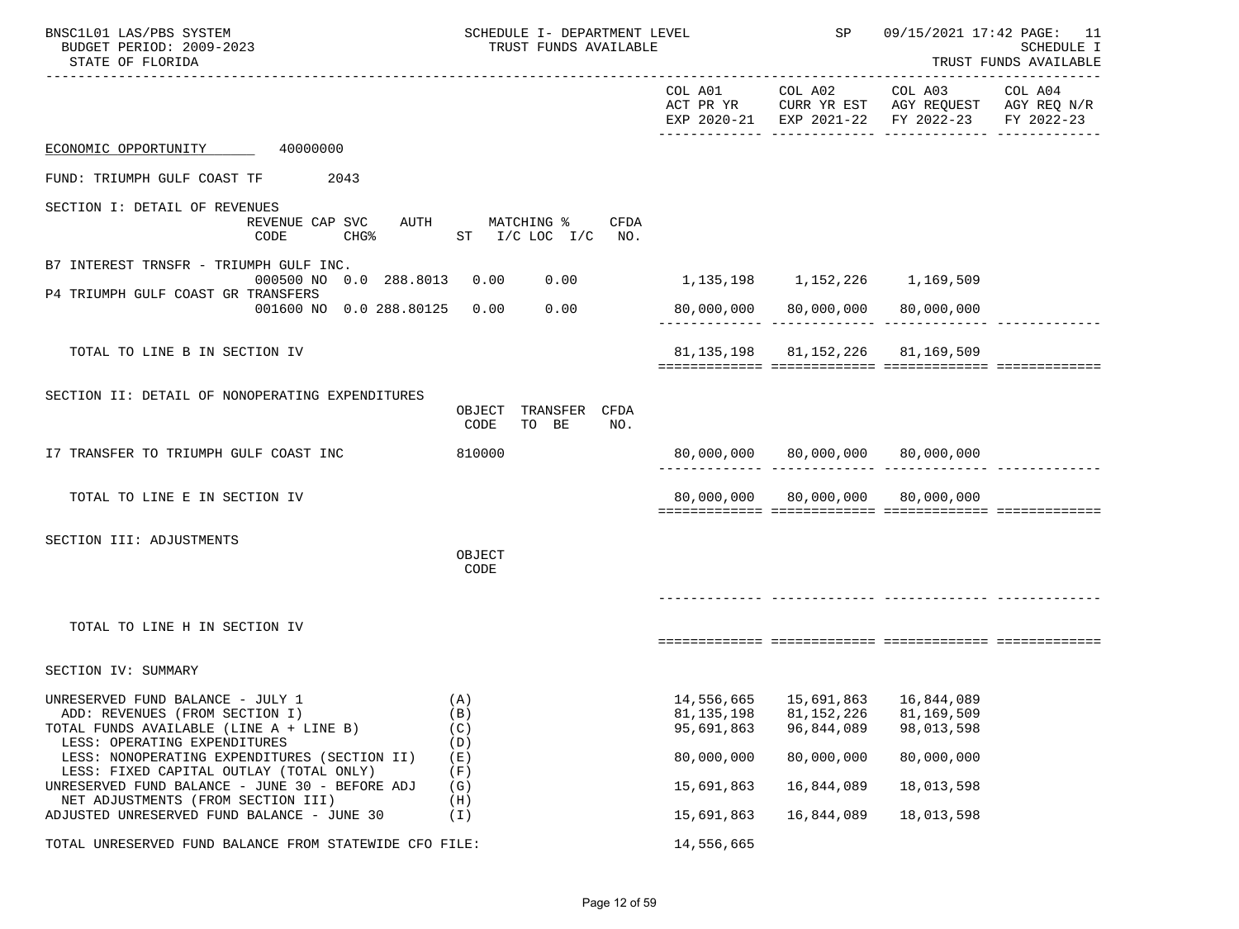| BNSC1L01 LAS/PBS SYSTEM<br>BUDGET PERIOD: 2009-2023<br>STATE OF FLORIDA                                                                       |                          | SCHEDULE I- DEPARTMENT LEVEL<br>TRUST FUNDS AVAILABLE |                                          | SP                                       | 09/15/2021 17:42 PAGE: 11<br>SCHEDULE I<br>TRUST FUNDS AVAILABLE                                                                |            |  |
|-----------------------------------------------------------------------------------------------------------------------------------------------|--------------------------|-------------------------------------------------------|------------------------------------------|------------------------------------------|---------------------------------------------------------------------------------------------------------------------------------|------------|--|
|                                                                                                                                               |                          |                                                       |                                          | COL A01 COL A02                          | COL A03 COL A04<br>ACT PR YR $\,$ CURR YR EST $\,$ AGY REQUEST $\,$ AGY REQ $\,$ N/R $\,$<br>EXP 2020-21 EXP 2021-22 FY 2022-23 | FY 2022-23 |  |
| ECONOMIC OPPORTUNITY 40000000                                                                                                                 |                          |                                                       |                                          |                                          |                                                                                                                                 |            |  |
| FUND: TRIUMPH GULF COAST TF 2043                                                                                                              |                          |                                                       |                                          |                                          |                                                                                                                                 |            |  |
| SECTION I: DETAIL OF REVENUES<br>REVENUE CAP SVC<br>CODE<br>CHG <sup>%</sup> ST I/C LOC I/C NO.                                               | AUTH MATCHING %          | CFDA                                                  |                                          |                                          |                                                                                                                                 |            |  |
| B7 INTEREST TRNSFR - TRIUMPH GULF INC.<br>000500 NO 0.0 288.8013 0.00<br>P4 TRIUMPH GULF COAST GR TRANSFERS                                   |                          | 0.00                                                  |                                          |                                          |                                                                                                                                 |            |  |
| 001600 NO 0.0 288.80125 0.00                                                                                                                  |                          | 0.00                                                  |                                          | 80,000,000 80,000,000 80,000,000         |                                                                                                                                 |            |  |
| TOTAL TO LINE B IN SECTION IV                                                                                                                 |                          |                                                       |                                          | 81, 135, 198 81, 152, 226 81, 169, 509   |                                                                                                                                 |            |  |
| SECTION II: DETAIL OF NONOPERATING EXPENDITURES                                                                                               | CODE                     | OBJECT TRANSFER CFDA<br>TO BE<br>NO.                  |                                          |                                          |                                                                                                                                 |            |  |
| I7 TRANSFER TO TRIUMPH GULF COAST INC                                                                                                         | 810000                   |                                                       |                                          | 80,000,000 80,000,000 80,000,000         |                                                                                                                                 |            |  |
| TOTAL TO LINE E IN SECTION IV                                                                                                                 |                          |                                                       |                                          | 80,000,000 80,000,000 80,000,000         |                                                                                                                                 |            |  |
| SECTION III: ADJUSTMENTS                                                                                                                      | OBJECT<br>CODE           |                                                       |                                          |                                          |                                                                                                                                 |            |  |
| TOTAL TO LINE H IN SECTION IV                                                                                                                 |                          |                                                       |                                          |                                          |                                                                                                                                 |            |  |
| SECTION IV: SUMMARY                                                                                                                           |                          |                                                       |                                          |                                          |                                                                                                                                 |            |  |
| UNRESERVED FUND BALANCE - JULY 1<br>ADD: REVENUES (FROM SECTION I)<br>TOTAL FUNDS AVAILABLE (LINE A + LINE B)<br>LESS: OPERATING EXPENDITURES | (A)<br>(B)<br>(C)<br>(D) |                                                       | 14,556,665<br>81, 135, 198<br>95,691,863 | 15,691,863<br>81, 152, 226<br>96,844,089 | 16,844,089<br>81,169,509<br>98,013,598                                                                                          |            |  |
| LESS: NONOPERATING EXPENDITURES (SECTION II)<br>LESS: FIXED CAPITAL OUTLAY (TOTAL ONLY)<br>UNRESERVED FUND BALANCE - JUNE 30 - BEFORE ADJ     | (E)<br>(F)<br>(G)        |                                                       | 80,000,000<br>15,691,863                 | 80,000,000<br>16,844,089                 | 80,000,000<br>18,013,598                                                                                                        |            |  |
| NET ADJUSTMENTS (FROM SECTION III)<br>ADJUSTED UNRESERVED FUND BALANCE - JUNE 30                                                              | (H)<br>(I)               |                                                       | 15,691,863                               | 16,844,089                               | 18,013,598                                                                                                                      |            |  |
| TOTAL UNRESERVED FUND BALANCE FROM STATEWIDE CFO FILE:                                                                                        |                          |                                                       | 14,556,665                               |                                          |                                                                                                                                 |            |  |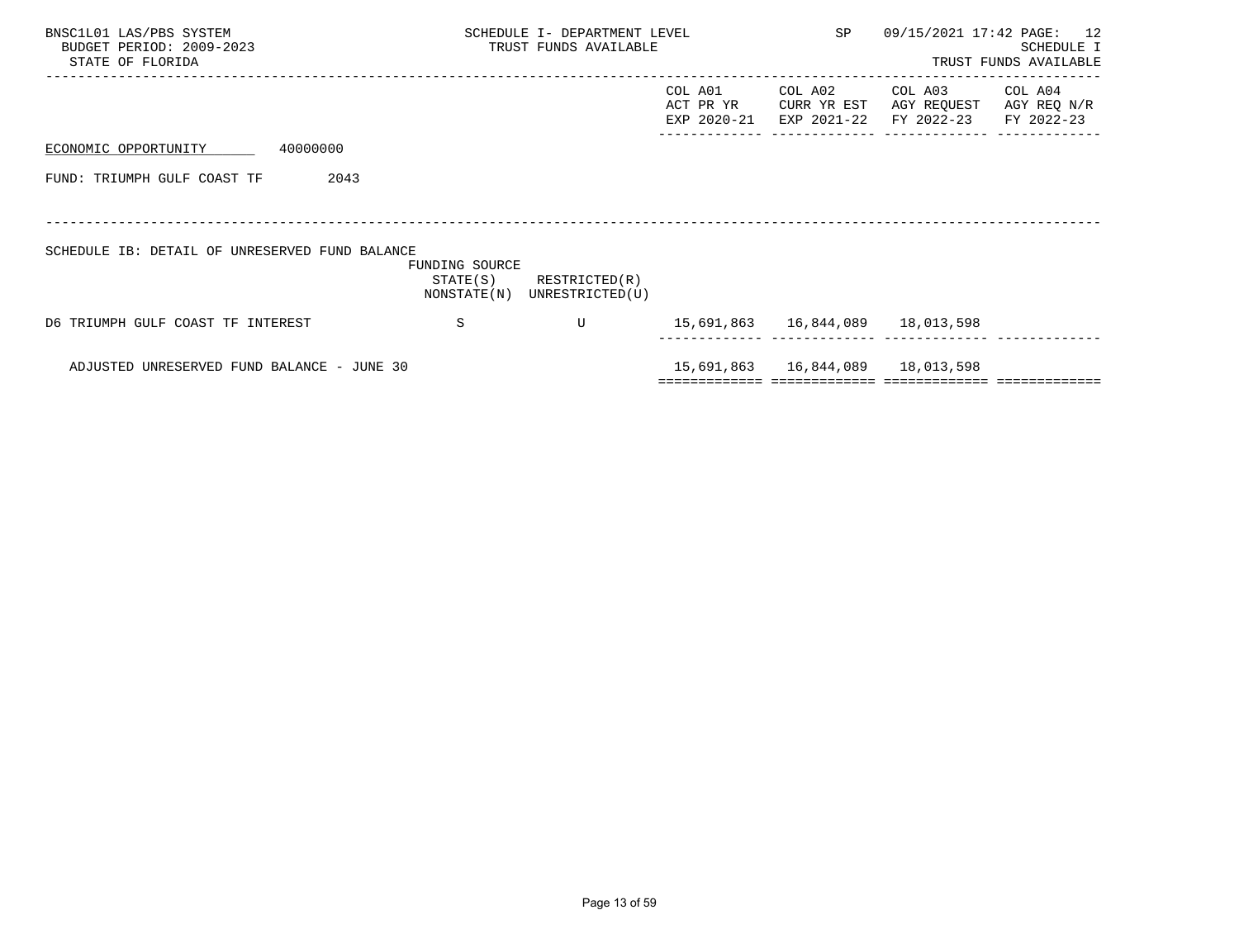| BNSC1L01 LAS/PBS SYSTEM<br>BUDGET PERIOD: 2009-2023<br>STATE OF FLORIDA |                                           | SCHEDULE I- DEPARTMENT LEVEL<br>TRUST FUNDS AVAILABLE |                                     | SP                                    | 09/15/2021 17:42 PAGE:               | 12<br>SCHEDULE I<br>TRUST FUNDS AVAILABLE |
|-------------------------------------------------------------------------|-------------------------------------------|-------------------------------------------------------|-------------------------------------|---------------------------------------|--------------------------------------|-------------------------------------------|
|                                                                         |                                           |                                                       | COL A01<br>ACT PR YR<br>EXP 2020-21 | COL A02<br>CURR YR EST<br>EXP 2021-22 | COL A03<br>AGY REQUEST<br>FY 2022-23 | COL A04<br>AGY REQ N/R<br>FY 2022-23      |
| 40000000<br>ECONOMIC OPPORTUNITY                                        |                                           |                                                       |                                     |                                       |                                      |                                           |
| FUND: TRIUMPH GULF COAST TF<br>2043                                     |                                           |                                                       |                                     |                                       |                                      |                                           |
|                                                                         |                                           |                                                       |                                     |                                       |                                      |                                           |
| SCHEDULE IB: DETAIL OF UNRESERVED FUND BALANCE                          | FUNDING SOURCE<br>STATE(S)<br>NONSTATE(N) | RESTRICTED(R)<br>UNRESTRICTED(U)                      |                                     |                                       |                                      |                                           |
| D6 TRIUMPH GULF COAST TF INTEREST                                       | S                                         | $\mathbf{U}$                                          |                                     | 15,691,863  16,844,089  18,013,598    |                                      |                                           |
| ADJUSTED UNRESERVED FUND BALANCE - JUNE 30                              |                                           |                                                       | 15,691,863                          | 16,844,089                            | 18,013,598                           |                                           |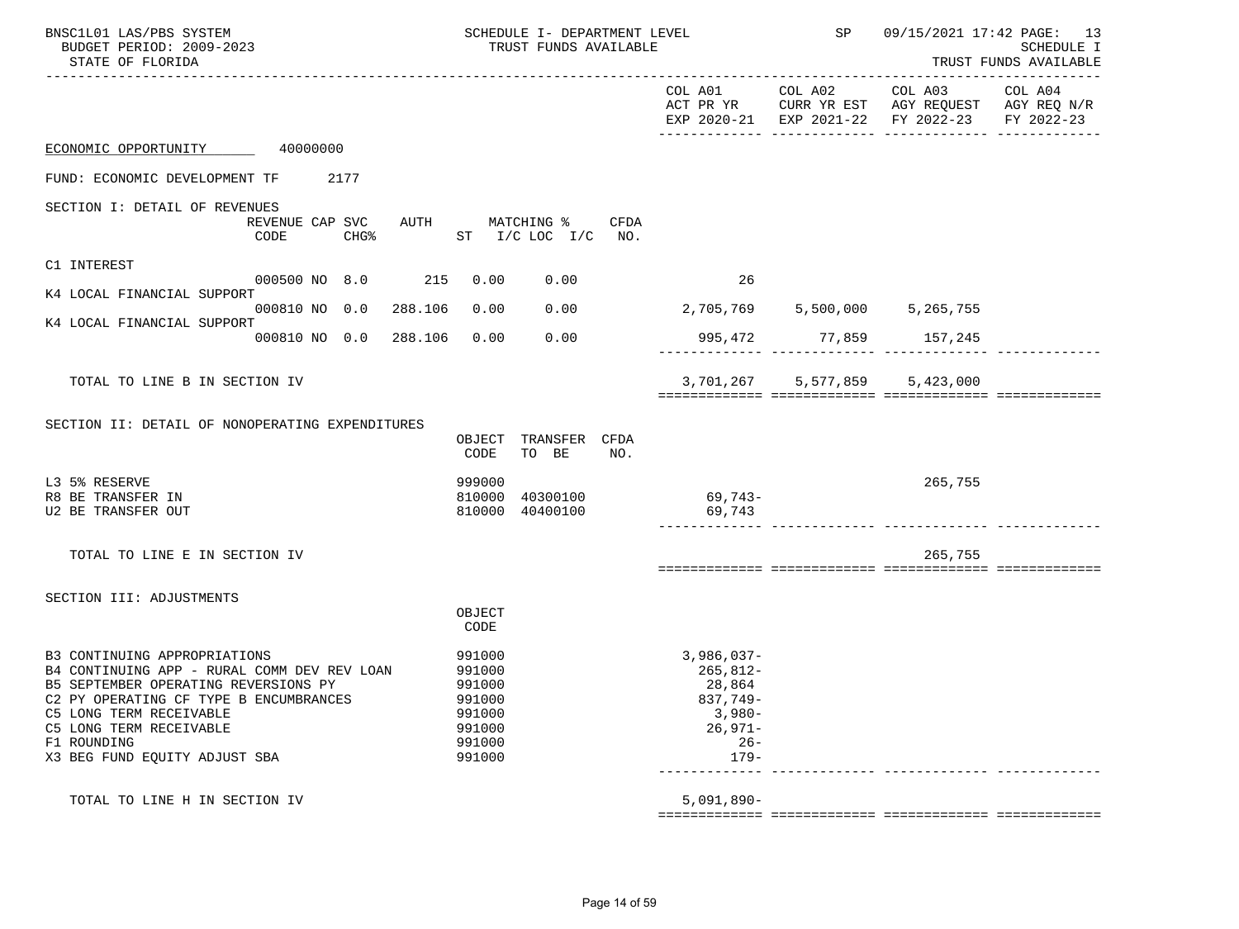| BNSC1L01 LAS/PBS SYSTEM<br>BUDGET PERIOD: 2009-2023<br>STATE OF FLORIDA                                                                                                                                                                                             |                                             |                                                                              |      | SCHEDULE I- DEPARTMENT LEVEL<br>TRUST FUNDS AVAILABLE |             |                                                                                                 | SP                            | 09/15/2021 17:42 PAGE: 13          | SCHEDULE I<br>TRUST FUNDS AVAILABLE |
|---------------------------------------------------------------------------------------------------------------------------------------------------------------------------------------------------------------------------------------------------------------------|---------------------------------------------|------------------------------------------------------------------------------|------|-------------------------------------------------------|-------------|-------------------------------------------------------------------------------------------------|-------------------------------|------------------------------------|-------------------------------------|
|                                                                                                                                                                                                                                                                     |                                             |                                                                              |      |                                                       |             |                                                                                                 |                               | EXP 2020-21 EXP 2021-22 FY 2022-23 | FY 2022-23                          |
| ECONOMIC OPPORTUNITY 40000000                                                                                                                                                                                                                                       |                                             |                                                                              |      |                                                       |             |                                                                                                 |                               |                                    |                                     |
| FUND: ECONOMIC DEVELOPMENT TF                                                                                                                                                                                                                                       | 2177                                        |                                                                              |      |                                                       |             |                                                                                                 |                               |                                    |                                     |
| SECTION I: DETAIL OF REVENUES                                                                                                                                                                                                                                       | REVENUE CAP SVC<br>CODE<br>CHG <sup>8</sup> | AUTH                                                                         |      | MATCHING %<br>ST I/C LOC I/C NO.                      | <b>CFDA</b> |                                                                                                 |                               |                                    |                                     |
| C1 INTEREST                                                                                                                                                                                                                                                         | 000500 NO 8.0 215                           | 0.00                                                                         |      | 0.00                                                  |             | 26                                                                                              |                               |                                    |                                     |
| K4 LOCAL FINANCIAL SUPPORT                                                                                                                                                                                                                                          | 000810 NO 0.0 288.106                       |                                                                              | 0.00 | 0.00                                                  |             | 2,705,769 5,500,000                                                                             |                               | 5,265,755                          |                                     |
| K4 LOCAL FINANCIAL SUPPORT                                                                                                                                                                                                                                          | 000810 NO 0.0 288.106                       |                                                                              | 0.00 | 0.00                                                  |             |                                                                                                 | 995,472 77,859 157,245        |                                    |                                     |
| TOTAL TO LINE B IN SECTION IV                                                                                                                                                                                                                                       |                                             |                                                                              |      |                                                       |             |                                                                                                 | 3,701,267 5,577,859 5,423,000 |                                    |                                     |
| SECTION II: DETAIL OF NONOPERATING EXPENDITURES                                                                                                                                                                                                                     |                                             | CODE                                                                         |      | OBJECT TRANSFER CFDA<br>TO BE                         | NO.         |                                                                                                 |                               |                                    |                                     |
| L3 5% RESERVE<br>R8 BE TRANSFER IN<br>U2 BE TRANSFER OUT                                                                                                                                                                                                            |                                             | 999000<br>810000<br>810000                                                   |      | 40300100<br>40400100                                  |             | $69,743-$<br>69,743                                                                             |                               | 265,755                            |                                     |
| TOTAL TO LINE E IN SECTION IV                                                                                                                                                                                                                                       |                                             |                                                                              |      |                                                       |             |                                                                                                 |                               | 265,755                            |                                     |
| SECTION III: ADJUSTMENTS                                                                                                                                                                                                                                            |                                             | OBJECT<br>CODE                                                               |      |                                                       |             |                                                                                                 |                               |                                    |                                     |
| B3 CONTINUING APPROPRIATIONS<br>B4 CONTINUING APP - RURAL COMM DEV REV LOAN<br>B5 SEPTEMBER OPERATING REVERSIONS PY<br>C2 PY OPERATING CF TYPE B ENCUMBRANCES<br>C5 LONG TERM RECEIVABLE<br>C5 LONG TERM RECEIVABLE<br>F1 ROUNDING<br>X3 BEG FUND EQUITY ADJUST SBA |                                             | 991000<br>991000<br>991000<br>991000<br>991000<br>991000<br>991000<br>991000 |      |                                                       |             | $3,986,037-$<br>$265,812-$<br>28,864<br>$837,749-$<br>$3,980-$<br>$26,971-$<br>$26 -$<br>$179-$ |                               |                                    |                                     |
| TOTAL TO LINE H IN SECTION IV                                                                                                                                                                                                                                       |                                             |                                                                              |      |                                                       |             | $5,091,890-$                                                                                    |                               |                                    |                                     |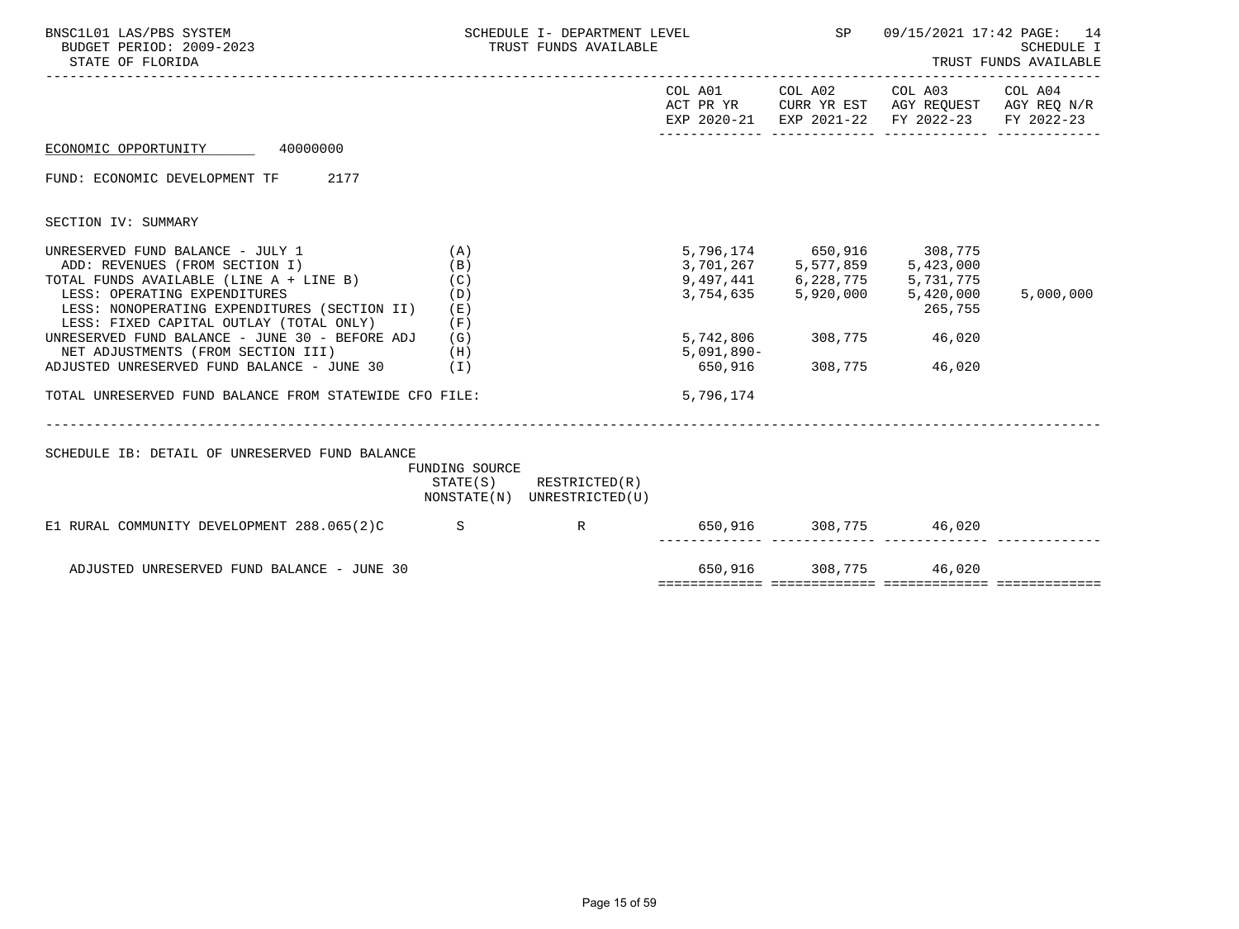| BNSC1L01 LAS/PBS SYSTEM<br>BUDGET PERIOD: 2009-2023<br>STATE OF FLORIDA                                                                                                                                                                            |                          | SCHEDULE I- DEPARTMENT LEVEL<br>TRUST FUNDS AVAILABLE      |                               | SP                                                                                | 09/15/2021 17:42 PAGE: 14                                                                                                         | <b>SCHEDULE I</b><br>TRUST FUNDS AVAILABLE |
|----------------------------------------------------------------------------------------------------------------------------------------------------------------------------------------------------------------------------------------------------|--------------------------|------------------------------------------------------------|-------------------------------|-----------------------------------------------------------------------------------|-----------------------------------------------------------------------------------------------------------------------------------|--------------------------------------------|
|                                                                                                                                                                                                                                                    |                          |                                                            |                               |                                                                                   | COL A01 COL A02 COL A03 COL A04<br>ACT PR YR CURR YR EST AGY REQUEST AGY REQ N/R<br>EXP 2020-21 EXP 2021-22 FY 2022-23 FY 2022-23 |                                            |
| ECONOMIC OPPORTUNITY 40000000                                                                                                                                                                                                                      |                          |                                                            |                               |                                                                                   |                                                                                                                                   |                                            |
| FUND: ECONOMIC DEVELOPMENT TF 2177                                                                                                                                                                                                                 |                          |                                                            |                               |                                                                                   |                                                                                                                                   |                                            |
| SECTION IV: SUMMARY                                                                                                                                                                                                                                |                          |                                                            |                               |                                                                                   |                                                                                                                                   |                                            |
| UNRESERVED FUND BALANCE - JULY $1$ (A)<br>ADD: REVENUES (FROM SECTION I)<br>TOTAL FUNDS AVAILABLE (LINE A + LINE B) (C)<br>LESS: OPERATING EXPENDITURES<br>LESS: NONOPERATING EXPENDITURES (SECTION II)<br>LESS: FIXED CAPITAL OUTLAY (TOTAL ONLY) | (B)<br>(D)<br>(E)<br>(F) |                                                            | 3,701,267 5,577,859 5,423,000 | 5,796,174 650,916 308,775<br>9,497,441 6,228,775 5,731,775<br>3,754,635 5,920,000 | 5,420,000<br>265,755                                                                                                              | 5,000,000                                  |
| UNRESERVED FUND BALANCE - JUNE 30 - BEFORE ADJ<br>NET ADJUSTMENTS (FROM SECTION III) (H)                                                                                                                                                           | (G)                      |                                                            | $5,091,890 -$                 | 5,742,806 308,775 46,020                                                          |                                                                                                                                   |                                            |
| ADJUSTED UNRESERVED FUND BALANCE - JUNE 30                                                                                                                                                                                                         | (I)                      |                                                            | 650,916                       | 308,775 46,020                                                                    |                                                                                                                                   |                                            |
| TOTAL UNRESERVED FUND BALANCE FROM STATEWIDE CFO FILE:                                                                                                                                                                                             |                          |                                                            | 5,796,174                     |                                                                                   |                                                                                                                                   |                                            |
| SCHEDULE IB: DETAIL OF UNRESERVED FUND BALANCE                                                                                                                                                                                                     | FUNDING SOURCE           | $STATE(S)$ RESTRICTED $(R)$<br>NONSTATE(N) UNRESTRICTED(U) |                               |                                                                                   |                                                                                                                                   |                                            |
| E1 RURAL COMMUNITY DEVELOPMENT 288.065(2)C S                                                                                                                                                                                                       |                          | $R \sim$                                                   |                               | 650,916 308,775 46,020                                                            |                                                                                                                                   |                                            |
| ADJUSTED UNRESERVED FUND BALANCE - JUNE 30                                                                                                                                                                                                         |                          |                                                            |                               | 650,916 308,775 46,020                                                            |                                                                                                                                   |                                            |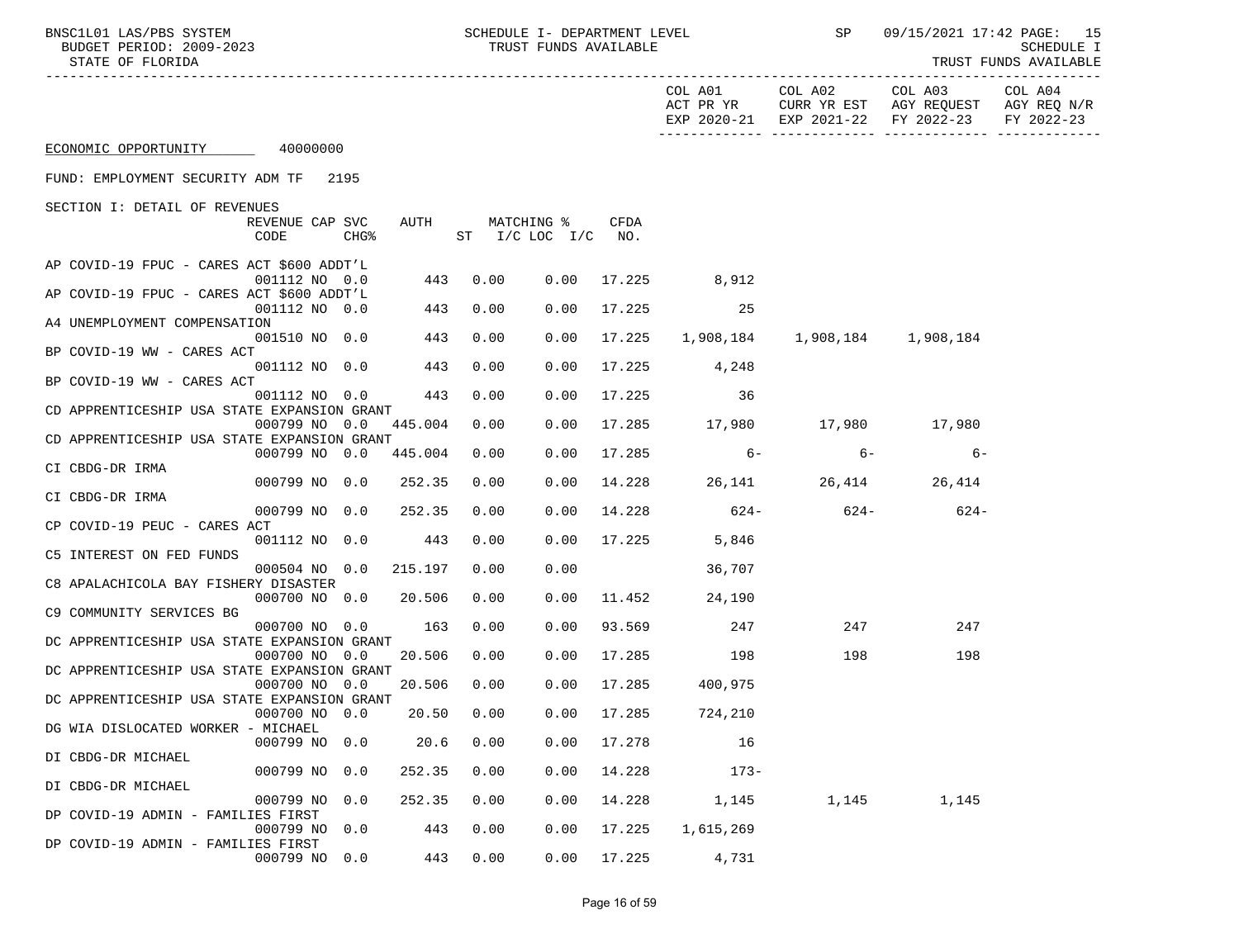BNSC1L01 LAS/PBS SYSTEM SCHEDULE I- DEPARTMENT LEVEL SP 09/15/2021 17:42 PAGE: 15<br>BUDGET PERIOD: 2009-2023 TRUST FUNDS AVAILABLE

-----------------------------------------------------------------------------------------------------------------------------------

TRUST FUNDS AVAILABLE

|                                             |                         |                  |         |      |                               |                    | COL A01<br>ACT PR YR<br>EXP 2020-21 | COL A02<br>CURR YR EST<br>EXP 2021-22 | COL A03<br>AGY REQUEST<br>FY 2022-23 | COL A04<br>AGY REQ N/R<br>FY 2022-23 |
|---------------------------------------------|-------------------------|------------------|---------|------|-------------------------------|--------------------|-------------------------------------|---------------------------------------|--------------------------------------|--------------------------------------|
| ECONOMIC OPPORTUNITY                        | 40000000                |                  |         |      |                               |                    |                                     |                                       |                                      |                                      |
| FUND: EMPLOYMENT SECURITY ADM TF            |                         | 2195             |         |      |                               |                    |                                     |                                       |                                      |                                      |
| SECTION I: DETAIL OF REVENUES               |                         |                  |         |      |                               |                    |                                     |                                       |                                      |                                      |
|                                             | REVENUE CAP SVC<br>CODE | CHG <sup>8</sup> | AUTH    | ST   | MATCHING %<br>$I/C$ LOC $I/C$ | <b>CFDA</b><br>NO. |                                     |                                       |                                      |                                      |
| AP COVID-19 FPUC - CARES ACT \$600 ADDT'L   |                         |                  |         |      |                               |                    |                                     |                                       |                                      |                                      |
| AP COVID-19 FPUC - CARES ACT \$600 ADDT'L   | 001112 NO 0.0           |                  | 443     | 0.00 | 0.00                          | 17.225             | 8,912                               |                                       |                                      |                                      |
|                                             | 001112 NO 0.0           |                  | 443     | 0.00 | 0.00                          | 17.225             | 25                                  |                                       |                                      |                                      |
| A4 UNEMPLOYMENT COMPENSATION                | 001510 NO 0.0           |                  | 443     | 0.00 | 0.00                          | 17.225             | 1,908,184                           | 1,908,184                             | 1,908,184                            |                                      |
| BP COVID-19 WW - CARES ACT                  |                         |                  |         |      |                               |                    |                                     |                                       |                                      |                                      |
|                                             | 001112 NO 0.0           |                  | 443     | 0.00 | 0.00                          | 17.225             | 4,248                               |                                       |                                      |                                      |
| BP COVID-19 WW - CARES ACT                  | 001112 NO 0.0           |                  | 443     | 0.00 | 0.00                          | 17.225             | 36                                  |                                       |                                      |                                      |
| CD APPRENTICESHIP USA STATE EXPANSION GRANT |                         |                  |         |      |                               |                    |                                     |                                       |                                      |                                      |
| CD APPRENTICESHIP USA STATE EXPANSION GRANT | 000799 NO               | 0.0              | 445.004 | 0.00 | 0.00                          | 17.285             | 17,980                              | 17,980                                | 17,980                               |                                      |
|                                             | 000799 NO 0.0           |                  | 445.004 | 0.00 | 0.00                          | 17.285             | $6-$                                | $6-$                                  | $6-$                                 |                                      |
| CI CBDG-DR IRMA                             |                         |                  |         |      |                               |                    |                                     |                                       |                                      |                                      |
| CI CBDG-DR IRMA                             | 000799 NO 0.0           |                  | 252.35  | 0.00 | 0.00                          | 14.228             | 26,141                              | 26,414                                | 26,414                               |                                      |
|                                             | 000799 NO               | 0.0              | 252.35  | 0.00 | 0.00                          | 14.228             | 624-                                | $624-$                                | $624-$                               |                                      |
| CP COVID-19 PEUC - CARES ACT                | 001112 NO 0.0           |                  | 443     | 0.00 | 0.00                          | 17.225             | 5,846                               |                                       |                                      |                                      |
| C5 INTEREST ON FED FUNDS                    |                         |                  |         |      |                               |                    |                                     |                                       |                                      |                                      |
|                                             | 000504 NO               | 0.0              | 215.197 | 0.00 | 0.00                          |                    | 36,707                              |                                       |                                      |                                      |
| C8 APALACHICOLA BAY FISHERY DISASTER        | 000700 NO 0.0           |                  | 20.506  | 0.00 | 0.00                          | 11.452             | 24,190                              |                                       |                                      |                                      |
| C9 COMMUNITY SERVICES BG                    |                         |                  |         |      |                               |                    |                                     |                                       |                                      |                                      |
|                                             | 000700 NO 0.0           |                  | 163     | 0.00 | 0.00                          | 93.569             | 247                                 | 247                                   | 247                                  |                                      |
| DC APPRENTICESHIP USA STATE EXPANSION GRANT | 000700 NO               | 0.0              | 20.506  | 0.00 | 0.00                          | 17.285             | 198                                 | 198                                   | 198                                  |                                      |
| DC APPRENTICESHIP USA STATE EXPANSION GRANT |                         |                  |         |      |                               |                    |                                     |                                       |                                      |                                      |
| DC APPRENTICESHIP USA STATE EXPANSION GRANT | 000700 NO               | 0.0              | 20.506  | 0.00 | 0.00                          | 17.285             | 400,975                             |                                       |                                      |                                      |
|                                             | 000700 NO 0.0           |                  | 20.50   | 0.00 | 0.00                          | 17.285             | 724,210                             |                                       |                                      |                                      |
| DG WIA DISLOCATED WORKER - MICHAEL          |                         |                  |         |      |                               |                    |                                     |                                       |                                      |                                      |
| DI CBDG-DR MICHAEL                          | 000799 NO 0.0           |                  | 20.6    | 0.00 | 0.00                          | 17.278             | 16                                  |                                       |                                      |                                      |
|                                             | 000799 NO               | 0.0              | 252.35  | 0.00 | 0.00                          | 14.228             | 173-                                |                                       |                                      |                                      |
| DI CBDG-DR MICHAEL                          | 000799 NO               | 0.0              | 252.35  | 0.00 | 0.00                          | 14.228             | 1,145                               | 1,145                                 | 1,145                                |                                      |
| DP COVID-19 ADMIN - FAMILIES FIRST          |                         |                  |         |      |                               |                    |                                     |                                       |                                      |                                      |
|                                             | 000799 NO               | 0.0              | 443     | 0.00 | 0.00                          | 17.225             | 1,615,269                           |                                       |                                      |                                      |
| DP COVID-19 ADMIN - FAMILIES FIRST          | 000799 NO               | 0.0              | 443     | 0.00 | 0.00                          | 17.225             | 4,731                               |                                       |                                      |                                      |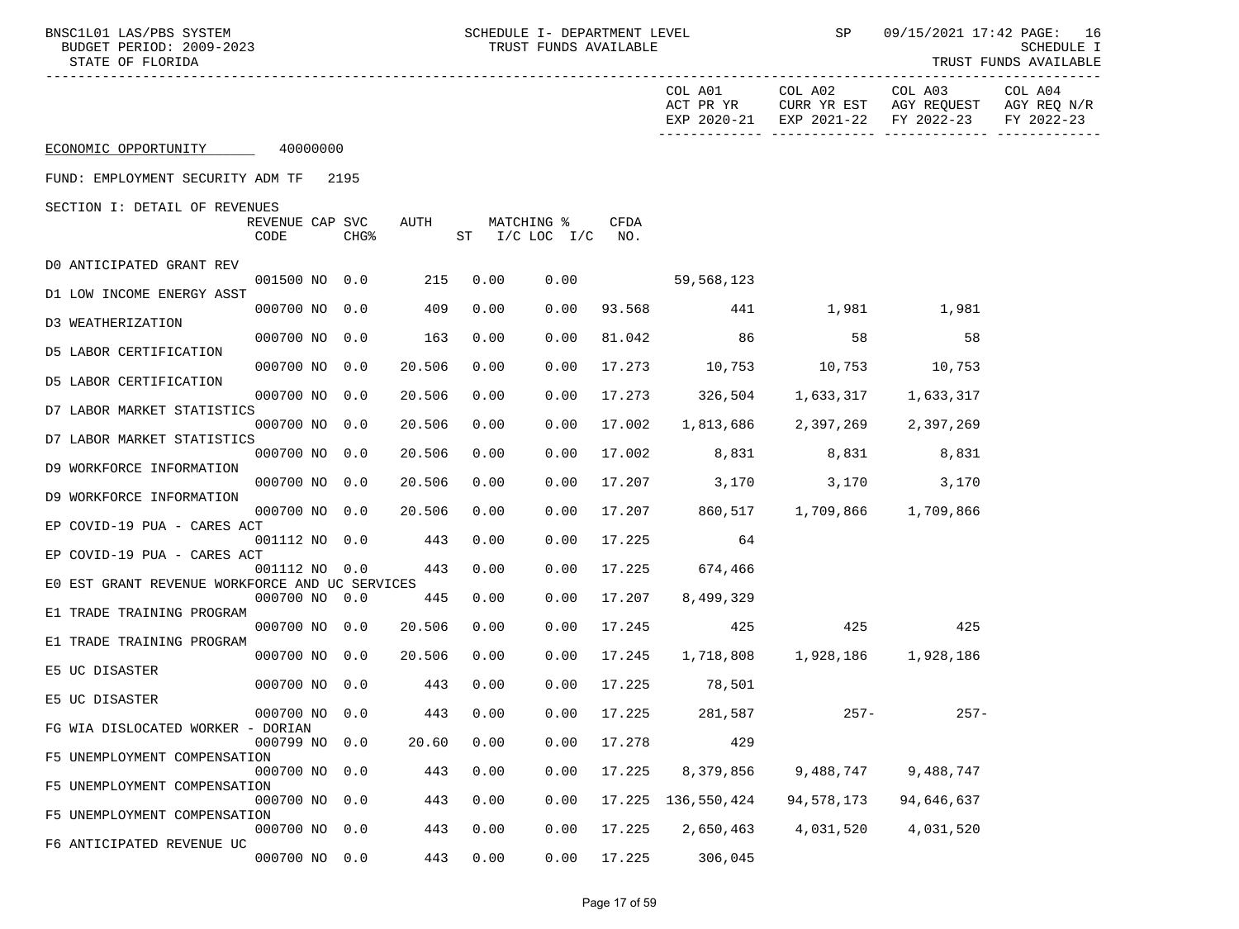| BUDGET PERIOD: 2009-2023<br>STATE OF FLORIDA   | TRUST FUNDS AVAILABLE<br>TRUST FUNDS AVAILABLE<br>------------------------------------- |  |                  |        |          |                                  |                    |                                     |                        |                                                  |                                      |  |  |
|------------------------------------------------|-----------------------------------------------------------------------------------------|--|------------------|--------|----------|----------------------------------|--------------------|-------------------------------------|------------------------|--------------------------------------------------|--------------------------------------|--|--|
|                                                |                                                                                         |  |                  |        |          |                                  |                    | COL A01<br>ACT PR YR<br>EXP 2020-21 | COL A02<br>CURR YR EST | COL A03<br>AGY REQUEST<br>EXP 2021-22 FY 2022-23 | COL A04<br>AGY REQ N/R<br>FY 2022-23 |  |  |
| ECONOMIC OPPORTUNITY 40000000                  |                                                                                         |  |                  |        |          |                                  |                    |                                     |                        |                                                  |                                      |  |  |
| FUND: EMPLOYMENT SECURITY ADM TF 2195          |                                                                                         |  |                  |        |          |                                  |                    |                                     |                        |                                                  |                                      |  |  |
| SECTION I: DETAIL OF REVENUES                  | REVENUE CAP SVC<br>CODE                                                                 |  | CHG <sup>8</sup> | AUTH   |          | MATCHING %<br>ST $I/C$ LOC $I/C$ | <b>CFDA</b><br>NO. |                                     |                        |                                                  |                                      |  |  |
| DO ANTICIPATED GRANT REV                       | 001500 NO 0.0                                                                           |  |                  | 215    | 0.00     | 0.00                             |                    | 59,568,123                          |                        |                                                  |                                      |  |  |
| D1 LOW INCOME ENERGY ASST                      | 000700 NO 0.0                                                                           |  |                  | 409    | 0.00     | 0.00                             | 93.568             | 441                                 | 1,981                  | 1,981                                            |                                      |  |  |
| D3 WEATHERIZATION                              | 000700 NO 0.0                                                                           |  |                  | 163    | 0.00     | 0.00                             | 81.042             | 86                                  | 58                     | 58                                               |                                      |  |  |
| D5 LABOR CERTIFICATION                         | 000700 NO 0.0                                                                           |  |                  | 20.506 | 0.00     | 0.00                             | 17.273             | 10,753                              | 10,753                 | 10,753                                           |                                      |  |  |
| D5 LABOR CERTIFICATION                         | 000700 NO 0.0                                                                           |  |                  |        | 0.00     |                                  |                    | 326,504                             |                        |                                                  |                                      |  |  |
| D7 LABOR MARKET STATISTICS                     |                                                                                         |  |                  | 20.506 |          | 0.00                             | 17.273             |                                     | 1,633,317              | 1,633,317                                        |                                      |  |  |
| D7 LABOR MARKET STATISTICS                     | 000700 NO 0.0                                                                           |  |                  | 20.506 | 0.00     | 0.00                             | 17.002             | 1,813,686                           | 2,397,269              | 2,397,269                                        |                                      |  |  |
| D9 WORKFORCE INFORMATION                       | 000700 NO 0.0                                                                           |  |                  | 20.506 | 0.00     | 0.00                             | 17.002             | 8,831                               | 8,831                  | 8,831                                            |                                      |  |  |
| D9 WORKFORCE INFORMATION                       | 000700 NO 0.0                                                                           |  |                  | 20.506 | 0.00     | 0.00                             | 17.207             | 3,170                               | 3,170                  | 3,170                                            |                                      |  |  |
| EP COVID-19 PUA - CARES ACT                    | 000700 NO 0.0                                                                           |  |                  | 20.506 | 0.00     | 0.00                             |                    | 17.207 860,517                      | 1,709,866 1,709,866    |                                                  |                                      |  |  |
| EP COVID-19 PUA - CARES ACT                    | 001112 NO 0.0                                                                           |  |                  | 443    | 0.00     | 0.00                             | 17.225             | 64                                  |                        |                                                  |                                      |  |  |
| EO EST GRANT REVENUE WORKFORCE AND UC SERVICES | 001112 NO 0.0                                                                           |  |                  | 443    | 0.00     | 0.00                             | 17.225             | 674,466                             |                        |                                                  |                                      |  |  |
| E1 TRADE TRAINING PROGRAM                      | 000700 NO 0.0                                                                           |  |                  | 445    | 0.00     | 0.00                             | 17.207             | 8,499,329                           |                        |                                                  |                                      |  |  |
| E1 TRADE TRAINING PROGRAM                      | 000700 NO 0.0                                                                           |  |                  | 20.506 | 0.00     | 0.00                             | 17.245             | 425                                 | 425                    | 425                                              |                                      |  |  |
| E5 UC DISASTER                                 | 000700 NO 0.0                                                                           |  |                  | 20.506 | 0.00     | 0.00                             | 17.245             | 1,718,808                           |                        |                                                  |                                      |  |  |
| E5 UC DISASTER                                 | 000700 NO 0.0                                                                           |  |                  | 443    | 0.00     | 0.00                             | 17.225             | 78,501                              |                        |                                                  |                                      |  |  |
| FG WIA DISLOCATED WORKER - DORIAN              | 000700 NO 0.0                                                                           |  |                  |        | 443 0.00 | $0.00$ 17.225                    |                    | 281,587                             | $257-$                 | $257 -$                                          |                                      |  |  |
| F5 UNEMPLOYMENT COMPENSATION                   | 000799 NO 0.0                                                                           |  |                  | 20.60  | 0.00     | 0.00                             | 17.278             | 429                                 |                        |                                                  |                                      |  |  |
| F5 UNEMPLOYMENT COMPENSATION                   | 000700 NO                                                                               |  | 0.0              | 443    | 0.00     | 0.00                             | 17.225             | 8,379,856                           | 9,488,747              | 9,488,747                                        |                                      |  |  |
| F5 UNEMPLOYMENT COMPENSATION                   | 000700 NO 0.0                                                                           |  |                  | 443    | 0.00     | 0.00                             | 17.225             | 136,550,424                         | 94,578,173             | 94,646,637                                       |                                      |  |  |
| F6 ANTICIPATED REVENUE UC                      | 000700 NO 0.0                                                                           |  |                  | 443    | 0.00     | 0.00                             | 17.225             | 2,650,463                           | 4,031,520              | 4,031,520                                        |                                      |  |  |
|                                                | 000700 NO 0.0                                                                           |  |                  | 443    | 0.00     | 0.00                             | 17.225             | 306,045                             |                        |                                                  |                                      |  |  |

BNSC1L01 LAS/PBS SYSTEM SCHEDULE I- DEPARTMENT LEVEL SP 09/15/2021 17:42 PAGE: 16<br>BUDGET PERIOD: 2009-2023 TRUST FUNDS AVAILABLE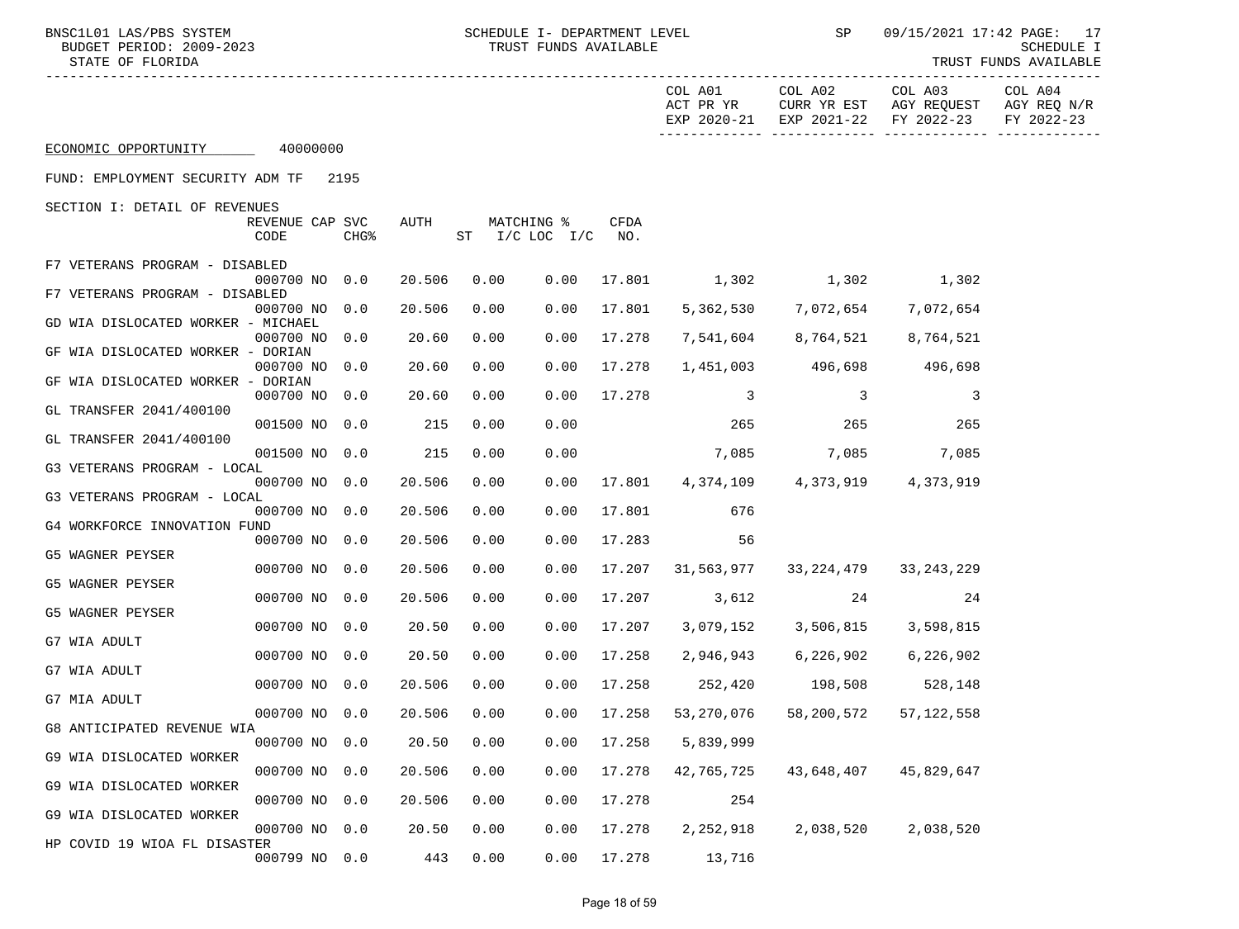BNSC1L01 LAS/PBS SYSTEM SCHEDULE I- DEPARTMENT LEVEL SP 09/15/2021 17:42 PAGE: 17<br>BUDGET PERIOD: 2009-2023 TRUST FUNDS AVAILABLE

-----------------------------------------------------------------------------------------------------------------------------------

STATE OF FLORIDA TRUST FUNDS AVAILABLE

|                                    |                         |                  |        |      |                               |                    | COL A01<br>ACT PR YR<br>EXP 2020-21 | COL A02<br>CURR YR EST<br>EXP 2021-22 | COL A03<br>AGY REQUEST<br>FY 2022-23 | COL A04<br>AGY REQ N/R<br>FY 2022-23 |
|------------------------------------|-------------------------|------------------|--------|------|-------------------------------|--------------------|-------------------------------------|---------------------------------------|--------------------------------------|--------------------------------------|
| ECONOMIC OPPORTUNITY               | 40000000                |                  |        |      |                               |                    |                                     |                                       |                                      |                                      |
| FUND: EMPLOYMENT SECURITY ADM TF   |                         | 2195             |        |      |                               |                    |                                     |                                       |                                      |                                      |
| SECTION I: DETAIL OF REVENUES      | REVENUE CAP SVC<br>CODE | CHG <sup>8</sup> | AUTH   | ST   | MATCHING %<br>$I/C$ LOC $I/C$ | <b>CFDA</b><br>NO. |                                     |                                       |                                      |                                      |
| F7 VETERANS PROGRAM - DISABLED     | 000700 NO               | 0.0              | 20.506 | 0.00 | 0.00                          | 17.801             | 1,302                               | 1,302                                 | 1,302                                |                                      |
| F7 VETERANS PROGRAM - DISABLED     | 000700 NO               | 0.0              | 20.506 | 0.00 | 0.00                          | 17.801             | 5,362,530                           | 7,072,654                             | 7,072,654                            |                                      |
| GD WIA DISLOCATED WORKER - MICHAEL | 000700 NO               | 0.0              | 20.60  | 0.00 | 0.00                          | 17.278             | 7,541,604                           | 8,764,521                             | 8,764,521                            |                                      |
| GF WIA DISLOCATED WORKER - DORIAN  |                         |                  |        |      |                               |                    |                                     |                                       |                                      |                                      |
| GF WIA DISLOCATED WORKER - DORIAN  | 000700 NO               | 0.0              | 20.60  | 0.00 | 0.00                          | 17.278             | 1,451,003                           | 496,698                               | 496,698                              |                                      |
| GL TRANSFER 2041/400100            | 000700 NO               | 0.0              | 20.60  | 0.00 | 0.00                          | 17.278             | 3                                   | 3                                     | 3                                    |                                      |
| GL TRANSFER 2041/400100            | 001500 NO               | 0.0              | 215    | 0.00 | 0.00                          |                    | 265                                 | 265                                   | 265                                  |                                      |
|                                    | 001500 NO               | 0.0              | 215    | 0.00 | 0.00                          |                    | 7,085                               | 7,085                                 | 7,085                                |                                      |
| G3 VETERANS PROGRAM - LOCAL        | 000700 NO               | 0.0              | 20.506 | 0.00 | 0.00                          | 17.801             | 4,374,109                           | 4,373,919                             | 4,373,919                            |                                      |
| G3 VETERANS PROGRAM - LOCAL        | 000700 NO               | 0.0              | 20.506 | 0.00 | 0.00                          | 17.801             | 676                                 |                                       |                                      |                                      |
| G4 WORKFORCE INNOVATION FUND       | 000700 NO               | 0.0              | 20.506 | 0.00 | 0.00                          | 17.283             | 56                                  |                                       |                                      |                                      |
| G5 WAGNER PEYSER                   |                         |                  |        |      |                               |                    |                                     |                                       |                                      |                                      |
| G5 WAGNER PEYSER                   | 000700 NO               | 0.0              | 20.506 | 0.00 | 0.00                          | 17.207             | 31,563,977                          | 33, 224, 479                          | 33, 243, 229                         |                                      |
| G5 WAGNER PEYSER                   | 000700 NO               | 0.0              | 20.506 | 0.00 | 0.00                          | 17.207             | 3,612                               | 24                                    | 24                                   |                                      |
|                                    | 000700 NO               | 0.0              | 20.50  | 0.00 | 0.00                          | 17.207             | 3,079,152                           | 3,506,815                             | 3,598,815                            |                                      |
| G7 WIA ADULT                       | 000700 NO               | 0.0              | 20.50  | 0.00 | 0.00                          | 17.258             | 2,946,943                           | 6,226,902                             | 6,226,902                            |                                      |
| G7 WIA ADULT                       | 000700 NO               | 0.0              | 20.506 | 0.00 | 0.00                          | 17.258             | 252,420                             | 198,508                               | 528,148                              |                                      |
| G7 MIA ADULT                       | 000700 NO               | 0.0              | 20.506 | 0.00 | 0.00                          | 17.258             | 53,270,076                          | 58,200,572                            | 57, 122, 558                         |                                      |
| G8 ANTICIPATED REVENUE WIA         |                         |                  |        |      |                               |                    |                                     |                                       |                                      |                                      |
| G9 WIA DISLOCATED WORKER           | 000700 NO               | 0.0              | 20.50  | 0.00 | 0.00                          | 17.258             | 5,839,999                           |                                       |                                      |                                      |
| G9 WIA DISLOCATED WORKER           | 000700 NO               | 0.0              | 20.506 | 0.00 | 0.00                          | 17.278             | 42,765,725                          | 43,648,407                            | 45,829,647                           |                                      |
|                                    | 000700 NO               | 0.0              | 20.506 | 0.00 | 0.00                          | 17.278             | 254                                 |                                       |                                      |                                      |
| G9 WIA DISLOCATED WORKER           | 000700 NO               | 0.0              | 20.50  | 0.00 | 0.00                          | 17.278             | 2, 252, 918                         | 2,038,520                             | 2,038,520                            |                                      |
| HP COVID 19 WIOA FL DISASTER       | 000799 NO 0.0           |                  | 443    | 0.00 | 0.00                          | 17.278             | 13,716                              |                                       |                                      |                                      |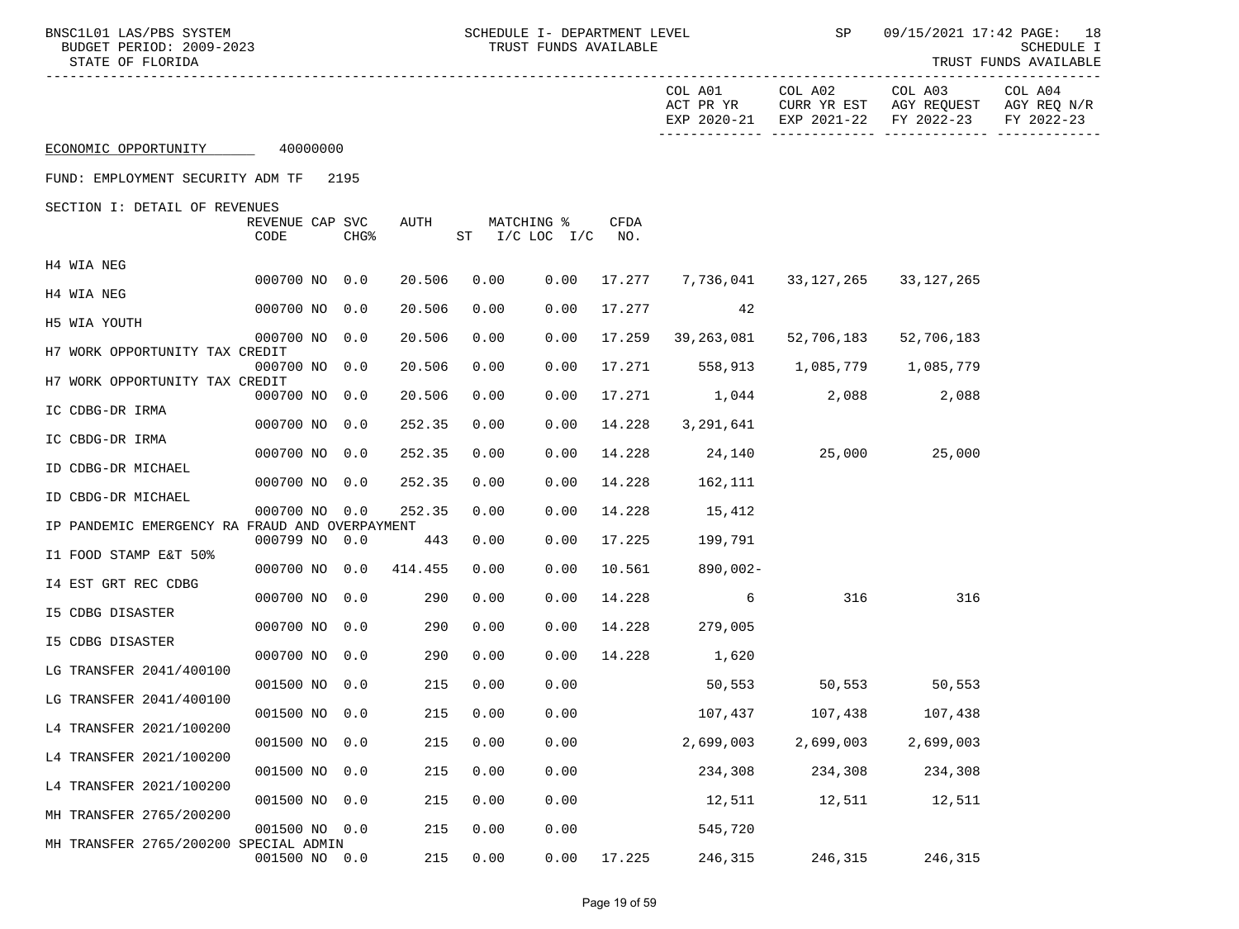|                                                |                 |                  |         |          |                    |        | COL A01<br>ACT PR YR               | COL A02                         | COL A03<br>CURR YR EST AGY REQUEST AGY REQ N/R<br>EXP 2020-21 EXP 2021-22 FY 2022-23 | COL A04<br>FY 2022-23 |
|------------------------------------------------|-----------------|------------------|---------|----------|--------------------|--------|------------------------------------|---------------------------------|--------------------------------------------------------------------------------------|-----------------------|
| ECONOMIC OPPORTUNITY 40000000                  |                 |                  |         |          |                    |        |                                    |                                 |                                                                                      |                       |
| FUND: EMPLOYMENT SECURITY ADM TF               |                 | 2195             |         |          |                    |        |                                    |                                 |                                                                                      |                       |
| SECTION I: DETAIL OF REVENUES                  |                 |                  |         |          |                    |        |                                    |                                 |                                                                                      |                       |
|                                                | REVENUE CAP SVC |                  | AUTH    |          | MATCHING %         | CFDA   |                                    |                                 |                                                                                      |                       |
|                                                | CODE            | CHG <sup>8</sup> |         |          | ST $I/C$ LOC $I/C$ | NO.    |                                    |                                 |                                                                                      |                       |
| H4 WIA NEG                                     |                 |                  |         |          |                    |        |                                    |                                 |                                                                                      |                       |
|                                                | 000700 NO 0.0   |                  | 20.506  | 0.00     | 0.00               | 17.277 |                                    | 7,736,041 33,127,265 33,127,265 |                                                                                      |                       |
| H4 WIA NEG                                     |                 |                  |         |          |                    |        |                                    |                                 |                                                                                      |                       |
|                                                | 000700 NO 0.0   |                  | 20.506  | 0.00     | 0.00               | 17.277 | 42                                 |                                 |                                                                                      |                       |
| H5 WIA YOUTH                                   |                 |                  |         |          |                    |        |                                    |                                 |                                                                                      |                       |
| H7 WORK OPPORTUNITY TAX CREDIT                 | 000700 NO 0.0   |                  | 20.506  | 0.00     | 0.00               | 17.259 | 39,263,081                         | 52,706,183                      | 52,706,183                                                                           |                       |
|                                                | 000700 NO 0.0   |                  | 20.506  | 0.00     | 0.00               |        | 17.271 558,913 1,085,779 1,085,779 |                                 |                                                                                      |                       |
| H7 WORK OPPORTUNITY TAX CREDIT                 |                 |                  |         |          |                    |        |                                    |                                 |                                                                                      |                       |
|                                                | 000700 NO 0.0   |                  | 20.506  | 0.00     | 0.00               |        | 17.271 1,044 2,088                 |                                 | 2,088                                                                                |                       |
| IC CDBG-DR IRMA                                |                 |                  |         |          |                    |        |                                    |                                 |                                                                                      |                       |
| IC CBDG-DR IRMA                                | 000700 NO 0.0   |                  | 252.35  | 0.00     | 0.00               | 14.228 | 3,291,641                          |                                 |                                                                                      |                       |
|                                                | 000700 NO 0.0   |                  | 252.35  | 0.00     | 0.00               | 14.228 |                                    | 24,140 25,000 25,000            |                                                                                      |                       |
| ID CDBG-DR MICHAEL                             |                 |                  |         |          |                    |        |                                    |                                 |                                                                                      |                       |
|                                                | 000700 NO 0.0   |                  | 252.35  | 0.00     | 0.00               | 14.228 | 162,111                            |                                 |                                                                                      |                       |
| ID CBDG-DR MICHAEL                             |                 |                  |         |          |                    |        |                                    |                                 |                                                                                      |                       |
|                                                | 000700 NO 0.0   |                  | 252.35  | 0.00     | 0.00               | 14.228 | 15,412                             |                                 |                                                                                      |                       |
| IP PANDEMIC EMERGENCY RA FRAUD AND OVERPAYMENT | 000799 NO 0.0   |                  | 443     | 0.00     | 0.00               | 17.225 | 199,791                            |                                 |                                                                                      |                       |
| I1 FOOD STAMP E&T 50%                          |                 |                  |         |          |                    |        |                                    |                                 |                                                                                      |                       |
|                                                | 000700 NO 0.0   |                  | 414.455 | 0.00     | 0.00               | 10.561 | 890,002-                           |                                 |                                                                                      |                       |
| 14 EST GRT REC CDBG                            |                 |                  |         |          |                    |        |                                    |                                 |                                                                                      |                       |
|                                                | 000700 NO 0.0   |                  | 290     | 0.00     | 0.00               | 14.228 | $\overline{6}$                     | 316                             | 316                                                                                  |                       |
| I5 CDBG DISASTER                               | 000700 NO 0.0   |                  | 290     | 0.00     | 0.00               |        | 14.228 279,005                     |                                 |                                                                                      |                       |
| <b>I5 CDBG DISASTER</b>                        |                 |                  |         |          |                    |        |                                    |                                 |                                                                                      |                       |
|                                                | 000700 NO 0.0   |                  | 290     | 0.00     | 0.00               | 14.228 | 1,620                              |                                 |                                                                                      |                       |
| LG TRANSFER 2041/400100                        |                 |                  |         |          |                    |        |                                    |                                 |                                                                                      |                       |
| LG TRANSFER 2041/400100                        | 001500 NO 0.0   |                  | 215     | 0.00     | 0.00               |        | $50,553$ 50,553 50,553             |                                 |                                                                                      |                       |
|                                                | 001500 NO 0.0   |                  | 215     | 0.00     | 0.00               |        | 107,437 107,438 107,438            |                                 |                                                                                      |                       |
| L4 TRANSFER 2021/100200                        |                 |                  |         |          |                    |        |                                    |                                 |                                                                                      |                       |
|                                                | 001500 NO 0.0   |                  |         | 215 0.00 | 0.00               |        | 2,699,003                          | 2,699,003                       | 2,699,003                                                                            |                       |
| L4 TRANSFER 2021/100200                        |                 |                  |         |          |                    |        |                                    |                                 |                                                                                      |                       |
|                                                | 001500 NO 0.0   |                  | 215     | 0.00     | 0.00               |        | 234,308                            | 234,308                         | 234,308                                                                              |                       |
| L4 TRANSFER 2021/100200                        | 001500 NO 0.0   |                  | 215     | 0.00     | 0.00               |        | 12,511                             | 12,511                          | 12,511                                                                               |                       |
| MH TRANSFER 2765/200200                        |                 |                  |         |          |                    |        |                                    |                                 |                                                                                      |                       |
|                                                | 001500 NO 0.0   |                  | 215     | 0.00     | 0.00               |        | 545,720                            |                                 |                                                                                      |                       |
| MH TRANSFER 2765/200200 SPECIAL ADMIN          |                 |                  |         |          |                    |        |                                    |                                 |                                                                                      |                       |
|                                                | 001500 NO 0.0   |                  | 215     | 0.00     | 0.00               | 17.225 | 246,315                            | 246,315                         | 246,315                                                                              |                       |

BNSC1L01 LAS/PBS SYSTEM SCHEDULE I- DEPARTMENT LEVEL SP 09/15/2021 17:42 PAGE: 18<br>BUDGET PERIOD: 2009-2023 TRUST FUNDS AVAILABLE

TRUST FUNDS AVAILABLE

BUDGET PERIOD: 2009-2023<br>STATE OF FLORIDA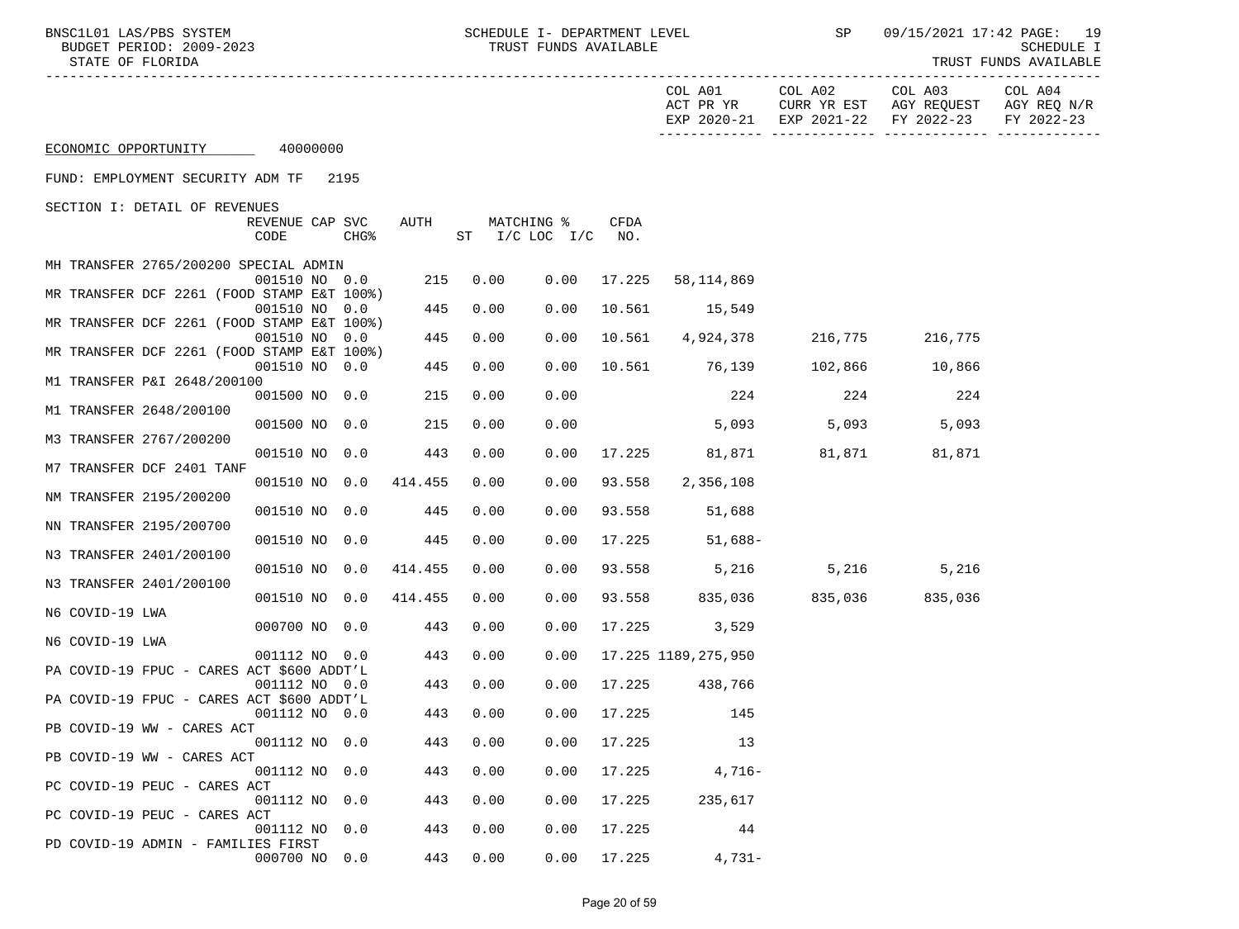BNSC1L01 LAS/PBS SYSTEM SCHEDULE I- DEPARTMENT LEVEL SP 09/15/2021 17:42 PAGE: 19<br>BUDGET PERIOD: 2009-2023 TRUST FUNDS AVAILABLE

 ----------------------------------------------------------------------------------------------------------------------------------- COL A01 COL A02 COL A03 COL A04

STATE OF FLORIDA TRUST FUNDS AVAILABLE

|                                                                                                                        |             | ACT PR YR<br>EXP 2020-21 | EXP 2021-22     | CURR YR EST AGY REQUEST AGY REQ N/R<br>FY 2022-23 | FY 2022-23 |
|------------------------------------------------------------------------------------------------------------------------|-------------|--------------------------|-----------------|---------------------------------------------------|------------|
| 40000000<br>ECONOMIC OPPORTUNITY                                                                                       |             |                          |                 |                                                   |            |
| FUND: EMPLOYMENT SECURITY ADM TF 2195                                                                                  |             |                          |                 |                                                   |            |
| SECTION I: DETAIL OF REVENUES<br>REVENUE CAP SVC<br>AUTH<br>MATCHING %<br>ST<br>CODE<br><b>CHG%</b><br>$I/C$ LOC $I/C$ | CFDA<br>NO. |                          |                 |                                                   |            |
| MH TRANSFER 2765/200200 SPECIAL ADMIN                                                                                  |             |                          |                 |                                                   |            |
| 215<br>0.00<br>0.00<br>001510 NO 0.0                                                                                   | 17.225      | 58,114,869               |                 |                                                   |            |
| MR TRANSFER DCF 2261 (FOOD STAMP E&T 100%)<br>001510 NO 0.0<br>445<br>0.00<br>0.00                                     | 10.561      | 15,549                   |                 |                                                   |            |
| MR TRANSFER DCF 2261 (FOOD STAMP E&T 100%)                                                                             |             |                          |                 |                                                   |            |
| 001510 NO 0.0<br>445<br>0.00<br>0.00<br>MR TRANSFER DCF 2261 (FOOD STAMP E&T 100%)                                     |             | 10.561 4,924,378         |                 | 216,775 216,775                                   |            |
| 001510 NO<br>0.00<br>0.0<br>445<br>0.00                                                                                |             | 10.561 76,139            | 102,866         | 10,866                                            |            |
| M1 TRANSFER P&I 2648/200100                                                                                            |             |                          |                 |                                                   |            |
| 0.00<br>001500 NO 0.0<br>215<br>0.00<br>M1 TRANSFER 2648/200100                                                        |             | 224                      | 224             | 224                                               |            |
| 001500 NO 0.0<br>215<br>0.00<br>0.00                                                                                   |             | 5,093                    | 5,093           | 5,093                                             |            |
| M3 TRANSFER 2767/200200                                                                                                |             |                          |                 |                                                   |            |
| 001510 NO 0.0<br>0.00<br>443<br>0.00<br>M7 TRANSFER DCF 2401 TANF                                                      | 17.225      | 81,871                   | 81,871 81,871   |                                                   |            |
| 001510 NO 0.0<br>414.455<br>0.00<br>0.00                                                                               | 93.558      | 2,356,108                |                 |                                                   |            |
| NM TRANSFER 2195/200200                                                                                                |             |                          |                 |                                                   |            |
| 001510 NO 0.0<br>445<br>0.00<br>0.00<br>NN TRANSFER 2195/200700                                                        | 93.558      | 51,688                   |                 |                                                   |            |
| 001510 NO 0.0<br>445<br>0.00<br>0.00                                                                                   | 17.225      | 51,688-                  |                 |                                                   |            |
| N3 TRANSFER 2401/200100                                                                                                |             |                          |                 |                                                   |            |
| 001510 NO 0.0<br>414.455<br>0.00<br>0.00<br>N3 TRANSFER 2401/200100                                                    | 93.558      | 5,216                    | 5,216 5,216     |                                                   |            |
| 001510 NO 0.0<br>414.455<br>0.00<br>0.00                                                                               | 93.558      | 835,036                  | 835,036 835,036 |                                                   |            |
| N6 COVID-19 LWA                                                                                                        |             |                          |                 |                                                   |            |
| 000700 NO 0.0<br>0.00<br>0.00<br>443<br>N6 COVID-19 LWA                                                                | 17.225      | 3,529                    |                 |                                                   |            |
| 443<br>0.00<br>0.00<br>001112 NO 0.0                                                                                   |             | 17.225 1189,275,950      |                 |                                                   |            |
| PA COVID-19 FPUC - CARES ACT \$600 ADDT'L                                                                              |             |                          |                 |                                                   |            |
| 001112 NO 0.0<br>443<br>0.00<br>0.00<br>PA COVID-19 FPUC - CARES ACT \$600 ADDT'L                                      |             | 17.225 438,766           |                 |                                                   |            |
| 001112 NO 0.0<br>0.00<br>0.00<br>443                                                                                   | 17.225      | 145                      |                 |                                                   |            |
| PB COVID-19 WW - CARES ACT                                                                                             |             |                          |                 |                                                   |            |
| 001112 NO 0.0<br>443<br>0.00<br>0.00<br>PB COVID-19 WW - CARES ACT                                                     | 17.225      | 13                       |                 |                                                   |            |
| 001112 NO 0.0<br>443<br>0.00<br>0.00                                                                                   | 17.225      | $4,716-$                 |                 |                                                   |            |
| PC COVID-19 PEUC - CARES ACT                                                                                           |             |                          |                 |                                                   |            |
| 0.00<br>0.00<br>001112 NO 0.0<br>443<br>PC COVID-19 PEUC - CARES ACT                                                   | 17.225      | 235,617                  |                 |                                                   |            |
| 443<br>0.00<br>0.00<br>001112 NO 0.0                                                                                   | 17.225      | 44                       |                 |                                                   |            |
| PD COVID-19 ADMIN - FAMILIES FIRST<br>000700 NO 0.0<br>443<br>0.00<br>0.00                                             | 17.225      | $4,731-$                 |                 |                                                   |            |
|                                                                                                                        |             |                          |                 |                                                   |            |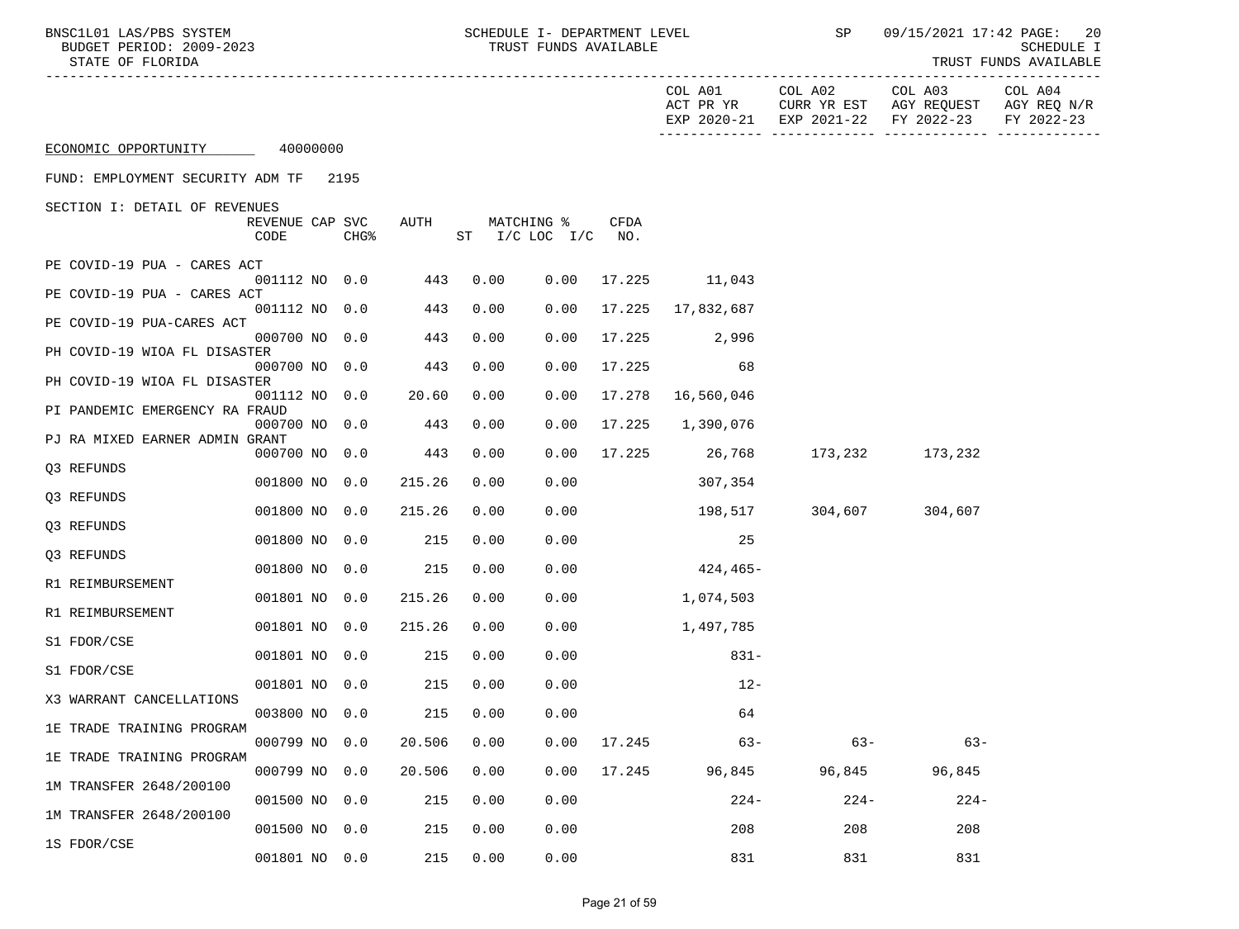BNSC1L01 LAS/PBS SYSTEM SCHEDULE I- DEPARTMENT LEVEL SP 09/15/2021 17:42 PAGE: 20<br>BUDGET PERIOD: 2009-2023 TRUST FUNDS AVAILABLE

-----------------------------------------------------------------------------------------------------------------------------------

STATE OF FLORIDA TRUST FUNDS AVAILABLE

|                                  |                            |      |                          |            |              |                               |                    | COL A01<br>ACT PR YR<br>EXP 2020-21 | COL A02<br>CURR YR EST<br>EXP 2021-22 | COL A03<br>AGY REQUEST<br>FY 2022-23 | COL A04<br>AGY REQ N/R<br>FY 2022-23 |
|----------------------------------|----------------------------|------|--------------------------|------------|--------------|-------------------------------|--------------------|-------------------------------------|---------------------------------------|--------------------------------------|--------------------------------------|
| ECONOMIC OPPORTUNITY             | 40000000                   |      |                          |            |              |                               |                    |                                     |                                       |                                      |                                      |
| FUND: EMPLOYMENT SECURITY ADM TF |                            | 2195 |                          |            |              |                               |                    |                                     |                                       |                                      |                                      |
| SECTION I: DETAIL OF REVENUES    | REVENUE CAP SVC<br>CODE    |      | AUTH<br>CHG <sup>8</sup> |            | ST           | MATCHING %<br>$I/C$ LOC $I/C$ | <b>CFDA</b><br>NO. |                                     |                                       |                                      |                                      |
| PE COVID-19 PUA - CARES ACT      | 001112 NO 0.0              |      |                          | 443        | 0.00         | 0.00                          | 17.225             | 11,043                              |                                       |                                      |                                      |
| PE COVID-19 PUA - CARES ACT      | 001112 NO 0.0              |      |                          | 443        | 0.00         | 0.00                          | 17.225             | 17,832,687                          |                                       |                                      |                                      |
| PE COVID-19 PUA-CARES ACT        | 000700 NO                  |      | 0.0                      | 443        | 0.00         | 0.00                          | 17.225             | 2,996                               |                                       |                                      |                                      |
| PH COVID-19 WIOA FL DISASTER     | 000700 NO 0.0              |      |                          | 443        | 0.00         | 0.00                          | 17.225             | 68                                  |                                       |                                      |                                      |
| PH COVID-19 WIOA FL DISASTER     | 001112 NO                  |      | 0.0                      | 20.60      | 0.00         | 0.00                          | 17.278             | 16,560,046                          |                                       |                                      |                                      |
| PI PANDEMIC EMERGENCY RA FRAUD   | 000700 NO 0.0              |      |                          | 443        | 0.00         | 0.00                          | 17.225             | 1,390,076                           |                                       |                                      |                                      |
| PJ RA MIXED EARNER ADMIN GRANT   | 000700 NO 0.0              |      |                          | 443        | 0.00         | 0.00                          | 17.225             | 26,768                              | 173,232                               | 173,232                              |                                      |
| Q3 REFUNDS                       | 001800 NO                  |      | 0.0                      | 215.26     | 0.00         | 0.00                          |                    | 307,354                             |                                       |                                      |                                      |
| Q3 REFUNDS                       | 001800 NO                  |      | 0.0                      | 215.26     | 0.00         | 0.00                          |                    | 198,517                             | 304,607                               | 304,607                              |                                      |
| Q3 REFUNDS                       | 001800 NO                  |      | 0.0                      | 215        | 0.00         | 0.00                          |                    | 25                                  |                                       |                                      |                                      |
| Q3 REFUNDS                       | 001800 NO                  |      | 0.0                      | 215        | 0.00         | 0.00                          |                    | 424,465-                            |                                       |                                      |                                      |
| R1 REIMBURSEMENT                 | 001801 NO                  |      | 0.0                      | 215.26     | 0.00         | 0.00                          |                    | 1,074,503                           |                                       |                                      |                                      |
| R1 REIMBURSEMENT                 | 001801 NO                  |      | 0.0                      | 215.26     | 0.00         | 0.00                          |                    | 1,497,785                           |                                       |                                      |                                      |
| S1 FDOR/CSE                      | 001801 NO                  |      | 0.0                      | 215        | 0.00         | 0.00                          |                    | $831 -$                             |                                       |                                      |                                      |
| S1 FDOR/CSE                      |                            |      |                          |            |              |                               |                    |                                     |                                       |                                      |                                      |
| X3 WARRANT CANCELLATIONS         | 001801 NO<br>003800 NO 0.0 |      | 0.0                      | 215<br>215 | 0.00<br>0.00 | 0.00                          |                    | $12 -$<br>64                        |                                       |                                      |                                      |
| 1E TRADE TRAINING PROGRAM        |                            |      |                          |            |              | 0.00                          |                    |                                     |                                       |                                      |                                      |
| 1E TRADE TRAINING PROGRAM        | 000799 NO 0.0              |      |                          | 20.506     | 0.00         | 0.00                          | 17.245             | $63 -$                              | $63 -$                                | $63 -$                               |                                      |
| 1M TRANSFER 2648/200100          | 000799 NO                  |      | 0.0                      | 20.506     | 0.00         | 0.00                          | 17.245             | 96,845                              | 96,845                                | 96,845                               |                                      |
| 1M TRANSFER 2648/200100          | 001500 NO                  |      | 0.0                      | 215        | 0.00         | 0.00                          |                    | $224-$                              | $224-$                                | $224-$                               |                                      |
| 1S FDOR/CSE                      | 001500 NO 0.0<br>001801 NO |      | 0.0                      | 215<br>215 | 0.00<br>0.00 | 0.00<br>0.00                  |                    | 208<br>831                          | 208<br>831                            | 208<br>831                           |                                      |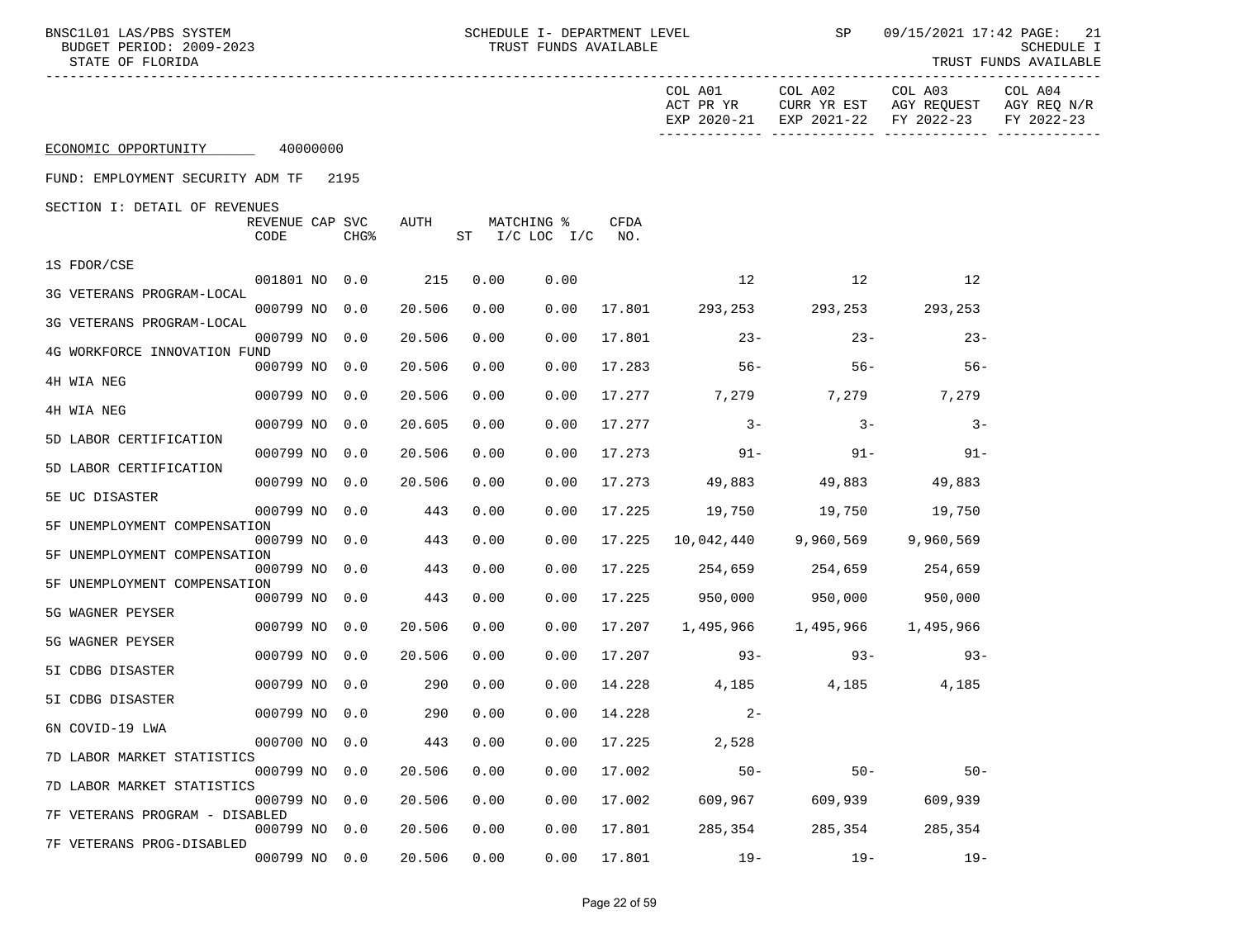| BUDGET PERIOD: 2009-2023<br>STATE OF FLORIDA | TRUST FUNDS AVAILABLE<br>SCHEDULE I<br>TRUST FUNDS AVAILABLE |  |                  |        |      |                                  |        |                                      |                                |                                                                          |                                      |  |  |
|----------------------------------------------|--------------------------------------------------------------|--|------------------|--------|------|----------------------------------|--------|--------------------------------------|--------------------------------|--------------------------------------------------------------------------|--------------------------------------|--|--|
|                                              |                                                              |  |                  |        |      |                                  |        | COL A01<br>ACT PR YR                 | COL A02                        | COL A03<br>CURR YR EST AGY REQUEST<br>EXP 2020-21 EXP 2021-22 FY 2022-23 | COL A04<br>AGY REQ N/R<br>FY 2022-23 |  |  |
| ECONOMIC OPPORTUNITY 40000000                |                                                              |  |                  |        |      |                                  |        |                                      |                                |                                                                          |                                      |  |  |
| FUND: EMPLOYMENT SECURITY ADM TF 2195        |                                                              |  |                  |        |      |                                  |        |                                      |                                |                                                                          |                                      |  |  |
| SECTION I: DETAIL OF REVENUES                | REVENUE CAP SVC<br>CODE                                      |  | CHG <sup>8</sup> | AUTH   |      | MATCHING %<br>ST I/C LOC I/C NO. | CFDA   |                                      |                                |                                                                          |                                      |  |  |
| 1S FDOR/CSE                                  | 001801 NO 0.0                                                |  |                  | 215    | 0.00 |                                  |        | 12                                   |                                | 12                                                                       |                                      |  |  |
| 3G VETERANS PROGRAM-LOCAL                    | 000799 NO 0.0                                                |  |                  |        |      | 0.00                             |        |                                      | 12                             |                                                                          |                                      |  |  |
| 3G VETERANS PROGRAM-LOCAL                    |                                                              |  |                  | 20.506 | 0.00 | 0.00                             |        | 17.801 293,253 293,253               |                                | 293,253                                                                  |                                      |  |  |
| 4G WORKFORCE INNOVATION FUND                 | 000799 NO 0.0                                                |  |                  | 20.506 | 0.00 | 0.00                             | 17.801 | $23-$                                | $23 -$                         | $23 -$                                                                   |                                      |  |  |
| 4H WIA NEG                                   | 000799 NO 0.0                                                |  |                  | 20.506 | 0.00 | 0.00                             | 17.283 | 56-                                  | $56 -$                         | $56 -$                                                                   |                                      |  |  |
| 4H WIA NEG                                   | 000799 NO 0.0                                                |  |                  | 20.506 | 0.00 | 0.00                             |        | 17.277 7,279 7,279 7,279             |                                |                                                                          |                                      |  |  |
| 5D LABOR CERTIFICATION                       | 000799 NO 0.0                                                |  |                  | 20.605 | 0.00 | 0.00                             | 17.277 | $3 -$                                | $3 -$                          | $3 -$                                                                    |                                      |  |  |
| 5D LABOR CERTIFICATION                       | 000799 NO 0.0                                                |  |                  | 20.506 | 0.00 | 0.00                             | 17.273 | $91 -$                               | $91 -$                         | $91 -$                                                                   |                                      |  |  |
| 5E UC DISASTER                               | 000799 NO 0.0                                                |  |                  | 20.506 | 0.00 | 0.00                             | 17.273 | 49,883 49,883 49,883                 |                                |                                                                          |                                      |  |  |
| 5F UNEMPLOYMENT COMPENSATION                 | 000799 NO 0.0                                                |  |                  | 443    | 0.00 | 0.00                             | 17.225 |                                      | 19,750 19,750 19,750           |                                                                          |                                      |  |  |
| 5F UNEMPLOYMENT COMPENSATION                 | 000799 NO 0.0                                                |  |                  | 443    | 0.00 | 0.00                             | 17.225 |                                      | 10,042,440 9,960,569 9,960,569 |                                                                          |                                      |  |  |
| 5F UNEMPLOYMENT COMPENSATION                 | 000799 NO 0.0                                                |  |                  | 443    | 0.00 | 0.00                             | 17.225 |                                      | 254,659 254,659 254,659        |                                                                          |                                      |  |  |
| 5G WAGNER PEYSER                             | 000799 NO 0.0                                                |  |                  | 443    | 0.00 | 0.00                             | 17.225 | 950,000                              | 950,000 950,000                |                                                                          |                                      |  |  |
| 5G WAGNER PEYSER                             | 000799 NO 0.0                                                |  |                  | 20.506 | 0.00 | 0.00                             |        | 17.207 1,495,966 1,495,966 1,495,966 |                                |                                                                          |                                      |  |  |
| 5I CDBG DISASTER                             | 000799 NO 0.0                                                |  |                  | 20.506 | 0.00 | 0.00                             |        | $17.207$ 93-93-93-                   |                                | $93-$                                                                    |                                      |  |  |
| 5I CDBG DISASTER                             | 000799 NO 0.0                                                |  |                  | 290    | 0.00 | 0.00                             | 14.228 |                                      | 4,185                          | 4,185<br>4,185                                                           |                                      |  |  |
| 6N COVID-19 LWA                              | 000799 NO 0.0                                                |  |                  |        |      | 290  0.00  0.00  14.228          |        | $2 -$                                |                                |                                                                          |                                      |  |  |
| 7D LABOR MARKET STATISTICS                   | 000700 NO 0.0                                                |  |                  | 443    | 0.00 | 0.00                             | 17.225 | 2,528                                |                                |                                                                          |                                      |  |  |
| 7D LABOR MARKET STATISTICS                   | 000799 NO 0.0                                                |  |                  | 20.506 | 0.00 | 0.00                             | 17.002 | $50 -$                               | $50 -$                         | $50 -$                                                                   |                                      |  |  |
| 7F VETERANS PROGRAM - DISABLED               | 000799 NO 0.0                                                |  |                  | 20.506 | 0.00 | 0.00                             | 17.002 | 609,967                              | 609,939                        | 609,939                                                                  |                                      |  |  |
| 7F VETERANS PROG-DISABLED                    | 000799 NO 0.0                                                |  |                  | 20.506 | 0.00 | 0.00                             | 17.801 | 285,354                              | 285,354                        | 285,354                                                                  |                                      |  |  |
|                                              | 000799 NO 0.0                                                |  |                  | 20.506 | 0.00 | 0.00                             | 17.801 | $19 -$                               | $19 -$                         | $19 -$                                                                   |                                      |  |  |

BNSC1L01 LAS/PBS SYSTEM SCHEDULE I- DEPARTMENT LEVEL SP 09/15/2021 17:42 PAGE: 21<br>BUDGET PERIOD: 2009-2023 TRUST FUNDS AVAILABLE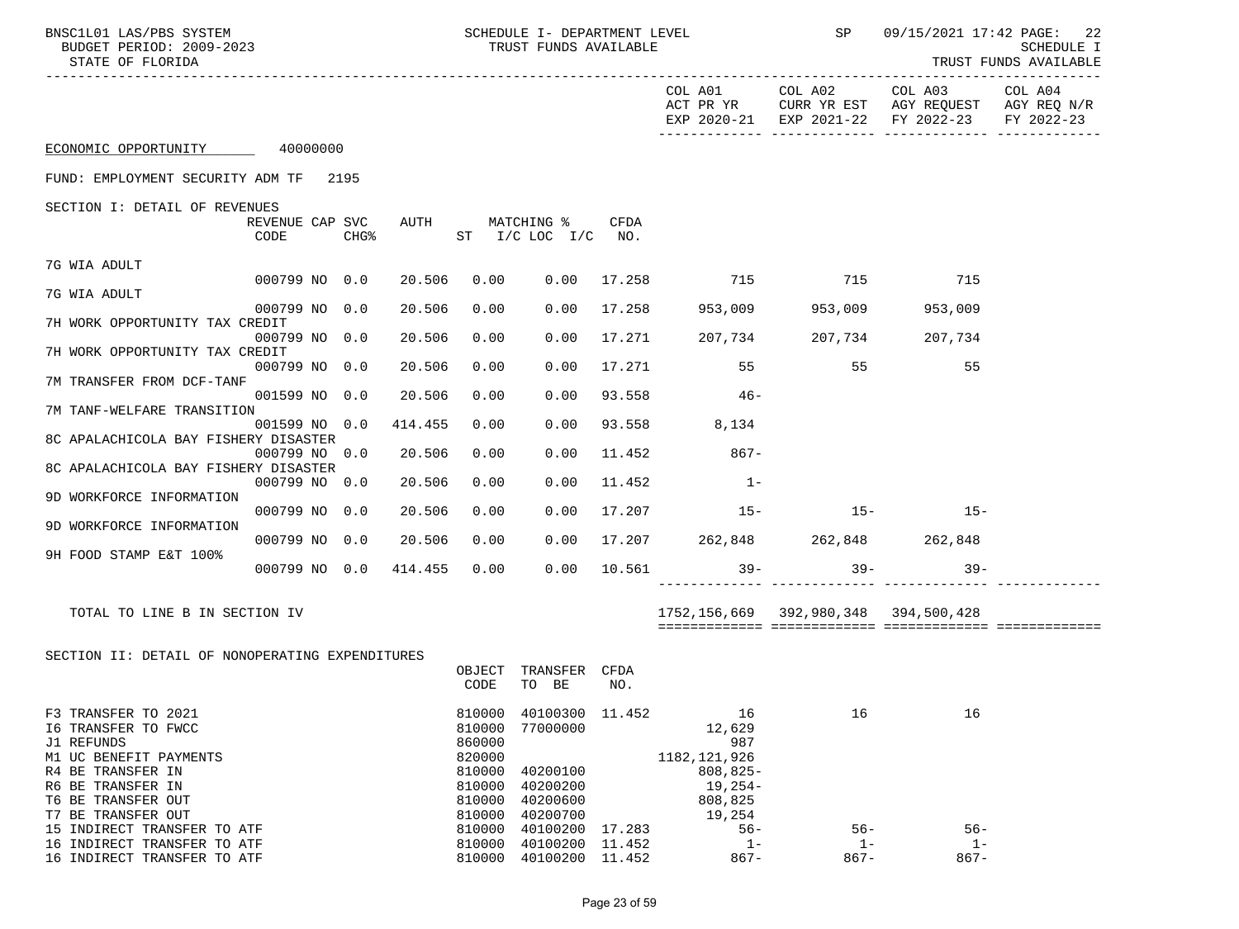| BNSC1L01 LAS/PBS SYSTEM<br>BUDGET PERIOD: 2009-2023<br>STATE OF FLORIDA                                                                            |                         |        | SCHEDULE I- DEPARTMENT LEVEL<br>TRUST FUNDS AVAILABLE |                                                                    |                                                                 | SP     | 09/15/2021 17:42 PAGE: 22<br><b>SCHEDULE I</b><br>TRUST FUNDS AVAILABLE     |                 |                                                                                                |                       |
|----------------------------------------------------------------------------------------------------------------------------------------------------|-------------------------|--------|-------------------------------------------------------|--------------------------------------------------------------------|-----------------------------------------------------------------|--------|-----------------------------------------------------------------------------|-----------------|------------------------------------------------------------------------------------------------|-----------------------|
|                                                                                                                                                    |                         |        |                                                       |                                                                    |                                                                 |        |                                                                             | COL A01 COL A02 | COL A03<br>ACT PR YR CURR YR EST AGY REQUEST AGY REQ N/R<br>EXP 2020-21 EXP 2021-22 FY 2022-23 | COL A04<br>FY 2022-23 |
| ECONOMIC OPPORTUNITY 40000000                                                                                                                      |                         |        |                                                       |                                                                    |                                                                 |        |                                                                             |                 |                                                                                                |                       |
| FUND: EMPLOYMENT SECURITY ADM TF 2195                                                                                                              |                         |        |                                                       |                                                                    |                                                                 |        |                                                                             |                 |                                                                                                |                       |
| SECTION I: DETAIL OF REVENUES                                                                                                                      |                         |        |                                                       |                                                                    |                                                                 |        |                                                                             |                 |                                                                                                |                       |
|                                                                                                                                                    | REVENUE CAP SVC<br>CODE | $CHG\$ | AUTH                                                  |                                                                    | MATCHING %<br>$ST$ $I/C$ $LOC$ $I/C$ $NO$ .                     | CFDA   |                                                                             |                 |                                                                                                |                       |
| 7G WIA ADULT                                                                                                                                       |                         |        |                                                       |                                                                    |                                                                 |        |                                                                             |                 |                                                                                                |                       |
| 7G WIA ADULT                                                                                                                                       | 000799 NO 0.0           |        | 20.506                                                | 0.00                                                               | 0.00                                                            | 17.258 | 715                                                                         | 715             | 715                                                                                            |                       |
| 7H WORK OPPORTUNITY TAX CREDIT                                                                                                                     | 000799 NO 0.0           |        | 20.506                                                | 0.00                                                               | 0.00                                                            |        | 17.258 953,009                                                              | 953,009         | 953,009                                                                                        |                       |
|                                                                                                                                                    | 000799 NO 0.0           |        | 20.506                                                | 0.00                                                               | 0.00                                                            | 17.271 | 207,734 207,734 207,734                                                     |                 |                                                                                                |                       |
| 7H WORK OPPORTUNITY TAX CREDIT                                                                                                                     | 000799 NO 0.0           |        | 20.506                                                | 0.00                                                               | 0.00                                                            | 17.271 | 55                                                                          | 55              | 55                                                                                             |                       |
| 7M TRANSFER FROM DCF-TANF                                                                                                                          |                         |        |                                                       |                                                                    |                                                                 |        |                                                                             |                 |                                                                                                |                       |
| 7M TANF-WELFARE TRANSITION                                                                                                                         | 001599 NO 0.0           |        | 20.506                                                | 0.00                                                               | 0.00                                                            | 93.558 | $46-$                                                                       |                 |                                                                                                |                       |
| 8C APALACHICOLA BAY FISHERY DISASTER                                                                                                               | 001599 NO 0.0           |        | 414.455                                               | 0.00                                                               | 0.00                                                            |        | 93.558 8,134                                                                |                 |                                                                                                |                       |
|                                                                                                                                                    | 000799 NO 0.0           |        | 20.506                                                | 0.00                                                               | 0.00                                                            | 11.452 | $867 -$                                                                     |                 |                                                                                                |                       |
| 8C APALACHICOLA BAY FISHERY DISASTER                                                                                                               | 000799 NO 0.0           |        | 20.506                                                | 0.00                                                               | 0.00                                                            | 11.452 | $1 -$                                                                       |                 |                                                                                                |                       |
| 9D WORKFORCE INFORMATION                                                                                                                           |                         |        |                                                       |                                                                    |                                                                 |        |                                                                             |                 |                                                                                                |                       |
| 9D WORKFORCE INFORMATION                                                                                                                           | 000799 NO 0.0           |        | 20.506                                                | 0.00                                                               | 0.00                                                            |        | $17.207$ $15 15 15-$                                                        |                 |                                                                                                |                       |
| 9H FOOD STAMP E&T 100%                                                                                                                             | 000799 NO 0.0           |        | 20.506                                                | 0.00                                                               | 0.00                                                            |        | 17.207 262,848 262,848 262,848                                              |                 |                                                                                                |                       |
|                                                                                                                                                    | 000799 NO 0.0 414.455   |        |                                                       | 0.00                                                               | 0.00                                                            | 10.561 | $39 -$                                                                      | $39-$           | $39 -$                                                                                         |                       |
| TOTAL TO LINE B IN SECTION IV                                                                                                                      |                         |        |                                                       |                                                                    |                                                                 |        | 1752, 156, 669 392, 980, 348 394, 500, 428                                  |                 |                                                                                                |                       |
|                                                                                                                                                    |                         |        |                                                       |                                                                    |                                                                 |        |                                                                             |                 |                                                                                                |                       |
| SECTION II: DETAIL OF NONOPERATING EXPENDITURES                                                                                                    |                         |        |                                                       |                                                                    |                                                                 |        |                                                                             |                 |                                                                                                |                       |
|                                                                                                                                                    |                         |        |                                                       | OBJECT<br>CODE                                                     | TRANSFER CFDA<br>TO BE                                          | NO.    |                                                                             |                 |                                                                                                |                       |
| F3 TRANSFER TO 2021<br>16 TRANSFER TO FWCC<br>J1 REFUNDS<br>M1 UC BENEFIT PAYMENTS<br>R4 BE TRANSFER IN<br>R6 BE TRANSFER IN<br>T6 BE TRANSFER OUT |                         |        |                                                       | 810000<br>810000<br>860000<br>820000<br>810000<br>810000<br>810000 | 40100300 11.452<br>77000000<br>40200100<br>40200200<br>40200600 |        | 16<br>12,629<br>987<br>1182, 121, 926<br>$808, 825 -$<br>19,254-<br>808,825 | 16              | 16                                                                                             |                       |
| T7 BE TRANSFER OUT                                                                                                                                 |                         |        |                                                       | 810000                                                             | 40200700                                                        |        | 19,254                                                                      |                 |                                                                                                |                       |
| 15 INDIRECT TRANSFER TO ATF<br>16 INDIRECT TRANSFER TO ATF                                                                                         |                         |        |                                                       | 810000<br>810000                                                   | 40100200 17.283<br>40100200 11.452                              |        | $56 -$<br>$1 -$                                                             | $56 -$<br>$1 -$ | $56 -$<br>$1 -$                                                                                |                       |

16 INDIRECT TRANSFER TO ATF 810000 40100200 11.452 867- 867- 867-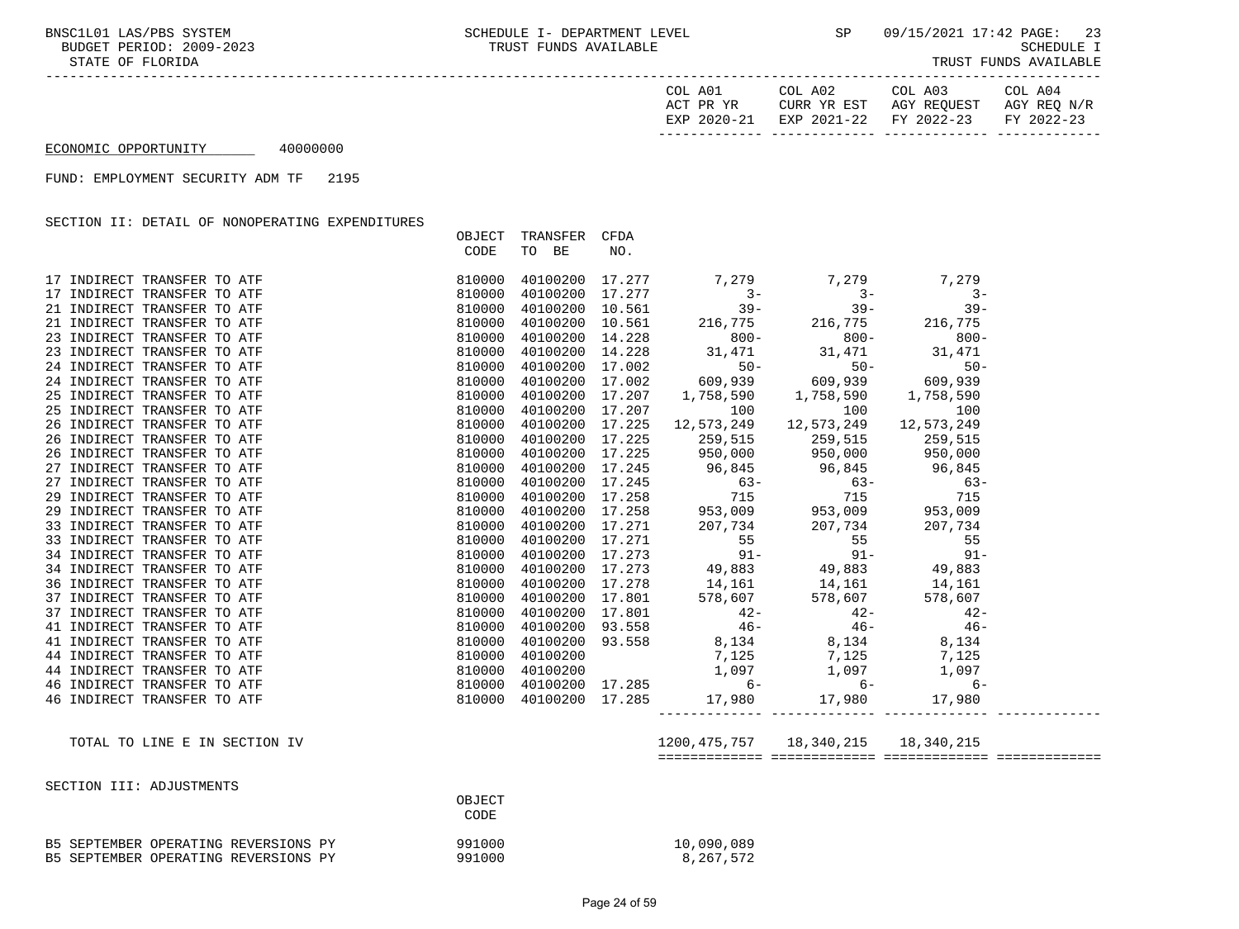BNSC1L01 LAS/PBS SYSTEM SCHEDULE I- DEPARTMENT LEVEL SP 09/15/2021 17:42 PAGE: 23<br>BUDGET PERIOD: 2009-2023 TRUST FUNDS AVAILABLE TRUST FUNDS AVAILABLE

 ----------------------------------------------------------------------------------------------------------------------------------- COL A01 COL A02 COL A03 COL A04 ACT PR YR CURR YR EST AGY REQUEST AGY REQ N/R EXP 2020-21 EXP 2021-22 FY 2022-23 FY 2022-23 ------------- ------------- ------------- -------------

## ECONOMIC OPPORTUNITY 40000000

FUND: EMPLOYMENT SECURITY ADM TF 2195

SECTION II: DETAIL OF NONOPERATING EXPENDITURES

|                                                                                                                                                                                                                                                                                                                                                                       | OBJECT<br>CODE | TRANSFER CFDA<br>TO BE | NO. |                                              |  |  |
|-----------------------------------------------------------------------------------------------------------------------------------------------------------------------------------------------------------------------------------------------------------------------------------------------------------------------------------------------------------------------|----------------|------------------------|-----|----------------------------------------------|--|--|
|                                                                                                                                                                                                                                                                                                                                                                       |                |                        |     |                                              |  |  |
|                                                                                                                                                                                                                                                                                                                                                                       |                |                        |     |                                              |  |  |
|                                                                                                                                                                                                                                                                                                                                                                       |                |                        |     |                                              |  |  |
|                                                                                                                                                                                                                                                                                                                                                                       |                |                        |     |                                              |  |  |
|                                                                                                                                                                                                                                                                                                                                                                       |                |                        |     |                                              |  |  |
|                                                                                                                                                                                                                                                                                                                                                                       |                |                        |     |                                              |  |  |
|                                                                                                                                                                                                                                                                                                                                                                       |                |                        |     |                                              |  |  |
|                                                                                                                                                                                                                                                                                                                                                                       |                |                        |     |                                              |  |  |
|                                                                                                                                                                                                                                                                                                                                                                       |                |                        |     |                                              |  |  |
|                                                                                                                                                                                                                                                                                                                                                                       |                |                        |     |                                              |  |  |
|                                                                                                                                                                                                                                                                                                                                                                       |                |                        |     |                                              |  |  |
|                                                                                                                                                                                                                                                                                                                                                                       |                |                        |     |                                              |  |  |
|                                                                                                                                                                                                                                                                                                                                                                       |                |                        |     |                                              |  |  |
|                                                                                                                                                                                                                                                                                                                                                                       |                |                        |     |                                              |  |  |
|                                                                                                                                                                                                                                                                                                                                                                       |                |                        |     |                                              |  |  |
|                                                                                                                                                                                                                                                                                                                                                                       |                |                        |     |                                              |  |  |
|                                                                                                                                                                                                                                                                                                                                                                       |                |                        |     |                                              |  |  |
|                                                                                                                                                                                                                                                                                                                                                                       |                |                        |     |                                              |  |  |
|                                                                                                                                                                                                                                                                                                                                                                       |                |                        |     |                                              |  |  |
|                                                                                                                                                                                                                                                                                                                                                                       |                |                        |     |                                              |  |  |
|                                                                                                                                                                                                                                                                                                                                                                       |                |                        |     |                                              |  |  |
|                                                                                                                                                                                                                                                                                                                                                                       |                |                        |     |                                              |  |  |
|                                                                                                                                                                                                                                                                                                                                                                       |                |                        |     |                                              |  |  |
|                                                                                                                                                                                                                                                                                                                                                                       |                |                        |     |                                              |  |  |
|                                                                                                                                                                                                                                                                                                                                                                       |                |                        |     |                                              |  |  |
|                                                                                                                                                                                                                                                                                                                                                                       |                |                        |     |                                              |  |  |
|                                                                                                                                                                                                                                                                                                                                                                       |                |                        |     |                                              |  |  |
|                                                                                                                                                                                                                                                                                                                                                                       |                |                        |     |                                              |  |  |
|                                                                                                                                                                                                                                                                                                                                                                       |                |                        |     |                                              |  |  |
|                                                                                                                                                                                                                                                                                                                                                                       |                |                        |     |                                              |  |  |
| $\begin{tabular}{l ll} \textbf{17. IDENTIFY} & \textbf{18.04}\textbf{19.05}\textbf{19.07} & \textbf{19.07}\textbf{19.07}\textbf{19.07}\textbf{19.07}\textbf{19.07}\textbf{19.07}\textbf{19.07}\textbf{19.07}\textbf{19.07}\textbf{19.07}\textbf{19.07}\textbf{19.07}\textbf{19.07}\textbf{19.07}\textbf{19.07}\textbf{19.07}\textbf{19.07}\textbf{19.07}\textbf{19.0$ |                |                        |     |                                              |  |  |
| TOTAL TO LINE E IN SECTION IV                                                                                                                                                                                                                                                                                                                                         |                |                        |     | 1200, 475, 757   18, 340, 215   18, 340, 215 |  |  |
| SECTION III: ADJUSTMENTS                                                                                                                                                                                                                                                                                                                                              |                |                        |     |                                              |  |  |
|                                                                                                                                                                                                                                                                                                                                                                       | OBJECT<br>CODE |                        |     |                                              |  |  |
| B5 SEPTEMBER OPERATING REVERSIONS PY                                                                                                                                                                                                                                                                                                                                  | 991000         |                        |     | 10,090,089                                   |  |  |

B5 SEPTEMBER OPERATING REVERSIONS PY 991000 991000 8,267,572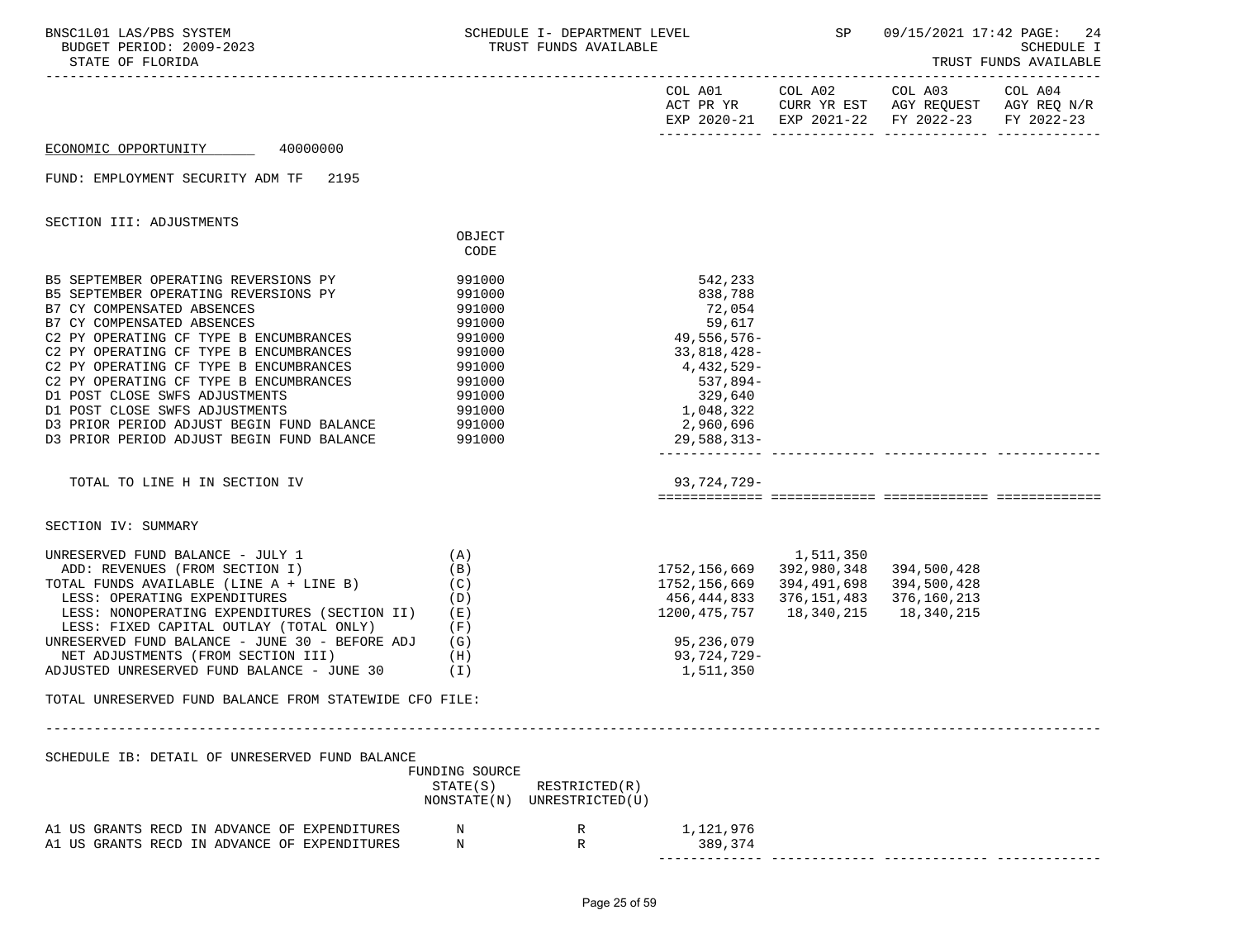| BNSC1L01 LAS/PBS SYSTEM<br>BUDGET PERIOD: 2009-2023<br>STATE OF FLORIDA                                                                                                                                                                                                                                                                                                                                                                                                                                                                     |                                                                                        | SCHEDULE I- DEPARTMENT LEVEL $SP$ 09/15/2021 17:42 PAGE: 24<br>TRUST FUNDS AVAILABLE |                                                                                                                                                                       |                                                                      |                                                                                                                                   | SCHEDULE I<br>TRUST FUNDS AVAILABLE |
|---------------------------------------------------------------------------------------------------------------------------------------------------------------------------------------------------------------------------------------------------------------------------------------------------------------------------------------------------------------------------------------------------------------------------------------------------------------------------------------------------------------------------------------------|----------------------------------------------------------------------------------------|--------------------------------------------------------------------------------------|-----------------------------------------------------------------------------------------------------------------------------------------------------------------------|----------------------------------------------------------------------|-----------------------------------------------------------------------------------------------------------------------------------|-------------------------------------|
|                                                                                                                                                                                                                                                                                                                                                                                                                                                                                                                                             |                                                                                        |                                                                                      |                                                                                                                                                                       |                                                                      | COL A01 COL A02 COL A03 COL A04<br>ACT PR YR CURR YR EST AGY REQUEST AGY REQ N/R<br>EXP 2020-21 EXP 2021-22 FY 2022-23 FY 2022-23 |                                     |
| ECONOMIC OPPORTUNITY 40000000                                                                                                                                                                                                                                                                                                                                                                                                                                                                                                               |                                                                                        |                                                                                      |                                                                                                                                                                       |                                                                      |                                                                                                                                   |                                     |
| FUND: EMPLOYMENT SECURITY ADM TF 2195                                                                                                                                                                                                                                                                                                                                                                                                                                                                                                       |                                                                                        |                                                                                      |                                                                                                                                                                       |                                                                      |                                                                                                                                   |                                     |
| SECTION III: ADJUSTMENTS                                                                                                                                                                                                                                                                                                                                                                                                                                                                                                                    |                                                                                        |                                                                                      |                                                                                                                                                                       |                                                                      |                                                                                                                                   |                                     |
|                                                                                                                                                                                                                                                                                                                                                                                                                                                                                                                                             | OBJECT<br>CODE                                                                         |                                                                                      |                                                                                                                                                                       |                                                                      |                                                                                                                                   |                                     |
| B5 SEPTEMBER OPERATING REVERSIONS PY 991000<br>B5 SEPTEMBER OPERATING REVERSIONS PY<br>B7 CY COMPENSATED ABSENCES<br>B7 CY COMPENSATED ABSENCES<br>C2 PY OPERATING CF TYPE B ENCUMBRANCES<br>C2 PY OPERATING CF TYPE B ENCUMBRANCES 991000<br>C2 PY OPERATING CF TYPE B ENCUMBRANCES 991000<br>C2 PY OPERATING CF TYPE B ENCUMBRANCES 991000<br>D1 POST CLOSE SWFS ADJUSTMENTS<br>D1 POST CLOSE SWFS ADJUSTMENTS<br>D3 PRIOR PERIOD ADJUST BEGIN FUND BALANCE<br>D3 PRIOR PERIOD ADJUST BEGIN FUND BALANCE<br>TOTAL TO LINE H IN SECTION IV | 991000<br>991000<br>991000<br>991000<br>991000<br>991000<br>991000<br>991000<br>991000 |                                                                                      | 542,233<br>838,788<br>72,054<br>59,617<br>-556,576,49<br>33,818,428-<br>4,432,529-<br>537,894-<br>329,640<br>$1,048,322$<br>$2,960,696$<br>29,588,313-<br>93,724,729- |                                                                      |                                                                                                                                   |                                     |
| SECTION IV: SUMMARY                                                                                                                                                                                                                                                                                                                                                                                                                                                                                                                         |                                                                                        |                                                                                      |                                                                                                                                                                       |                                                                      |                                                                                                                                   |                                     |
| UNRESERVED FUND BALANCE - JULY 1<br>ADD: REVENUES (FROM SECTION I)<br>TOTAL FUNDS AVAILABLE (LINE $A + LINE B$ ) (C)<br>LESS: OPERATING EXPENDITURES<br>LESS: NONOPERATING EXPENDITURES (SECTION II) (E)<br>LESS: FIXED CAPITAL OUTLAY (TOTAL ONLY)<br>UNRESERVED FUND BALANCE - JUNE 30 - BEFORE ADJ (G)<br>NET ADJUSTMENTS (FROM SECTION III)<br>ADJUSTED UNRESERVED FUND BALANCE - JUNE 30 $(1)$<br>TOTAL UNRESERVED FUND BALANCE FROM STATEWIDE CFO FILE:                                                                               | (A)<br>(B)<br>(D)<br>(F)<br>(H)                                                        |                                                                                      | 1752,156,669<br>1752,156,669<br>456,444,833<br>1200,475,757<br>95,236,079<br>93,724,729-<br>1,511,350                                                                 | 1,511,350<br>392,980,348<br>394,491,698<br>376,151,483<br>18,340,215 | 394,500,428<br>394,500,428<br>376,160,213<br>18,340,215                                                                           |                                     |
|                                                                                                                                                                                                                                                                                                                                                                                                                                                                                                                                             |                                                                                        |                                                                                      |                                                                                                                                                                       |                                                                      |                                                                                                                                   |                                     |
| SCHEDULE IB: DETAIL OF UNRESERVED FUND BALANCE                                                                                                                                                                                                                                                                                                                                                                                                                                                                                              | FUNDING SOURCE<br>STATE(S)                                                             | RESTRICTED(R)<br>NONSTATE(N) UNRESTRICTED(U)                                         |                                                                                                                                                                       |                                                                      |                                                                                                                                   |                                     |
| A1 US GRANTS RECD IN ADVANCE OF EXPENDITURES<br>A1 US GRANTS RECD IN ADVANCE OF EXPENDITURES                                                                                                                                                                                                                                                                                                                                                                                                                                                | N<br>N                                                                                 | R<br>R                                                                               | 1,121,976<br>389,374                                                                                                                                                  |                                                                      |                                                                                                                                   |                                     |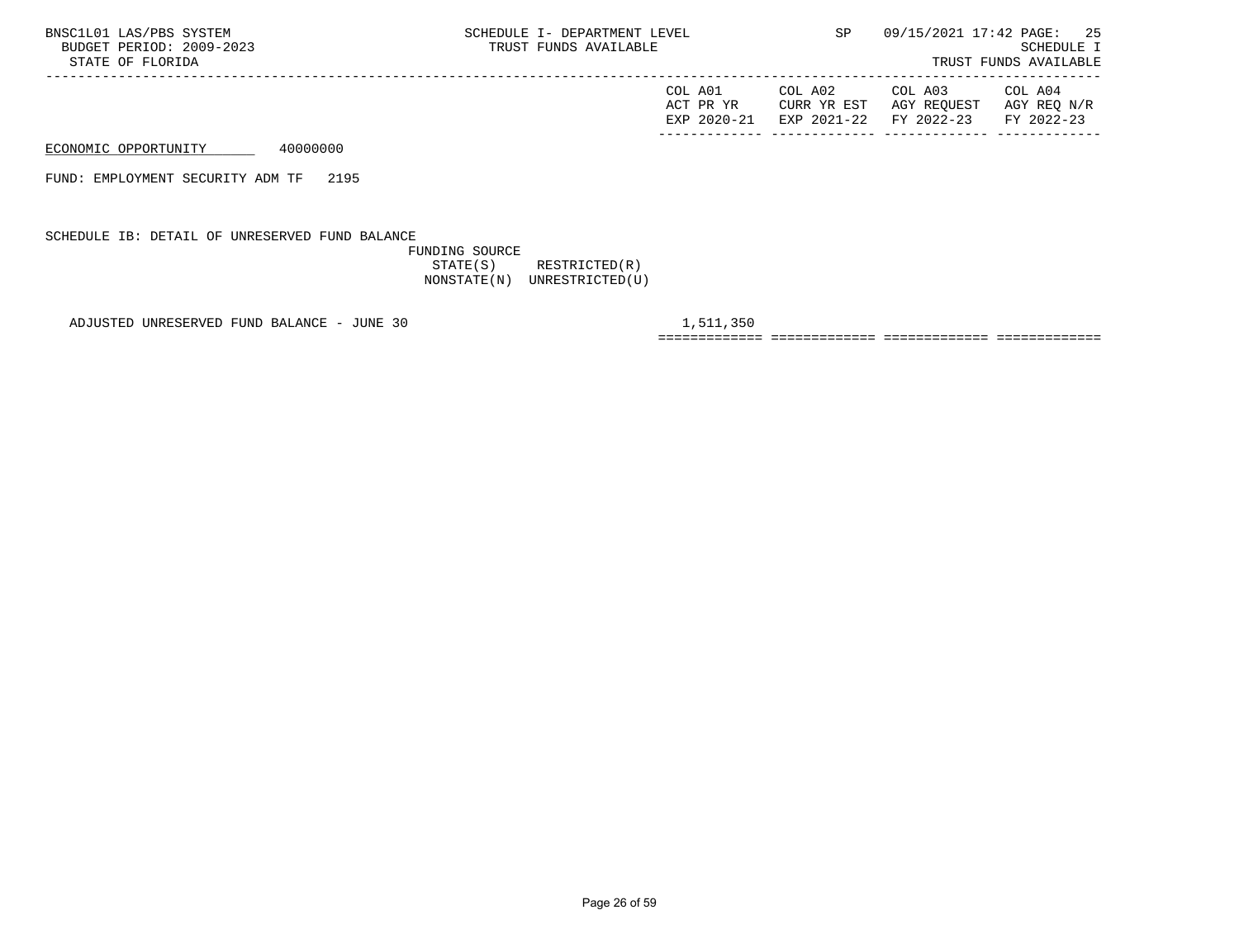| COL A01   | COL A02                            | COL A03                 | COL A04     |
|-----------|------------------------------------|-------------------------|-------------|
| ACT PR YR |                                    | CURR YR EST AGY REQUEST | AGY REO N/R |
|           | EXP 2020-21 EXP 2021-22 FY 2022-23 |                         | FY 2022-23  |
|           |                                    |                         |             |

ECONOMIC OPPORTUNITY 40000000

FUND: EMPLOYMENT SECURITY ADM TF 2195

SCHEDULE IB: DETAIL OF UNRESERVED FUND BALANCE

 FUNDING SOURCE STATE(S) RESTRICTED(R) NONSTATE(N) UNRESTRICTED(U)

ADJUSTED UNRESERVED FUND BALANCE - JUNE 30 1,511,350

============= ============= ============= =============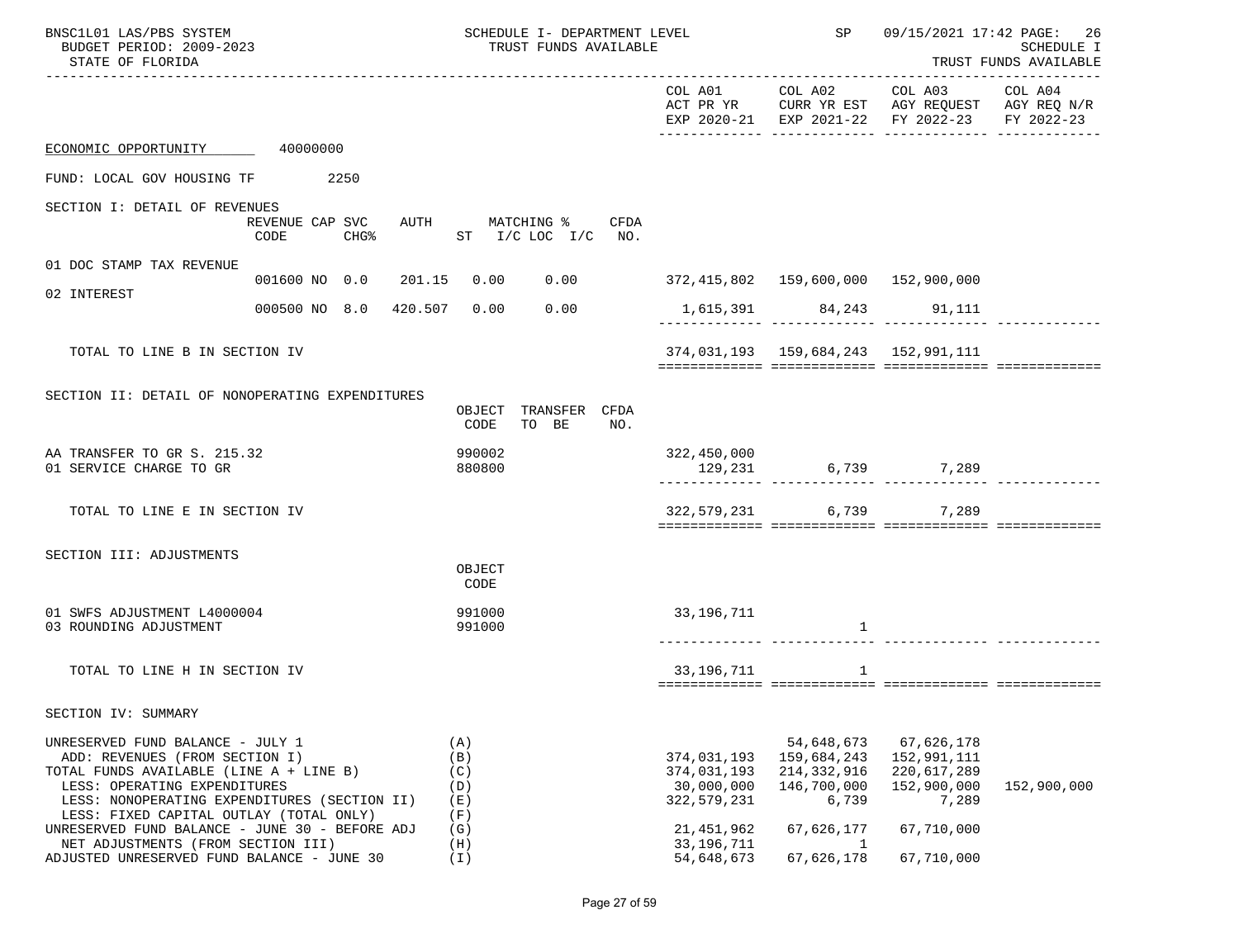| BNSC1L01 LAS/PBS SYSTEM<br>BUDGET PERIOD: 2009-2023<br>STATE OF FLORIDA                                                                                                                                                                                                                                                          |                                             | SCHEDULE I- DEPARTMENT LEVEL<br>TRUST FUNDS AVAILABLE |                                                                                         | <b>SP</b> SP                                                                          |                                                                                | 09/15/2021 17:42 PAGE: 26<br><b>SCHEDULE I</b><br>TRUST FUNDS AVAILABLE |
|----------------------------------------------------------------------------------------------------------------------------------------------------------------------------------------------------------------------------------------------------------------------------------------------------------------------------------|---------------------------------------------|-------------------------------------------------------|-----------------------------------------------------------------------------------------|---------------------------------------------------------------------------------------|--------------------------------------------------------------------------------|-------------------------------------------------------------------------|
|                                                                                                                                                                                                                                                                                                                                  |                                             |                                                       |                                                                                         |                                                                                       | EXP 2020-21 EXP 2021-22 FY 2022-23 FY 2022-23                                  |                                                                         |
| ECONOMIC OPPORTUNITY 40000000                                                                                                                                                                                                                                                                                                    |                                             |                                                       |                                                                                         |                                                                                       |                                                                                |                                                                         |
| FUND: LOCAL GOV HOUSING TF 2250                                                                                                                                                                                                                                                                                                  |                                             |                                                       |                                                                                         |                                                                                       |                                                                                |                                                                         |
| SECTION I: DETAIL OF REVENUES                                                                                                                                                                                                                                                                                                    | REVENUE CAP SVC<br>CHG <sup>8</sup><br>CODE | AUTH MATCHING % CFDA<br>ST I/C LOC I/C NO.            |                                                                                         |                                                                                       |                                                                                |                                                                         |
| 01 DOC STAMP TAX REVENUE                                                                                                                                                                                                                                                                                                         | 001600 NO 0.0 201.15                        | 0.00<br>0.00                                          | 372,415,802  159,600,000  152,900,000                                                   |                                                                                       |                                                                                |                                                                         |
| 02 INTEREST                                                                                                                                                                                                                                                                                                                      | 000500 NO 8.0 420.507 0.00                  | 0.00                                                  |                                                                                         | 1,615,391 84,243 91,111                                                               |                                                                                |                                                                         |
|                                                                                                                                                                                                                                                                                                                                  |                                             |                                                       |                                                                                         |                                                                                       |                                                                                |                                                                         |
| TOTAL TO LINE B IN SECTION IV                                                                                                                                                                                                                                                                                                    |                                             |                                                       |                                                                                         | 374,031,193  159,684,243  152,991,111                                                 |                                                                                |                                                                         |
| SECTION II: DETAIL OF NONOPERATING EXPENDITURES                                                                                                                                                                                                                                                                                  |                                             | OBJECT TRANSFER CFDA<br>CODE<br>TO BE<br>NO.          |                                                                                         |                                                                                       |                                                                                |                                                                         |
| AA TRANSFER TO GR S. 215.32<br>01 SERVICE CHARGE TO GR                                                                                                                                                                                                                                                                           |                                             | 990002<br>880800                                      | 322,450,000<br>129,231                                                                  |                                                                                       | 6,739 7,289<br>. _ _ _ _ _ _ _ _ _ _ _                                         |                                                                         |
| TOTAL TO LINE E IN SECTION IV                                                                                                                                                                                                                                                                                                    |                                             |                                                       | 322,579,231                                                                             |                                                                                       | 6,739<br>7,289                                                                 |                                                                         |
| SECTION III: ADJUSTMENTS                                                                                                                                                                                                                                                                                                         |                                             | OBJECT<br>CODE                                        |                                                                                         |                                                                                       |                                                                                |                                                                         |
| 01 SWFS ADJUSTMENT L4000004<br>03 ROUNDING ADJUSTMENT                                                                                                                                                                                                                                                                            |                                             | 991000<br>991000                                      | 33,196,711                                                                              |                                                                                       |                                                                                |                                                                         |
| TOTAL TO LINE H IN SECTION IV                                                                                                                                                                                                                                                                                                    |                                             |                                                       | 33,196,711                                                                              | 1                                                                                     |                                                                                |                                                                         |
| SECTION IV: SUMMARY                                                                                                                                                                                                                                                                                                              |                                             |                                                       |                                                                                         |                                                                                       |                                                                                |                                                                         |
| UNRESERVED FUND BALANCE - JULY 1<br>ADD: REVENUES (FROM SECTION I)<br>TOTAL FUNDS AVAILABLE (LINE A + LINE B)<br>LESS: OPERATING EXPENDITURES<br>LESS: NONOPERATING EXPENDITURES (SECTION II)<br>LESS: FIXED CAPITAL OUTLAY (TOTAL ONLY)<br>UNRESERVED FUND BALANCE - JUNE 30 - BEFORE ADJ<br>NET ADJUSTMENTS (FROM SECTION III) |                                             | (A)<br>(B)<br>(C)<br>(D)<br>(E)<br>(F)<br>(G)<br>(H)  | 374,031,193<br>374,031,193<br>30,000,000<br>322,579,231<br>21, 451, 962<br>33, 196, 711 | 54,648,673<br>159,684,243<br>214, 332, 916<br>146,700,000<br>6,739<br>67,626,177<br>1 | 67,626,178<br>152,991,111<br>220,617,289<br>152,900,000<br>7,289<br>67,710,000 | 152,900,000                                                             |
| ADJUSTED UNRESERVED FUND BALANCE - JUNE 30                                                                                                                                                                                                                                                                                       |                                             | (I)                                                   | 54,648,673                                                                              | 67,626,178                                                                            | 67,710,000                                                                     |                                                                         |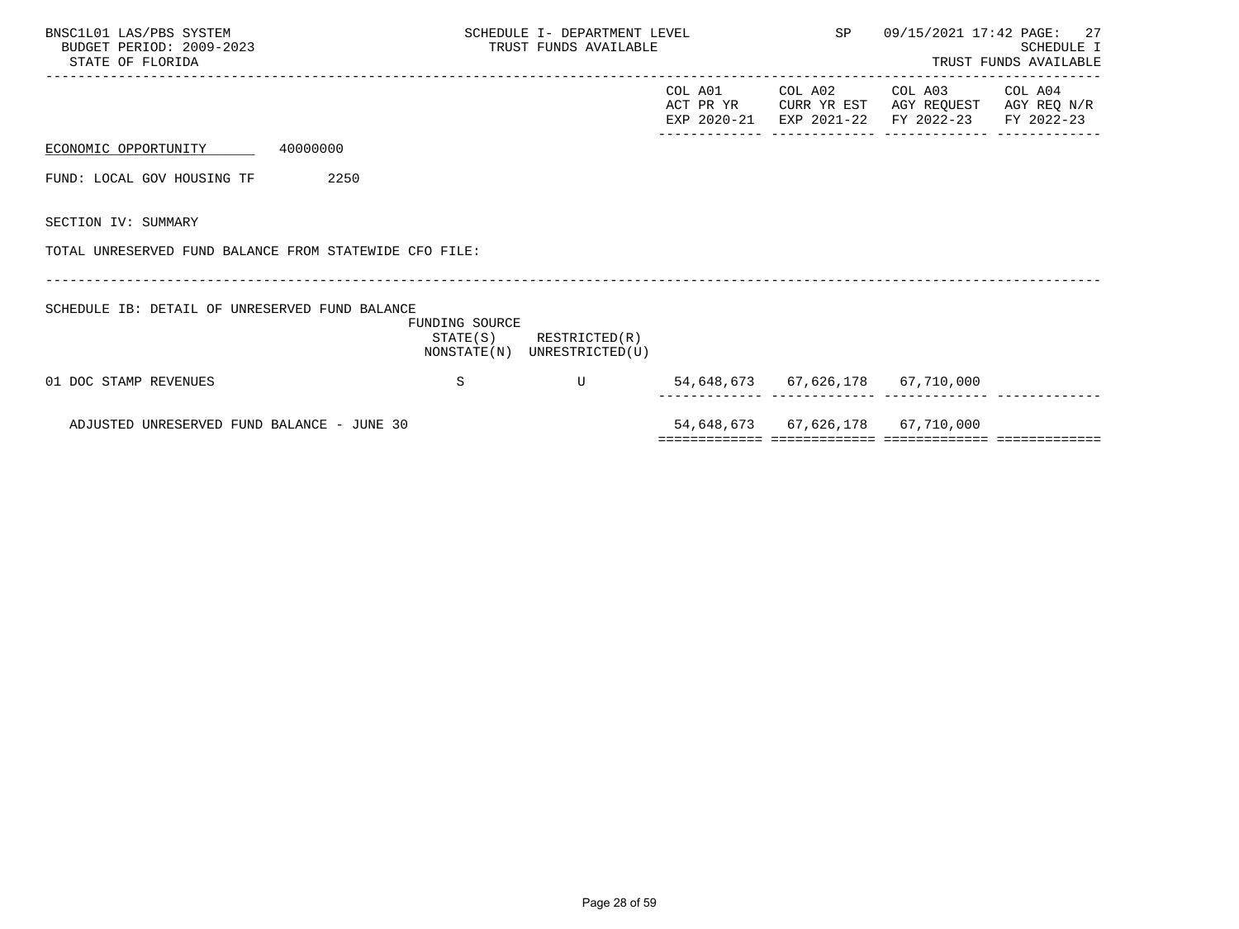| BNSC1L01 LAS/PBS SYSTEM<br>BUDGET PERIOD: 2009-2023<br>STATE OF FLORIDA |                | SCHEDULE I- DEPARTMENT LEVEL<br>TRUST FUNDS AVAILABLE      | SP | 09/15/2021 17:42 PAGE: 27                  | <b>SCHEDULE I</b><br>TRUST FUNDS AVAILABLE                                     |            |
|-------------------------------------------------------------------------|----------------|------------------------------------------------------------|----|--------------------------------------------|--------------------------------------------------------------------------------|------------|
|                                                                         |                |                                                            |    | COL A01 COL A02<br>EXP 2020-21 EXP 2021-22 | COL A03 COL A04<br>ACT PR YR CURR YR EST AGY REQUEST AGY REQ N/R<br>FY 2022-23 | FY 2022-23 |
| ECONOMIC OPPORTUNITY 40000000                                           |                |                                                            |    |                                            |                                                                                |            |
| FUND: LOCAL GOV HOUSING TF<br>2250                                      |                |                                                            |    |                                            |                                                                                |            |
| SECTION IV: SUMMARY                                                     |                |                                                            |    |                                            |                                                                                |            |
| TOTAL UNRESERVED FUND BALANCE FROM STATEWIDE CFO FILE:                  |                |                                                            |    |                                            |                                                                                |            |
| SCHEDULE IB: DETAIL OF UNRESERVED FUND BALANCE                          | FUNDING SOURCE | $STATE(S)$ RESTRICTED $(R)$<br>NONSTATE(N) UNRESTRICTED(U) |    |                                            |                                                                                |            |
| 01 DOC STAMP REVENUES                                                   | S              | U                                                          |    | 54,648,673 67,626,178 67,710,000           |                                                                                |            |
| ADJUSTED UNRESERVED FUND BALANCE - JUNE 30                              |                |                                                            |    | 54,648,673 67,626,178 67,710,000           |                                                                                |            |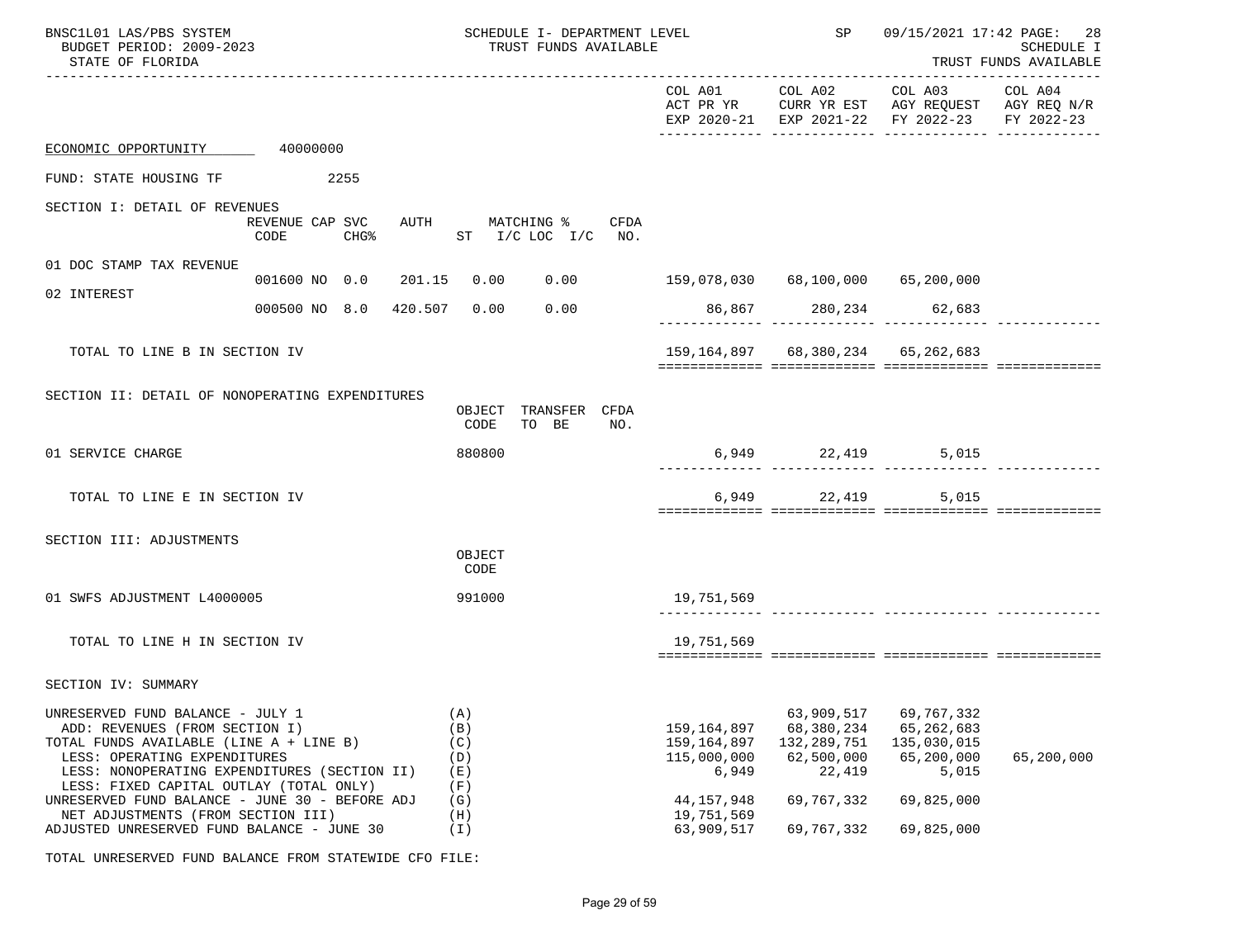| BNSC1L01 LAS/PBS SYSTEM<br>BUDGET PERIOD: 2009-2023<br>STATE OF FLORIDA                                                                                                                                                                                                                                                          |                                             | SCHEDULE I- DEPARTMENT LEVEL<br>TRUST FUNDS AVAILABLE |                                                                                    | SP and the set of the set of the set of the set of the set of the set of the set of the set of the set of the set of the set of the set of the set of the set of the set of the set of the set of the set of the set of the se |                                                                                                | 09/15/2021 17:42 PAGE: 28<br><b>SCHEDULE I</b><br>TRUST FUNDS AVAILABLE |
|----------------------------------------------------------------------------------------------------------------------------------------------------------------------------------------------------------------------------------------------------------------------------------------------------------------------------------|---------------------------------------------|-------------------------------------------------------|------------------------------------------------------------------------------------|--------------------------------------------------------------------------------------------------------------------------------------------------------------------------------------------------------------------------------|------------------------------------------------------------------------------------------------|-------------------------------------------------------------------------|
|                                                                                                                                                                                                                                                                                                                                  |                                             |                                                       |                                                                                    | COL A01 COL A02                                                                                                                                                                                                                | COL A03<br>ACT PR YR CURR YR EST AGY REQUEST AGY REQ N/R<br>EXP 2020-21 EXP 2021-22 FY 2022-23 | COL A04<br>FY 2022-23                                                   |
| ECONOMIC OPPORTUNITY 40000000                                                                                                                                                                                                                                                                                                    |                                             |                                                       |                                                                                    |                                                                                                                                                                                                                                |                                                                                                |                                                                         |
| FUND: STATE HOUSING TF                                                                                                                                                                                                                                                                                                           | 2255                                        |                                                       |                                                                                    |                                                                                                                                                                                                                                |                                                                                                |                                                                         |
| SECTION I: DETAIL OF REVENUES                                                                                                                                                                                                                                                                                                    | REVENUE CAP SVC<br>CHG <sup>8</sup><br>CODE | AUTH MATCHING % CFDA<br>$ST$ $I/C$ $LOC$ $I/C$ $NO$ . |                                                                                    |                                                                                                                                                                                                                                |                                                                                                |                                                                         |
| 01 DOC STAMP TAX REVENUE                                                                                                                                                                                                                                                                                                         | 001600 NO 0.0 201.15                        | 0.00<br>0.00                                          |                                                                                    |                                                                                                                                                                                                                                |                                                                                                |                                                                         |
| 02 INTEREST                                                                                                                                                                                                                                                                                                                      | 000500 NO 8.0 420.507                       | 0.00<br>0.00                                          |                                                                                    | 86,867 280,234 62,683                                                                                                                                                                                                          |                                                                                                |                                                                         |
| TOTAL TO LINE B IN SECTION IV                                                                                                                                                                                                                                                                                                    |                                             |                                                       |                                                                                    | 159, 164, 897 68, 380, 234 65, 262, 683                                                                                                                                                                                        |                                                                                                |                                                                         |
| SECTION II: DETAIL OF NONOPERATING EXPENDITURES                                                                                                                                                                                                                                                                                  |                                             | TRANSFER CFDA<br>OBJECT<br>CODE<br>TO BE<br>NO.       |                                                                                    |                                                                                                                                                                                                                                |                                                                                                |                                                                         |
| 01 SERVICE CHARGE                                                                                                                                                                                                                                                                                                                |                                             | 880800                                                |                                                                                    | 6,949 22,419 5,015                                                                                                                                                                                                             |                                                                                                |                                                                         |
| TOTAL TO LINE E IN SECTION IV                                                                                                                                                                                                                                                                                                    |                                             |                                                       |                                                                                    | 6,949 22,419                                                                                                                                                                                                                   | 5,015                                                                                          |                                                                         |
| SECTION III: ADJUSTMENTS                                                                                                                                                                                                                                                                                                         |                                             | OBJECT<br>CODE                                        |                                                                                    |                                                                                                                                                                                                                                |                                                                                                |                                                                         |
| 01 SWFS ADJUSTMENT L4000005                                                                                                                                                                                                                                                                                                      |                                             | 991000                                                | 19,751,569                                                                         |                                                                                                                                                                                                                                |                                                                                                |                                                                         |
| TOTAL TO LINE H IN SECTION IV                                                                                                                                                                                                                                                                                                    |                                             |                                                       | 19,751,569                                                                         |                                                                                                                                                                                                                                |                                                                                                |                                                                         |
| SECTION IV: SUMMARY                                                                                                                                                                                                                                                                                                              |                                             |                                                       |                                                                                    |                                                                                                                                                                                                                                |                                                                                                |                                                                         |
| UNRESERVED FUND BALANCE - JULY 1<br>ADD: REVENUES (FROM SECTION I)<br>TOTAL FUNDS AVAILABLE (LINE A + LINE B)<br>LESS: OPERATING EXPENDITURES<br>LESS: NONOPERATING EXPENDITURES (SECTION II)<br>LESS: FIXED CAPITAL OUTLAY (TOTAL ONLY)<br>UNRESERVED FUND BALANCE - JUNE 30 - BEFORE ADJ<br>NET ADJUSTMENTS (FROM SECTION III) |                                             | (A)<br>(B)<br>(C)<br>(D)<br>(E)<br>(F)<br>(G)<br>(H)  | 159, 164, 897<br>159,164,897<br>115,000,000<br>6,949<br>44, 157, 948<br>19,751,569 | 63,909,517<br>68,380,234<br>132, 289, 751<br>62,500,000<br>22,419<br>69,767,332                                                                                                                                                | 69,767,332<br>65, 262, 683<br>135,030,015<br>65,200,000<br>5,015<br>69,825,000                 | 65,200,000                                                              |
| ADJUSTED UNRESERVED FUND BALANCE - JUNE 30                                                                                                                                                                                                                                                                                       |                                             | (I)                                                   | 63,909,517                                                                         | 69,767,332                                                                                                                                                                                                                     | 69,825,000                                                                                     |                                                                         |

TOTAL UNRESERVED FUND BALANCE FROM STATEWIDE CFO FILE: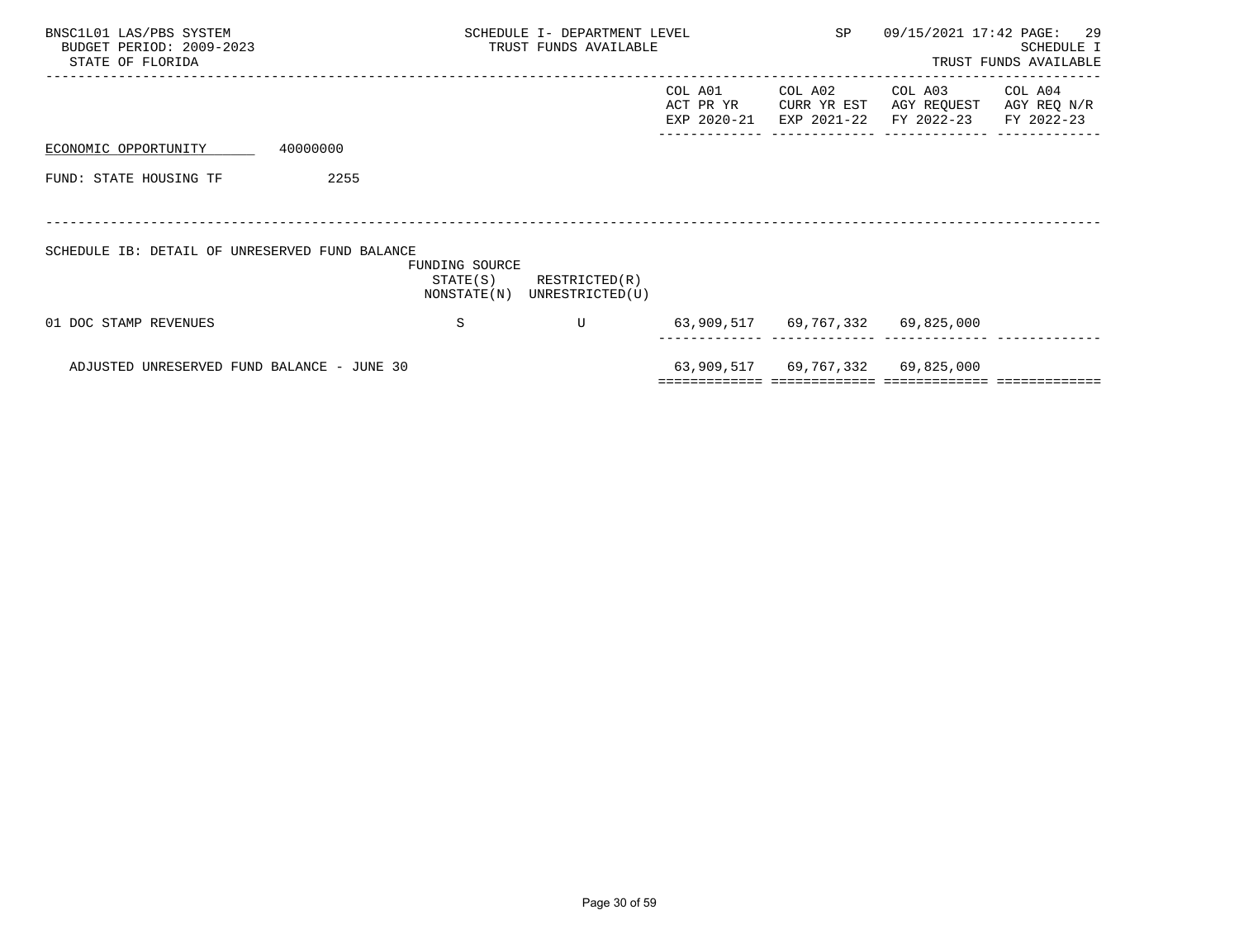| BNSC1L01 LAS/PBS SYSTEM<br>BUDGET PERIOD: 2009-2023<br>STATE OF FLORIDA |          |                                           | SCHEDULE I- DEPARTMENT LEVEL<br>TRUST FUNDS AVAILABLE | SP                                  | 09/15/2021 17:42 PAGE:                | 29<br>SCHEDULE I<br>TRUST FUNDS AVAILABLE |                                      |
|-------------------------------------------------------------------------|----------|-------------------------------------------|-------------------------------------------------------|-------------------------------------|---------------------------------------|-------------------------------------------|--------------------------------------|
|                                                                         |          |                                           |                                                       | COL A01<br>ACT PR YR<br>EXP 2020-21 | COL A02<br>CURR YR EST<br>EXP 2021-22 | COL A03<br>AGY REQUEST<br>FY 2022-23      | COL A04<br>AGY REQ N/R<br>FY 2022-23 |
| ECONOMIC OPPORTUNITY                                                    | 40000000 |                                           |                                                       |                                     |                                       |                                           |                                      |
| FUND: STATE HOUSING TF                                                  | 2255     |                                           |                                                       |                                     |                                       |                                           |                                      |
|                                                                         |          |                                           |                                                       |                                     |                                       |                                           |                                      |
| SCHEDULE IB: DETAIL OF UNRESERVED FUND BALANCE                          |          | FUNDING SOURCE<br>STATE(S)<br>NONSTATE(N) | RESTRICTED(R)<br>UNRESTRICTED(U)                      |                                     |                                       |                                           |                                      |
| 01 DOC STAMP REVENUES                                                   |          | S                                         | U                                                     |                                     | 63,909,517 69,767,332 69,825,000      |                                           |                                      |
| ADJUSTED UNRESERVED FUND BALANCE - JUNE 30                              |          |                                           |                                                       | 63,909,517                          | 69,767,332                            | 69,825,000                                |                                      |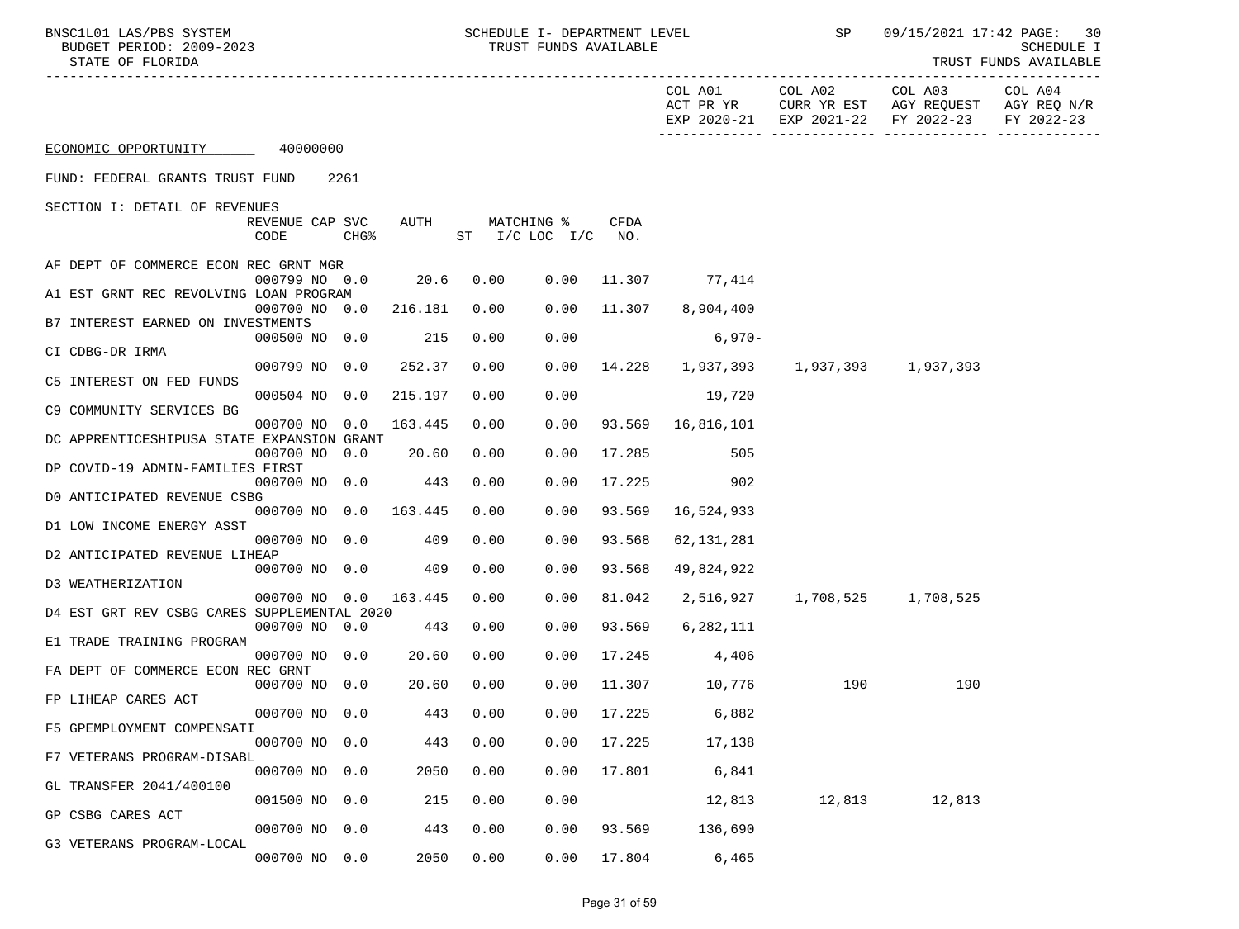| BNSC1L01 LAS/PBS SYSTEM<br>BUDGET PERIOD: 2009-2023<br>STATE OF FLORIDA |                         |                  |         |      | SCHEDULE I- DEPARTMENT LEVEL<br>TRUST FUNDS AVAILABLE |                         |                      | SP                     | 09/15/2021 17:42 PAGE: 30<br>SCHEDULE I<br>TRUST FUNDS AVAILABLE |                                      |
|-------------------------------------------------------------------------|-------------------------|------------------|---------|------|-------------------------------------------------------|-------------------------|----------------------|------------------------|------------------------------------------------------------------|--------------------------------------|
|                                                                         |                         |                  |         |      |                                                       |                         | COL A01<br>ACT PR YR | COL A02<br>CURR YR EST | COL A03<br>AGY REQUEST<br>EXP 2020-21 EXP 2021-22 FY 2022-23     | COL A04<br>AGY REQ N/R<br>FY 2022-23 |
| ECONOMIC OPPORTUNITY 40000000                                           |                         |                  |         |      |                                                       |                         |                      |                        |                                                                  |                                      |
| FUND: FEDERAL GRANTS TRUST FUND                                         |                         | 2261             |         |      |                                                       |                         |                      |                        |                                                                  |                                      |
| SECTION I: DETAIL OF REVENUES                                           |                         |                  |         |      |                                                       |                         |                      |                        |                                                                  |                                      |
|                                                                         | REVENUE CAP SVC<br>CODE | CHG <sup>8</sup> | AUTH    |      | MATCHING %<br>ST I/C LOC I/C                          | CFDA<br>NO <sub>z</sub> |                      |                        |                                                                  |                                      |
| AF DEPT OF COMMERCE ECON REC GRNT MGR                                   | 000799 NO 0.0           |                  | 20.6    | 0.00 | 0.00                                                  |                         | 11.307 77,414        |                        |                                                                  |                                      |
| A1 EST GRNT REC REVOLVING LOAN PROGRAM                                  |                         |                  |         |      |                                                       |                         |                      |                        |                                                                  |                                      |
| B7 INTEREST EARNED ON INVESTMENTS                                       | 000700 NO 0.0           |                  | 216.181 | 0.00 | 0.00                                                  | 11.307                  | 8,904,400            |                        |                                                                  |                                      |
| CI CDBG-DR IRMA                                                         | 000500 NO 0.0           |                  | 215     | 0.00 | 0.00                                                  |                         | $6,970-$             |                        |                                                                  |                                      |
|                                                                         | 000799 NO 0.0           |                  | 252.37  | 0.00 | 0.00                                                  |                         | 14.228 1,937,393     |                        | 1,937,393 1,937,393                                              |                                      |
| C5 INTEREST ON FED FUNDS                                                | 000504 NO 0.0           |                  | 215.197 | 0.00 | 0.00                                                  |                         | 19,720               |                        |                                                                  |                                      |
| C9 COMMUNITY SERVICES BG                                                |                         |                  |         |      |                                                       |                         |                      |                        |                                                                  |                                      |
| DC APPRENTICESHIPUSA STATE EXPANSION GRANT                              | 000700 NO 0.0           |                  | 163.445 | 0.00 | 0.00                                                  |                         | 93.569 16,816,101    |                        |                                                                  |                                      |
|                                                                         | 000700 NO 0.0           |                  | 20.60   | 0.00 | 0.00                                                  | 17.285                  | 505                  |                        |                                                                  |                                      |
| DP COVID-19 ADMIN-FAMILIES FIRST                                        | 000700 NO 0.0           |                  | 443     | 0.00 | 0.00                                                  | 17.225                  | 902                  |                        |                                                                  |                                      |
| DO ANTICIPATED REVENUE CSBG                                             |                         |                  |         |      |                                                       |                         |                      |                        |                                                                  |                                      |
| D1 LOW INCOME ENERGY ASST                                               | 000700 NO 0.0           |                  | 163.445 | 0.00 | 0.00                                                  | 93.569                  | 16,524,933           |                        |                                                                  |                                      |
|                                                                         | 000700 NO 0.0           |                  | 409     | 0.00 | 0.00                                                  | 93.568                  | 62,131,281           |                        |                                                                  |                                      |
| D2 ANTICIPATED REVENUE LIHEAP                                           | 000700 NO 0.0           |                  | 409     | 0.00 | 0.00                                                  | 93.568                  | 49,824,922           |                        |                                                                  |                                      |
| D3 WEATHERIZATION                                                       |                         |                  |         |      |                                                       |                         |                      |                        |                                                                  |                                      |
| D4 EST GRT REV CSBG CARES SUPPLEMENTAL 2020                             | 000700 NO 0.0           |                  | 163.445 | 0.00 | 0.00                                                  | 81.042                  | 2,516,927            |                        | 1,708,525 1,708,525                                              |                                      |
|                                                                         | 000700 NO 0.0           |                  | 443     | 0.00 | 0.00                                                  | 93.569                  | 6,282,111            |                        |                                                                  |                                      |
| E1 TRADE TRAINING PROGRAM                                               | 000700 NO 0.0           |                  | 20.60   | 0.00 | 0.00                                                  | 17.245                  | 4,406                |                        |                                                                  |                                      |
| FA DEPT OF COMMERCE ECON REC GRNT                                       |                         |                  |         |      |                                                       |                         |                      |                        |                                                                  |                                      |
| FP LIHEAP CARES ACT                                                     | 000700 NO 0.0           |                  | 20.60   | 0.00 | 0.00                                                  | 11.307                  | 10,776               | 190                    | 190                                                              |                                      |
|                                                                         | 000700 NO 0.0           |                  | 443     | 0.00 | 0.00                                                  | 17.225                  | 6,882                |                        |                                                                  |                                      |
| F5 GPEMPLOYMENT COMPENSATI                                              | 000700 NO 0.0           |                  | 443     | 0.00 | 0.00                                                  | 17.225                  | 17,138               |                        |                                                                  |                                      |
| F7 VETERANS PROGRAM-DISABL                                              |                         |                  |         |      |                                                       |                         |                      |                        |                                                                  |                                      |
| GL TRANSFER 2041/400100                                                 | 000700 NO               | 0.0              | 2050    | 0.00 | 0.00                                                  | 17.801                  | 6,841                |                        |                                                                  |                                      |
|                                                                         | 001500 NO               | 0.0              | 215     | 0.00 | 0.00                                                  |                         | 12,813               | 12,813                 | 12,813                                                           |                                      |
| GP CSBG CARES ACT                                                       | 000700 NO               | 0.0              | 443     | 0.00 | 0.00                                                  | 93.569                  | 136,690              |                        |                                                                  |                                      |
| G3 VETERANS PROGRAM-LOCAL                                               |                         |                  |         |      |                                                       |                         |                      |                        |                                                                  |                                      |
|                                                                         | 000700 NO               | 0.0              | 2050    | 0.00 | 0.00                                                  | 17.804                  | 6,465                |                        |                                                                  |                                      |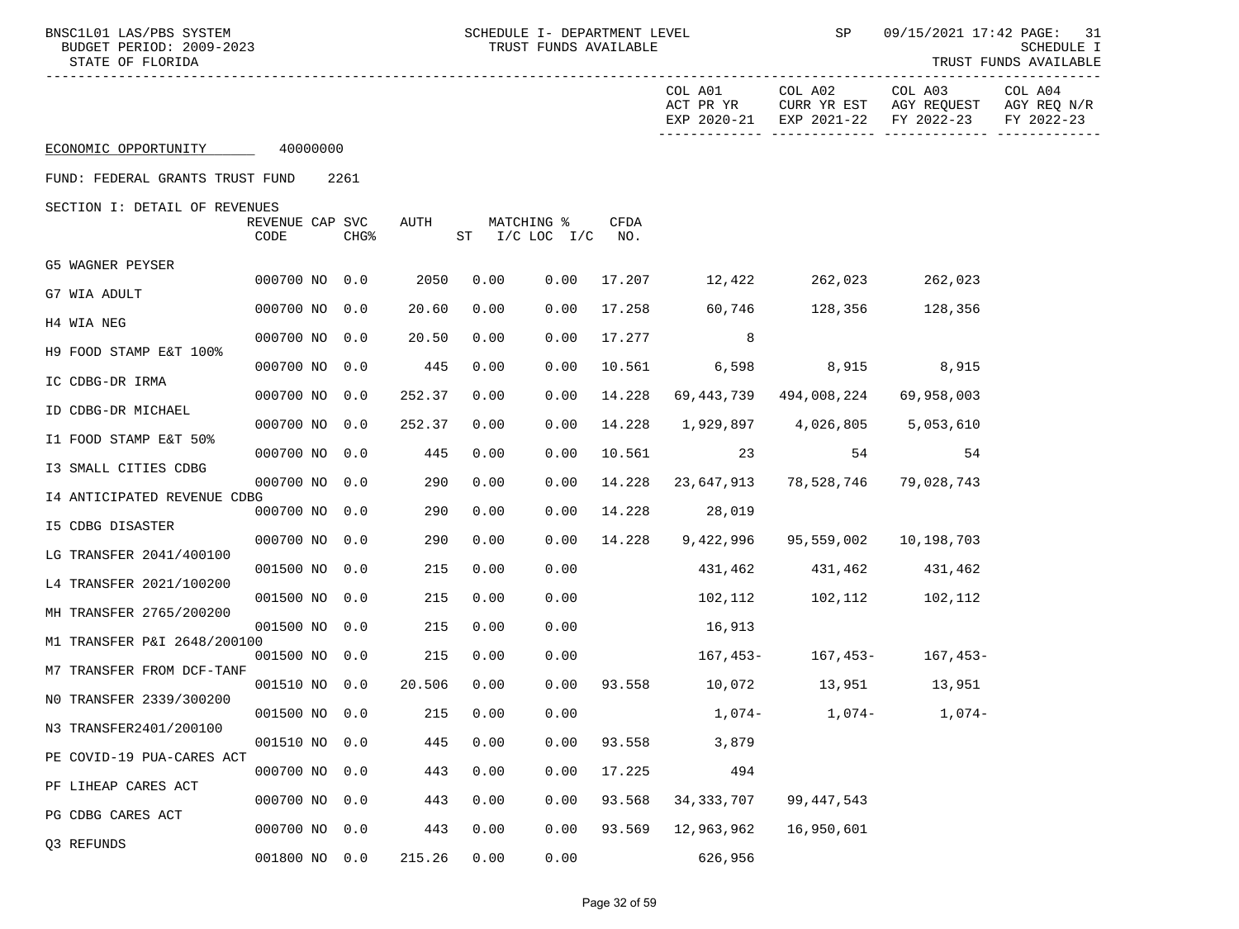| BNSC1L01 LAS/PBS SYSTEM<br>BUDGET PERIOD: 2009-2023<br>STATE OF FLORIDA |                         |                  |        |      | SCHEDULE I- DEPARTMENT LEVEL<br>TRUST FUNDS AVAILABLE |               |                                     | SP                                    | 09/15/2021 17:42 PAGE: 31            | SCHEDULE I<br>TRUST FUNDS AVAILABLE  |
|-------------------------------------------------------------------------|-------------------------|------------------|--------|------|-------------------------------------------------------|---------------|-------------------------------------|---------------------------------------|--------------------------------------|--------------------------------------|
|                                                                         |                         |                  |        |      |                                                       |               | COL A01<br>ACT PR YR<br>EXP 2020-21 | COL A02<br>CURR YR EST<br>EXP 2021-22 | COL A03<br>AGY REQUEST<br>FY 2022-23 | COL A04<br>AGY REQ N/R<br>FY 2022-23 |
| ECONOMIC OPPORTUNITY 40000000                                           |                         |                  |        |      |                                                       |               |                                     |                                       |                                      |                                      |
| FUND: FEDERAL GRANTS TRUST FUND                                         |                         | 2261             |        |      |                                                       |               |                                     |                                       |                                      |                                      |
| SECTION I: DETAIL OF REVENUES                                           | REVENUE CAP SVC<br>CODE | CHG <sup>8</sup> | AUTH   |      | MATCHING %<br>ST I/C LOC I/C NO.                      | CFDA          |                                     |                                       |                                      |                                      |
| G5 WAGNER PEYSER                                                        |                         |                  |        |      |                                                       |               |                                     |                                       |                                      |                                      |
| G7 WIA ADULT                                                            | 000700 NO 0.0           |                  | 2050   | 0.00 | 0.00                                                  |               | 17.207 12,422 262,023 262,023       |                                       |                                      |                                      |
| H4 WIA NEG                                                              | 000700 NO 0.0           |                  | 20.60  | 0.00 | 0.00                                                  | 17.258        | 60,746                              |                                       | 128,356 128,356                      |                                      |
| H9 FOOD STAMP E&T 100%                                                  | 000700 NO 0.0           |                  | 20.50  | 0.00 | 0.00                                                  | 17.277        | 8                                   |                                       |                                      |                                      |
| IC CDBG-DR IRMA                                                         | 000700 NO 0.0           |                  | 445    | 0.00 | 0.00                                                  | 10.561        | 6,598 8,915 8,915                   |                                       |                                      |                                      |
| ID CDBG-DR MICHAEL                                                      | 000700 NO 0.0           |                  | 252.37 | 0.00 | 0.00                                                  | 14.228        |                                     | 69,443,739 494,008,224                | 69,958,003                           |                                      |
| I1 FOOD STAMP E&T 50%                                                   | 000700 NO 0.0           |                  | 252.37 | 0.00 | 0.00                                                  | 14.228        |                                     |                                       | 5,053,610                            |                                      |
| I3 SMALL CITIES CDBG                                                    | 000700 NO 0.0           |                  | 445    | 0.00 | 0.00                                                  | 10.561        | $\sim$ 23                           | 54                                    | 54                                   |                                      |
|                                                                         | 000700 NO 0.0           |                  | 290    | 0.00 | 0.00                                                  | 14.228        | 23,647,913                          | 78,528,746                            | 79,028,743                           |                                      |
| 14 ANTICIPATED REVENUE CDBG                                             | 000700 NO 0.0           |                  | 290    | 0.00 | 0.00                                                  | 14.228        | 28,019                              |                                       |                                      |                                      |
| I5 CDBG DISASTER                                                        | 000700 NO 0.0           |                  | 290    | 0.00 | 0.00                                                  | 14.228        | 9,422,996                           | 95,559,002                            | 10,198,703                           |                                      |
| LG TRANSFER 2041/400100                                                 | 001500 NO 0.0           |                  | 215    | 0.00 | 0.00                                                  |               | 431,462                             |                                       | 431,462 431,462                      |                                      |
| L4 TRANSFER 2021/100200                                                 | 001500 NO 0.0           |                  | 215    | 0.00 | 0.00                                                  |               | 102,112                             |                                       | 102,112 102,112                      |                                      |
| MH TRANSFER 2765/200200                                                 | 001500 NO 0.0           |                  | 215    | 0.00 | 0.00                                                  |               | 16,913                              |                                       |                                      |                                      |
| M1 TRANSFER P&I 2648/200100                                             | 001500 NO 0.0           |                  | 215    | 0.00 | 0.00                                                  |               |                                     |                                       | 167,453- 167,453- 167,453-           |                                      |
| M7 TRANSFER FROM DCF-TANF                                               | 001510 NO 0.0           |                  | 20.506 | 0.00 |                                                       | $0.00$ 93.558 | 10,072                              | 13,951                                | 13,951                               |                                      |
| NO TRANSFER 2339/300200                                                 |                         |                  |        |      |                                                       |               | $1,074-$                            | 1,074-                                | $1,074-$                             |                                      |
| N3 TRANSFER2401/200100                                                  | 001500 NO 0.0           |                  | 215    | 0.00 | 0.00                                                  |               |                                     |                                       |                                      |                                      |
| PE COVID-19 PUA-CARES ACT                                               | 001510 NO               | 0.0              | 445    | 0.00 | 0.00                                                  | 93.558        | 3,879                               |                                       |                                      |                                      |
| PF LIHEAP CARES ACT                                                     | 000700 NO 0.0           |                  | 443    | 0.00 | 0.00                                                  | 17.225        | 494                                 |                                       |                                      |                                      |
| PG CDBG CARES ACT                                                       | 000700 NO 0.0           |                  | 443    | 0.00 | 0.00                                                  | 93.568        | 34, 333, 707                        | 99, 447, 543                          |                                      |                                      |
| Q3 REFUNDS                                                              | 000700 NO               | 0.0              | 443    | 0.00 | 0.00                                                  | 93.569        | 12,963,962                          | 16,950,601                            |                                      |                                      |
|                                                                         | 001800 NO 0.0           |                  | 215.26 | 0.00 | 0.00                                                  |               | 626,956                             |                                       |                                      |                                      |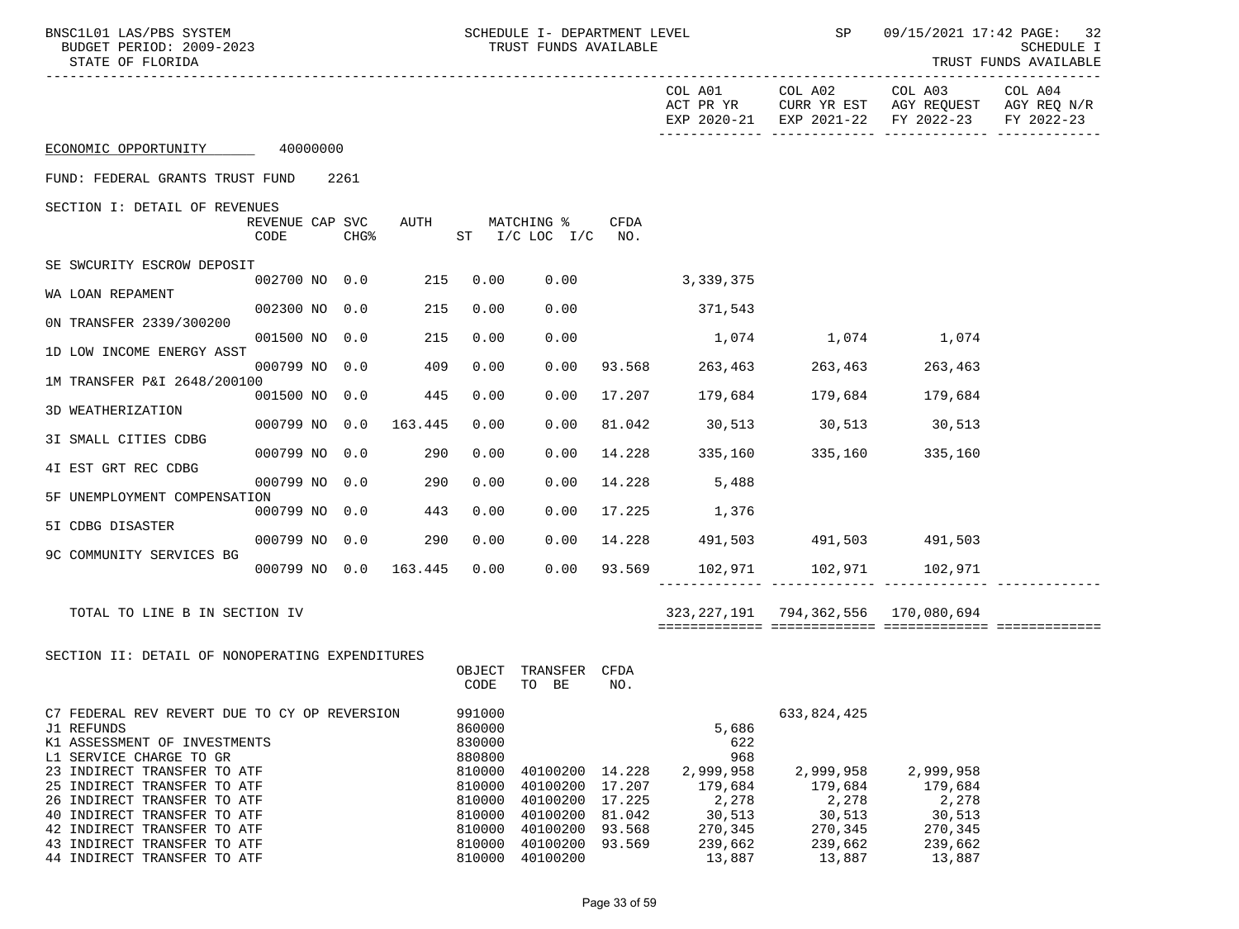| BNSC1L01 LAS/PBS SYSTEM<br>BUDGET PERIOD: 2009-2023<br>STATE OF FLORIDA                                               |                        |                  |      |                                      | SCHEDULE I- DEPARTMENT LEVEL<br>TRUST FUNDS AVAILABLE |        |                      | SP and the set of the set of the set of the set of the set of the set of the set of the set of the set of the s |                                    | 09/15/2021 17:42 PAGE: 32<br>SCHEDULE I<br>TRUST FUNDS AVAILABLE |
|-----------------------------------------------------------------------------------------------------------------------|------------------------|------------------|------|--------------------------------------|-------------------------------------------------------|--------|----------------------|-----------------------------------------------------------------------------------------------------------------|------------------------------------|------------------------------------------------------------------|
|                                                                                                                       |                        |                  |      |                                      |                                                       |        | COL A01<br>ACT PR YR | COL A02<br>EXP 2020-21 EXP 2021-22 FY 2022-23                                                                   | COL A03<br>CURR YR EST AGY REQUEST | COL A04<br>AGY REQ N/R<br>FY 2022-23                             |
| ECONOMIC OPPORTUNITY 40000000                                                                                         |                        |                  |      |                                      |                                                       |        |                      |                                                                                                                 |                                    |                                                                  |
| FUND: FEDERAL GRANTS TRUST FUND                                                                                       |                        | 2261             |      |                                      |                                                       |        |                      |                                                                                                                 |                                    |                                                                  |
| SECTION I: DETAIL OF REVENUES                                                                                         | REVENUE CAP SVC        |                  | AUTH |                                      | MATCHING %                                            | CFDA   |                      |                                                                                                                 |                                    |                                                                  |
|                                                                                                                       | CODE                   | CHG <sub>8</sub> |      |                                      | ST I/C LOC I/C NO.                                    |        |                      |                                                                                                                 |                                    |                                                                  |
| SE SWCURITY ESCROW DEPOSIT                                                                                            | 002700 NO 0.0 215 0.00 |                  |      |                                      | 0.00                                                  |        | 3,339,375            |                                                                                                                 |                                    |                                                                  |
| WA LOAN REPAMENT                                                                                                      |                        |                  |      |                                      |                                                       |        |                      |                                                                                                                 |                                    |                                                                  |
| ON TRANSFER 2339/300200                                                                                               | 002300 NO 0.0          |                  | 215  | 0.00                                 | 0.00                                                  |        | 371,543              |                                                                                                                 |                                    |                                                                  |
| 1D LOW INCOME ENERGY ASST                                                                                             | 001500 NO 0.0          |                  | 215  | 0.00                                 | 0.00                                                  |        |                      | 1,074 1,074 1,074                                                                                               |                                    |                                                                  |
|                                                                                                                       | 000799 NO 0.0          |                  | 409  | 0.00                                 | 0.00                                                  |        | 93.568 263,463       | 263,463                                                                                                         | 263,463                            |                                                                  |
| 1M TRANSFER P&I 2648/200100                                                                                           | 001500 NO 0.0          |                  | 445  | 0.00                                 | 0.00                                                  |        | 17.207 179,684       | 179,684                                                                                                         | 179,684                            |                                                                  |
| 3D WEATHERIZATION                                                                                                     | 000799 NO 0.0 163.445  |                  |      | 0.00                                 | 0.00                                                  | 81.042 |                      | 30,513 30,513 30,513                                                                                            |                                    |                                                                  |
| 3I SMALL CITIES CDBG                                                                                                  |                        |                  |      |                                      |                                                       |        |                      |                                                                                                                 |                                    |                                                                  |
| 4I EST GRT REC CDBG                                                                                                   | 000799 NO 0.0          |                  | 290  | 0.00                                 | 0.00                                                  |        | 14.228 335,160       | 335,160                                                                                                         | 335,160                            |                                                                  |
|                                                                                                                       | 000799 NO 0.0          |                  | 290  | 0.00                                 | 0.00                                                  | 14.228 | 5,488                |                                                                                                                 |                                    |                                                                  |
| 5F UNEMPLOYMENT COMPENSATION                                                                                          | 000799 NO 0.0          |                  | 443  | 0.00                                 | 0.00                                                  |        | 17.225 1,376         |                                                                                                                 |                                    |                                                                  |
| 5I CDBG DISASTER                                                                                                      | 000799 NO 0.0          |                  | 290  | 0.00                                 | 0.00                                                  |        |                      | 14.228 491,503 491,503 491,503                                                                                  |                                    |                                                                  |
| 9C COMMUNITY SERVICES BG                                                                                              |                        |                  |      |                                      |                                                       |        |                      |                                                                                                                 |                                    |                                                                  |
|                                                                                                                       | 000799 NO 0.0 163.445  |                  |      | 0.00                                 | 0.00                                                  |        |                      |                                                                                                                 |                                    |                                                                  |
| TOTAL TO LINE B IN SECTION IV                                                                                         |                        |                  |      |                                      |                                                       |        |                      | 323, 227, 191 794, 362, 556 170, 080, 694                                                                       |                                    |                                                                  |
|                                                                                                                       |                        |                  |      |                                      |                                                       |        |                      |                                                                                                                 |                                    |                                                                  |
| SECTION II: DETAIL OF NONOPERATING EXPENDITURES                                                                       |                        |                  |      |                                      |                                                       |        |                      |                                                                                                                 |                                    |                                                                  |
|                                                                                                                       |                        |                  |      | OBJECT<br>CODE                       | TRANSFER CFDA<br>TO BE                                | NO.    |                      |                                                                                                                 |                                    |                                                                  |
| C7 FEDERAL REV REVERT DUE TO CY OP REVERSION<br>J1 REFUNDS<br>K1 ASSESSMENT OF INVESTMENTS<br>L1 SERVICE CHARGE TO GR |                        |                  |      | 991000<br>860000<br>830000<br>880800 |                                                       |        | 5,686<br>622<br>968  | 633,824,425                                                                                                     |                                    |                                                                  |
| 23 INDIRECT TRANSFER TO ATF                                                                                           |                        |                  |      | 810000                               | 40100200 14.228                                       |        | 2,999,958            | 2,999,958                                                                                                       | 2,999,958                          |                                                                  |
| 25 INDIRECT TRANSFER TO ATF<br>26 INDIRECT TRANSFER TO ATF                                                            |                        |                  |      | 810000<br>810000                     | 40100200 17.207<br>40100200 17.225                    |        | 179,684<br>2,278     | 179,684<br>2,278                                                                                                | 179,684<br>2,278                   |                                                                  |
| 40 INDIRECT TRANSFER TO ATF                                                                                           |                        |                  |      | 810000                               | 40100200 81.042                                       |        | 30,513               | 30,513                                                                                                          | 30,513                             |                                                                  |
| 42 INDIRECT TRANSFER TO ATF<br>43 INDIRECT TRANSFER TO ATF                                                            |                        |                  |      | 810000<br>810000                     | 40100200 93.568<br>40100200 93.569                    |        | 270,345<br>239,662   | 270,345<br>239,662                                                                                              | 270,345<br>239,662                 |                                                                  |

44 INDIRECT TRANSFER TO ATF 13,887 13,887 13,887 13,887 13,887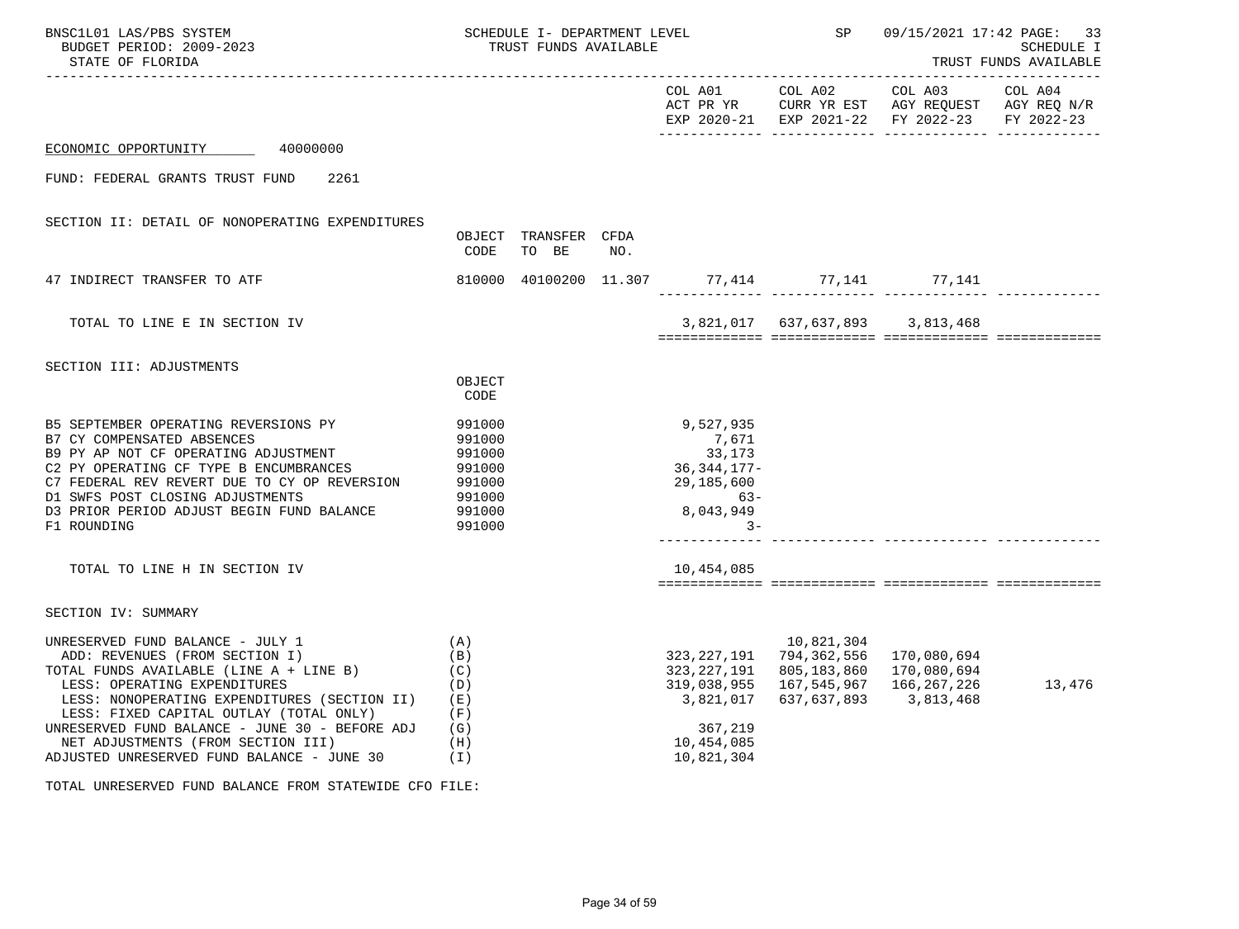| BNSC1L01 LAS/PBS SYSTEM<br>BUDGET PERIOD: 2009-2023<br>STATE OF FLORIDA                                                                                                                                                                                                                                                                                                        |                                                                              | SCHEDULE I- DEPARTMENT LEVEL<br>TRUST FUNDS AVAILABLE |     |                                                                                         |                                           | SP 09/15/2021 17:42 PAGE: 33<br>SCHEDULE I<br>TRUST FUNDS AVAILABLE                                              |         |  |
|--------------------------------------------------------------------------------------------------------------------------------------------------------------------------------------------------------------------------------------------------------------------------------------------------------------------------------------------------------------------------------|------------------------------------------------------------------------------|-------------------------------------------------------|-----|-----------------------------------------------------------------------------------------|-------------------------------------------|------------------------------------------------------------------------------------------------------------------|---------|--|
|                                                                                                                                                                                                                                                                                                                                                                                |                                                                              |                                                       |     | COL A01                                                                                 | COL A02                                   | COL A03<br>ACT PR YR CURR YR EST AGY REQUEST AGY REQ N/R<br>EXP 2020-21 EXP 2021-22 FY 2022-23 FY 2022-23        | COL A04 |  |
| ECONOMIC OPPORTUNITY 40000000                                                                                                                                                                                                                                                                                                                                                  |                                                                              |                                                       |     |                                                                                         |                                           |                                                                                                                  |         |  |
| FUND: FEDERAL GRANTS TRUST FUND<br>2261                                                                                                                                                                                                                                                                                                                                        |                                                                              |                                                       |     |                                                                                         |                                           |                                                                                                                  |         |  |
| SECTION II: DETAIL OF NONOPERATING EXPENDITURES                                                                                                                                                                                                                                                                                                                                | CODE                                                                         | OBJECT TRANSFER CFDA<br>TO BE                         | NO. |                                                                                         |                                           |                                                                                                                  |         |  |
| 47 INDIRECT TRANSFER TO ATF                                                                                                                                                                                                                                                                                                                                                    |                                                                              |                                                       |     |                                                                                         |                                           | 810000 40100200 11.307 77,414 77,141 77,141 77,141                                                               |         |  |
| TOTAL TO LINE E IN SECTION IV                                                                                                                                                                                                                                                                                                                                                  |                                                                              |                                                       |     |                                                                                         |                                           | 3,821,017 637,637,893 3,813,468                                                                                  |         |  |
| SECTION III: ADJUSTMENTS                                                                                                                                                                                                                                                                                                                                                       | OBJECT<br>CODE                                                               |                                                       |     |                                                                                         |                                           |                                                                                                                  |         |  |
| B5 SEPTEMBER OPERATING REVERSIONS PY<br>B7 CY COMPENSATED ABSENCES<br>B9 PY AP NOT CF OPERATING ADJUSTMENT<br>C2 PY OPERATING CF TYPE B ENCUMBRANCES<br>C7 FEDERAL REV REVERT DUE TO CY OP REVERSION<br>D1 SWFS POST CLOSING ADJUSTMENTS<br>D3 PRIOR PERIOD ADJUST BEGIN FUND BALANCE<br>F1 ROUNDING                                                                           | 991000<br>991000<br>991000<br>991000<br>991000<br>991000<br>991000<br>991000 |                                                       |     | 9,527,935<br>7,671<br>33,173<br>36,344,177-<br>29,185,600<br>$63-$<br>8,043,949<br>$3-$ |                                           |                                                                                                                  |         |  |
| TOTAL TO LINE H IN SECTION IV                                                                                                                                                                                                                                                                                                                                                  |                                                                              |                                                       |     | 10,454,085                                                                              |                                           |                                                                                                                  |         |  |
| SECTION IV: SUMMARY                                                                                                                                                                                                                                                                                                                                                            |                                                                              |                                                       |     |                                                                                         |                                           |                                                                                                                  |         |  |
| UNRESERVED FUND BALANCE - JULY 1<br>ADD: REVENUES (FROM SECTION I)<br>TOTAL FUNDS AVAILABLE (LINE A + LINE B)<br>LESS: OPERATING EXPENDITURES<br>LESS: NONOPERATING EXPENDITURES (SECTION II)<br>LESS: FIXED CAPITAL OUTLAY (TOTAL ONLY)<br>UNRESERVED FUND BALANCE - JUNE 30 - BEFORE ADJ<br>NET ADJUSTMENTS (FROM SECTION III)<br>ADJUSTED UNRESERVED FUND BALANCE - JUNE 30 | (A)<br>(B)<br>(C)<br>(D)<br>( E )<br>(F)<br>(G)<br>(H)<br>$(\top)$           |                                                       |     | 323,227,191<br>3,821,017<br>367,219<br>10,454,085<br>10,821,304                         | 10,821,304<br>323, 227, 191 794, 362, 556 | 170,080,694<br>805,183,860 170,080,694<br>319,038,955    167,545,967    166,267,226<br>637, 637, 893 3, 813, 468 | 13,476  |  |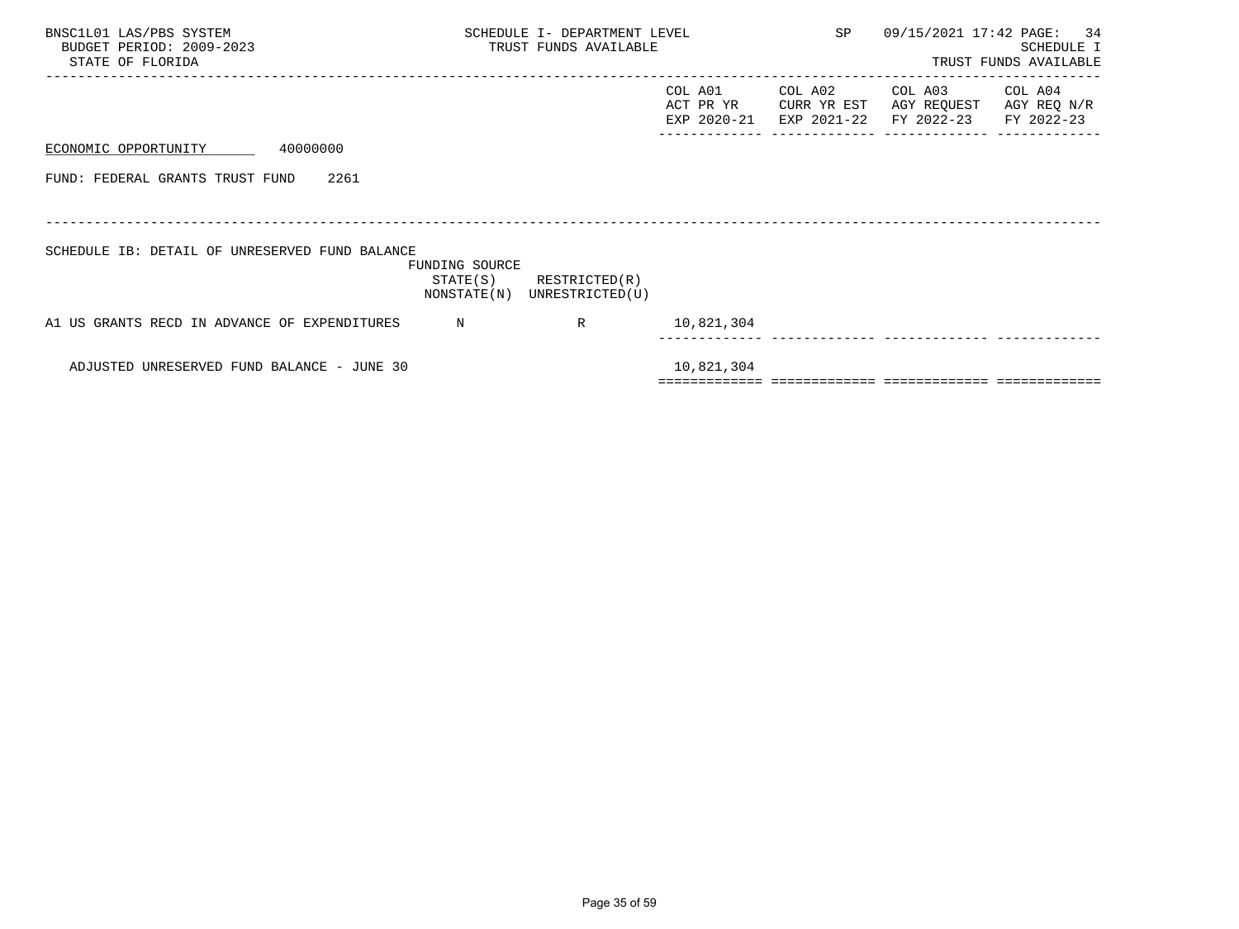| BNSC1L01 LAS/PBS SYSTEM<br>BUDGET PERIOD: 2009-2023<br>STATE OF FLORIDA |                            | SCHEDULE I- DEPARTMENT LEVEL<br>TRUST FUNDS AVAILABLE |                                     | SP                                    | 09/15/2021 17:42 PAGE: 34            | SCHEDULE I<br>TRUST FUNDS AVAILABLE  |
|-------------------------------------------------------------------------|----------------------------|-------------------------------------------------------|-------------------------------------|---------------------------------------|--------------------------------------|--------------------------------------|
|                                                                         |                            |                                                       | COL A01<br>ACT PR YR<br>EXP 2020-21 | COL A02<br>CURR YR EST<br>EXP 2021-22 | COL A03<br>AGY REQUEST<br>FY 2022-23 | COL A04<br>AGY REQ N/R<br>FY 2022-23 |
| 40000000<br>ECONOMIC OPPORTUNITY                                        |                            |                                                       |                                     |                                       |                                      |                                      |
| FUND: FEDERAL GRANTS TRUST FUND<br>2261                                 |                            |                                                       |                                     |                                       |                                      |                                      |
|                                                                         |                            |                                                       |                                     |                                       |                                      |                                      |
| SCHEDULE IB: DETAIL OF UNRESERVED FUND BALANCE                          | FUNDING SOURCE<br>STATE(S) | RESTRICTED(R)<br>NONSTATE(N) UNRESTRICTED(U)          |                                     |                                       |                                      |                                      |
| A1 US GRANTS RECD IN ADVANCE OF EXPENDITURES                            | N                          | R                                                     | 10,821,304                          |                                       |                                      |                                      |
| ADJUSTED UNRESERVED FUND BALANCE - JUNE 30                              |                            |                                                       | 10,821,304                          |                                       |                                      |                                      |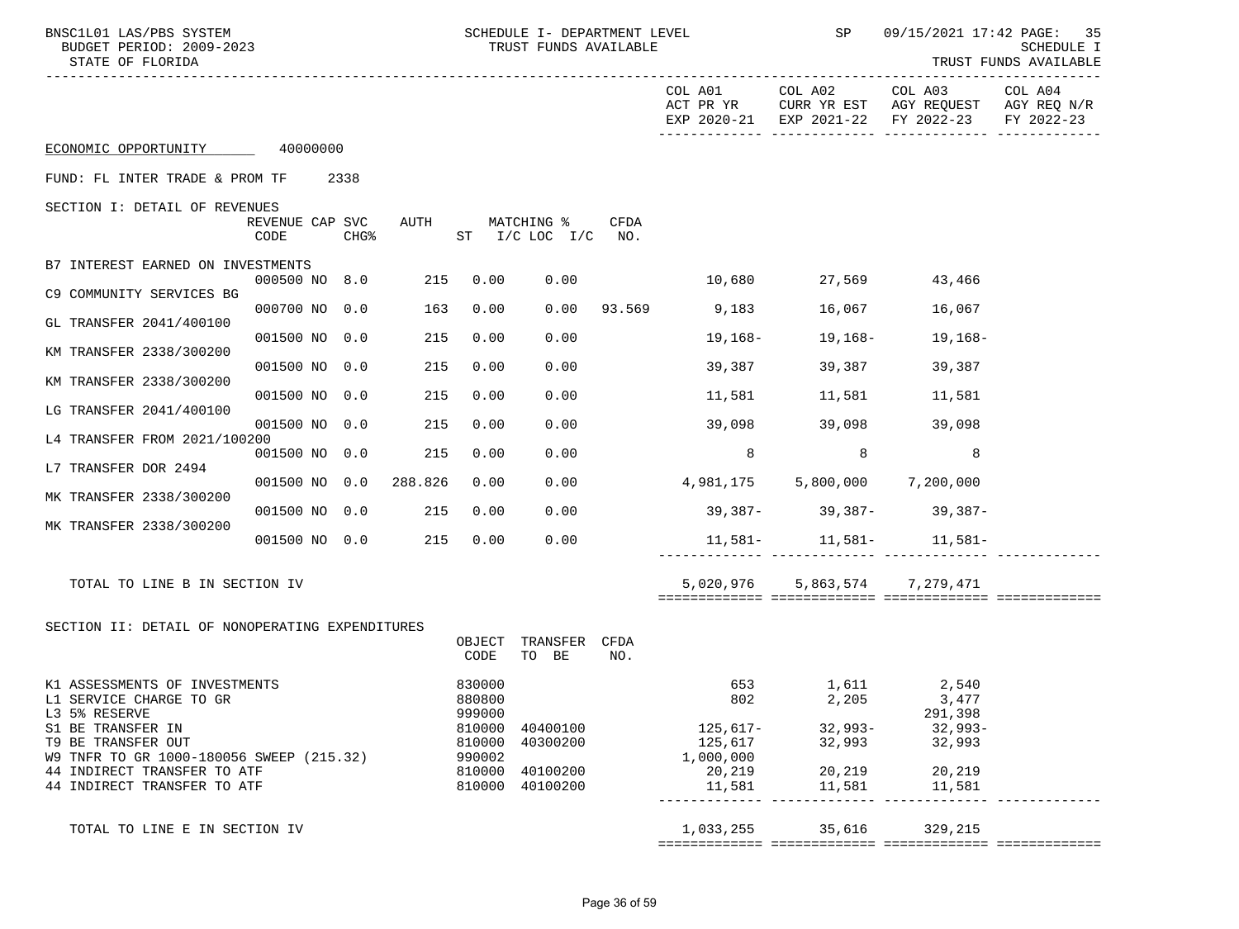| BNSC1L01 LAS/PBS SYSTEM<br>BUDGET PERIOD: 2009-2023<br>STATE OF FLORIDA |                  | SCHEDULE I- DEPARTMENT LEVEL<br>TRUST FUNDS AVAILABLE |      |                                   | <b>SP</b>                          | 09/15/2021 17:42 PAGE: 35                                    | <b>SCHEDULE I</b><br>TRUST FUNDS AVAILABLE |
|-------------------------------------------------------------------------|------------------|-------------------------------------------------------|------|-----------------------------------|------------------------------------|--------------------------------------------------------------|--------------------------------------------|
|                                                                         |                  |                                                       |      | COL A01<br>ACT PR YR              | COL A02<br>EXP 2020-21 EXP 2021-22 | COL A03<br>CURR YR EST AGY REQUEST AGY REQ N/R<br>FY 2022-23 | COL A04<br>FY 2022-23                      |
| ECONOMIC OPPORTUNITY 40000000                                           |                  |                                                       |      |                                   |                                    |                                                              |                                            |
| FUND: FL INTER TRADE & PROM TF<br>2338                                  |                  |                                                       |      |                                   |                                    |                                                              |                                            |
| SECTION I: DETAIL OF REVENUES                                           |                  |                                                       |      |                                   |                                    |                                                              |                                            |
| REVENUE CAP SVC<br>CODE<br>CHG <sub>8</sub>                             | AUTH             | MATCHING %<br>ST I/C LOC I/C NO.                      | CFDA |                                   |                                    |                                                              |                                            |
| B7 INTEREST EARNED ON INVESTMENTS<br>000500 NO 8.0                      | 215              | 0.00<br>0.00                                          |      | 10,680 27,569                     |                                    | 43,466                                                       |                                            |
| C9 COMMUNITY SERVICES BG                                                |                  |                                                       |      |                                   |                                    |                                                              |                                            |
| 000700 NO 0.0<br>GL TRANSFER 2041/400100                                | 163              | 0.00                                                  |      | $0.00$ 93.569 9,183 16,067 16,067 |                                    |                                                              |                                            |
| 001500 NO 0.0<br>KM TRANSFER 2338/300200                                | 215              | 0.00<br>0.00                                          |      | 19,168–                           | 19,168-                            | 19,168–                                                      |                                            |
| 001500 NO 0.0                                                           | 215              | 0.00<br>0.00                                          |      | 39,387                            | 39,387                             | 39,387                                                       |                                            |
| KM TRANSFER 2338/300200<br>001500 NO 0.0                                | 215              | 0.00<br>0.00                                          |      | 11,581                            | 11,581 11,581                      |                                                              |                                            |
| LG TRANSFER 2041/400100<br>001500 NO 0.0                                | 215              | 0.00<br>0.00                                          |      | 39,098                            | $39,098$ 39,098                    |                                                              |                                            |
| L4 TRANSFER FROM 2021/100200                                            |                  |                                                       |      |                                   |                                    |                                                              |                                            |
| 001500 NO 0.0<br>L7 TRANSFER DOR 2494                                   | 215              | 0.00<br>0.00                                          |      | 8                                 | 8                                  | 8                                                            |                                            |
| 001500 NO 0.0 288.826<br>MK TRANSFER 2338/300200                        |                  | 0.00<br>0.00                                          |      | 4,981,175                         |                                    | 5,800,000 7,200,000                                          |                                            |
| 001500 NO 0.0                                                           | 215              | 0.00<br>0.00                                          |      |                                   |                                    | $39,387 - 39,387 - 39,387 -$                                 |                                            |
| MK TRANSFER 2338/300200<br>001500 NO 0.0                                | 215              | 0.00<br>0.00                                          |      |                                   |                                    | $11,581-11,581-11,581-$                                      |                                            |
|                                                                         |                  |                                                       |      |                                   |                                    |                                                              |                                            |
| TOTAL TO LINE B IN SECTION IV                                           |                  |                                                       |      | 5,020,976                         |                                    | 5,863,574 7,279,471                                          |                                            |
| SECTION II: DETAIL OF NONOPERATING EXPENDITURES                         |                  |                                                       |      |                                   |                                    |                                                              |                                            |
|                                                                         | OBJECT<br>CODE   | TRANSFER CFDA<br>TO BE                                | NO.  |                                   |                                    |                                                              |                                            |
| K1 ASSESSMENTS OF INVESTMENTS                                           | 830000           |                                                       |      | 653                               | 1,611 2,540                        |                                                              |                                            |
| L1 SERVICE CHARGE TO GR<br>L3 5% RESERVE                                | 880800<br>999000 |                                                       |      | 802                               | 2,205                              | 3,477<br>291,398                                             |                                            |
| S1 BE TRANSFER IN                                                       | 810000           | 40400100                                              |      | 125,617-                          | 32,993-                            | 32,993-                                                      |                                            |
| T9 BE TRANSFER OUT                                                      | 810000           | 40300200                                              |      | 125,617                           | 32,993                             | 32,993                                                       |                                            |
| W9 TNFR TO GR 1000-180056 SWEEP (215.32)<br>44 INDIRECT TRANSFER TO ATF | 990002<br>810000 | 40100200                                              |      | 1,000,000<br>20,219               | 20,219 20,219                      |                                                              |                                            |
| 44 INDIRECT TRANSFER TO ATF                                             | 810000           | 40100200                                              |      | 11,581<br>------------ ---------  | 11,581                             | 11,581                                                       |                                            |
| TOTAL TO LINE E IN SECTION IV                                           |                  |                                                       |      |                                   | 1,033,255 35,616 329,215           |                                                              |                                            |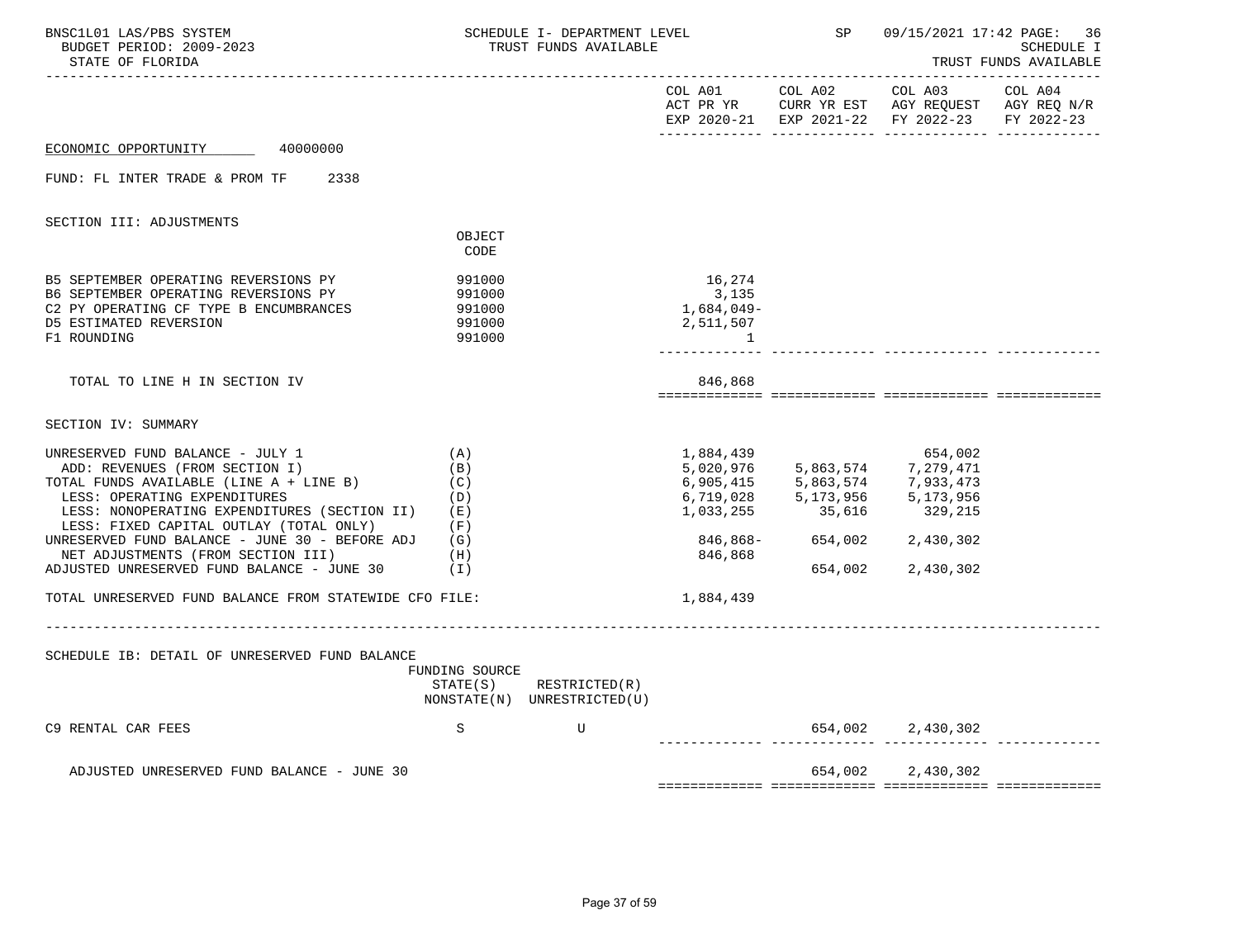| BNSC1L01 LAS/PBS SYSTEM<br>BUDGET PERIOD: 2009-2023<br>STATE OF FLORIDA                                                                                                                                                                                                                                                                                                                    |                                                | SCHEDULE I- DEPARTMENT LEVEL<br>TRUST FUNDS AVAILABLE      |                                                  | SP                                                                                                                                                                    | 09/15/2021 17:42 PAGE: 36                                                                                 | <b>SCHEDULE I</b><br>TRUST FUNDS AVAILABLE |
|--------------------------------------------------------------------------------------------------------------------------------------------------------------------------------------------------------------------------------------------------------------------------------------------------------------------------------------------------------------------------------------------|------------------------------------------------|------------------------------------------------------------|--------------------------------------------------|-----------------------------------------------------------------------------------------------------------------------------------------------------------------------|-----------------------------------------------------------------------------------------------------------|--------------------------------------------|
|                                                                                                                                                                                                                                                                                                                                                                                            |                                                |                                                            | COL A01 COL A02                                  |                                                                                                                                                                       | COL A03<br>ACT PR YR CURR YR EST AGY REQUEST AGY REQ N/R<br>EXP 2020-21 EXP 2021-22 FY 2022-23 FY 2022-23 | COL A04                                    |
| ECONOMIC OPPORTUNITY 40000000                                                                                                                                                                                                                                                                                                                                                              |                                                |                                                            |                                                  |                                                                                                                                                                       |                                                                                                           |                                            |
| FUND: FL INTER TRADE & PROM TF 2338                                                                                                                                                                                                                                                                                                                                                        |                                                |                                                            |                                                  |                                                                                                                                                                       |                                                                                                           |                                            |
| SECTION III: ADJUSTMENTS                                                                                                                                                                                                                                                                                                                                                                   |                                                |                                                            |                                                  |                                                                                                                                                                       |                                                                                                           |                                            |
|                                                                                                                                                                                                                                                                                                                                                                                            | OBJECT<br>CODE                                 |                                                            |                                                  |                                                                                                                                                                       |                                                                                                           |                                            |
| B5 SEPTEMBER OPERATING REVERSIONS PY<br>B6 SEPTEMBER OPERATING REVERSIONS PY<br>C2 PY OPERATING CF TYPE B ENCUMBRANCES<br>D5 ESTIMATED REVERSION<br>F1 ROUNDING                                                                                                                                                                                                                            | 991000<br>991000<br>991000<br>991000<br>991000 |                                                            | 16,274<br>3,135<br>1,684,049–<br>2,511,507<br>-1 |                                                                                                                                                                       |                                                                                                           |                                            |
| TOTAL TO LINE H IN SECTION IV                                                                                                                                                                                                                                                                                                                                                              |                                                |                                                            | 846,868                                          |                                                                                                                                                                       |                                                                                                           |                                            |
| SECTION IV: SUMMARY                                                                                                                                                                                                                                                                                                                                                                        |                                                |                                                            |                                                  |                                                                                                                                                                       |                                                                                                           |                                            |
| UNRESERVED FUND BALANCE - JULY 1<br>ADD: REVENUES (FROM SECTION I)<br>TOTAL FUNDS AVAILABLE (LINE A + LINE B)<br>a di Kabupatén Bandungan<br>Kabupatèn Suma<br>LESS: OPERATING EXPENDITURES<br>LESS: NONOPERATING EXPENDITURES (SECTION II) (E)<br>LESS: FIXED CAPITAL OUTLAY (TOTAL ONLY) (F)<br>UNRESERVED FUND BALANCE - JUNE 30 - BEFORE ADJ (G)<br>NET ADJUSTMENTS (FROM SECTION III) | (A)<br>(B)<br>(C)<br>(D)<br>(H)                |                                                            | 1,033,255<br>846,868                             | 1,884,439 654,002<br>5,020,976 5,863,574 7,279,471<br>$6,905,415$<br>$6,719,028$<br>$5,173,956$<br>$5,173,956$<br>$5,173,956$<br>35,616<br>846,868- 654,002 2,430,302 | 329,215                                                                                                   |                                            |
| ADJUSTED UNRESERVED FUND BALANCE - JUNE 30                                                                                                                                                                                                                                                                                                                                                 | $(\top)$                                       |                                                            |                                                  | 654,002                                                                                                                                                               | 2,430,302                                                                                                 |                                            |
| TOTAL UNRESERVED FUND BALANCE FROM STATEWIDE CFO FILE:                                                                                                                                                                                                                                                                                                                                     |                                                |                                                            | 1,884,439                                        |                                                                                                                                                                       |                                                                                                           |                                            |
| SCHEDULE IB: DETAIL OF UNRESERVED FUND BALANCE                                                                                                                                                                                                                                                                                                                                             | FUNDING SOURCE                                 | $STATE(S)$ RESTRICTED $(R)$<br>NONSTATE(N) UNRESTRICTED(U) |                                                  |                                                                                                                                                                       |                                                                                                           |                                            |
| C9 RENTAL CAR FEES                                                                                                                                                                                                                                                                                                                                                                         | S                                              | U                                                          |                                                  |                                                                                                                                                                       | 654,002 2,430,302<br>_______ _______________ ___                                                          |                                            |
| ADJUSTED UNRESERVED FUND BALANCE - JUNE 30                                                                                                                                                                                                                                                                                                                                                 |                                                |                                                            |                                                  |                                                                                                                                                                       | 654,002 2,430,302                                                                                         |                                            |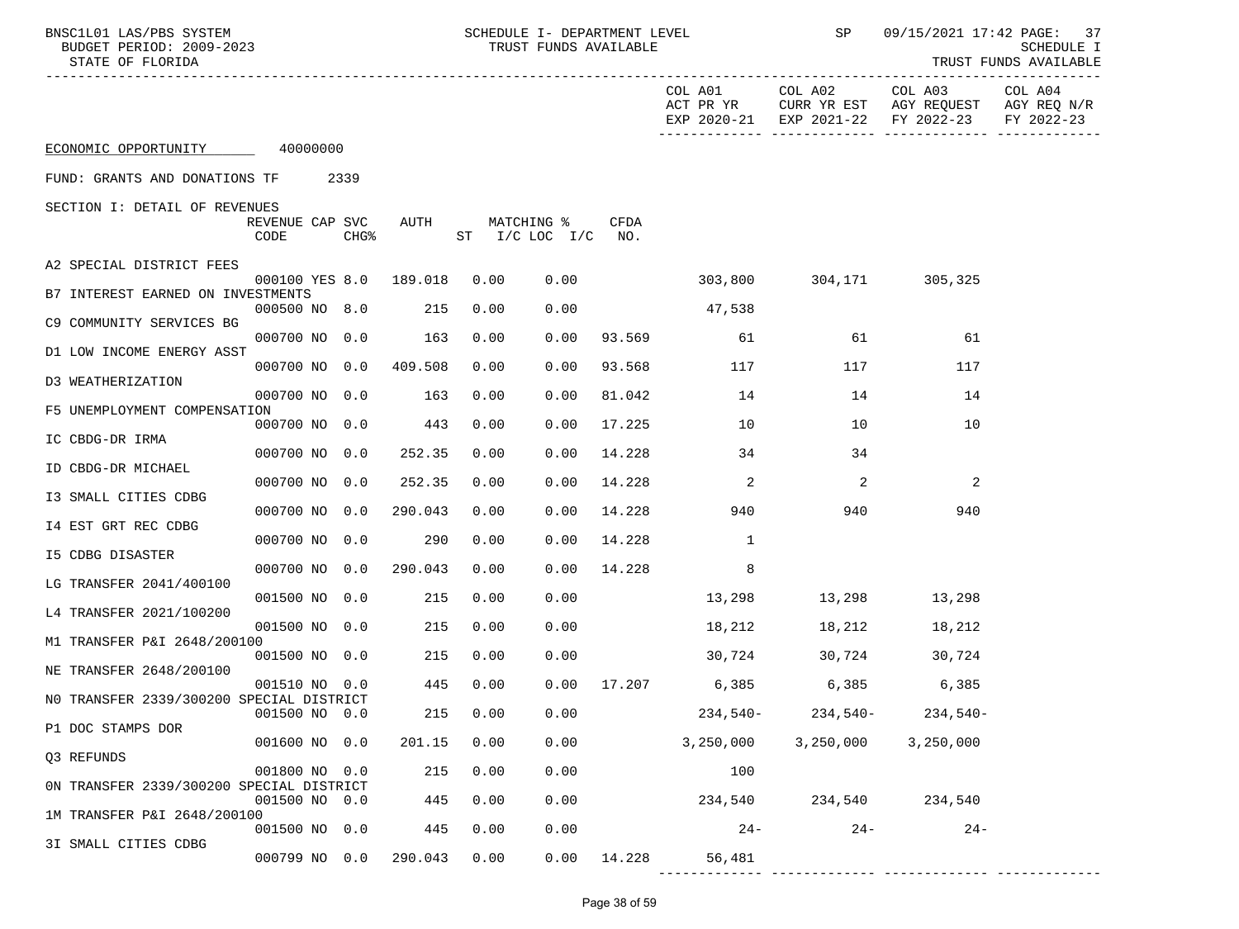| BNSC1L01 LAS/PBS SYSTEM<br>BUDGET PERIOD: 2009-2023<br>STATE OF FLORIDA |                         |                  |         |      | SCHEDULE I- DEPARTMENT LEVEL<br>TRUST FUNDS AVAILABLE |             |                            | <b>SP</b> SP            | 09/15/2021 17:42 PAGE: 37<br>SCHEDULE I<br>TRUST FUNDS AVAILABLE                             |            |
|-------------------------------------------------------------------------|-------------------------|------------------|---------|------|-------------------------------------------------------|-------------|----------------------------|-------------------------|----------------------------------------------------------------------------------------------|------------|
|                                                                         |                         |                  |         |      |                                                       |             | COL A01<br>ACT PR YR       | COL A02                 | COL A03 COL A04<br>CURR YR EST AGY REQUEST AGY REQ N/R<br>EXP 2020-21 EXP 2021-22 FY 2022-23 | FY 2022-23 |
| ECONOMIC OPPORTUNITY 40000000                                           |                         |                  |         |      |                                                       |             |                            |                         |                                                                                              |            |
| FUND: GRANTS AND DONATIONS TF                                           |                         | 2339             |         |      |                                                       |             |                            |                         |                                                                                              |            |
| SECTION I: DETAIL OF REVENUES                                           | REVENUE CAP SVC<br>CODE | CHG <sup>8</sup> | AUTH    |      | MATCHING %<br>ST I/C LOC I/C                          | CFDA<br>NO. |                            |                         |                                                                                              |            |
| A2 SPECIAL DISTRICT FEES                                                |                         |                  |         |      |                                                       |             |                            |                         |                                                                                              |            |
| B7 INTEREST EARNED ON INVESTMENTS                                       | 000100 YES 8.0          |                  | 189.018 | 0.00 | 0.00                                                  |             |                            | 303,800 304,171 305,325 |                                                                                              |            |
| C9 COMMUNITY SERVICES BG                                                | 000500 NO 8.0           |                  | 215     | 0.00 | 0.00                                                  |             | 47,538                     |                         |                                                                                              |            |
| D1 LOW INCOME ENERGY ASST                                               | 000700 NO 0.0           |                  | 163     | 0.00 | 0.00                                                  |             | 93.569 61                  | 61                      | 61                                                                                           |            |
| D3 WEATHERIZATION                                                       | 000700 NO 0.0           |                  | 409.508 | 0.00 | 0.00                                                  | 93.568      | 117                        | 117                     | 117                                                                                          |            |
| F5 UNEMPLOYMENT COMPENSATION                                            | 000700 NO 0.0           |                  | 163     | 0.00 | 0.00                                                  | 81.042      | 14                         | 14                      | 14                                                                                           |            |
| IC CBDG-DR IRMA                                                         | 000700 NO 0.0           |                  | 443     | 0.00 | 0.00                                                  | 17.225      | 10                         | 10                      | 10                                                                                           |            |
| ID CBDG-DR MICHAEL                                                      | 000700 NO 0.0           |                  | 252.35  | 0.00 | 0.00                                                  | 14.228      | 34                         | 34                      |                                                                                              |            |
| I3 SMALL CITIES CDBG                                                    | 000700 NO 0.0           |                  | 252.35  | 0.00 | 0.00                                                  | 14.228      | $\overline{\phantom{a}}^2$ | 2                       | 2                                                                                            |            |
| 14 EST GRT REC CDBG                                                     | 000700 NO 0.0           |                  | 290.043 | 0.00 | 0.00                                                  | 14.228      | 940                        | 940                     | 940                                                                                          |            |
|                                                                         | 000700 NO 0.0           |                  | 290     | 0.00 | 0.00                                                  | 14.228      | 1                          |                         |                                                                                              |            |
| I5 CDBG DISASTER                                                        | 000700 NO 0.0           |                  | 290.043 | 0.00 | 0.00                                                  | 14.228      | 8                          |                         |                                                                                              |            |
| LG TRANSFER 2041/400100                                                 | 001500 NO 0.0           |                  | 215     | 0.00 | 0.00                                                  |             | 13,298                     | 13,298 13,298           |                                                                                              |            |
| L4 TRANSFER 2021/100200                                                 | 001500 NO 0.0           |                  | 215     | 0.00 | 0.00                                                  |             | 18,212                     | 18,212                  | 18,212                                                                                       |            |
| M1 TRANSFER P&I 2648/200100                                             | 001500 NO 0.0           |                  | 215     | 0.00 | 0.00                                                  |             | 30,724                     | 30,724                  | 30,724                                                                                       |            |
| NE TRANSFER 2648/200100                                                 | 001510 NO 0.0           |                  | 445     | 0.00 | 0.00                                                  |             | 17.207 6,385               | 6,385                   | 6,385                                                                                        |            |
| NO TRANSFER 2339/300200 SPECIAL DISTRICT                                | 001500 NO 0.0           |                  | 215     | 0.00 | 0.00                                                  |             | $234,540-$                 | $234,540-$              | $234,540-$                                                                                   |            |
| P1 DOC STAMPS DOR                                                       | 001600 NO 0.0           |                  | 201.15  | 0.00 | 0.00                                                  |             | 3,250,000                  | 3,250,000               | 3,250,000                                                                                    |            |
| Q3 REFUNDS                                                              |                         |                  |         |      |                                                       |             |                            |                         |                                                                                              |            |
| ON TRANSFER 2339/300200 SPECIAL DISTRICT                                | 001800 NO 0.0           |                  | 215     | 0.00 | 0.00                                                  |             | 100                        |                         |                                                                                              |            |
| 1M TRANSFER P&I 2648/200100                                             | 001500 NO 0.0           |                  | 445     | 0.00 | 0.00                                                  |             | 234,540                    | 234,540                 | 234,540                                                                                      |            |
| 3I SMALL CITIES CDBG                                                    | 001500 NO 0.0           |                  | 445     | 0.00 | 0.00                                                  |             | $24 -$                     | $24 -$                  | $24 -$                                                                                       |            |
|                                                                         | 000799 NO 0.0           |                  | 290.043 | 0.00 | 0.00                                                  | 14.228      | 56,481                     |                         |                                                                                              |            |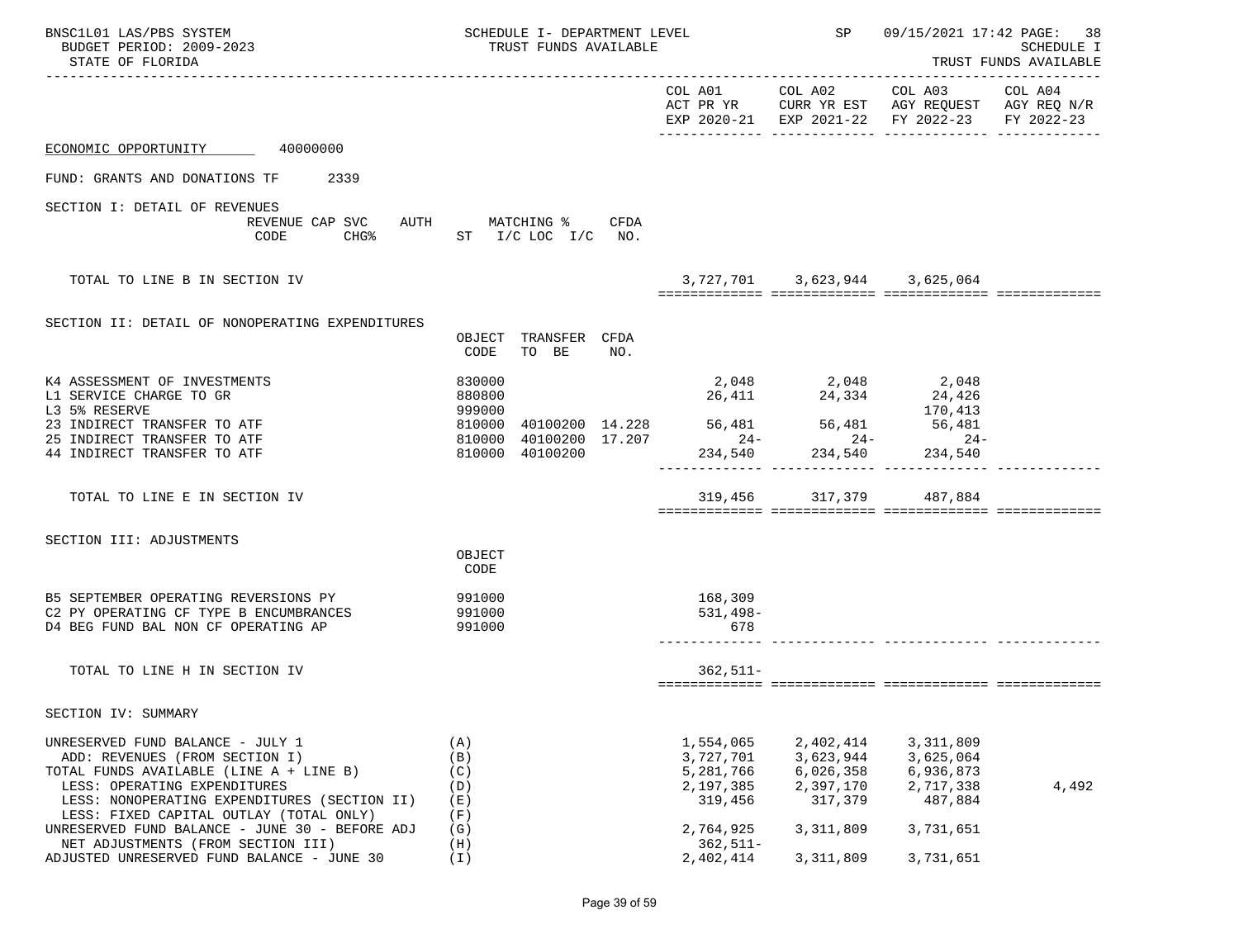| BNSC1L01 LAS/PBS SYSTEM<br>BUDGET PERIOD: 2009-2023<br>STATE OF FLORIDA                                                                                                                       | SCHEDULE I- DEPARTMENT LEVEL<br>TRUST FUNDS AVAILABLE                                                                                                             |                                                             | <b>SP</b> SP                                                | 09/15/2021 17:42 PAGE: 38<br><b>SCHEDULE I</b><br>TRUST FUNDS AVAILABLE                                                           |       |
|-----------------------------------------------------------------------------------------------------------------------------------------------------------------------------------------------|-------------------------------------------------------------------------------------------------------------------------------------------------------------------|-------------------------------------------------------------|-------------------------------------------------------------|-----------------------------------------------------------------------------------------------------------------------------------|-------|
|                                                                                                                                                                                               |                                                                                                                                                                   |                                                             |                                                             | COL A01 COL A02 COL A03 COL A04<br>ACT PR YR CURR YR EST AGY REQUEST AGY REQ N/R<br>EXP 2020-21 EXP 2021-22 FY 2022-23 FY 2022-23 |       |
| ECONOMIC OPPORTUNITY 40000000                                                                                                                                                                 |                                                                                                                                                                   |                                                             |                                                             |                                                                                                                                   |       |
| FUND: GRANTS AND DONATIONS TF 2339                                                                                                                                                            |                                                                                                                                                                   |                                                             |                                                             |                                                                                                                                   |       |
| SECTION I: DETAIL OF REVENUES<br>REVENUE CAP SVC AUTH MATCHING %<br>CODE                                                                                                                      | CFDA<br>CHG <sup>&amp;</sup> ST I/C LOC I/C NO.                                                                                                                   |                                                             |                                                             |                                                                                                                                   |       |
| TOTAL TO LINE B IN SECTION IV                                                                                                                                                                 |                                                                                                                                                                   |                                                             | 3, 727, 701 3, 623, 944 3, 625, 064                         |                                                                                                                                   |       |
| SECTION II: DETAIL OF NONOPERATING EXPENDITURES                                                                                                                                               | OBJECT TRANSFER CFDA<br>TO BE<br>CODE<br>NO.                                                                                                                      |                                                             |                                                             |                                                                                                                                   |       |
| K4 ASSESSMENT OF INVESTMENTS<br>L1 SERVICE CHARGE TO GR<br>L3 5% RESERVE                                                                                                                      | 830000<br>880800<br>999000                                                                                                                                        |                                                             | 2,048 2,048 2,048                                           | 26,411 24,334 24,426<br>170,413                                                                                                   |       |
| 23 INDIRECT TRANSFER TO ATF<br>25 INDIRECT TRANSFER TO ATF<br>44 INDIRECT TRANSFER TO ATF                                                                                                     | $40100200$ $14.228$ $56,481$ $56,481$ $56,481$ $56,481$<br>$40100200$ $17.207$ $24 24 24-$<br>810000 40100200 14.228<br>810000 40100200 17.207<br>810000 40100200 | 234,540 234,540 234,540                                     |                                                             | $24-$                                                                                                                             |       |
| TOTAL TO LINE E IN SECTION IV                                                                                                                                                                 |                                                                                                                                                                   |                                                             | 319,456 317,379 487,884                                     |                                                                                                                                   |       |
| SECTION III: ADJUSTMENTS                                                                                                                                                                      | OBJECT<br>CODE                                                                                                                                                    |                                                             |                                                             |                                                                                                                                   |       |
| B5 SEPTEMBER OPERATING REVERSIONS PY<br>C2 PY OPERATING CF TYPE B ENCUMBRANCES<br>D4 BEG FUND BAL NON CF OPERATING AP                                                                         | 991000<br>991000<br>991000                                                                                                                                        | 168,309<br>531,498-<br>678                                  |                                                             |                                                                                                                                   |       |
| TOTAL TO LINE H IN SECTION IV                                                                                                                                                                 |                                                                                                                                                                   | $362,511-$                                                  |                                                             |                                                                                                                                   |       |
| SECTION IV: SUMMARY                                                                                                                                                                           |                                                                                                                                                                   |                                                             |                                                             |                                                                                                                                   |       |
| UNRESERVED FUND BALANCE - JULY 1<br>ADD: REVENUES (FROM SECTION I)<br>TOTAL FUNDS AVAILABLE (LINE A + LINE B)<br>LESS: OPERATING EXPENDITURES<br>LESS: NONOPERATING EXPENDITURES (SECTION II) | (A)<br>(B)<br>(C)<br>(D)<br>(E)                                                                                                                                   | 1,554,065<br>3,727,701<br>5,281,766<br>2,197,385<br>319,456 | 2,402,414<br>3,623,944<br>6,026,358<br>2,397,170<br>317,379 | 3,311,809<br>3,625,064<br>6,936,873<br>2,717,338<br>487,884                                                                       | 4,492 |
| LESS: FIXED CAPITAL OUTLAY (TOTAL ONLY)<br>UNRESERVED FUND BALANCE - JUNE 30 - BEFORE ADJ<br>NET ADJUSTMENTS (FROM SECTION III)                                                               | (F)<br>(G)<br>(H)                                                                                                                                                 | 2,764,925<br>$362,511-$                                     | 3,311,809                                                   | 3,731,651                                                                                                                         |       |
| ADJUSTED UNRESERVED FUND BALANCE - JUNE 30                                                                                                                                                    | (I)                                                                                                                                                               | 2,402,414                                                   | 3, 311, 809                                                 | 3,731,651                                                                                                                         |       |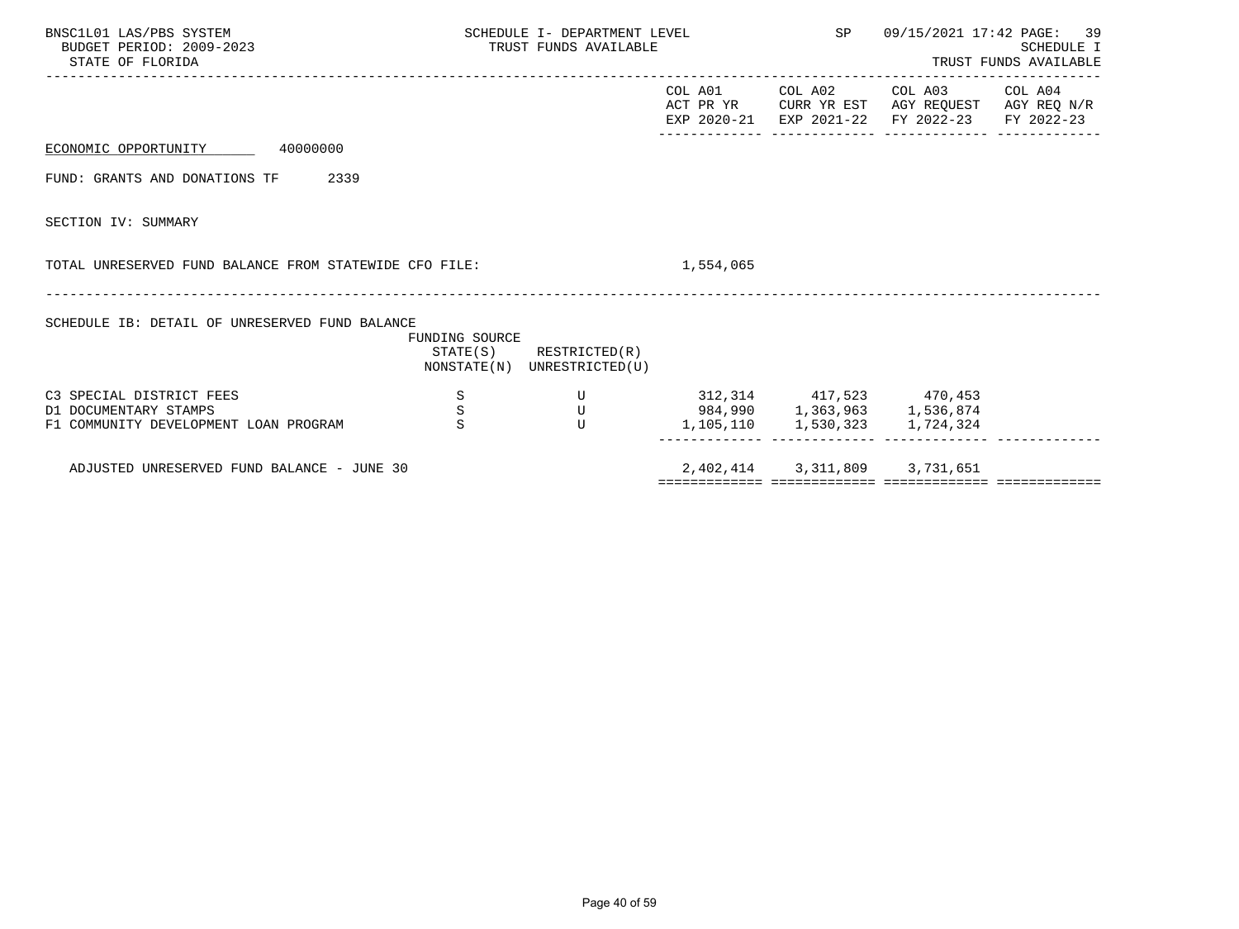| BNSC1L01 LAS/PBS SYSTEM<br>BUDGET PERIOD: 2009-2023<br>STATE OF FLORIDA                    |                                          | SCHEDULE I- DEPARTMENT LEVEL<br>TRUST FUNDS AVAILABLE |                                                        | SP                                              |                                      | 09/15/2021 17:42 PAGE: 39<br>SCHEDULE I<br>TRUST FUNDS AVAILABLE |
|--------------------------------------------------------------------------------------------|------------------------------------------|-------------------------------------------------------|--------------------------------------------------------|-------------------------------------------------|--------------------------------------|------------------------------------------------------------------|
|                                                                                            |                                          |                                                       | COL A01<br>EXP 2020-21                                 | COL A02<br>ACT PR YR CURR YR EST<br>EXP 2021-22 | COL A03<br>AGY REQUEST<br>FY 2022-23 | COL A04<br>AGY REQ N/R<br>FY 2022-23                             |
| ECONOMIC OPPORTUNITY 40000000                                                              |                                          |                                                       |                                                        |                                                 |                                      |                                                                  |
| FUND: GRANTS AND DONATIONS TF<br>2339                                                      |                                          |                                                       |                                                        |                                                 |                                      |                                                                  |
| SECTION IV: SUMMARY                                                                        |                                          |                                                       |                                                        |                                                 |                                      |                                                                  |
| TOTAL UNRESERVED FUND BALANCE FROM STATEWIDE CFO FILE:                                     |                                          |                                                       | 1,554,065                                              |                                                 |                                      |                                                                  |
| SCHEDULE IB: DETAIL OF UNRESERVED FUND BALANCE                                             |                                          |                                                       |                                                        |                                                 |                                      |                                                                  |
|                                                                                            | FUNDING SOURCE<br>STATE(S)               | RESTRICTED(R)<br>NONSTATE(N) UNRESTRICTED(U)          |                                                        |                                                 |                                      |                                                                  |
| C3 SPECIAL DISTRICT FEES<br>D1 DOCUMENTARY STAMPS<br>F1 COMMUNITY DEVELOPMENT LOAN PROGRAM | S<br>$\, \mathbb{S} \,$<br>$\mathcal{S}$ | U<br>$\overline{U}$<br>$\mathbf{U}$                   | 312,314 417,523 470,453<br>984,990 1,363,963 1,536,874 | 1, 105, 110 1, 530, 323 1, 724, 324             |                                      |                                                                  |
| ADJUSTED UNRESERVED FUND BALANCE - JUNE 30                                                 |                                          |                                                       |                                                        | 2,402,414 3,311,809 3,731,651                   |                                      |                                                                  |

============= ============= ============= =============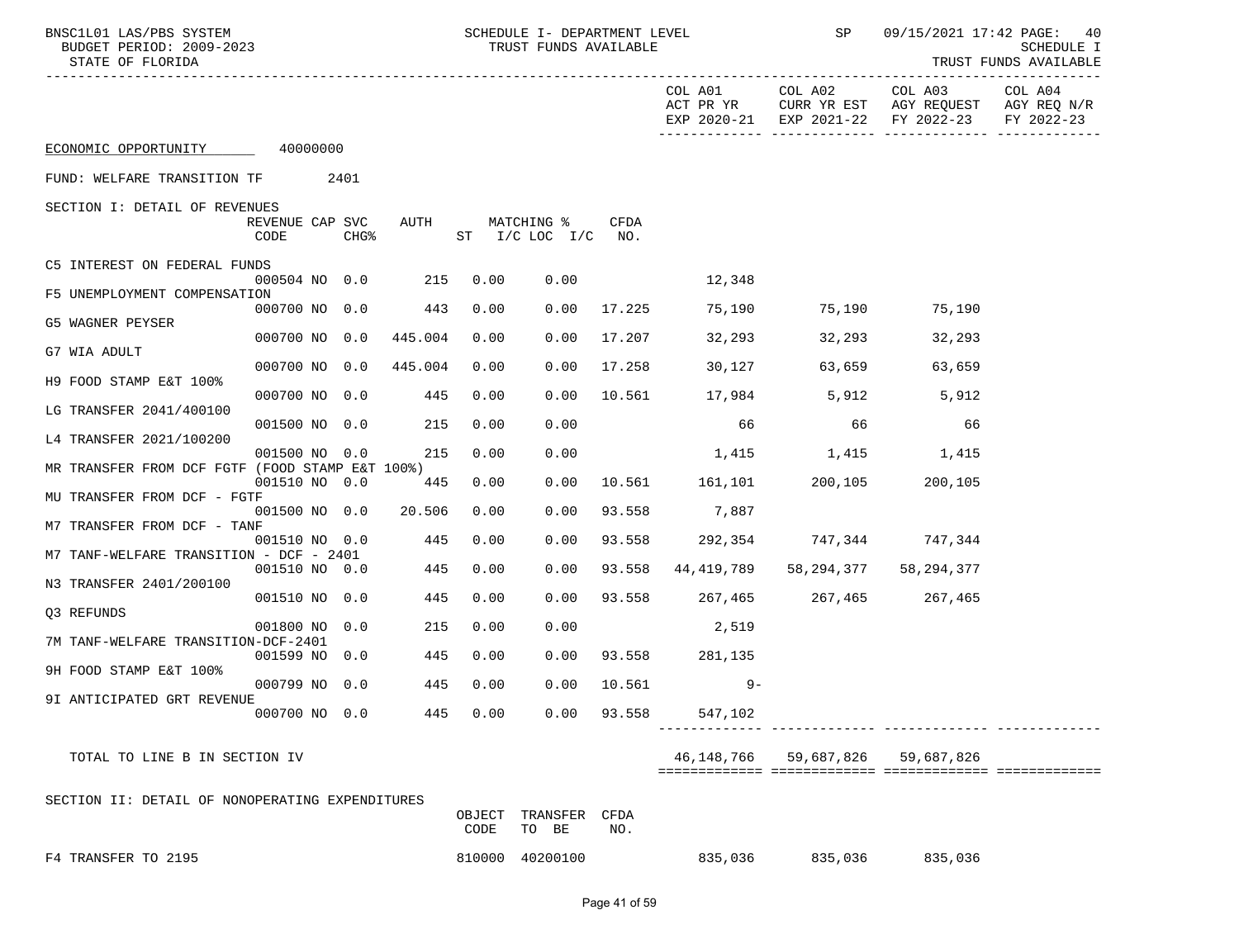| BUDGET PERIOD: 2009-2023<br>STATE OF FLORIDA    |                         |                  |                   |      | TRUST FUNDS AVAILABLE        |             |                                  |                                  |                                                                                      | <b>SCHEDULE I</b><br>TRUST FUNDS AVAILABLE |
|-------------------------------------------------|-------------------------|------------------|-------------------|------|------------------------------|-------------|----------------------------------|----------------------------------|--------------------------------------------------------------------------------------|--------------------------------------------|
|                                                 |                         |                  |                   |      |                              |             | COL A01<br>ACT PR YR             | COL A02 COL A03                  | CURR YR EST AGY REQUEST AGY REQ N/R<br>EXP 2020-21 EXP 2021-22 FY 2022-23 FY 2022-23 | COL A04                                    |
| ECONOMIC OPPORTUNITY 40000000                   |                         |                  |                   |      |                              |             |                                  |                                  |                                                                                      |                                            |
| FUND: WELFARE TRANSITION TF 2401                |                         |                  |                   |      |                              |             |                                  |                                  |                                                                                      |                                            |
| SECTION I: DETAIL OF REVENUES                   |                         |                  |                   |      |                              |             |                                  |                                  |                                                                                      |                                            |
|                                                 | REVENUE CAP SVC<br>CODE | CHG <sup>8</sup> | AUTH              |      | MATCHING %<br>ST I/C LOC I/C | CFDA<br>NO. |                                  |                                  |                                                                                      |                                            |
| C5 INTEREST ON FEDERAL FUNDS                    |                         |                  | 000504 NO 0.0 215 | 0.00 | 0.00                         |             | 12,348                           |                                  |                                                                                      |                                            |
| F5 UNEMPLOYMENT COMPENSATION                    |                         |                  |                   |      |                              |             |                                  |                                  |                                                                                      |                                            |
| G5 WAGNER PEYSER                                | 000700 NO 0.0           |                  | 443               | 0.00 | 0.00                         | 17.225      | 75,190                           |                                  |                                                                                      |                                            |
| G7 WIA ADULT                                    | 000700 NO 0.0           |                  | 445.004           | 0.00 | 0.00                         | 17.207      | 32,293                           | 32,293                           | 32,293                                                                               |                                            |
|                                                 | 000700 NO 0.0           |                  | 445.004           | 0.00 | 0.00                         | 17.258      | 30,127                           |                                  | 63,659                                                                               |                                            |
| H9 FOOD STAMP E&T 100%                          | 000700 NO 0.0           |                  | 445               | 0.00 | 0.00                         |             |                                  | 10.561 17,984 5,912              | 5,912                                                                                |                                            |
| LG TRANSFER 2041/400100                         |                         |                  |                   |      | 0.00                         |             | 66                               | 66                               | 66                                                                                   |                                            |
| L4 TRANSFER 2021/100200                         | 001500 NO 0.0           |                  | 215               | 0.00 |                              |             |                                  |                                  |                                                                                      |                                            |
| MR TRANSFER FROM DCF FGTF (FOOD STAMP E&T 100%) | 001500 NO 0.0           |                  | 215               | 0.00 | 0.00                         |             | 1,415                            | 1,415                            | 1,415                                                                                |                                            |
|                                                 | 001510 NO 0.0           |                  | 445               | 0.00 | 0.00                         |             | 10.561 161,101                   | 200,105 200,105                  |                                                                                      |                                            |
| MU TRANSFER FROM DCF - FGTF                     | 001500 NO 0.0           |                  | 20.506            | 0.00 | 0.00                         |             | 93.558 7,887                     |                                  |                                                                                      |                                            |
| M7 TRANSFER FROM DCF - TANF                     |                         |                  |                   |      |                              |             |                                  |                                  |                                                                                      |                                            |
| M7 TANF-WELFARE TRANSITION - DCF - 2401         | 001510 NO 0.0           |                  | 445               | 0.00 | 0.00                         |             |                                  | 93.558 292,354 747,344 747,344   |                                                                                      |                                            |
|                                                 | 001510 NO 0.0           |                  | 445               | 0.00 | 0.00                         | 93.558      | 44,419,789                       | 58,294,377 58,294,377            |                                                                                      |                                            |
| N3 TRANSFER 2401/200100                         |                         |                  |                   |      |                              |             |                                  |                                  |                                                                                      |                                            |
| Q3 REFUNDS                                      | 001510 NO 0.0           |                  | 445               | 0.00 | 0.00                         |             |                                  | 93.558 267,465 267,465 267,465   |                                                                                      |                                            |
|                                                 | 001800 NO 0.0           |                  | 215               | 0.00 | 0.00                         |             | 2,519                            |                                  |                                                                                      |                                            |
| 7M TANF-WELFARE TRANSITION-DCF-2401             |                         |                  | 445               | 0.00 | 0.00                         |             | 93.558 281,135                   |                                  |                                                                                      |                                            |
| 9H FOOD STAMP E&T 100%                          | 001599 NO 0.0           |                  |                   |      |                              |             |                                  |                                  |                                                                                      |                                            |
|                                                 | 000799 NO 0.0           |                  | 445               | 0.00 | 0.00                         | 10.561      | $9-$                             |                                  |                                                                                      |                                            |
| 9I ANTICIPATED GRT REVENUE                      | 000700 NO 0.0           |                  |                   |      |                              |             | 445  0.00  0.00  93.558  547,102 |                                  |                                                                                      |                                            |
|                                                 |                         |                  |                   |      |                              |             |                                  |                                  |                                                                                      |                                            |
| TOTAL TO LINE B IN SECTION IV                   |                         |                  |                   |      |                              |             |                                  | 46,148,766 59,687,826 59,687,826 |                                                                                      |                                            |
|                                                 |                         |                  |                   |      |                              |             |                                  |                                  |                                                                                      |                                            |
| SECTION II: DETAIL OF NONOPERATING EXPENDITURES |                         |                  |                   |      | OBJECT TRANSFER CFDA         |             |                                  |                                  |                                                                                      |                                            |
|                                                 |                         |                  |                   | CODE | TO BE                        | NO.         |                                  |                                  |                                                                                      |                                            |

BNSC1L01 LAS/PBS SYSTEM SCHEDULE I- DEPARTMENT LEVEL SP 09/15/2021 17:42 PAGE: 40

F4 TRANSFER TO 2195 810000 40200100 835,036 835,036 835,036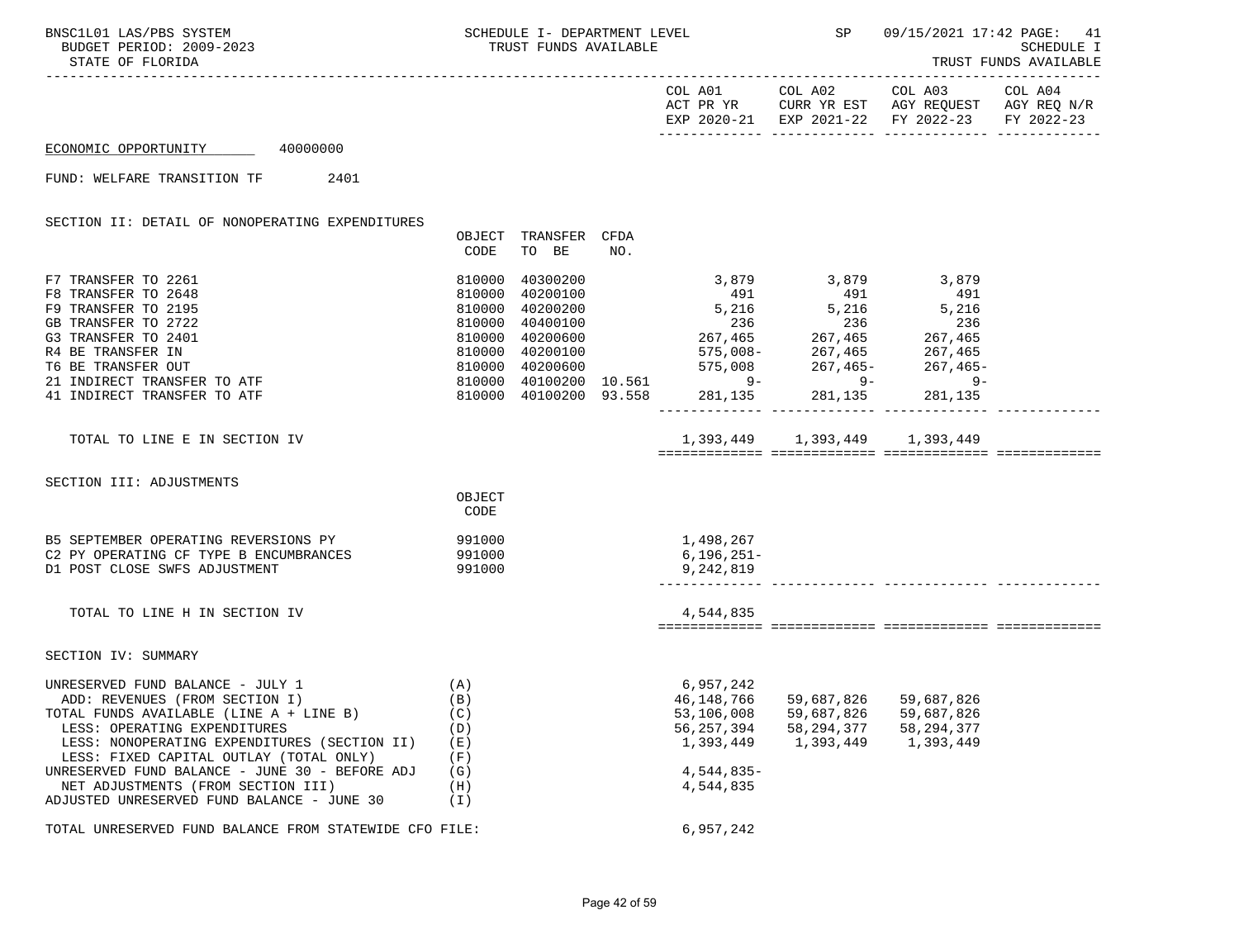BNSC1L01 LAS/PBS SYSTEM SCHEDULE I- DEPARTMENT LEVEL SP 09/15/2021 17:42 PAGE: 41<br>BUDGET PERIOD: 2009-2023 TRUST FUNDS AVAILABLE

|                                        | COL A01   | COL A02 | COL A03                                       | COL A04 |
|----------------------------------------|-----------|---------|-----------------------------------------------|---------|
|                                        | ACT PR YR |         | CURR YR EST AGY REOUEST AGY REO N/R           |         |
|                                        |           |         | EXP 2020-21 EXP 2021-22 FY 2022-23 FY 2022-23 |         |
| 100000000<br>------------------------- |           |         |                                               |         |

============= ============= ============= =============

------------- ------------- ------------- -------------

============= ============= ============= =============

ECONOMIC OPPORTUNITY 40000000

FUND: WELFARE TRANSITION TF 2401

SECTION II: DETAIL OF NONOPERATING EXPENDITURES

|                             | OBJECT | TRANSFER | CFDA   |            |             |            |
|-----------------------------|--------|----------|--------|------------|-------------|------------|
|                             | CODE   | TO<br>BE | NO.    |            |             |            |
| F7 TRANSFER TO 2261         | 810000 | 40300200 |        | 3,879      | 3,879       | 3,879      |
| F8 TRANSFER TO 2648         | 810000 | 40200100 |        | 491        | 491         | 491        |
| F9 TRANSFER TO 2195         | 810000 | 40200200 |        | 5,216      | 5,216       | 5,216      |
| GB TRANSFER TO 2722         | 810000 | 40400100 |        | 236        | 236         | 236        |
| G3 TRANSFER TO 2401         | 810000 | 40200600 |        | 267,465    | 267,465     | 267,465    |
| R4 BE TRANSFER IN           | 810000 | 40200100 |        | $575,008-$ | 267,465     | 267,465    |
| T6 BE TRANSFER OUT          | 810000 | 40200600 |        | 575,008    | $267.465 -$ | $267.465-$ |
| 21 INDIRECT TRANSFER TO ATF | 810000 | 40100200 | 10.561 | $9 -$      | $9 -$       | $9 -$      |
| 41 INDIRECT TRANSFER TO ATF | 810000 | 40100200 | 93.558 | 281,135    | 281,135     | 281,135    |
|                             |        |          |        |            |             |            |

TOTAL TO LINE E IN SECTION IV 1,393,449 1,393,449 1,393,449

SECTION III: ADJUSTMENTS

| OBJECT |
|--------|
| CODE   |
|        |

| B5 SEPTEMBER OPERATING REVERSIONS PY   | 991000 | 1,498,267  |
|----------------------------------------|--------|------------|
| C2 PY OPERATING CF TYPE B ENCUMBRANCES | 991000 | 6,196,251- |
| D1 POST CLOSE SWFS ADJUSTMENT          | 991000 | 9,242,819  |

TOTAL TO LINE H IN SECTION IV 4,544,835

SECTION IV: SUMMARY

| UNRESERVED FUND BALANCE - JULY 1                       | (A) | 6,957,242  |            |            |
|--------------------------------------------------------|-----|------------|------------|------------|
| ADD: REVENUES (FROM SECTION I)                         | (B) | 46,148,766 | 59,687,826 | 59,687,826 |
| TOTAL FUNDS AVAILABLE (LINE A + LINE B)                | (C) | 53,106,008 | 59,687,826 | 59,687,826 |
| LESS: OPERATING EXPENDITURES                           | (D) | 56,257,394 | 58,294,377 | 58,294,377 |
| LESS: NONOPERATING EXPENDITURES (SECTION II)           | (E) | 1,393,449  | 1,393,449  | 1,393,449  |
| LESS: FIXED CAPITAL OUTLAY (TOTAL ONLY)                | (F) |            |            |            |
| UNRESERVED FUND BALANCE - JUNE 30 - BEFORE ADJ         | (G) | 4,544,835- |            |            |
| NET ADJUSTMENTS (FROM SECTION III)                     | (H) | 4,544,835  |            |            |
| ADJUSTED UNRESERVED FUND BALANCE - JUNE 30             | (I) |            |            |            |
| TOTAL UNRESERVED FUND BALANCE FROM STATEWIDE CFO FILE: |     | 6,957,242  |            |            |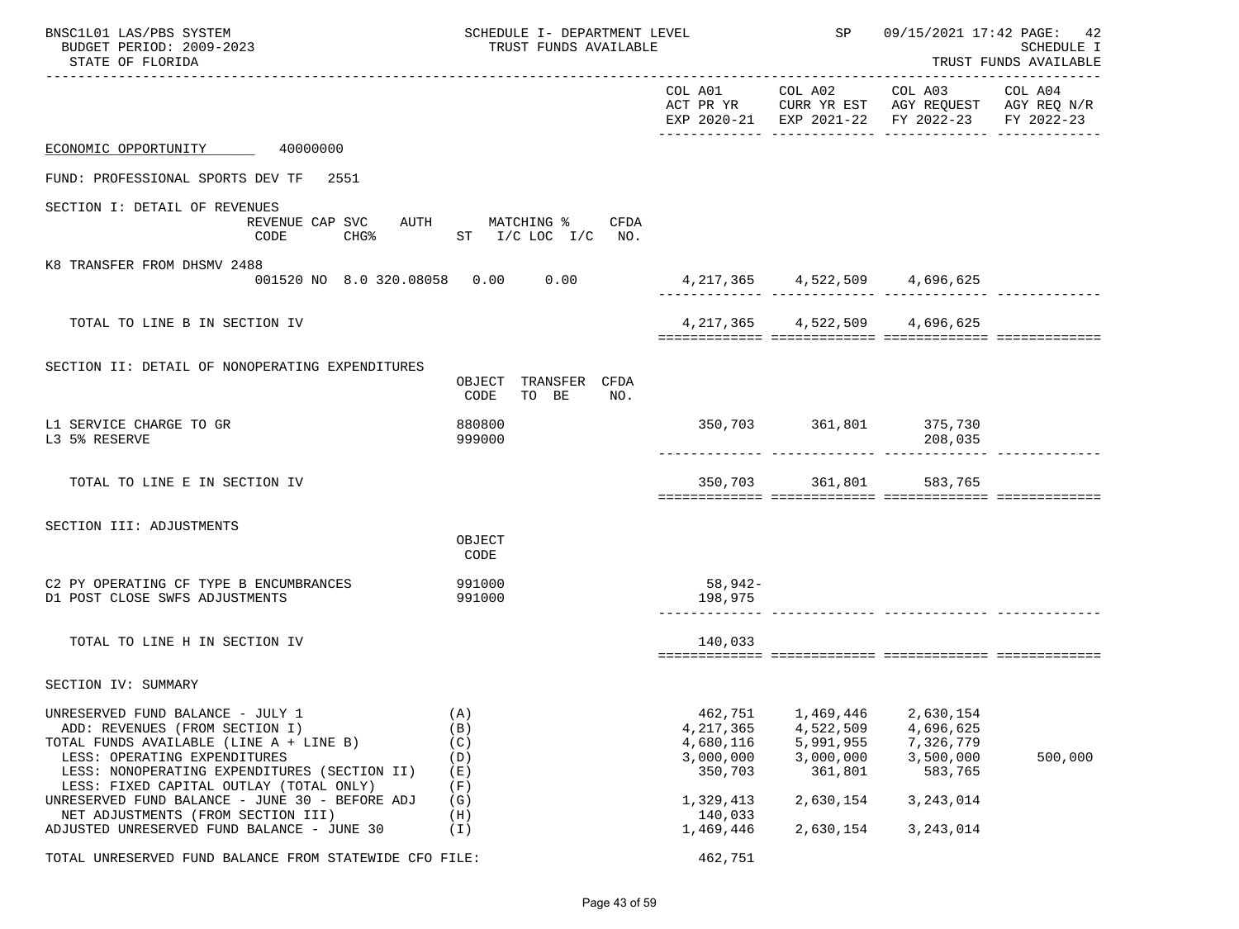| BNSC1L01 LAS/PBS SYSTEM<br>BUDGET PERIOD: 2009-2023<br>STATE OF FLORIDA                                                                                                                                                                                                                                                                                                        | SCHEDULE I- DEPARTMENT LEVEL<br>TRUST FUNDS AVAILABLE       |                                                                                                  | SP                                                                                    |                                                                                                                           | 09/15/2021 17:42 PAGE: 42<br><b>SCHEDULE I</b><br>TRUST FUNDS AVAILABLE |
|--------------------------------------------------------------------------------------------------------------------------------------------------------------------------------------------------------------------------------------------------------------------------------------------------------------------------------------------------------------------------------|-------------------------------------------------------------|--------------------------------------------------------------------------------------------------|---------------------------------------------------------------------------------------|---------------------------------------------------------------------------------------------------------------------------|-------------------------------------------------------------------------|
|                                                                                                                                                                                                                                                                                                                                                                                |                                                             |                                                                                                  |                                                                                       | COL A01 COL A02 COL A03<br>ACT PR YR CURR YR EST AGY REQUEST AGY REQ N/R<br>EXP 2020-21 EXP 2021-22 FY 2022-23 FY 2022-23 | COL A04                                                                 |
| ECONOMIC OPPORTUNITY 40000000                                                                                                                                                                                                                                                                                                                                                  |                                                             |                                                                                                  |                                                                                       |                                                                                                                           |                                                                         |
| FUND: PROFESSIONAL SPORTS DEV TF 2551                                                                                                                                                                                                                                                                                                                                          |                                                             |                                                                                                  |                                                                                       |                                                                                                                           |                                                                         |
| SECTION I: DETAIL OF REVENUES<br>REVENUE CAP SVC AUTH MATCHING % CFDA                                                                                                                                                                                                                                                                                                          | CODE CHG <sup>&amp;</sup> ST I/C LOC I/C NO.                |                                                                                                  |                                                                                       |                                                                                                                           |                                                                         |
| K8 TRANSFER FROM DHSMV 2488<br>001520 NO 8.0 320.08058 0.00 0.00                                                                                                                                                                                                                                                                                                               |                                                             |                                                                                                  | 4,217,365 4,522,509 4,696,625                                                         |                                                                                                                           |                                                                         |
| TOTAL TO LINE B IN SECTION IV                                                                                                                                                                                                                                                                                                                                                  |                                                             |                                                                                                  | 4, 217, 365 4, 522, 509 4, 696, 625                                                   |                                                                                                                           |                                                                         |
| SECTION II: DETAIL OF NONOPERATING EXPENDITURES                                                                                                                                                                                                                                                                                                                                | OBJECT TRANSFER CFDA<br>TO BE<br>CODE<br>NO.                |                                                                                                  |                                                                                       |                                                                                                                           |                                                                         |
| L1 SERVICE CHARGE TO GR<br>L3 5% RESERVE                                                                                                                                                                                                                                                                                                                                       | 880800<br>999000                                            |                                                                                                  | 350,703 361,801 375,730                                                               | 208,035                                                                                                                   |                                                                         |
| TOTAL TO LINE E IN SECTION IV                                                                                                                                                                                                                                                                                                                                                  |                                                             |                                                                                                  | 350,703 361,801                                                                       | 583,765                                                                                                                   |                                                                         |
| SECTION III: ADJUSTMENTS                                                                                                                                                                                                                                                                                                                                                       | OBJECT<br>CODE                                              |                                                                                                  |                                                                                       |                                                                                                                           |                                                                         |
| C2 PY OPERATING CF TYPE B ENCUMBRANCES<br>D1 POST CLOSE SWFS ADJUSTMENTS                                                                                                                                                                                                                                                                                                       | 991000<br>991000                                            | 58,942-<br>198,975                                                                               |                                                                                       |                                                                                                                           |                                                                         |
| TOTAL TO LINE H IN SECTION IV                                                                                                                                                                                                                                                                                                                                                  |                                                             | 140,033                                                                                          |                                                                                       |                                                                                                                           |                                                                         |
| SECTION IV: SUMMARY                                                                                                                                                                                                                                                                                                                                                            |                                                             |                                                                                                  |                                                                                       |                                                                                                                           |                                                                         |
| UNRESERVED FUND BALANCE - JULY 1<br>ADD: REVENUES (FROM SECTION I)<br>TOTAL FUNDS AVAILABLE (LINE A + LINE B)<br>LESS: OPERATING EXPENDITURES<br>LESS: NONOPERATING EXPENDITURES (SECTION II)<br>LESS: FIXED CAPITAL OUTLAY (TOTAL ONLY)<br>UNRESERVED FUND BALANCE - JUNE 30 - BEFORE ADJ<br>NET ADJUSTMENTS (FROM SECTION III)<br>ADJUSTED UNRESERVED FUND BALANCE - JUNE 30 | (A)<br>(B)<br>(C)<br>(D)<br>(E)<br>(F)<br>(G)<br>(H)<br>(I) | 462,751<br>4, 217, 365<br>4,680,116<br>3,000,000<br>350,703<br>1,329,413<br>140,033<br>1,469,446 | 1,469,446<br>4,522,509<br>5,991,955<br>3,000,000<br>361,801<br>2,630,154<br>2,630,154 | 2,630,154<br>4,696,625<br>7,326,779<br>3,500,000<br>583,765<br>3, 243, 014<br>3,243,014                                   | 500,000                                                                 |
| TOTAL UNRESERVED FUND BALANCE FROM STATEWIDE CFO FILE:                                                                                                                                                                                                                                                                                                                         |                                                             | 462,751                                                                                          |                                                                                       |                                                                                                                           |                                                                         |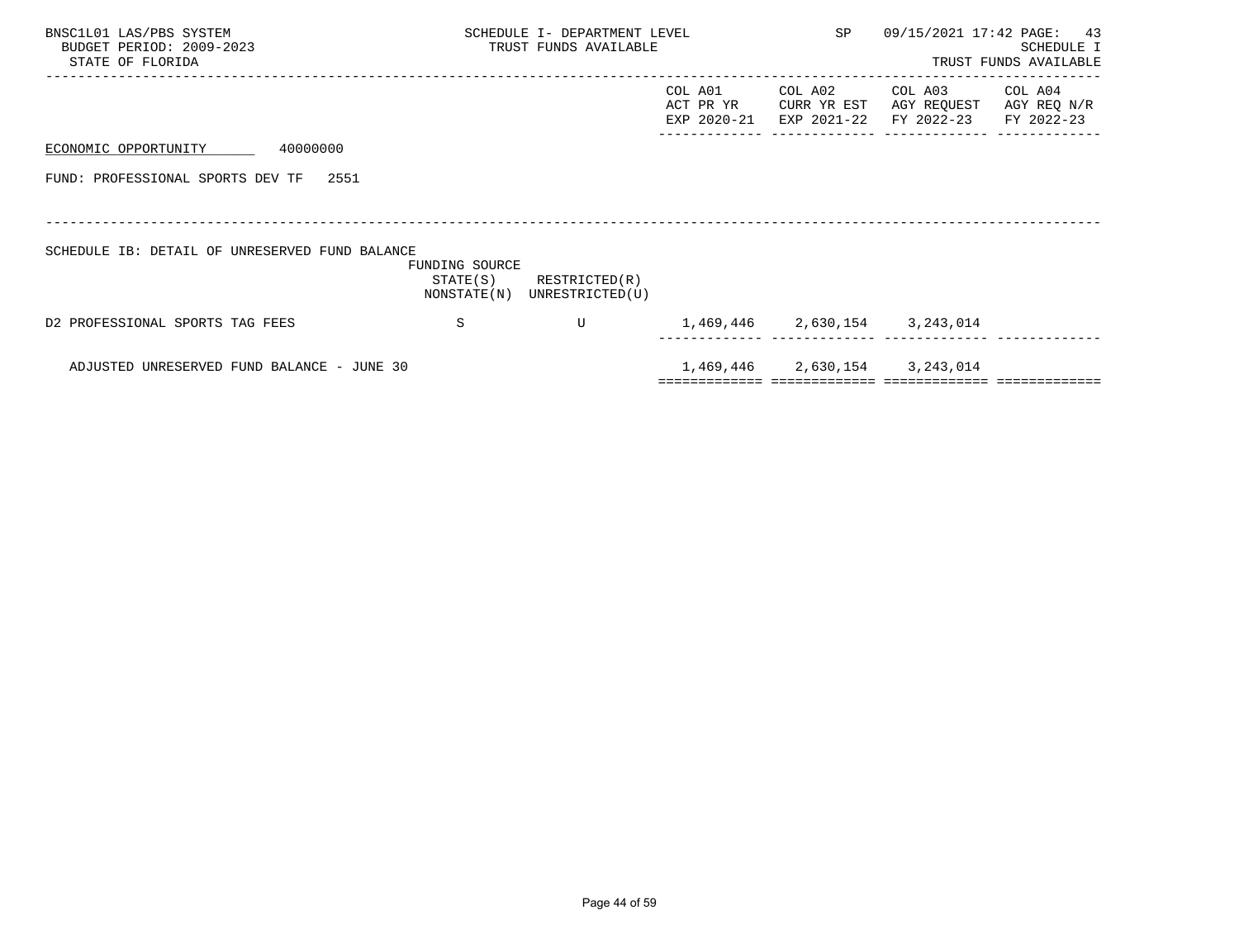| BNSC1L01 LAS/PBS SYSTEM<br>BUDGET PERIOD: 2009-2023<br>STATE OF FLORIDA |                                           | SCHEDULE I- DEPARTMENT LEVEL<br>TRUST FUNDS AVAILABLE |                                     | SP                                    | 09/15/2021 17:42 PAGE:               | 43<br>SCHEDULE I<br>TRUST FUNDS AVAILABLE |
|-------------------------------------------------------------------------|-------------------------------------------|-------------------------------------------------------|-------------------------------------|---------------------------------------|--------------------------------------|-------------------------------------------|
|                                                                         |                                           |                                                       | COL A01<br>ACT PR YR<br>EXP 2020-21 | COL A02<br>CURR YR EST<br>EXP 2021-22 | COL A03<br>AGY REQUEST<br>FY 2022-23 | COL A04<br>AGY REQ N/R<br>FY 2022-23      |
| 40000000<br>ECONOMIC OPPORTUNITY                                        |                                           |                                                       |                                     |                                       |                                      |                                           |
| FUND: PROFESSIONAL SPORTS DEV TF<br>2551                                |                                           |                                                       |                                     |                                       |                                      |                                           |
|                                                                         |                                           |                                                       |                                     |                                       |                                      |                                           |
| SCHEDULE IB: DETAIL OF UNRESERVED FUND BALANCE                          | FUNDING SOURCE<br>STATE(S)<br>NONSTATE(N) | RESTRICTED(R)<br>UNRESTRICTED(U)                      |                                     |                                       |                                      |                                           |
| D2 PROFESSIONAL SPORTS TAG FEES                                         | S                                         | U                                                     |                                     | 1,469,446 2,630,154 3,243,014         |                                      |                                           |
| ADJUSTED UNRESERVED FUND BALANCE - JUNE 30                              |                                           |                                                       |                                     | 1,469,446 2,630,154 3,243,014         |                                      |                                           |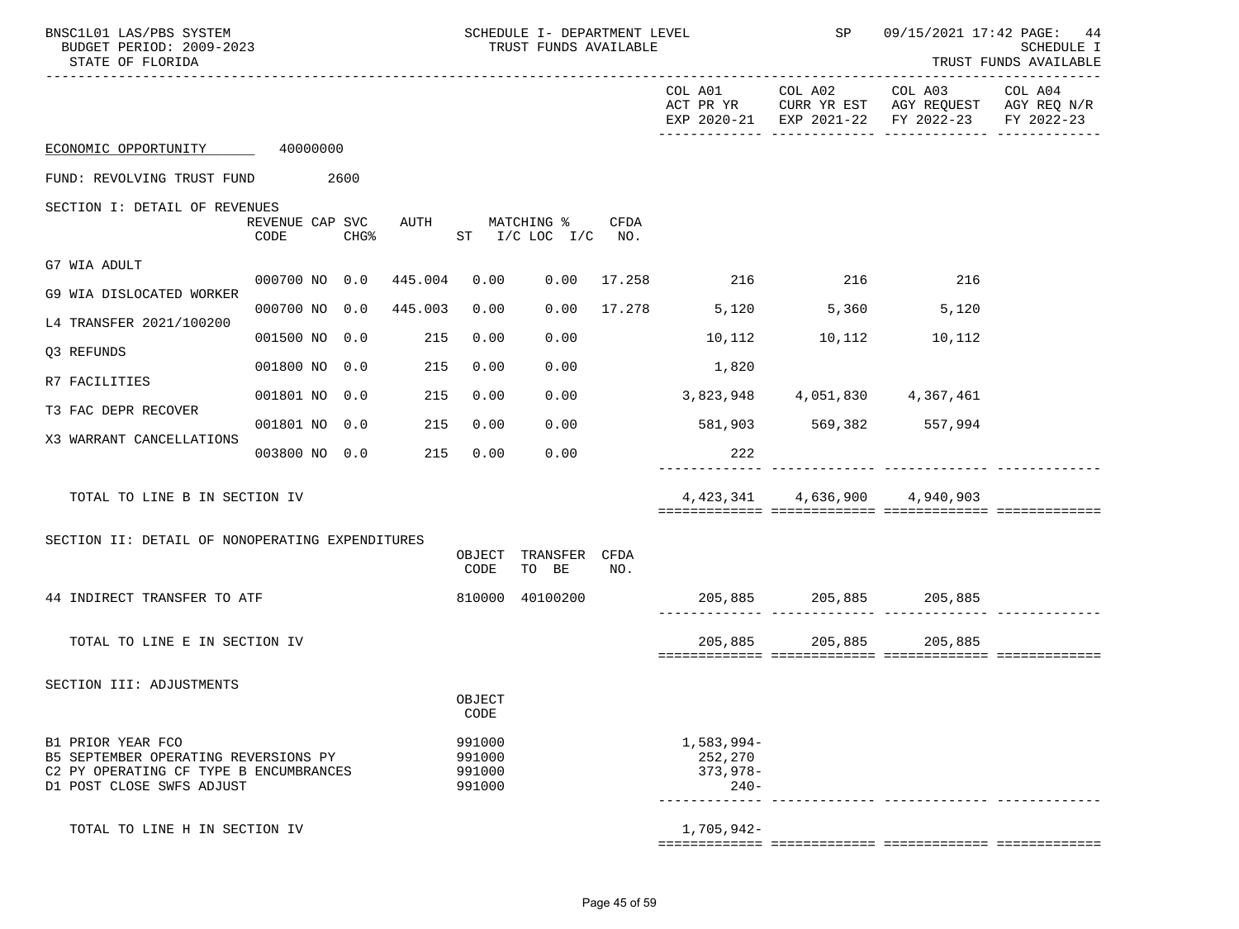| BNSC1L01 LAS/PBS SYSTEM<br>BUDGET PERIOD: 2009-2023<br>STATE OF FLORIDA                                                          |                         |      | SCHEDULE I- DEPARTMENT LEVEL<br>TRUST FUNDS AVAILABLE |                                      |                                                | SP  | 09/15/2021 17:42 PAGE: 44<br>SCHEDULE I<br>TRUST FUNDS AVAILABLE |                 |                                                                                                                   |  |
|----------------------------------------------------------------------------------------------------------------------------------|-------------------------|------|-------------------------------------------------------|--------------------------------------|------------------------------------------------|-----|------------------------------------------------------------------|-----------------|-------------------------------------------------------------------------------------------------------------------|--|
|                                                                                                                                  |                         |      |                                                       |                                      |                                                |     |                                                                  | COL A01 COL A02 | COL A03 COL A04<br>ACT PR YR CURR YR EST AGY REQUEST AGY REQ N/R<br>EXP 2020-21 EXP 2021-22 FY 2022-23 FY 2022-23 |  |
| ECONOMIC OPPORTUNITY 40000000                                                                                                    |                         |      |                                                       |                                      |                                                |     |                                                                  |                 |                                                                                                                   |  |
| FUND: REVOLVING TRUST FUND                                                                                                       | 2600                    |      |                                                       |                                      |                                                |     |                                                                  |                 |                                                                                                                   |  |
| SECTION I: DETAIL OF REVENUES                                                                                                    | REVENUE CAP SVC<br>CODE | CHG% |                                                       |                                      | AUTH MATCHING % CFDA<br>ST $I/C$ LOC $I/C$ NO. |     |                                                                  |                 |                                                                                                                   |  |
| G7 WIA ADULT                                                                                                                     |                         |      |                                                       |                                      |                                                |     |                                                                  |                 |                                                                                                                   |  |
| G9 WIA DISLOCATED WORKER                                                                                                         | 000700 NO 0.0 445.004   |      |                                                       | 0.00                                 |                                                |     | $0.00$ 17.258 216 216 216 216                                    |                 |                                                                                                                   |  |
| L4 TRANSFER 2021/100200                                                                                                          | 000700 NO 0.0 445.003   |      |                                                       | 0.00                                 |                                                |     | $0.00 \t 17.278 \t 5,120$                                        | 5,360           | 5,120                                                                                                             |  |
| 03 REFUNDS                                                                                                                       | 001500 NO 0.0           |      | 215                                                   | 0.00                                 | 0.00                                           |     | 10,112                                                           | 10,112          | 10,112                                                                                                            |  |
| R7 FACILITIES                                                                                                                    | 001800 NO 0.0           |      | 215                                                   | 0.00                                 | 0.00                                           |     | 1,820                                                            |                 |                                                                                                                   |  |
| T3 FAC DEPR RECOVER                                                                                                              | 001801 NO 0.0           |      | 215                                                   | 0.00                                 | 0.00                                           |     | 3,823,948                                                        |                 | 4,051,830 4,367,461                                                                                               |  |
| X3 WARRANT CANCELLATIONS                                                                                                         | 001801 NO 0.0           |      | 215                                                   | 0.00                                 | 0.00                                           |     |                                                                  |                 | 581,903 569,382 557,994                                                                                           |  |
|                                                                                                                                  | 003800 NO 0.0           |      | 215                                                   | 0.00                                 | 0.00                                           |     | 222                                                              |                 |                                                                                                                   |  |
| TOTAL TO LINE B IN SECTION IV                                                                                                    |                         |      |                                                       |                                      |                                                |     |                                                                  |                 | 4,423,341 4,636,900 4,940,903                                                                                     |  |
| SECTION II: DETAIL OF NONOPERATING EXPENDITURES                                                                                  |                         |      |                                                       | CODE                                 | OBJECT TRANSFER CFDA<br>TO BE                  | NO. |                                                                  |                 |                                                                                                                   |  |
| 44 INDIRECT TRANSFER TO ATF                                                                                                      |                         |      |                                                       |                                      | 810000 40100200                                |     |                                                                  |                 | 205,885 205,885 205,885                                                                                           |  |
| TOTAL TO LINE E IN SECTION IV                                                                                                    |                         |      |                                                       |                                      |                                                |     |                                                                  |                 | .ccc cooperational corporationale cooperations<br>205,885 205,885 205,885                                         |  |
| SECTION III: ADJUSTMENTS                                                                                                         |                         |      |                                                       | OBJECT<br>CODE                       |                                                |     |                                                                  |                 |                                                                                                                   |  |
| B1 PRIOR YEAR FCO<br>B5 SEPTEMBER OPERATING REVERSIONS PY<br>C2 PY OPERATING CF TYPE B ENCUMBRANCES<br>D1 POST CLOSE SWFS ADJUST |                         |      |                                                       | 991000<br>991000<br>991000<br>991000 |                                                |     | 1,583,994-<br>252,270<br>$373,978-$<br>$240 -$                   |                 |                                                                                                                   |  |
| TOTAL TO LINE H IN SECTION IV                                                                                                    |                         |      |                                                       |                                      |                                                |     | 1,705,942-                                                       |                 |                                                                                                                   |  |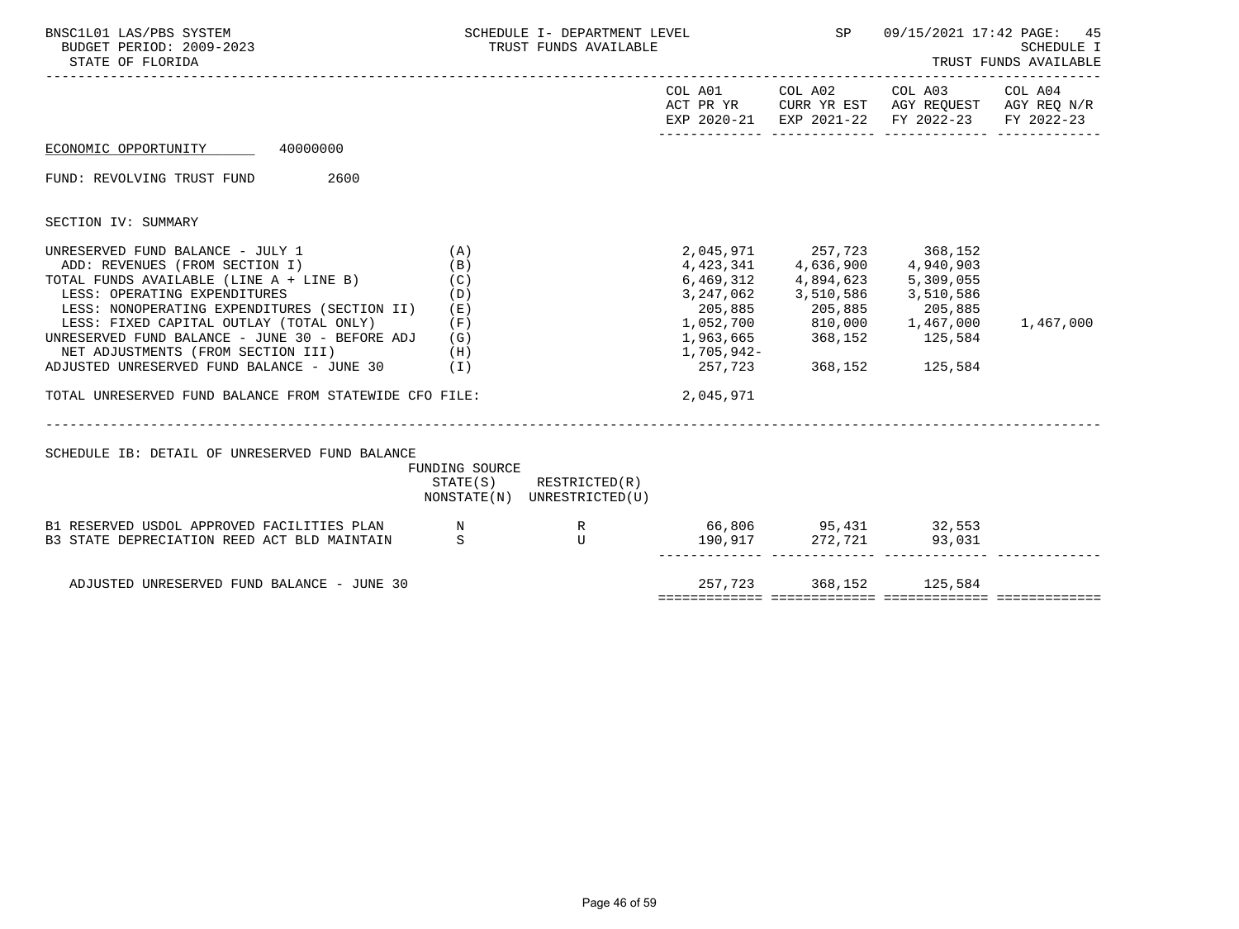| BNSC1L01 LAS/PBS SYSTEM<br>BUDGET PERIOD: 2009-2023<br>STATE OF FLORIDA                                                                                                                                                                                                                                                                                                                                                                                   |                                        | SP<br>SCHEDULE I- DEPARTMENT LEVEL<br>TRUST FUNDS AVAILABLE |                                                                                                                                                                                          |                         | 09/15/2021 17:42 PAGE: 45<br><b>SCHEDULE I</b><br>TRUST FUNDS AVAILABLE             |            |  |
|-----------------------------------------------------------------------------------------------------------------------------------------------------------------------------------------------------------------------------------------------------------------------------------------------------------------------------------------------------------------------------------------------------------------------------------------------------------|----------------------------------------|-------------------------------------------------------------|------------------------------------------------------------------------------------------------------------------------------------------------------------------------------------------|-------------------------|-------------------------------------------------------------------------------------|------------|--|
|                                                                                                                                                                                                                                                                                                                                                                                                                                                           |                                        |                                                             |                                                                                                                                                                                          |                         | ACT PR YR CURR YR EST AGY REQUEST AGY REQ N/R<br>EXP 2020-21 EXP 2021-22 FY 2022-23 | FY 2022-23 |  |
| ECONOMIC OPPORTUNITY 40000000                                                                                                                                                                                                                                                                                                                                                                                                                             |                                        |                                                             |                                                                                                                                                                                          |                         |                                                                                     |            |  |
| 2600<br>FUND: REVOLVING TRUST FUND                                                                                                                                                                                                                                                                                                                                                                                                                        |                                        |                                                             |                                                                                                                                                                                          |                         |                                                                                     |            |  |
| SECTION IV: SUMMARY                                                                                                                                                                                                                                                                                                                                                                                                                                       |                                        |                                                             |                                                                                                                                                                                          |                         |                                                                                     |            |  |
| UNRESERVED FUND BALANCE - JULY 1<br>ADD: REVENUES (FROM SECTION I)<br>TOTAL FUNDS AVAILABLE (LINE $A + LINE B$ ) (C)<br>LESS: OPERATING EXPENDITURES<br>LESS: NONOPERATING EXPENDITURES (SECTION II)<br>LESS: FIXED CAPITAL OUTLAY (TOTAL ONLY)<br>UNRESERVED FUND BALANCE - JUNE 30 - BEFORE ADJ $(G)$<br>NET ADJUSTMENTS (FROM SECTION III)<br>ADJUSTED UNRESERVED FUND BALANCE - JUNE 30 (I)<br>TOTAL UNRESERVED FUND BALANCE FROM STATEWIDE CFO FILE: | (A)<br>(B)<br>(D)<br>(E)<br>(F)<br>(H) |                                                             | 6,469,312 4,894,623 5,309,055<br>3, 247, 062 3, 510, 586 3, 510, 586<br>205,885<br>1,052,700<br>1,963,665<br>1,963,665<br>1,965,942<br>1,905,942<br>1,905,942<br>1,705,942-<br>2,045,971 | 257,723 368,152 125,584 |                                                                                     | 1,467,000  |  |
| SCHEDULE IB: DETAIL OF UNRESERVED FUND BALANCE                                                                                                                                                                                                                                                                                                                                                                                                            | FUNDING SOURCE                         |                                                             |                                                                                                                                                                                          |                         |                                                                                     |            |  |
|                                                                                                                                                                                                                                                                                                                                                                                                                                                           |                                        | $STATE(S)$ RESTRICTED $(R)$<br>NONSTATE(N) UNRESTRICTED(U)  |                                                                                                                                                                                          |                         |                                                                                     |            |  |
| B1 RESERVED USDOL APPROVED FACILITIES PLAN N<br>B3 STATE DEPRECIATION REED ACT BLD MAINTAIN S                                                                                                                                                                                                                                                                                                                                                             |                                        |                                                             |                                                                                                                                                                                          |                         | 66,806 95,431 32,553<br>190,917 272,721 93,031                                      |            |  |
| ADJUSTED UNRESERVED FUND BALANCE - JUNE 30                                                                                                                                                                                                                                                                                                                                                                                                                |                                        |                                                             |                                                                                                                                                                                          |                         | 257,723 368,152 125,584                                                             |            |  |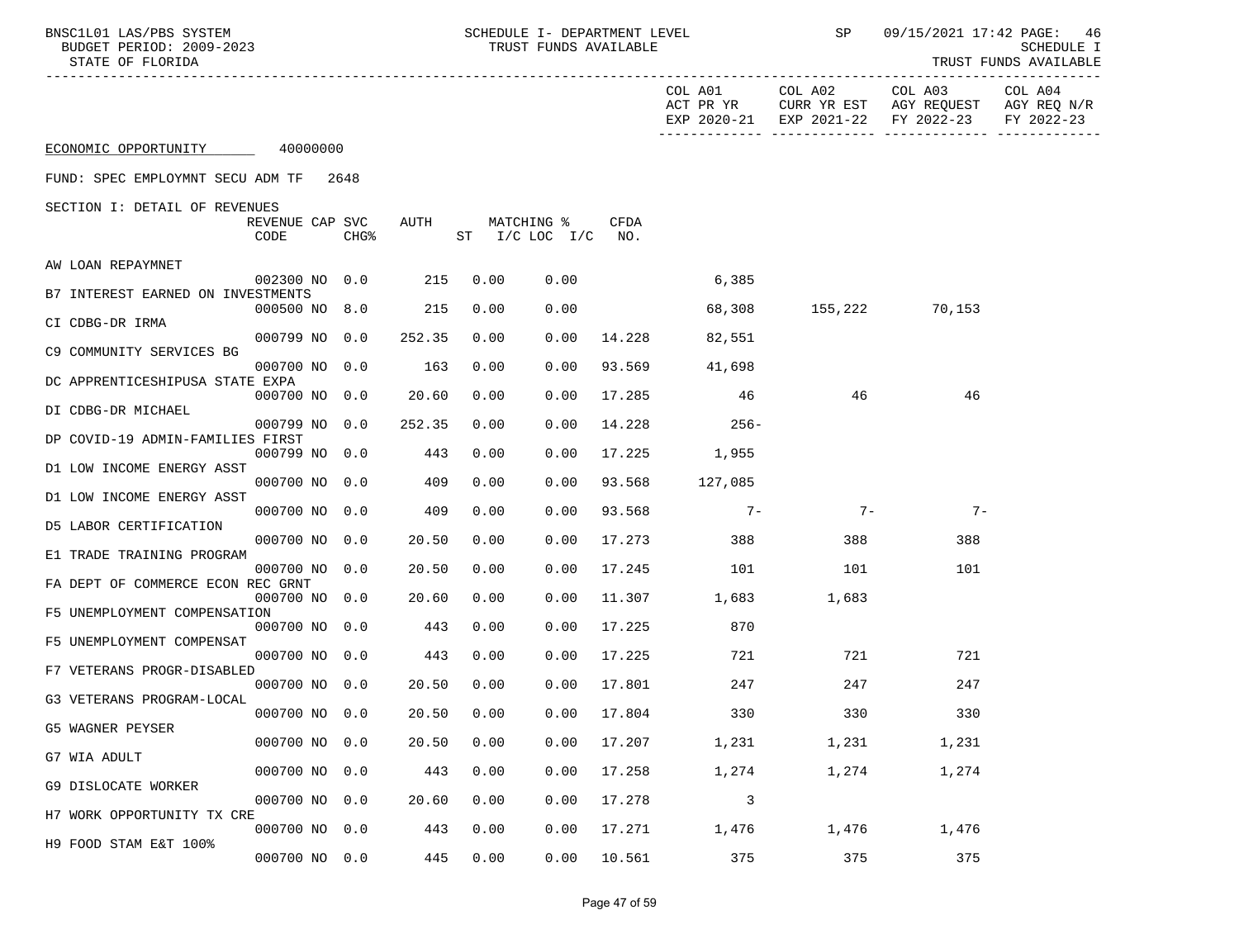| BNSC1L01 LAS/PBS SYSTEM<br>BUDGET PERIOD: 2009-2023<br>STATE OF FLORIDA |                         |  |                  |        |      | SCHEDULE I- DEPARTMENT LEVEL<br>TRUST FUNDS AVAILABLE |             |                                     | SP                     | 09/15/2021 17:42 PAGE: 46<br>SCHEDULE I<br>TRUST FUNDS AVAILABLE |                                      |  |
|-------------------------------------------------------------------------|-------------------------|--|------------------|--------|------|-------------------------------------------------------|-------------|-------------------------------------|------------------------|------------------------------------------------------------------|--------------------------------------|--|
|                                                                         |                         |  |                  |        |      |                                                       |             | COL A01<br>ACT PR YR<br>EXP 2020-21 | COL A02<br>EXP 2021-22 | COL A03<br>CURR YR EST AGY REQUEST<br>FY 2022-23                 | COL A04<br>AGY REQ N/R<br>FY 2022-23 |  |
| ECONOMIC OPPORTUNITY 40000000                                           |                         |  |                  |        |      |                                                       |             |                                     |                        |                                                                  |                                      |  |
| FUND: SPEC EMPLOYMNT SECU ADM TF 2648                                   |                         |  |                  |        |      |                                                       |             |                                     |                        |                                                                  |                                      |  |
| SECTION I: DETAIL OF REVENUES                                           |                         |  |                  |        |      |                                                       |             |                                     |                        |                                                                  |                                      |  |
|                                                                         | REVENUE CAP SVC<br>CODE |  | CHG <sup>8</sup> | AUTH   |      | MATCHING %<br>ST I/C LOC I/C                          | CFDA<br>NO. |                                     |                        |                                                                  |                                      |  |
| AW LOAN REPAYMNET                                                       |                         |  |                  |        |      |                                                       |             |                                     |                        |                                                                  |                                      |  |
| B7 INTEREST EARNED ON INVESTMENTS                                       | 002300 NO 0.0           |  |                  | 215    | 0.00 | 0.00                                                  |             | 6,385                               |                        |                                                                  |                                      |  |
| CI CDBG-DR IRMA                                                         | 000500 NO 8.0           |  |                  | 215    | 0.00 | 0.00                                                  |             | 68,308                              |                        | 155,222 70,153                                                   |                                      |  |
| C9 COMMUNITY SERVICES BG                                                | 000799 NO 0.0           |  |                  | 252.35 | 0.00 | 0.00                                                  | 14.228      | 82,551                              |                        |                                                                  |                                      |  |
|                                                                         | 000700 NO 0.0           |  |                  | 163    | 0.00 | 0.00                                                  | 93.569      | 41,698                              |                        |                                                                  |                                      |  |
| DC APPRENTICESHIPUSA STATE EXPA                                         | 000700 NO 0.0           |  |                  | 20.60  | 0.00 | 0.00                                                  | 17.285      | 46                                  | 46                     | 46                                                               |                                      |  |
| DI CDBG-DR MICHAEL                                                      | 000799 NO 0.0           |  |                  | 252.35 | 0.00 | 0.00                                                  | 14.228      | $256-$                              |                        |                                                                  |                                      |  |
| DP COVID-19 ADMIN-FAMILIES FIRST                                        | 000799 NO 0.0           |  |                  | 443    | 0.00 | 0.00                                                  | 17.225      | 1,955                               |                        |                                                                  |                                      |  |
| D1 LOW INCOME ENERGY ASST                                               | 000700 NO 0.0           |  |                  | 409    | 0.00 | 0.00                                                  | 93.568      | 127,085                             |                        |                                                                  |                                      |  |
| D1 LOW INCOME ENERGY ASST                                               | 000700 NO 0.0           |  |                  | 409    | 0.00 | 0.00                                                  | 93.568      | $7 -$                               | $7-$                   | $7 -$                                                            |                                      |  |
| D5 LABOR CERTIFICATION                                                  | 000700 NO 0.0           |  |                  | 20.50  | 0.00 | 0.00                                                  | 17.273      | 388                                 | 388                    | 388                                                              |                                      |  |
| E1 TRADE TRAINING PROGRAM                                               |                         |  |                  |        |      |                                                       |             |                                     |                        |                                                                  |                                      |  |
| FA DEPT OF COMMERCE ECON REC GRNT                                       | 000700 NO 0.0           |  |                  | 20.50  | 0.00 | 0.00                                                  | 17.245      | 101                                 | 101                    | 101                                                              |                                      |  |
| F5 UNEMPLOYMENT COMPENSATION                                            | 000700 NO 0.0           |  |                  | 20.60  | 0.00 | 0.00                                                  | 11.307      | 1,683                               | 1,683                  |                                                                  |                                      |  |
| F5 UNEMPLOYMENT COMPENSAT                                               | 000700 NO 0.0           |  |                  | 443    | 0.00 | 0.00                                                  | 17.225      | 870                                 |                        |                                                                  |                                      |  |
| F7 VETERANS PROGR-DISABLED                                              | 000700 NO 0.0           |  |                  | 443    | 0.00 | 0.00                                                  | 17.225      | 721                                 | 721                    | 721                                                              |                                      |  |
| G3 VETERANS PROGRAM-LOCAL                                               | 000700 NO 0.0           |  |                  | 20.50  | 0.00 | 0.00                                                  | 17.801      | 247                                 | 247                    | 247                                                              |                                      |  |
| G5 WAGNER PEYSER                                                        | 000700 NO 0.0           |  |                  | 20.50  | 0.00 | 0.00                                                  | 17.804      | 330                                 | 330                    | 330                                                              |                                      |  |
|                                                                         | 000700 NO               |  | 0.0              | 20.50  | 0.00 | 0.00                                                  | 17.207      | 1,231                               | 1,231                  | 1,231                                                            |                                      |  |
| G7 WIA ADULT                                                            | 000700 NO               |  | 0.0              | 443    | 0.00 | 0.00                                                  | 17.258      | 1,274                               | 1,274                  | 1,274                                                            |                                      |  |
| G9 DISLOCATE WORKER                                                     | 000700 NO               |  | 0.0              | 20.60  | 0.00 | 0.00                                                  | 17.278      | 3                                   |                        |                                                                  |                                      |  |
| H7 WORK OPPORTUNITY TX CRE                                              | 000700 NO               |  | 0.0              | 443    | 0.00 | 0.00                                                  | 17.271      | 1,476                               | 1,476                  | 1,476                                                            |                                      |  |
| H9 FOOD STAM E&T 100%                                                   | 000700 NO 0.0           |  |                  | 445    | 0.00 | 0.00                                                  | 10.561      | 375                                 | 375                    | 375                                                              |                                      |  |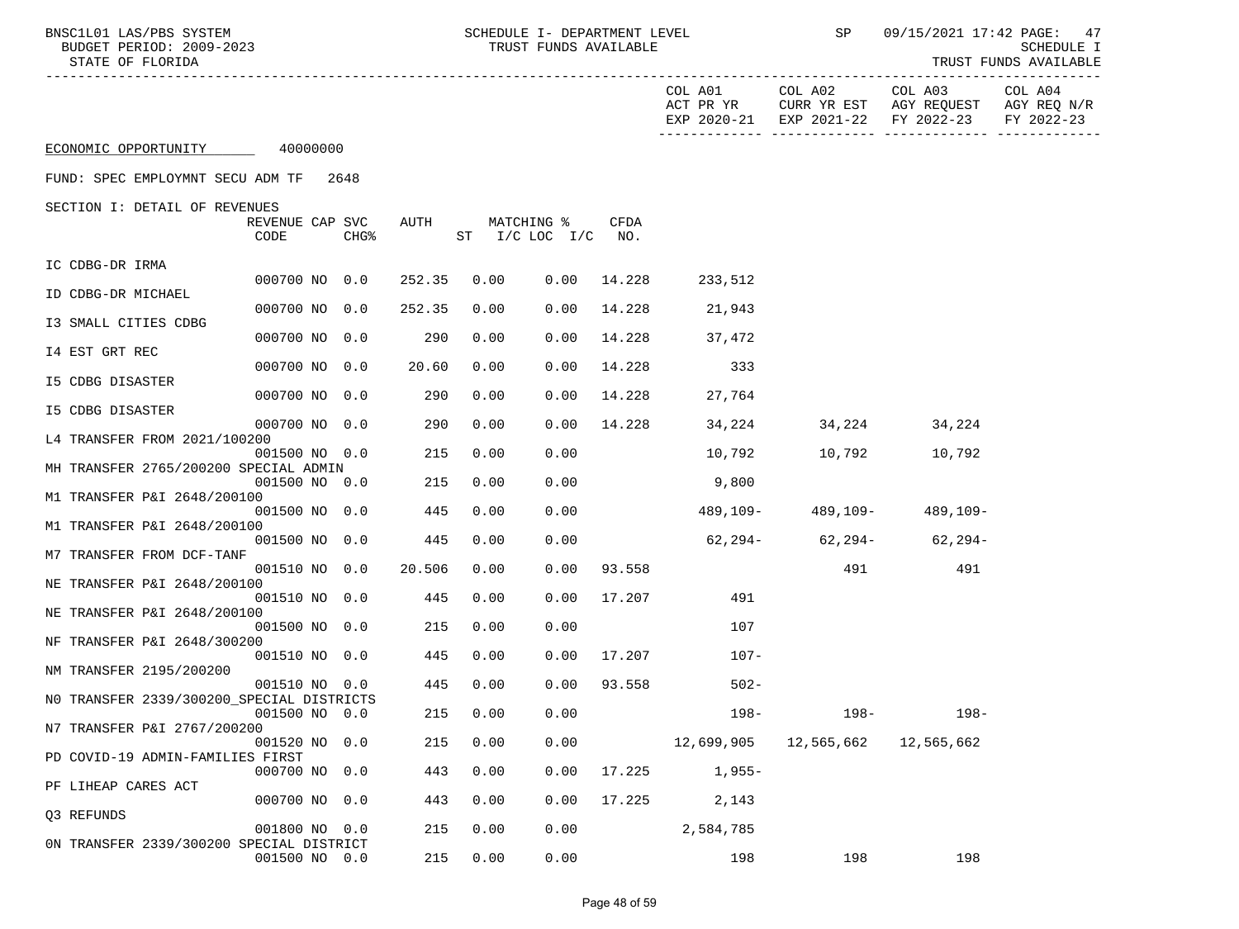NF TRANSFER P&I 2648/300200

N0 TRANSFER 2339/300200\_SPECIAL DISTRICTS

N7 TRANSFER P&I 2767/200200

0N TRANSFER 2339/300200 SPECIAL DISTRICT

PD COVID-19 ADMIN-FAMILIES FIRST

NM TRANSFER 2195/200200

PF LIHEAP CARES ACT

Q3 REFUNDS

| BNSC1L01 LAS/PBS SYSTEM<br>BUDGET PERIOD: 2009-2023<br>STATE OF FLORIDA |                         |               | SCHEDULE I- DEPARTMENT LEVEL<br>TRUST FUNDS AVAILABLE |      |                                  | SP     | 09/15/2021 17:42 PAGE: 47<br><b>SCHEDULE I</b><br>TRUST FUNDS AVAILABLE |         |                                                                                      |                       |
|-------------------------------------------------------------------------|-------------------------|---------------|-------------------------------------------------------|------|----------------------------------|--------|-------------------------------------------------------------------------|---------|--------------------------------------------------------------------------------------|-----------------------|
|                                                                         |                         |               |                                                       |      |                                  |        | COL A01<br>ACT PR YR                                                    | COL A02 | COL A03<br>CURR YR EST AGY REQUEST AGY REQ N/R<br>EXP 2020-21 EXP 2021-22 FY 2022-23 | COL A04<br>FY 2022-23 |
| ECONOMIC OPPORTUNITY 40000000                                           |                         |               |                                                       |      |                                  |        |                                                                         |         |                                                                                      |                       |
| FUND: SPEC EMPLOYMNT SECU ADM TF                                        |                         | 2648          |                                                       |      |                                  |        |                                                                         |         |                                                                                      |                       |
| SECTION I: DETAIL OF REVENUES                                           | REVENUE CAP SVC<br>CODE | <b>CHG%</b>   | AUTH                                                  |      | MATCHING %<br>ST I/C LOC I/C NO. | CFDA   |                                                                         |         |                                                                                      |                       |
| IC CDBG-DR IRMA                                                         |                         | 000700 NO 0.0 | 252.35                                                | 0.00 | 0.00                             | 14.228 | 233,512                                                                 |         |                                                                                      |                       |
| ID CDBG-DR MICHAEL                                                      |                         |               |                                                       |      |                                  |        |                                                                         |         |                                                                                      |                       |
| I3 SMALL CITIES CDBG                                                    | 000700 NO 0.0           |               | 252.35                                                | 0.00 | 0.00                             | 14.228 | 21,943                                                                  |         |                                                                                      |                       |
| 14 EST GRT REC                                                          | 000700 NO 0.0           |               | 290                                                   | 0.00 | 0.00                             | 14.228 | 37,472                                                                  |         |                                                                                      |                       |
| 15 CDBG DISASTER                                                        | 000700 NO 0.0           |               | 20.60                                                 | 0.00 | 0.00                             | 14.228 | 333                                                                     |         |                                                                                      |                       |
|                                                                         | 000700 NO 0.0           |               | 290                                                   | 0.00 | 0.00                             | 14.228 | 27,764                                                                  |         |                                                                                      |                       |
| 15 CDBG DISASTER<br>L4 TRANSFER FROM 2021/100200                        | 000700 NO 0.0           |               | 290                                                   | 0.00 | 0.00                             | 14.228 | 34,224                                                                  |         | 34, 224 34, 224                                                                      |                       |
|                                                                         |                         | 001500 NO 0.0 | 215                                                   | 0.00 | 0.00                             |        | 10,792                                                                  | 10,792  | 10,792                                                                               |                       |
| MH TRANSFER 2765/200200 SPECIAL ADMIN<br>M1 TRANSFER P&I 2648/200100    | 001500 NO 0.0           |               | 215                                                   | 0.00 | 0.00                             |        | 9,800                                                                   |         |                                                                                      |                       |
| M1 TRANSFER P&I 2648/200100                                             | 001500 NO 0.0           |               | 445                                                   | 0.00 | 0.00                             |        |                                                                         |         | 489, 109 - 489, 109 - 489, 109 -                                                     |                       |
| M7 TRANSFER FROM DCF-TANF                                               | 001500 NO 0.0           |               | 445                                                   | 0.00 | 0.00                             |        |                                                                         |         | $62,294 - 62,294 - 62,294 -$                                                         |                       |
|                                                                         |                         | 001510 NO 0.0 | 20.506                                                | 0.00 | 0.00                             | 93.558 |                                                                         | 491     | 491                                                                                  |                       |
| NE TRANSFER P&I 2648/200100                                             |                         | 001510 NO 0.0 | 445                                                   | 0.00 | 0.00                             | 17.207 | 491                                                                     |         |                                                                                      |                       |
| NE TRANSFER P&I 2648/200100                                             |                         | 001500 NO 0.0 | 215                                                   | 0.00 | 0.00                             |        | 107                                                                     |         |                                                                                      |                       |

001510 NO 0.0 445 0.00 0.00 17.207 107-

001510 NO 0.0 445 0.00 0.00 93.558 502-

000700 NO 0.0 443 0.00 0.00 17.225 1,955-

000700 NO 0.0 443 0.00 0.00 17.225 2,143

001800 NO 0.0 215 0.00 0.00 2,584,785

001500 NO 0.0 215 0.00 0.00 198 198 198

001500 NO 0.0 215 0.00 0.00 198- 198- 198-

001520 NO 0.0 215 0.00 0.00 12,699,905 12,565,662 12,565,662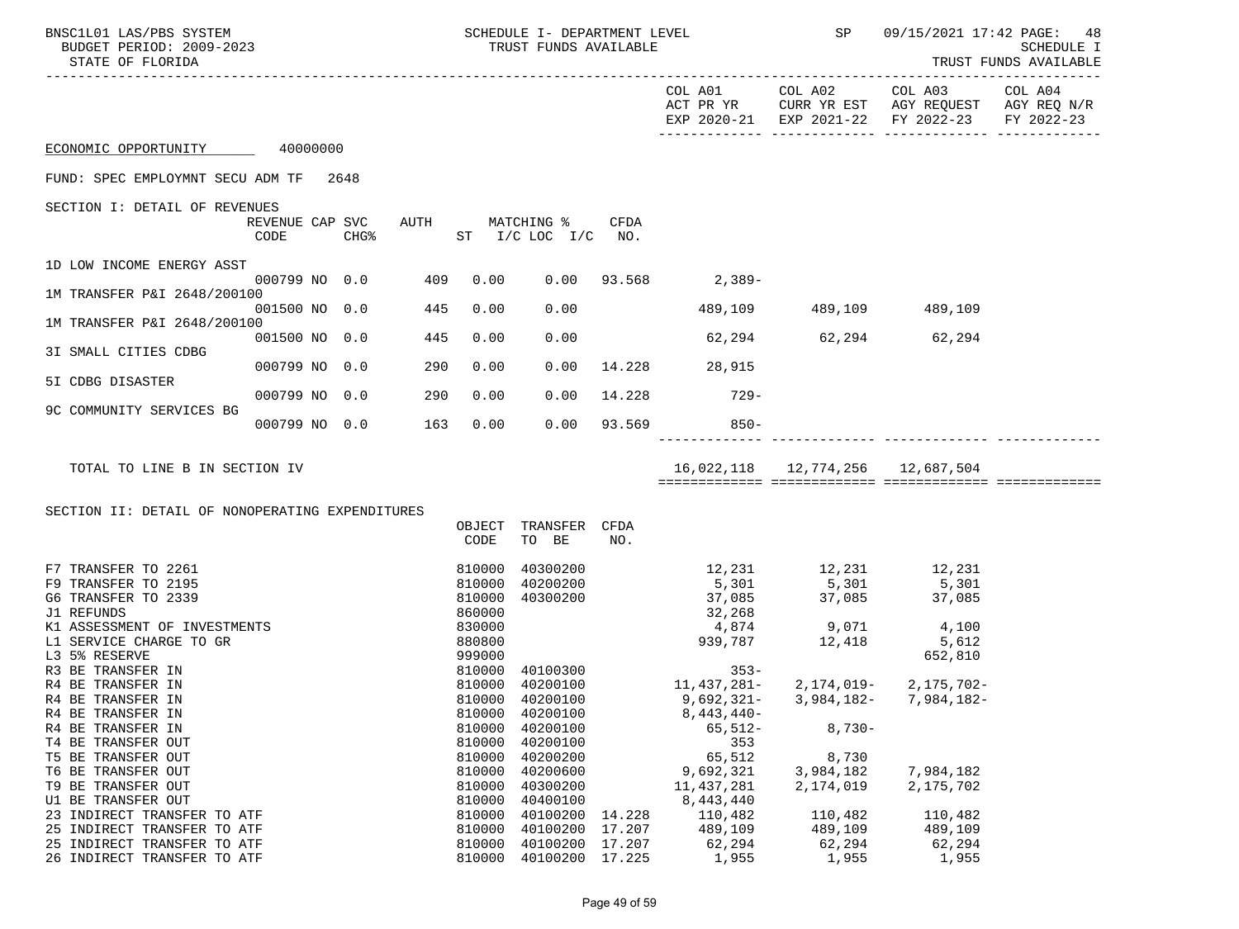| BNSC1L01 LAS/PBS SYSTEM<br>BUDGET PERIOD: 2009-2023<br>STATE OF FLORIDA                                                  |                                |                  |     | SCHEDULE I- DEPARTMENT LEVEL<br>TRUST FUNDS AVAILABLE |                                                                   |                  | <b>SP</b>                                                                             | 09/15/2021 17:42 PAGE: 48<br>SCHEDULE I<br>TRUST FUNDS AVAILABLE    |                                                                                                                                   |  |
|--------------------------------------------------------------------------------------------------------------------------|--------------------------------|------------------|-----|-------------------------------------------------------|-------------------------------------------------------------------|------------------|---------------------------------------------------------------------------------------|---------------------------------------------------------------------|-----------------------------------------------------------------------------------------------------------------------------------|--|
|                                                                                                                          |                                |                  |     |                                                       |                                                                   |                  |                                                                                       |                                                                     | COL A01 COL A02 COL A03 COL A04<br>ACT PR YR CURR YR EST AGY REQUEST AGY REQ N/R<br>EXP 2020-21 EXP 2021-22 FY 2022-23 FY 2022-23 |  |
| ECONOMIC OPPORTUNITY 40000000                                                                                            |                                |                  |     |                                                       |                                                                   |                  |                                                                                       |                                                                     |                                                                                                                                   |  |
| FUND: SPEC EMPLOYMNT SECU ADM TF 2648                                                                                    |                                |                  |     |                                                       |                                                                   |                  |                                                                                       |                                                                     |                                                                                                                                   |  |
| SECTION I: DETAIL OF REVENUES                                                                                            | REVENUE CAP SVC<br>CODE        | CHG <sup>8</sup> |     |                                                       | AUTH MATCHING % CFDA<br>ST $I/C$ LOC $I/C$ NO.                    |                  |                                                                                       |                                                                     |                                                                                                                                   |  |
| 1D LOW INCOME ENERGY ASST                                                                                                | 000799 NO 0.0 409 0.00         |                  |     |                                                       |                                                                   |                  | $0.00$ 93.568 2,389-                                                                  |                                                                     |                                                                                                                                   |  |
| 1M TRANSFER P&I 2648/200100                                                                                              | 001500 NO 0.0                  |                  | 445 | 0.00                                                  | 0.00                                                              |                  |                                                                                       | 489,109 489,109 489,109                                             |                                                                                                                                   |  |
| 1M TRANSFER P&I 2648/200100                                                                                              | 001500 NO 0.0                  |                  | 445 | 0.00                                                  |                                                                   |                  |                                                                                       |                                                                     |                                                                                                                                   |  |
| 3I SMALL CITIES CDBG                                                                                                     |                                |                  | 290 |                                                       | 0.00                                                              |                  |                                                                                       | 62,294 62,294 62,294                                                |                                                                                                                                   |  |
| 5I CDBG DISASTER                                                                                                         | 000799 NO 0.0                  |                  |     | 0.00                                                  |                                                                   |                  | $0.00 \quad 14.228 \quad 28,915$<br>14.228 729-                                       |                                                                     |                                                                                                                                   |  |
| 9C COMMUNITY SERVICES BG                                                                                                 | 000799 NO 0.0<br>000799 NO 0.0 |                  | 290 | 0.00<br>163 0.00                                      | 0.00                                                              | $0.00$ 93.569    | $850-$                                                                                |                                                                     |                                                                                                                                   |  |
|                                                                                                                          |                                |                  |     |                                                       |                                                                   |                  |                                                                                       |                                                                     |                                                                                                                                   |  |
| TOTAL TO LINE B IN SECTION IV                                                                                            |                                |                  |     |                                                       |                                                                   |                  |                                                                                       | 16,022,118   12,774,256   12,687,504                                |                                                                                                                                   |  |
| SECTION II: DETAIL OF NONOPERATING EXPENDITURES                                                                          |                                |                  |     | OBJECT                                                | TRANSFER CFDA                                                     |                  |                                                                                       |                                                                     |                                                                                                                                   |  |
|                                                                                                                          |                                |                  |     | CODE                                                  | TO BE                                                             | NO.              |                                                                                       |                                                                     |                                                                                                                                   |  |
| F7 TRANSFER TO 2261<br>F9 TRANSFER TO 2195<br>G6 TRANSFER TO 2339                                                        |                                |                  |     | 810000                                                | 40300200<br>810000 40200200<br>810000 40300200                    |                  | 37,085                                                                                | 12, 231<br>5, 301<br>5, 301<br>5, 301<br>5, 301<br>5, 301<br>37,085 | 37,085                                                                                                                            |  |
| J1 REFUNDS<br>K1 ASSESSMENT OF INVESTMENTS<br>L1 SERVICE CHARGE TO GR<br>L3 5% RESERVE                                   |                                |                  |     | 860000<br>830000<br>880800<br>999000                  |                                                                   |                  | 32,268<br>4,874<br>939,787 12,418                                                     | $9,071$ 4,100                                                       | 5,612<br>652,810                                                                                                                  |  |
| R3 BE TRANSFER IN<br>R4 BE TRANSFER IN<br>R4 BE TRANSFER IN<br>R4 BE TRANSFER IN                                         |                                |                  |     | 810000                                                | 810000 40100300<br>810000 40200100<br>810000 40200100<br>40200100 |                  | $353-$<br>11, 437, 281 - 2, 174, 019 - 2, 175, 702 -<br>$9,692,321 -$<br>$8,443,440-$ | $3,984,182-$                                                        | 7,984,182-                                                                                                                        |  |
| R4 BE TRANSFER IN<br>T4 BE TRANSFER OUT<br>T5 BE TRANSFER OUT                                                            |                                |                  |     | 810000<br>810000<br>810000                            | 40200100<br>40200100<br>40200200                                  |                  | $65,512-$<br>353<br>65,512                                                            | $8,730-$<br>8,730                                                   |                                                                                                                                   |  |
| T6 BE TRANSFER OUT<br>T9 BE TRANSFER OUT<br>U1 BE TRANSFER OUT                                                           |                                |                  |     | 810000<br>810000<br>810000                            | 40200600<br>40300200<br>40400100                                  |                  | 9,692,321<br>11,437,281<br>8,443,440                                                  | 3,984,182<br>2,174,019                                              | 7,984,182<br>2,175,702                                                                                                            |  |
| 23 INDIRECT TRANSFER TO ATF<br>25 INDIRECT TRANSFER TO ATF<br>25 INDIRECT TRANSFER TO ATF<br>26 INDIRECT TRANSFER TO ATF |                                |                  |     | 810000<br>810000<br>810000<br>810000                  | 40100200 14.228<br>40100200<br>40100200<br>40100200 17.225        | 17.207<br>17.207 | 110,482<br>489,109<br>62,294<br>1,955                                                 | 110,482<br>489,109<br>62,294<br>1,955                               | 110,482<br>489,109<br>62,294<br>1,955                                                                                             |  |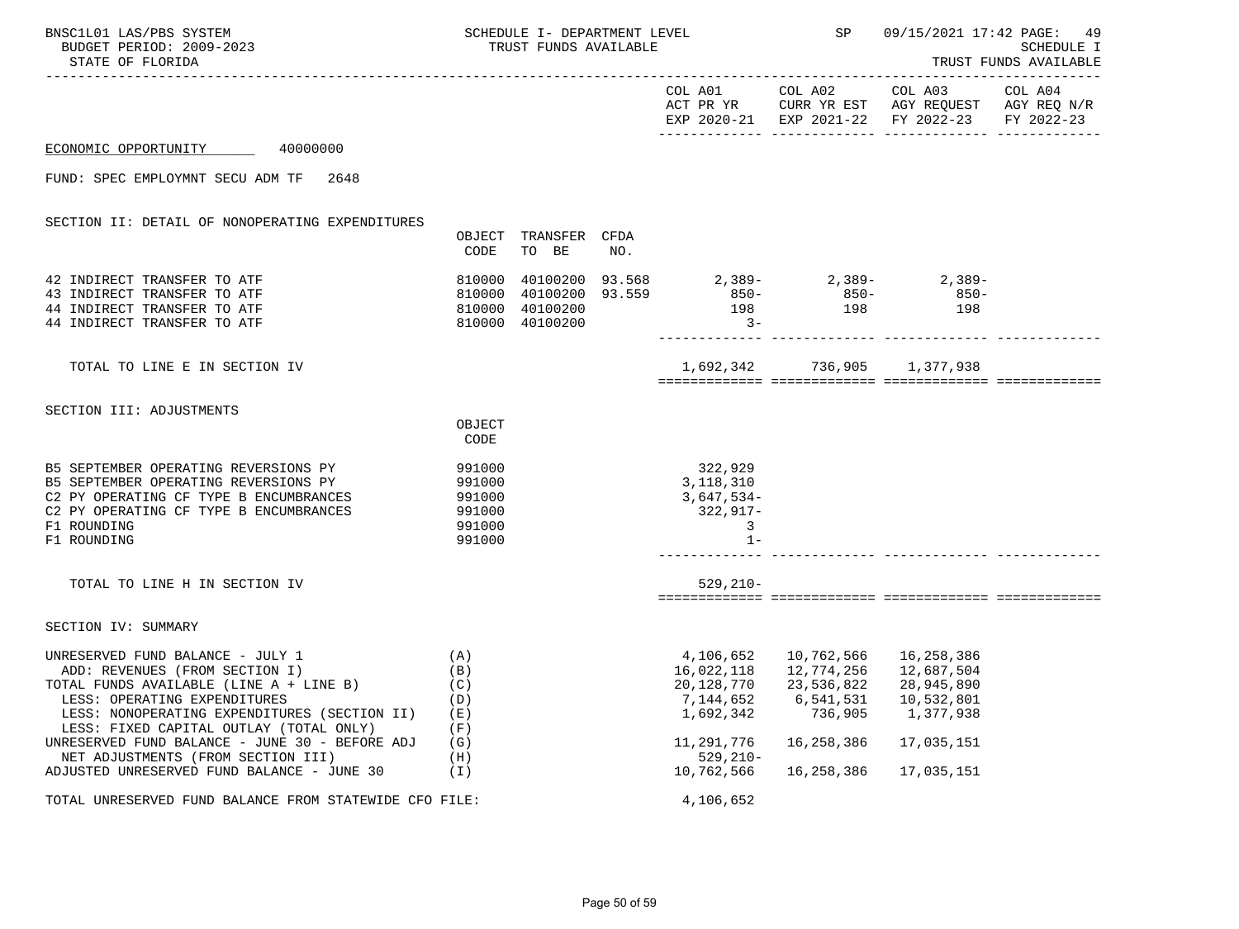| BNSC1L01 LAS/PBS SYSTEM<br>BUDGET PERIOD: 2009-2023<br>STATE OF FLORIDA                                                                                                                                                                                                                                                                                                        |                                                             | SCHEDULE I- DEPARTMENT LEVEL<br>TRUST FUNDS AVAILABLE |     |                                                                                                | <b>SP</b> SP SP                                                                                                              | 09/15/2021 17:42 PAGE: 49<br><b>SCHEDULE I</b><br>TRUST FUNDS AVAILABLE                                           |  |  |
|--------------------------------------------------------------------------------------------------------------------------------------------------------------------------------------------------------------------------------------------------------------------------------------------------------------------------------------------------------------------------------|-------------------------------------------------------------|-------------------------------------------------------|-----|------------------------------------------------------------------------------------------------|------------------------------------------------------------------------------------------------------------------------------|-------------------------------------------------------------------------------------------------------------------|--|--|
|                                                                                                                                                                                                                                                                                                                                                                                |                                                             |                                                       |     |                                                                                                | COL A01 COL A02                                                                                                              | COL A03 COL A04<br>ACT PR YR CURR YR EST AGY REQUEST AGY REQ N/R<br>EXP 2020-21 EXP 2021-22 FY 2022-23 FY 2022-23 |  |  |
| ECONOMIC OPPORTUNITY 40000000                                                                                                                                                                                                                                                                                                                                                  |                                                             |                                                       |     |                                                                                                |                                                                                                                              |                                                                                                                   |  |  |
| FUND: SPEC EMPLOYMNT SECU ADM TF 2648                                                                                                                                                                                                                                                                                                                                          |                                                             |                                                       |     |                                                                                                |                                                                                                                              |                                                                                                                   |  |  |
| SECTION II: DETAIL OF NONOPERATING EXPENDITURES                                                                                                                                                                                                                                                                                                                                | OBJECT<br>CODE                                              | TRANSFER CFDA<br>TO BE                                | NO. |                                                                                                |                                                                                                                              |                                                                                                                   |  |  |
| 42 INDIRECT TRANSFER TO ATF<br>43 INDIRECT TRANSFER TO ATF<br>44 INDIRECT TRANSFER TO ATF<br>44 INDIRECT TRANSFER TO ATF                                                                                                                                                                                                                                                       | 810000<br>810000<br>810000                                  | 40100200<br>810000 40100200                           |     | $3-$                                                                                           | 198 198                                                                                                                      | $40100200$ 93.568 $2,389-$ 2,389- 2,389-<br>$40100200$ 93.559 850- 850- 850-<br>198                               |  |  |
| TOTAL TO LINE E IN SECTION IV                                                                                                                                                                                                                                                                                                                                                  |                                                             |                                                       |     |                                                                                                | 1,692,342 736,905 1,377,938                                                                                                  |                                                                                                                   |  |  |
| SECTION III: ADJUSTMENTS                                                                                                                                                                                                                                                                                                                                                       | OBJECT<br>CODE                                              |                                                       |     |                                                                                                |                                                                                                                              |                                                                                                                   |  |  |
| B5 SEPTEMBER OPERATING REVERSIONS PY<br>B5 SEPTEMBER OPERATING REVERSIONS PY<br>C2 PY OPERATING CF TYPE B ENCUMBRANCES<br>C2 PY OPERATING CF TYPE B ENCUMBRANCES<br>F1 ROUNDING<br>F1 ROUNDING                                                                                                                                                                                 | 991000<br>991000<br>991000<br>991000<br>991000<br>991000    |                                                       |     | 322,929<br>3,118,310<br>$3,647,534-$<br>322,917-<br>3<br>$1 -$                                 |                                                                                                                              |                                                                                                                   |  |  |
| TOTAL TO LINE H IN SECTION IV                                                                                                                                                                                                                                                                                                                                                  |                                                             |                                                       |     | $529, 210 -$                                                                                   |                                                                                                                              |                                                                                                                   |  |  |
| SECTION IV: SUMMARY                                                                                                                                                                                                                                                                                                                                                            |                                                             |                                                       |     |                                                                                                |                                                                                                                              |                                                                                                                   |  |  |
| UNRESERVED FUND BALANCE - JULY 1<br>ADD: REVENUES (FROM SECTION I)<br>TOTAL FUNDS AVAILABLE (LINE A + LINE B)<br>LESS: OPERATING EXPENDITURES<br>LESS: NONOPERATING EXPENDITURES (SECTION II)<br>LESS: FIXED CAPITAL OUTLAY (TOTAL ONLY)<br>UNRESERVED FUND BALANCE - JUNE 30 - BEFORE ADJ<br>NET ADJUSTMENTS (FROM SECTION III)<br>ADJUSTED UNRESERVED FUND BALANCE - JUNE 30 | (A)<br>(B)<br>(C)<br>(D)<br>(E)<br>(F)<br>(G)<br>(H)<br>(I) |                                                       |     | 16,022,118<br>20,128,770<br>7,144,652<br>1,692,342<br>11,291,776<br>$529, 210 -$<br>10,762,566 | 4,106,652  10,762,566  16,258,386<br>12,774,256<br>23,536,822 28,945,890<br>6,541,531<br>736,905<br>16,258,386<br>16,258,386 | 12,687,504<br>10,532,801<br>1,377,938<br>17,035,151<br>17,035,151                                                 |  |  |
| TOTAL UNRESERVED FUND BALANCE FROM STATEWIDE CFO FILE:                                                                                                                                                                                                                                                                                                                         |                                                             |                                                       |     | 4,106,652                                                                                      |                                                                                                                              |                                                                                                                   |  |  |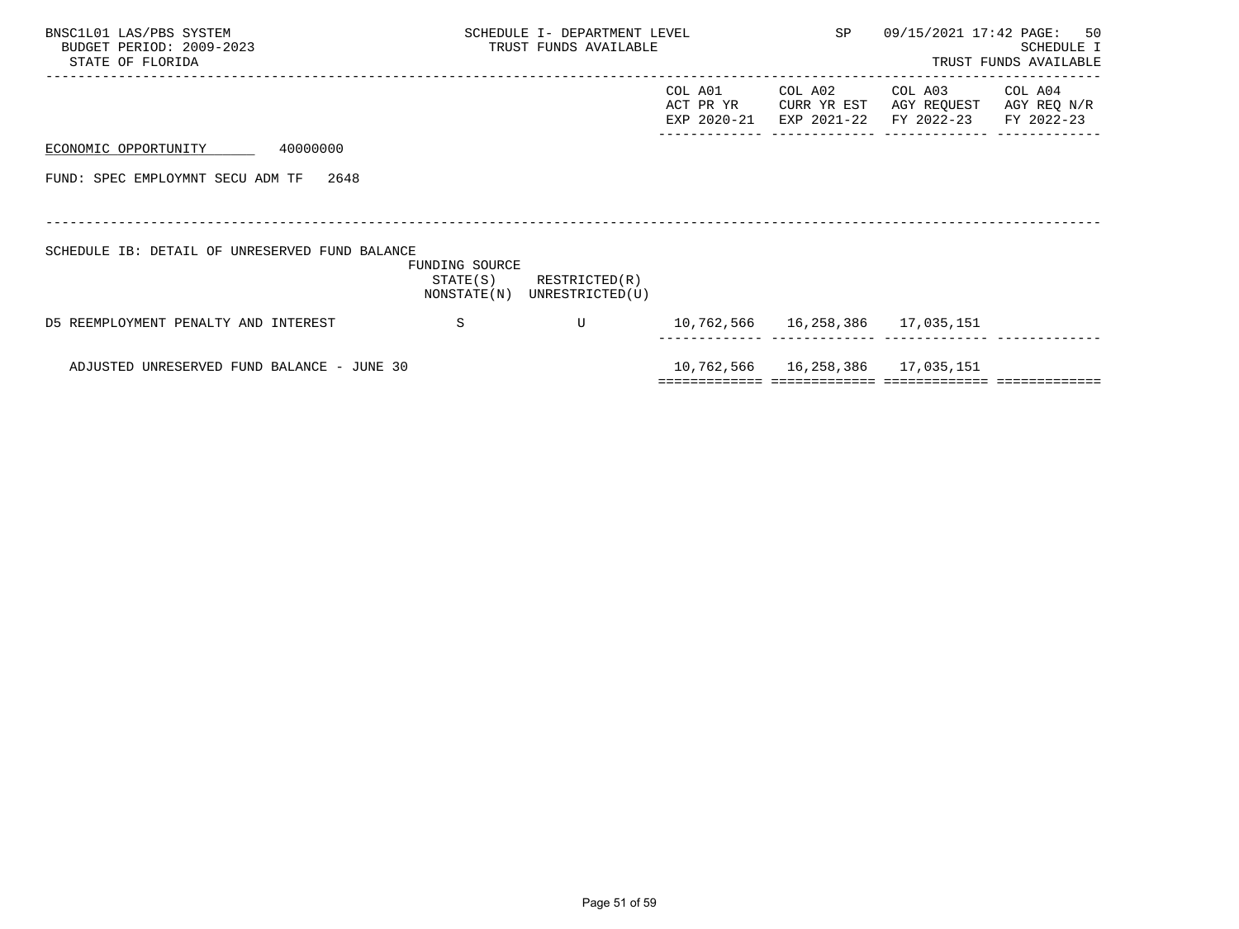| BNSC1L01 LAS/PBS SYSTEM<br>BUDGET PERIOD: 2009-2023<br>STATE OF FLORIDA |                            | SCHEDULE I- DEPARTMENT LEVEL<br>TRUST FUNDS AVAILABLE |                                     | SP                                    | 09/15/2021 17:42 PAGE:               | 50<br>SCHEDULE I<br>TRUST FUNDS AVAILABLE |
|-------------------------------------------------------------------------|----------------------------|-------------------------------------------------------|-------------------------------------|---------------------------------------|--------------------------------------|-------------------------------------------|
|                                                                         |                            |                                                       | COL A01<br>ACT PR YR<br>EXP 2020-21 | COL A02<br>CURR YR EST<br>EXP 2021-22 | COL A03<br>AGY REQUEST<br>FY 2022-23 | COL A04<br>AGY REQ N/R<br>FY 2022-23      |
| 40000000<br>ECONOMIC OPPORTUNITY                                        |                            |                                                       |                                     |                                       |                                      |                                           |
| FUND: SPEC EMPLOYMNT SECU ADM TF<br>2648                                |                            |                                                       |                                     |                                       |                                      |                                           |
|                                                                         |                            |                                                       |                                     |                                       |                                      |                                           |
| SCHEDULE IB: DETAIL OF UNRESERVED FUND BALANCE                          | FUNDING SOURCE<br>STATE(S) | RESTRICTED(R)                                         |                                     |                                       |                                      |                                           |
|                                                                         | NONSTATE(N)                | UNRESTRICTED(U)                                       |                                     |                                       |                                      |                                           |
| D5 REEMPLOYMENT PENALTY AND INTEREST                                    | S                          | U                                                     |                                     | 10,762,566 16,258,386 17,035,151      |                                      |                                           |
| ADJUSTED UNRESERVED FUND BALANCE - JUNE 30                              |                            |                                                       | 10,762,566                          | 16,258,386                            | 17,035,151                           |                                           |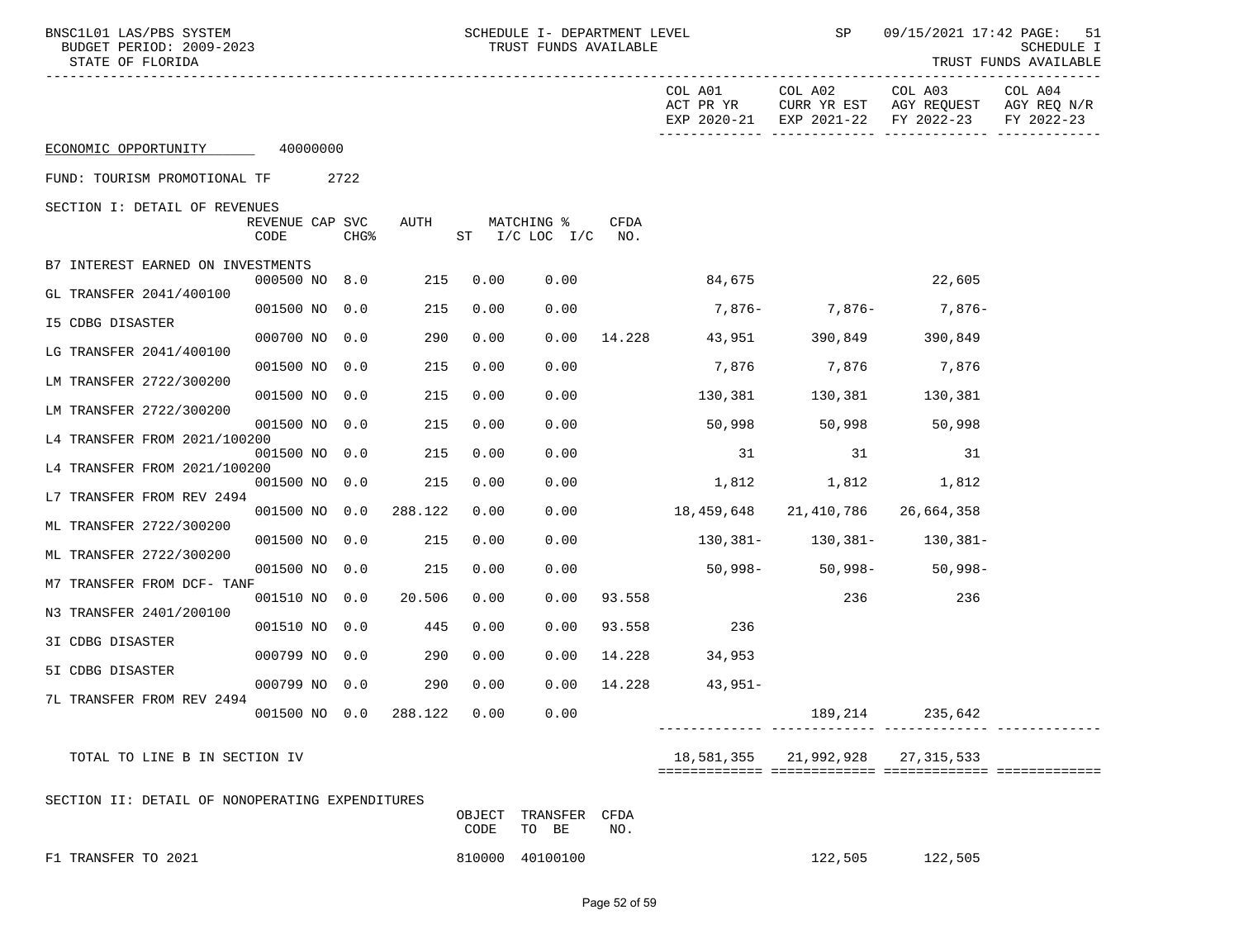| BNSC1L01 LAS/PBS SYSTEM<br>BUDGET PERIOD: 2009-2023<br>STATE OF FLORIDA |                            |                  | SCHEDULE I- DEPARTMENT LEVEL<br>TRUST FUNDS AVAILABLE |                |                                    | <b>SP</b> SP | 09/15/2021 17:42 PAGE: 51<br>SCHEDULE I<br>TRUST FUNDS AVAILABLE |                                 |                                                                          |                       |
|-------------------------------------------------------------------------|----------------------------|------------------|-------------------------------------------------------|----------------|------------------------------------|--------------|------------------------------------------------------------------|---------------------------------|--------------------------------------------------------------------------|-----------------------|
|                                                                         |                            |                  |                                                       |                |                                    |              | COL A01<br>ACT PR YR<br>EXP 2020-21                              | COL A02                         | COL A03<br>CURR YR EST AGY REQUEST AGY REQ N/R<br>EXP 2021-22 FY 2022-23 | COL A04<br>FY 2022-23 |
| ECONOMIC OPPORTUNITY 40000000                                           |                            |                  |                                                       |                |                                    |              |                                                                  |                                 |                                                                          |                       |
| FUND: TOURISM PROMOTIONAL TF 2722                                       |                            |                  |                                                       |                |                                    |              |                                                                  |                                 |                                                                          |                       |
| SECTION I: DETAIL OF REVENUES                                           | REVENUE CAP SVC<br>CODE    | CHG <sup>8</sup> | AUTH                                                  |                | MATCHING %<br>$ST$ $I/C$ LOC $I/C$ | CFDA<br>NO.  |                                                                  |                                 |                                                                          |                       |
| B7 INTEREST EARNED ON INVESTMENTS                                       |                            |                  |                                                       |                |                                    |              |                                                                  |                                 |                                                                          |                       |
| GL TRANSFER 2041/400100                                                 | 000500 NO 8.0              |                  | 215                                                   | 0.00           | 0.00                               |              | 84,675                                                           |                                 | 22,605                                                                   |                       |
| 15 CDBG DISASTER                                                        | 001500 NO 0.0              |                  | 215                                                   | 0.00           | 0.00                               |              | 7,876- 7,876- 7,876- 7,876-                                      |                                 |                                                                          |                       |
| LG TRANSFER 2041/400100                                                 | 000700 NO 0.0              |                  | 290                                                   | 0.00           | 0.00                               |              | 14.228 43,951 390,849 390,849                                    |                                 |                                                                          |                       |
| LM TRANSFER 2722/300200                                                 | 001500 NO 0.0              |                  | 215                                                   | 0.00           | 0.00                               |              |                                                                  | 7,876 7,876 7,876               |                                                                          |                       |
| LM TRANSFER 2722/300200                                                 | 001500 NO 0.0              |                  | 215                                                   | 0.00           | 0.00                               |              |                                                                  | 130,381 130,381 130,381         |                                                                          |                       |
| L4 TRANSFER FROM 2021/100200                                            | 001500 NO 0.0              |                  | 215                                                   | 0.00           | 0.00                               |              | $50,998$ 50,998 50,998                                           |                                 |                                                                          |                       |
|                                                                         | 001500 NO 0.0              |                  | 215                                                   | 0.00           | 0.00                               |              | 31 31 31                                                         |                                 | 31                                                                       |                       |
| L4 TRANSFER FROM 2021/100200                                            | 001500 NO 0.0              |                  | 215                                                   | 0.00           | 0.00                               |              | 1,812 1,812 1,812                                                |                                 |                                                                          |                       |
| L7 TRANSFER FROM REV 2494                                               | 001500 NO 0.0              |                  | 288.122                                               | 0.00           | 0.00                               |              | 18,459,648                                                       | 21,410,786 26,664,358           |                                                                          |                       |
| ML TRANSFER 2722/300200                                                 | 001500 NO 0.0              |                  | 215                                                   | 0.00           | 0.00                               |              |                                                                  | $130,381 - 130,381 - 130,381 -$ |                                                                          |                       |
| ML TRANSFER 2722/300200                                                 | 001500 NO 0.0              |                  | 215                                                   | 0.00           | 0.00                               |              | $50,998 - 50,998 - 50,998 -$                                     |                                 |                                                                          |                       |
| M7 TRANSFER FROM DCF- TANF                                              | 001510 NO 0.0              |                  | 20.506                                                | 0.00           | 0.00                               | 93.558       |                                                                  |                                 | 236 236<br>236                                                           |                       |
| N3 TRANSFER 2401/200100                                                 | 001510 NO 0.0              |                  | 445                                                   | 0.00           | 0.00                               | 93.558       | 236                                                              |                                 |                                                                          |                       |
| 3I CDBG DISASTER                                                        |                            |                  |                                                       |                |                                    |              |                                                                  |                                 |                                                                          |                       |
| 5I CDBG DISASTER                                                        | 000799 NO 0.0              |                  | 290                                                   | 0.00           | 0.00                               |              | 14.228 34,953                                                    |                                 |                                                                          |                       |
| 7L TRANSFER FROM REV 2494                                               | 000799 NO 0.0              |                  | 290                                                   | 0.00           | 0.00                               | 14.228       | $43,951-$                                                        |                                 |                                                                          |                       |
|                                                                         | 001500 NO 0.0 288.122 0.00 |                  |                                                       |                | 0.00                               |              |                                                                  |                                 | 189, 214 235, 642                                                        |                       |
| TOTAL TO LINE B IN SECTION IV                                           |                            |                  |                                                       |                |                                    |              | 18,581,355                                                       | 21,992,928 27,315,533           |                                                                          |                       |
| SECTION II: DETAIL OF NONOPERATING EXPENDITURES                         |                            |                  |                                                       |                |                                    |              |                                                                  |                                 |                                                                          |                       |
|                                                                         |                            |                  |                                                       | OBJECT<br>CODE | TRANSFER<br>TO BE                  | CFDA<br>NO.  |                                                                  |                                 |                                                                          |                       |
| F1 TRANSFER TO 2021                                                     |                            |                  |                                                       |                | 810000 40100100                    |              |                                                                  | 122,505                         | 122,505                                                                  |                       |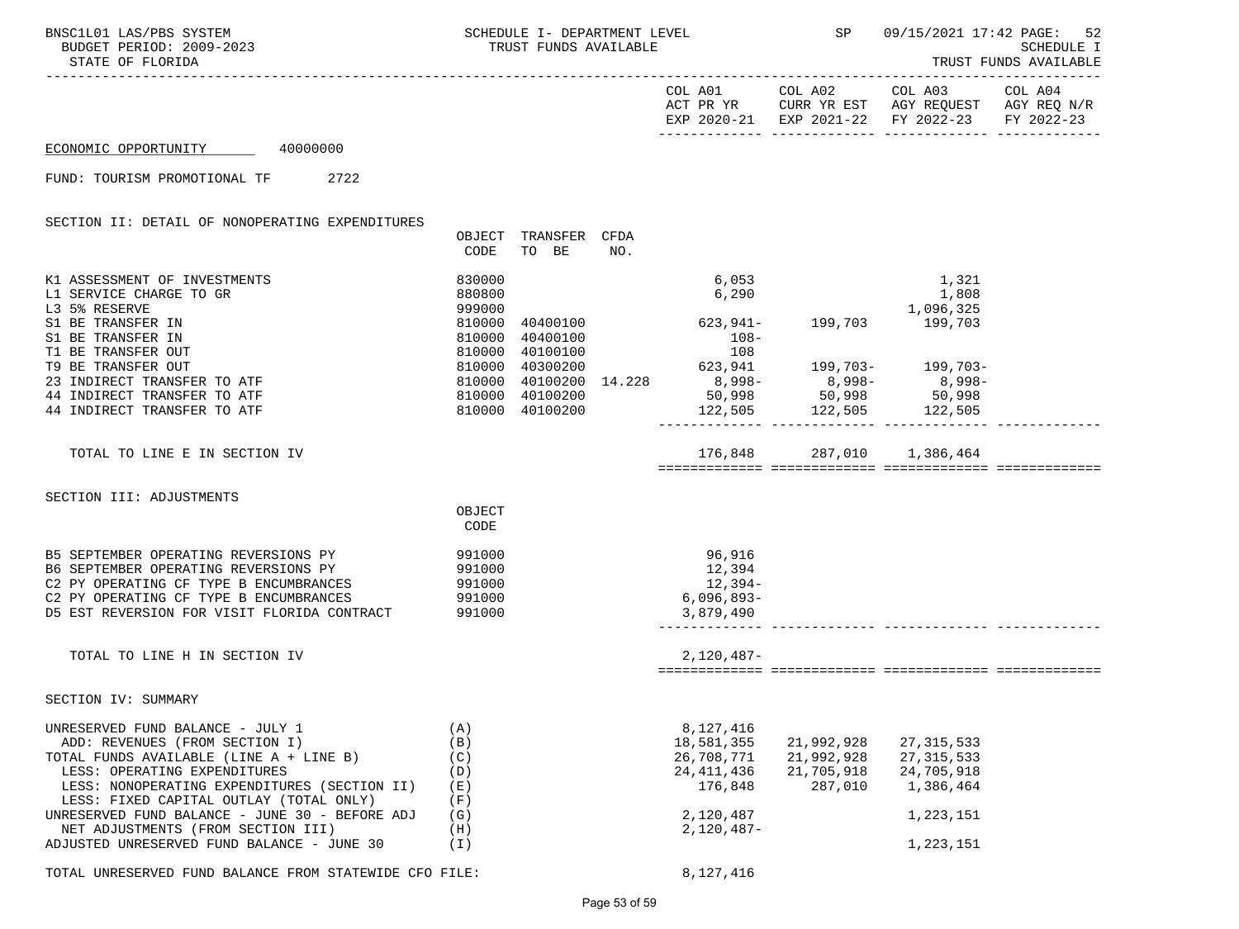| BNSC1L01 LAS/PBS SYSTEM<br>BUDGET PERIOD: 2009-2023<br>STATE OF FLORIDA                                                                                                                                                                                                                                                                                                        |                                                             | SCHEDULE I- DEPARTMENT LEVEL<br>TRUST FUNDS AVAILABLE |                                                                                                                                            |                                                   | SP 09/15/2021 17:42 PAGE: 52<br><b>SCHEDULE I</b><br>TRUST FUNDS AVAILABLE                                                |         |  |
|--------------------------------------------------------------------------------------------------------------------------------------------------------------------------------------------------------------------------------------------------------------------------------------------------------------------------------------------------------------------------------|-------------------------------------------------------------|-------------------------------------------------------|--------------------------------------------------------------------------------------------------------------------------------------------|---------------------------------------------------|---------------------------------------------------------------------------------------------------------------------------|---------|--|
|                                                                                                                                                                                                                                                                                                                                                                                |                                                             |                                                       |                                                                                                                                            |                                                   | COL A01 COL A02 COL A03<br>ACT PR YR CURR YR EST AGY REQUEST AGY REQ N/R<br>EXP 2020-21 EXP 2021-22 FY 2022-23 FY 2022-23 | COL A04 |  |
| ECONOMIC OPPORTUNITY 40000000                                                                                                                                                                                                                                                                                                                                                  |                                                             |                                                       |                                                                                                                                            |                                                   |                                                                                                                           |         |  |
| FUND: TOURISM PROMOTIONAL TF 2722                                                                                                                                                                                                                                                                                                                                              |                                                             |                                                       |                                                                                                                                            |                                                   |                                                                                                                           |         |  |
| SECTION II: DETAIL OF NONOPERATING EXPENDITURES                                                                                                                                                                                                                                                                                                                                |                                                             |                                                       |                                                                                                                                            |                                                   |                                                                                                                           |         |  |
|                                                                                                                                                                                                                                                                                                                                                                                |                                                             | OBJECT TRANSFER CFDA<br>CODE TO BE NO.                |                                                                                                                                            |                                                   |                                                                                                                           |         |  |
| K1 ASSESSMENT OF INVESTMENTS<br>L1 SERVICE CHARGE TO GR<br>L3 5% RESERVE<br>S1 BE TRANSFER IN<br>S1 BE TRANSFER IN                                                                                                                                                                                                                                                             | 830000<br>880800<br>810000                                  | 40400100                                              | 6,053<br>6,290<br>$108 -$                                                                                                                  |                                                   | 1,321<br>1,808                                                                                                            |         |  |
| T1 BE TRANSFER OUT<br>T9 BE TRANSFER OUT                                                                                                                                                                                                                                                                                                                                       |                                                             | 810000 40100100                                       | 108                                                                                                                                        |                                                   |                                                                                                                           |         |  |
| 23 INDIRECT TRANSFER TO ATF<br>44 INDIRECT TRANSFER TO ATF<br>44 INDIRECT TRANSFER TO ATF                                                                                                                                                                                                                                                                                      |                                                             | 810000 40100200                                       | 810000 40300200 623,941 199,703- 199,703-<br>810000 40100200 14.228 8,998- 8,998- 8,998- 8,998-<br>$122,505$ $122,505$ $122,505$ $122,505$ |                                                   |                                                                                                                           |         |  |
| TOTAL TO LINE E IN SECTION IV                                                                                                                                                                                                                                                                                                                                                  |                                                             |                                                       |                                                                                                                                            | 176,848 287,010 1,386,464                         |                                                                                                                           |         |  |
| SECTION III: ADJUSTMENTS                                                                                                                                                                                                                                                                                                                                                       | OBJECT<br>CODE                                              |                                                       |                                                                                                                                            |                                                   |                                                                                                                           |         |  |
| B5 SEPTEMBER OPERATING REVERSIONS PY<br>B6 SEPTEMBER OPERATING REVERSIONS PY<br>C2 PY OPERATING CF TYPE B ENCUMBRANCES<br>C2 PY OPERATING CF TYPE B ENCUMBRANCES 991000<br>D5 EST REVERSION FOR VISIT FLORIDA CONTRACT 991000                                                                                                                                                  | 991000<br>991000<br>991000                                  |                                                       | 96,916<br>12,394<br>12,394-<br>6,096,893-<br>3,879,490                                                                                     |                                                   |                                                                                                                           |         |  |
| TOTAL TO LINE H IN SECTION IV                                                                                                                                                                                                                                                                                                                                                  |                                                             |                                                       | $2,120,487-$                                                                                                                               |                                                   |                                                                                                                           |         |  |
| SECTION IV: SUMMARY                                                                                                                                                                                                                                                                                                                                                            |                                                             |                                                       |                                                                                                                                            |                                                   |                                                                                                                           |         |  |
| UNRESERVED FUND BALANCE - JULY 1<br>ADD: REVENUES (FROM SECTION I)<br>TOTAL FUNDS AVAILABLE (LINE A + LINE B)<br>LESS: OPERATING EXPENDITURES<br>LESS: NONOPERATING EXPENDITURES (SECTION II)<br>LESS: FIXED CAPITAL OUTLAY (TOTAL ONLY)<br>UNRESERVED FUND BALANCE - JUNE 30 - BEFORE ADJ<br>NET ADJUSTMENTS (FROM SECTION III)<br>ADJUSTED UNRESERVED FUND BALANCE - JUNE 30 | (A)<br>(B)<br>(C)<br>(D)<br>(E)<br>(F)<br>(G)<br>(H)<br>(I) |                                                       | 8,127,416<br>18,581,355<br>26,708,771<br>24, 411, 436<br>176,848<br>2,120,487<br>$2,120,487-$                                              | 21,992,928<br>21,992,928<br>21,705,918<br>287,010 | 27, 315, 533<br>27, 315, 533<br>24,705,918<br>1,386,464<br>1,223,151<br>1,223,151                                         |         |  |

TOTAL UNRESERVED FUND BALANCE FROM STATEWIDE CFO FILE:  $8,127,416$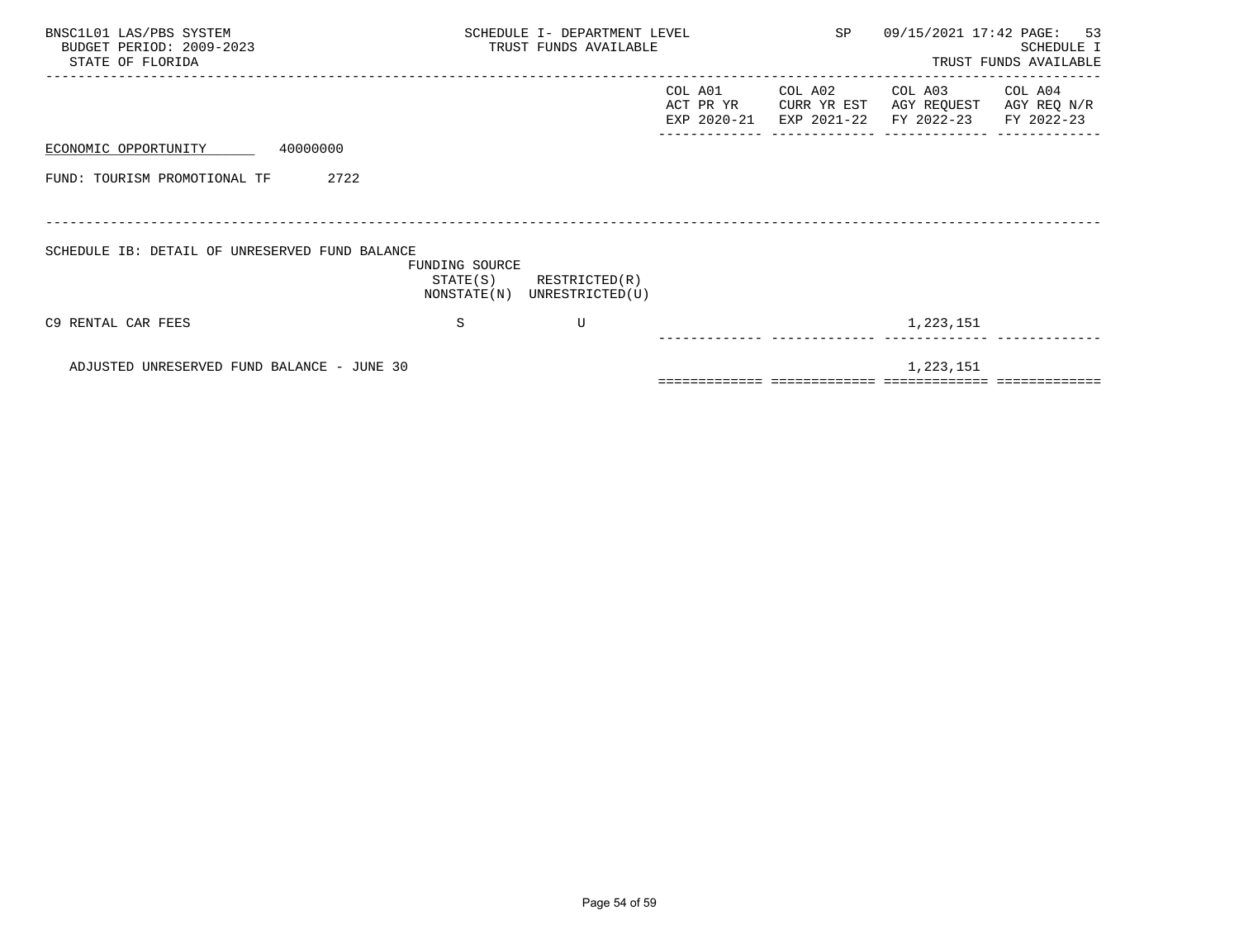| BNSC1L01 LAS/PBS SYSTEM<br>BUDGET PERIOD: 2009-2023<br>STATE OF FLORIDA |                            | SCHEDULE I- DEPARTMENT LEVEL<br>TRUST FUNDS AVAILABLE |                                     | SP                     | 09/15/2021 17:42 PAGE: 53                                   | SCHEDULE I<br>TRUST FUNDS AVAILABLE |
|-------------------------------------------------------------------------|----------------------------|-------------------------------------------------------|-------------------------------------|------------------------|-------------------------------------------------------------|-------------------------------------|
|                                                                         |                            |                                                       | COL A01<br>ACT PR YR<br>EXP 2020-21 | COL A02<br>CURR YR EST | COL A03<br>AGY REQUEST<br>EXP 2021-22 FY 2022-23 FY 2022-23 | COL A04<br>AGY REQ N/R              |
| ECONOMIC OPPORTUNITY                                                    | 40000000                   |                                                       |                                     |                        |                                                             |                                     |
| FUND: TOURISM PROMOTIONAL TF                                            | 2722                       |                                                       |                                     |                        |                                                             |                                     |
|                                                                         |                            |                                                       |                                     |                        |                                                             |                                     |
| SCHEDULE IB: DETAIL OF UNRESERVED FUND BALANCE                          | FUNDING SOURCE<br>STATE(S) | RESTRICTED(R)<br>NONSTATE(N) UNRESTRICTED(U)          |                                     |                        |                                                             |                                     |
| C9 RENTAL CAR FEES                                                      | S                          | U                                                     |                                     |                        | 1,223,151                                                   |                                     |
| ADJUSTED UNRESERVED FUND BALANCE - JUNE 30                              |                            |                                                       |                                     |                        | 1,223,151                                                   |                                     |

============= ============= ============= =============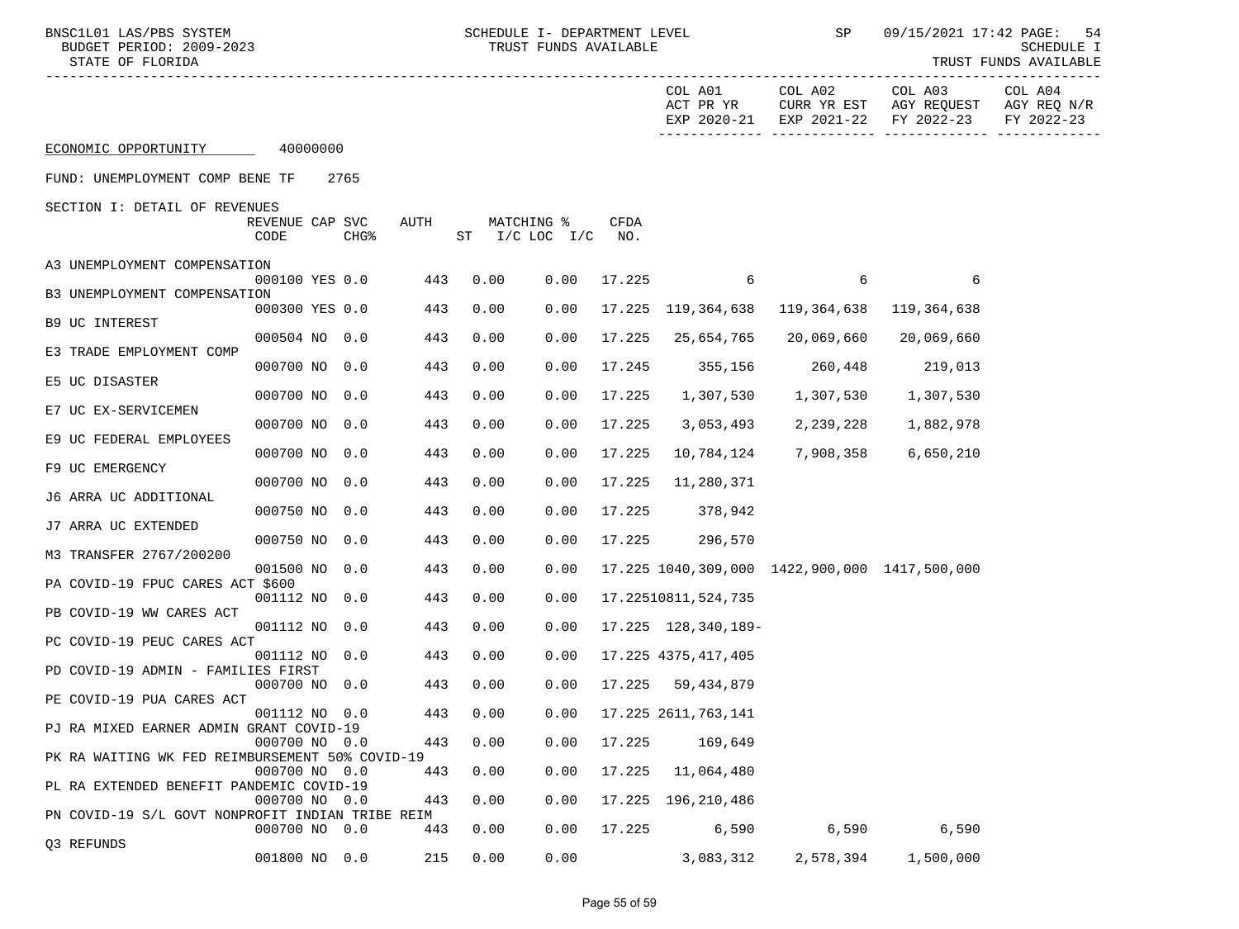| BNSC1L01 LAS/PBS SYSTEM<br>BUDGET PERIOD: 2009-2023<br>STATE OF FLORIDA |                         |  |                  |      |      | SCHEDULE I- DEPARTMENT LEVEL<br>TRUST FUNDS AVAILABLE |             |                      | SP                                            | 09/15/2021 17:42 PAGE:<br>-54<br>SCHEDULE I<br>TRUST FUNDS AVAILABLE                 |                       |  |
|-------------------------------------------------------------------------|-------------------------|--|------------------|------|------|-------------------------------------------------------|-------------|----------------------|-----------------------------------------------|--------------------------------------------------------------------------------------|-----------------------|--|
|                                                                         |                         |  |                  |      |      |                                                       |             | COL A01<br>ACT PR YR | COL A02                                       | COL A03<br>CURR YR EST AGY REQUEST AGY REQ N/R<br>EXP 2020-21 EXP 2021-22 FY 2022-23 | COL A04<br>FY 2022-23 |  |
| ECONOMIC OPPORTUNITY 40000000                                           |                         |  |                  |      |      |                                                       |             |                      |                                               |                                                                                      |                       |  |
| FUND: UNEMPLOYMENT COMP BENE TF                                         |                         |  | 2765             |      |      |                                                       |             |                      |                                               |                                                                                      |                       |  |
| SECTION I: DETAIL OF REVENUES                                           |                         |  |                  |      |      |                                                       |             |                      |                                               |                                                                                      |                       |  |
|                                                                         | REVENUE CAP SVC<br>CODE |  | CHG <sup>8</sup> | AUTH |      | MATCHING %<br>ST I/C LOC I/C                          | CFDA<br>NO. |                      |                                               |                                                                                      |                       |  |
| A3 UNEMPLOYMENT COMPENSATION                                            |                         |  |                  |      |      |                                                       |             |                      |                                               |                                                                                      |                       |  |
|                                                                         | 000100 YES 0.0          |  |                  | 443  | 0.00 | 0.00                                                  | 17.225      | 6                    | 6                                             | 6                                                                                    |                       |  |
| B3 UNEMPLOYMENT COMPENSATION                                            | 000300 YES 0.0          |  |                  | 443  | 0.00 | 0.00                                                  |             | 17.225 119,364,638   | 119,364,638                                   | 119,364,638                                                                          |                       |  |
| <b>B9 UC INTEREST</b>                                                   |                         |  |                  |      |      |                                                       |             |                      |                                               |                                                                                      |                       |  |
| E3 TRADE EMPLOYMENT COMP                                                | 000504 NO 0.0           |  |                  | 443  | 0.00 | 0.00                                                  | 17.225      | 25,654,765           | 20,069,660                                    | 20,069,660                                                                           |                       |  |
|                                                                         | 000700 NO 0.0           |  |                  | 443  | 0.00 | 0.00                                                  | 17.245      | 355,156              | 260,448                                       | 219,013                                                                              |                       |  |
| E5 UC DISASTER                                                          | 000700 NO 0.0           |  |                  | 443  | 0.00 | 0.00                                                  | 17.225      | 1,307,530            | 1,307,530                                     | 1,307,530                                                                            |                       |  |
| E7 UC EX-SERVICEMEN                                                     |                         |  |                  |      |      |                                                       |             |                      |                                               |                                                                                      |                       |  |
| E9 UC FEDERAL EMPLOYEES                                                 | 000700 NO 0.0           |  |                  | 443  | 0.00 | 0.00                                                  | 17.225      | 3,053,493            | 2,239,228                                     | 1,882,978                                                                            |                       |  |
|                                                                         | 000700 NO 0.0           |  |                  | 443  | 0.00 | 0.00                                                  | 17.225      | 10,784,124           | 7,908,358                                     | 6,650,210                                                                            |                       |  |
| F9 UC EMERGENCY                                                         | 000700 NO 0.0           |  |                  | 443  | 0.00 | 0.00                                                  | 17.225      | 11,280,371           |                                               |                                                                                      |                       |  |
| J6 ARRA UC ADDITIONAL                                                   |                         |  |                  |      |      |                                                       |             |                      |                                               |                                                                                      |                       |  |
| J7 ARRA UC EXTENDED                                                     | 000750 NO 0.0           |  |                  | 443  | 0.00 | 0.00                                                  | 17.225      | 378,942              |                                               |                                                                                      |                       |  |
|                                                                         | 000750 NO 0.0           |  |                  | 443  | 0.00 | 0.00                                                  | 17.225      | 296,570              |                                               |                                                                                      |                       |  |
| M3 TRANSFER 2767/200200                                                 | 001500 NO 0.0           |  |                  | 443  | 0.00 | 0.00                                                  |             |                      | 17.225 1040,309,000 1422,900,000 1417,500,000 |                                                                                      |                       |  |
| PA COVID-19 FPUC CARES ACT \$600                                        |                         |  |                  |      |      |                                                       |             |                      |                                               |                                                                                      |                       |  |
| PB COVID-19 WW CARES ACT                                                | 001112 NO 0.0           |  |                  | 443  | 0.00 | 0.00                                                  |             | 17.22510811,524,735  |                                               |                                                                                      |                       |  |
|                                                                         | 001112 NO 0.0           |  |                  | 443  | 0.00 | 0.00                                                  |             | 17.225 128,340,189-  |                                               |                                                                                      |                       |  |
| PC COVID-19 PEUC CARES ACT                                              | 001112 NO 0.0           |  |                  | 443  | 0.00 | 0.00                                                  |             | 17.225 4375,417,405  |                                               |                                                                                      |                       |  |
| PD COVID-19 ADMIN - FAMILIES FIRST                                      |                         |  |                  |      |      |                                                       |             |                      |                                               |                                                                                      |                       |  |
| PE COVID-19 PUA CARES ACT                                               | 000700 NO 0.0           |  |                  | 443  | 0.00 | 0.00                                                  |             | 17.225 59,434,879    |                                               |                                                                                      |                       |  |
|                                                                         | 001112 NO 0.0           |  |                  | 443  | 0.00 | 0.00                                                  |             | 17.225 2611,763,141  |                                               |                                                                                      |                       |  |
| PJ RA MIXED EARNER ADMIN GRANT COVID-19                                 | 000700 NO 0.0           |  |                  | 443  | 0.00 | 0.00                                                  | 17.225      | 169,649              |                                               |                                                                                      |                       |  |
| PK RA WAITING WK FED REIMBURSEMENT 50% COVID-19                         |                         |  |                  |      |      |                                                       |             |                      |                                               |                                                                                      |                       |  |
| PL RA EXTENDED BENEFIT PANDEMIC COVID-19                                | 000700 NO 0.0           |  |                  | 443  | 0.00 | 0.00                                                  | 17.225      | 11,064,480           |                                               |                                                                                      |                       |  |
|                                                                         | 000700 NO 0.0           |  |                  | 443  | 0.00 | 0.00                                                  |             | 17.225 196,210,486   |                                               |                                                                                      |                       |  |
| PN COVID-19 S/L GOVT NONPROFIT INDIAN TRIBE REIM                        | 000700 NO 0.0           |  |                  | 443  | 0.00 | 0.00                                                  | 17.225      | 6,590                | 6,590                                         | 6,590                                                                                |                       |  |
| Q3 REFUNDS                                                              |                         |  |                  |      |      |                                                       |             |                      |                                               |                                                                                      |                       |  |
|                                                                         | 001800 NO 0.0           |  |                  | 215  | 0.00 | 0.00                                                  |             | 3,083,312            | 2,578,394                                     | 1,500,000                                                                            |                       |  |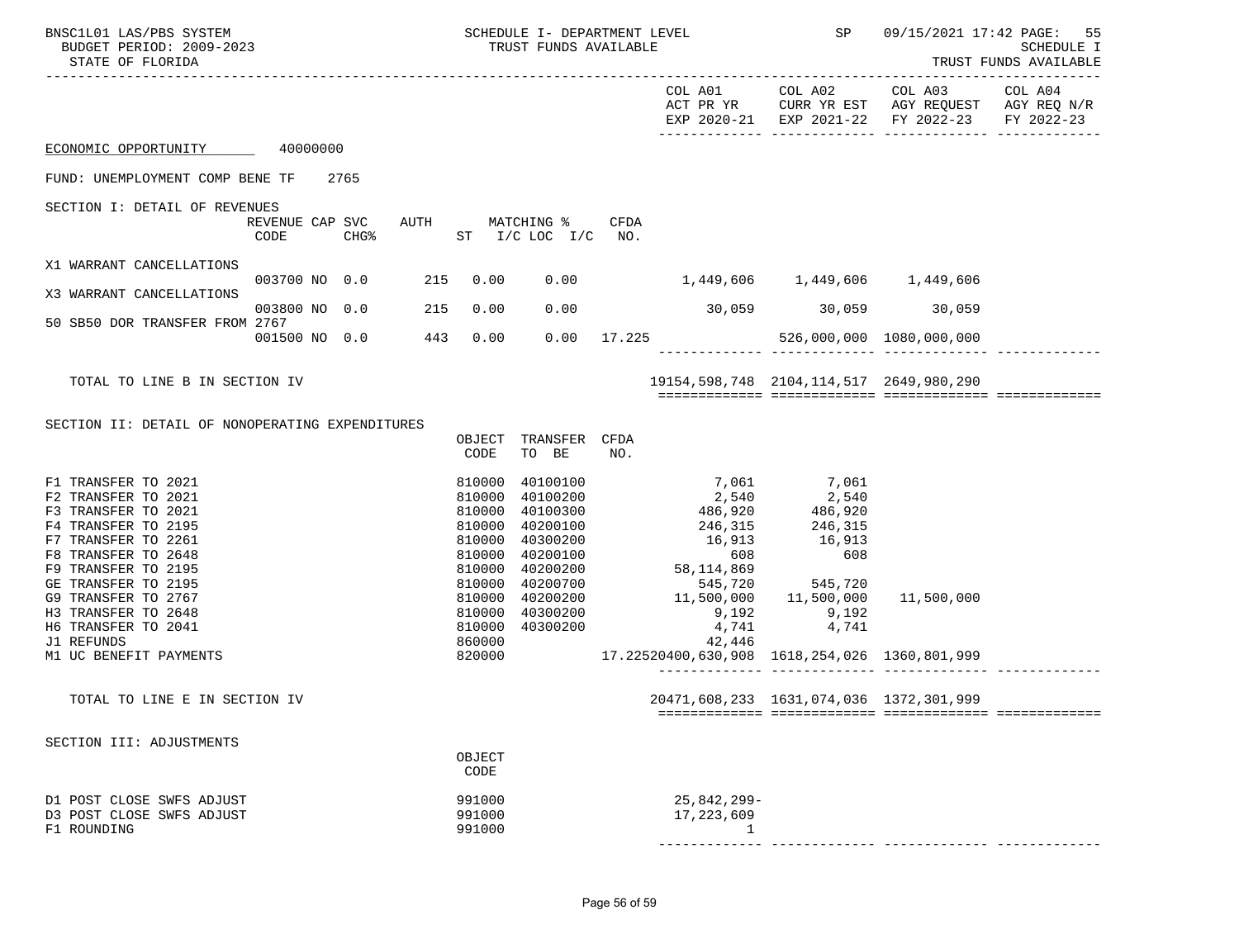| BNSC1L01 LAS/PBS SYSTEM<br>BUDGET PERIOD: 2009-2023<br>STATE OF FLORIDA                                                                                                                                                            |                                      | SCHEDULE I- DEPARTMENT LEVEL<br>TRUST FUNDS AVAILABLE                                                                                                                                                                    |                                                                                                     | <b>SP</b>                                                                                                | 09/15/2021 17:42 PAGE:<br>55<br>SCHEDULE I<br>TRUST FUNDS AVAILABLE                                               |  |
|------------------------------------------------------------------------------------------------------------------------------------------------------------------------------------------------------------------------------------|--------------------------------------|--------------------------------------------------------------------------------------------------------------------------------------------------------------------------------------------------------------------------|-----------------------------------------------------------------------------------------------------|----------------------------------------------------------------------------------------------------------|-------------------------------------------------------------------------------------------------------------------|--|
|                                                                                                                                                                                                                                    |                                      |                                                                                                                                                                                                                          |                                                                                                     | COL A01 COL A02                                                                                          | COL A03 COL A04<br>ACT PR YR CURR YR EST AGY REQUEST AGY REQ N/R<br>EXP 2020-21 EXP 2021-22 FY 2022-23 FY 2022-23 |  |
| ECONOMIC OPPORTUNITY 40000000                                                                                                                                                                                                      |                                      |                                                                                                                                                                                                                          |                                                                                                     |                                                                                                          |                                                                                                                   |  |
| FUND: UNEMPLOYMENT COMP BENE TF                                                                                                                                                                                                    | 2765                                 |                                                                                                                                                                                                                          |                                                                                                     |                                                                                                          |                                                                                                                   |  |
| SECTION I: DETAIL OF REVENUES                                                                                                                                                                                                      |                                      |                                                                                                                                                                                                                          |                                                                                                     |                                                                                                          |                                                                                                                   |  |
|                                                                                                                                                                                                                                    | REVENUE CAP SVC<br>$CHG$ $8$<br>CODE | AUTH MATCHING %<br>ST I/C LOC I/C                                                                                                                                                                                        | CFDA<br>NO.                                                                                         |                                                                                                          |                                                                                                                   |  |
| X1 WARRANT CANCELLATIONS                                                                                                                                                                                                           | 003700 NO 0.0 215                    | 0.00<br>0.00                                                                                                                                                                                                             |                                                                                                     |                                                                                                          |                                                                                                                   |  |
| X3 WARRANT CANCELLATIONS                                                                                                                                                                                                           |                                      |                                                                                                                                                                                                                          |                                                                                                     |                                                                                                          |                                                                                                                   |  |
| 50 SB50 DOR TRANSFER FROM 2767                                                                                                                                                                                                     | 003800 NO 0.0 215                    | 0.00<br>0.00                                                                                                                                                                                                             | $30,059$ $30,059$ $30,059$                                                                          |                                                                                                          |                                                                                                                   |  |
|                                                                                                                                                                                                                                    | 443 0.00<br>001500 NO 0.0            | 0.00                                                                                                                                                                                                                     | 17.225                                                                                              |                                                                                                          | 526,000,000 1080,000,000                                                                                          |  |
| TOTAL TO LINE B IN SECTION IV                                                                                                                                                                                                      |                                      |                                                                                                                                                                                                                          | 19154,598,748 2104,114,517 2649,980,290                                                             |                                                                                                          |                                                                                                                   |  |
| SECTION II: DETAIL OF NONOPERATING EXPENDITURES                                                                                                                                                                                    |                                      |                                                                                                                                                                                                                          |                                                                                                     |                                                                                                          |                                                                                                                   |  |
|                                                                                                                                                                                                                                    |                                      | TRANSFER CFDA<br>OBJECT<br>TO BE<br>CODE                                                                                                                                                                                 | NO.                                                                                                 |                                                                                                          |                                                                                                                   |  |
| F1 TRANSFER TO 2021<br>F2 TRANSFER TO 2021<br>F3 TRANSFER TO 2021<br>F4 TRANSFER TO 2195<br>F7 TRANSFER TO 2261<br>F8 TRANSFER TO 2648<br>F9 TRANSFER TO 2195<br>GE TRANSFER TO 2195<br>G9 TRANSFER TO 2767<br>H3 TRANSFER TO 2648 |                                      | 810000<br>40100100<br>40100200<br>810000<br>810000<br>40100300<br>810000<br>40200100<br>40300200<br>810000<br>810000<br>40200100<br>810000<br>40200200<br>810000<br>40200700<br>40200200<br>810000<br>40300200<br>810000 | 2,540<br>486,920<br>246, 315<br>$16,913$<br>$608$<br>$58,114,869$<br>545,720<br>11,500,000<br>9,192 | 7,061 7,061<br>2,540<br>486,920<br>246,315<br>16,913<br>608<br>545,720<br>11,500,000<br>$9,192$<br>4 741 | 11,500,000                                                                                                        |  |
| H6 TRANSFER TO 2041<br>J1 REFUNDS                                                                                                                                                                                                  |                                      | 40300200<br>810000<br>860000                                                                                                                                                                                             | 4,741<br>42,446                                                                                     | 4,741                                                                                                    |                                                                                                                   |  |
| M1 UC BENEFIT PAYMENTS                                                                                                                                                                                                             |                                      | 820000                                                                                                                                                                                                                   | 17.22520400,630,908  1618,254,026  1360,801,999                                                     | ________________________________                                                                         |                                                                                                                   |  |
| TOTAL TO LINE E IN SECTION IV                                                                                                                                                                                                      |                                      |                                                                                                                                                                                                                          | 20471,608,233 1631,074,036 1372,301,999                                                             |                                                                                                          |                                                                                                                   |  |
| SECTION III: ADJUSTMENTS                                                                                                                                                                                                           |                                      |                                                                                                                                                                                                                          |                                                                                                     |                                                                                                          |                                                                                                                   |  |
|                                                                                                                                                                                                                                    |                                      | OBJECT<br>CODE                                                                                                                                                                                                           |                                                                                                     |                                                                                                          |                                                                                                                   |  |
| D1 POST CLOSE SWFS ADJUST<br>D3 POST CLOSE SWFS ADJUST<br>F1 ROUNDING                                                                                                                                                              |                                      | 991000<br>991000<br>991000                                                                                                                                                                                               | 25,842,299-<br>17,223,609                                                                           |                                                                                                          |                                                                                                                   |  |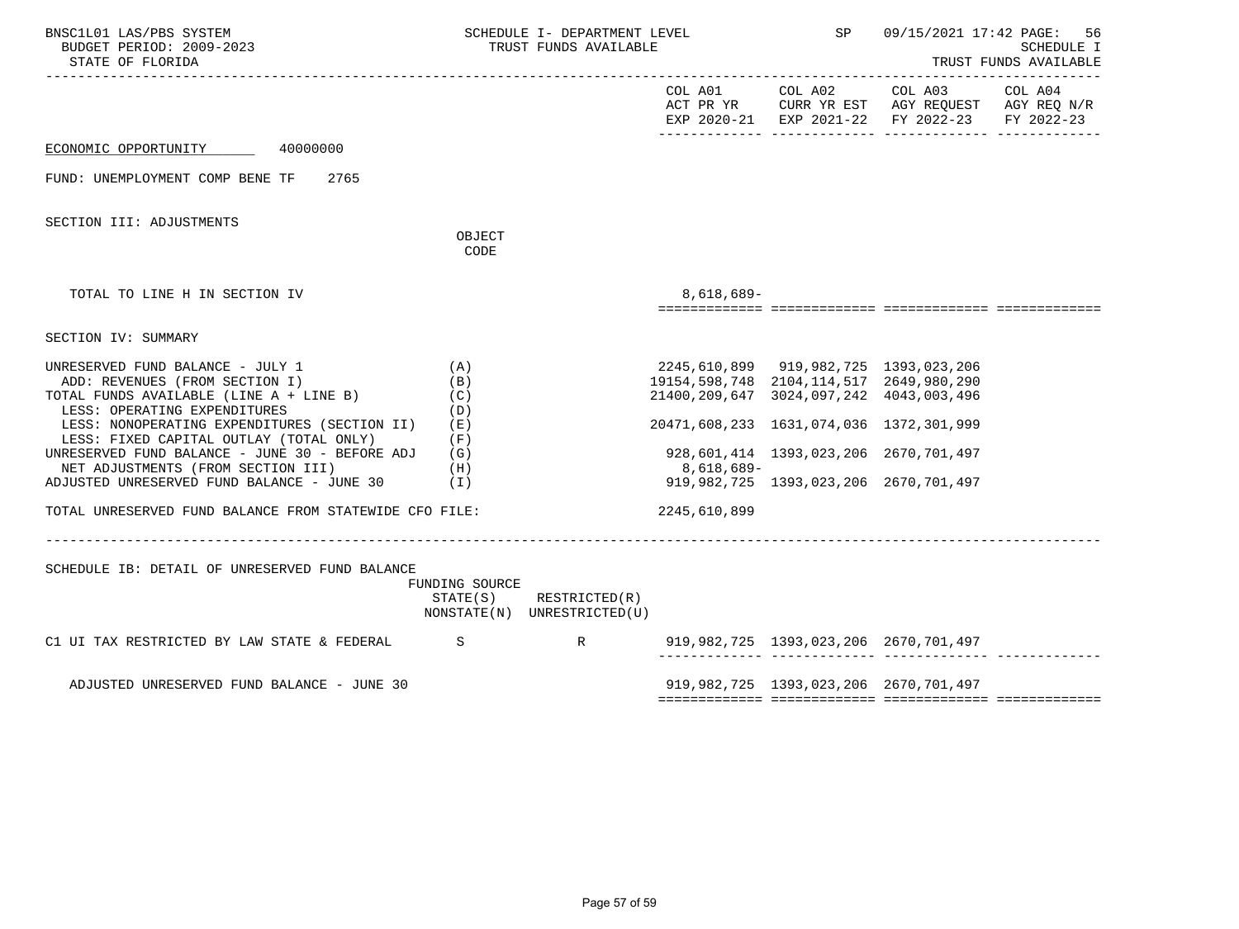| BNSC1L01 LAS/PBS SYSTEM<br>BUDGET PERIOD: 2009-2023<br>STATE OF FLORIDA                                                                                                                                                                                                                                                                                                                                                                                                                    |                                                                       | SCHEDULE I- DEPARTMENT LEVEL<br>TRUST FUNDS AVAILABLE      |                                                                                                                                                                                                                  | SP                                                                             |                                                                                                                                   | 09/15/2021 17:42 PAGE: 56<br>SCHEDULE I<br>TRUST FUNDS AVAILABLE |
|--------------------------------------------------------------------------------------------------------------------------------------------------------------------------------------------------------------------------------------------------------------------------------------------------------------------------------------------------------------------------------------------------------------------------------------------------------------------------------------------|-----------------------------------------------------------------------|------------------------------------------------------------|------------------------------------------------------------------------------------------------------------------------------------------------------------------------------------------------------------------|--------------------------------------------------------------------------------|-----------------------------------------------------------------------------------------------------------------------------------|------------------------------------------------------------------|
|                                                                                                                                                                                                                                                                                                                                                                                                                                                                                            |                                                                       |                                                            |                                                                                                                                                                                                                  |                                                                                | COL A01 COL A02 COL A03 COL A04<br>ACT PR YR CURR YR EST AGY REQUEST AGY REQ N/R<br>EXP 2020-21 EXP 2021-22 FY 2022-23 FY 2022-23 |                                                                  |
| ECONOMIC OPPORTUNITY 40000000                                                                                                                                                                                                                                                                                                                                                                                                                                                              |                                                                       |                                                            |                                                                                                                                                                                                                  |                                                                                |                                                                                                                                   |                                                                  |
| FUND: UNEMPLOYMENT COMP BENE TF<br>2765                                                                                                                                                                                                                                                                                                                                                                                                                                                    |                                                                       |                                                            |                                                                                                                                                                                                                  |                                                                                |                                                                                                                                   |                                                                  |
| SECTION III: ADJUSTMENTS                                                                                                                                                                                                                                                                                                                                                                                                                                                                   | OBJECT<br>CODE                                                        |                                                            |                                                                                                                                                                                                                  |                                                                                |                                                                                                                                   |                                                                  |
| TOTAL TO LINE H IN SECTION IV                                                                                                                                                                                                                                                                                                                                                                                                                                                              |                                                                       |                                                            | $8,618,689-$                                                                                                                                                                                                     |                                                                                |                                                                                                                                   |                                                                  |
| SECTION IV: SUMMARY                                                                                                                                                                                                                                                                                                                                                                                                                                                                        |                                                                       |                                                            |                                                                                                                                                                                                                  |                                                                                |                                                                                                                                   |                                                                  |
| UNRESERVED FUND BALANCE - JULY 1<br>ADD: REVENUES (FROM SECTION I)<br>TOTAL FUNDS AVAILABLE (LINE A + LINE B)<br>LESS: OPERATING EXPENDITURES<br>LESS: NONOPERATING EXPENDITURES (SECTION II)<br>LESS: FIXED CAPITAL OUTLAY (TOTAL ONLY)<br>UNRESERVED FUND BALANCE - JUNE 30 - BEFORE ADJ<br>NET ADJUSTMENTS (FROM SECTION III)<br>ADJUSTED UNRESERVED FUND BALANCE - JUNE 30<br>TOTAL UNRESERVED FUND BALANCE FROM STATEWIDE CFO FILE:<br>SCHEDULE IB: DETAIL OF UNRESERVED FUND BALANCE | (A)<br>(B)<br>(C)<br>(D)<br>(E)<br>(F)<br>(G)<br>(H)<br>$(\lrcorner)$ |                                                            | 2245,610,899 919,982,725 1393,023,206<br>19154, 598, 748 2104, 114, 517 2649, 980, 290<br>21400, 209, 647 3024, 097, 242 4043, 003, 496<br>20471,608,233 1631,074,036 1372,301,999<br>8,618,689-<br>2245,610,899 | 928,601,414 1393,023,206 2670,701,497<br>919,982,725 1393,023,206 2670,701,497 |                                                                                                                                   |                                                                  |
|                                                                                                                                                                                                                                                                                                                                                                                                                                                                                            | FUNDING SOURCE                                                        | $STATE(S)$ RESTRICTED $(R)$<br>NONSTATE(N) UNRESTRICTED(U) |                                                                                                                                                                                                                  |                                                                                |                                                                                                                                   |                                                                  |
| C1 UI TAX RESTRICTED BY LAW STATE & FEDERAL SS SERIES RESTRICTED BY LAW STATE & FEDERAL                                                                                                                                                                                                                                                                                                                                                                                                    |                                                                       |                                                            |                                                                                                                                                                                                                  | 919,982,725 1393,023,206 2670,701,497                                          |                                                                                                                                   |                                                                  |
| ADJUSTED UNRESERVED FUND BALANCE - JUNE 30                                                                                                                                                                                                                                                                                                                                                                                                                                                 |                                                                       |                                                            |                                                                                                                                                                                                                  | 919,982,725 1393,023,206 2670,701,497                                          |                                                                                                                                   |                                                                  |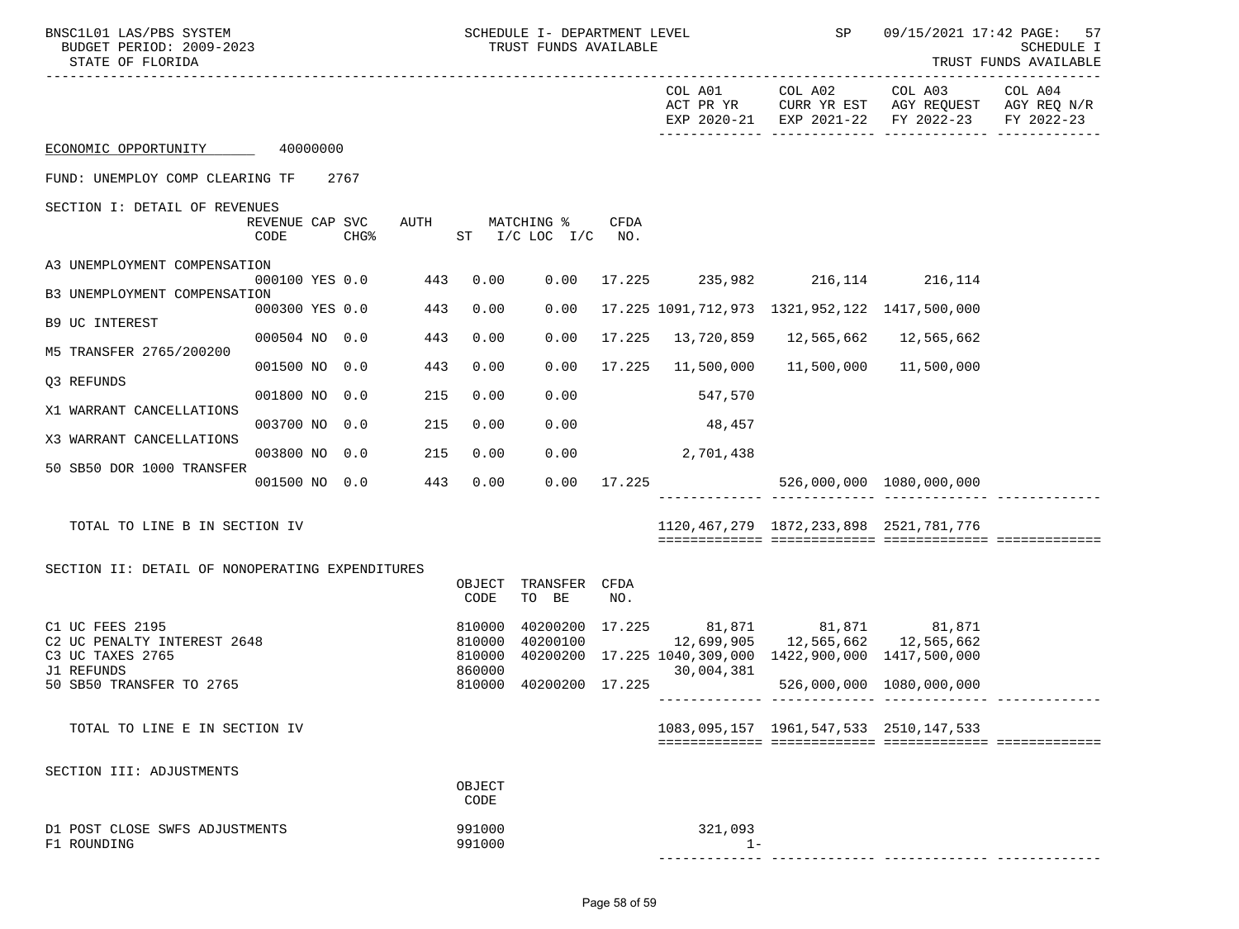| BNSC1L01 LAS/PBS SYSTEM<br>BUDGET PERIOD: 2009-2023<br>STATE OF FLORIDA                                      |                                             |      | SCHEDULE I- DEPARTMENT LEVEL<br>TRUST FUNDS AVAILABLE |                                    |               | SP                | 09/15/2021 17:42 PAGE:<br>57<br>SCHEDULE I<br>TRUST FUNDS AVAILABLE                                                                    |                                                                                                           |         |
|--------------------------------------------------------------------------------------------------------------|---------------------------------------------|------|-------------------------------------------------------|------------------------------------|---------------|-------------------|----------------------------------------------------------------------------------------------------------------------------------------|-----------------------------------------------------------------------------------------------------------|---------|
|                                                                                                              |                                             |      |                                                       |                                    |               | COL A01           | COL A02                                                                                                                                | COL A03<br>ACT PR YR CURR YR EST AGY REQUEST AGY REQ N/R<br>EXP 2020-21 EXP 2021-22 FY 2022-23 FY 2022-23 | COL A04 |
| ECONOMIC OPPORTUNITY 40000000                                                                                |                                             |      |                                                       |                                    |               |                   |                                                                                                                                        |                                                                                                           |         |
| FUND: UNEMPLOY COMP CLEARING TF                                                                              | 2767                                        |      |                                                       |                                    |               |                   |                                                                                                                                        |                                                                                                           |         |
| SECTION I: DETAIL OF REVENUES                                                                                | REVENUE CAP SVC<br>CHG <sup>8</sup><br>CODE | AUTH |                                                       | MATCHING %<br>ST I/C LOC I/C       | CFDA<br>NO.   |                   |                                                                                                                                        |                                                                                                           |         |
| A3 UNEMPLOYMENT COMPENSATION                                                                                 |                                             |      |                                                       |                                    |               |                   |                                                                                                                                        |                                                                                                           |         |
| B3 UNEMPLOYMENT COMPENSATION                                                                                 | 000100 YES 0.0 443                          |      | 0.00                                                  | 0.00                               |               |                   | 17.225 235,982 216,114 216,114                                                                                                         |                                                                                                           |         |
| <b>B9 UC INTEREST</b>                                                                                        | 000300 YES 0.0                              | 443  | 0.00                                                  | 0.00                               |               |                   | 17.225 1091,712,973 1321,952,122 1417,500,000                                                                                          |                                                                                                           |         |
| M5 TRANSFER 2765/200200                                                                                      | 000504 NO 0.0                               | 443  | 0.00                                                  | 0.00                               | 17.225        | 13,720,859        | 12,565,662                                                                                                                             | 12,565,662                                                                                                |         |
| Q3 REFUNDS                                                                                                   | 001500 NO 0.0                               | 443  | 0.00                                                  | 0.00                               |               | 17.225 11,500,000 | 11,500,000                                                                                                                             | 11,500,000                                                                                                |         |
| X1 WARRANT CANCELLATIONS                                                                                     | 001800 NO 0.0                               | 215  | 0.00                                                  | 0.00                               |               | 547,570           |                                                                                                                                        |                                                                                                           |         |
| X3 WARRANT CANCELLATIONS                                                                                     | 003700 NO 0.0                               | 215  | 0.00                                                  | 0.00                               |               | 48,457            |                                                                                                                                        |                                                                                                           |         |
| 50 SB50 DOR 1000 TRANSFER                                                                                    | 003800 NO 0.0                               | 215  | 0.00                                                  | 0.00                               |               | 2,701,438         |                                                                                                                                        |                                                                                                           |         |
|                                                                                                              | 001500 NO 0.0                               | 443  | 0.00                                                  |                                    | $0.00$ 17.225 |                   |                                                                                                                                        | 526,000,000 1080,000,000                                                                                  |         |
| TOTAL TO LINE B IN SECTION IV                                                                                |                                             |      |                                                       |                                    |               |                   | 1120, 467, 279 1872, 233, 898 2521, 781, 776                                                                                           |                                                                                                           |         |
| SECTION II: DETAIL OF NONOPERATING EXPENDITURES                                                              |                                             |      |                                                       |                                    |               |                   |                                                                                                                                        |                                                                                                           |         |
|                                                                                                              |                                             |      | OBJECT<br>CODE                                        | TRANSFER CFDA<br>TO BE             | NO.           |                   |                                                                                                                                        |                                                                                                           |         |
| C1 UC FEES 2195<br>C2 UC PENALTY INTEREST 2648<br>C3 UC TAXES 2765<br>J1 REFUNDS<br>50 SB50 TRANSFER TO 2765 |                                             |      | 810000<br>810000<br>810000<br>860000                  | 40200100<br>810000 40200200 17.225 |               | 30,004,381        | 40200200 17.225 81,871 81,871 81,871<br>12,699,905   12,565,662   12,565,662<br>40200200 17.225 1040,309,000 1422,900,000 1417,500,000 | 526,000,000 1080,000,000                                                                                  |         |
| TOTAL TO LINE E IN SECTION IV                                                                                |                                             |      |                                                       |                                    |               |                   | 1083,095,157  1961,547,533  2510,147,533                                                                                               |                                                                                                           |         |
| SECTION III: ADJUSTMENTS                                                                                     |                                             |      | OBJECT<br>CODE                                        |                                    |               |                   |                                                                                                                                        |                                                                                                           |         |
| D1 POST CLOSE SWFS ADJUSTMENTS<br>F1 ROUNDING                                                                |                                             |      | 991000<br>991000                                      |                                    |               | 321,093<br>$1 -$  |                                                                                                                                        |                                                                                                           |         |